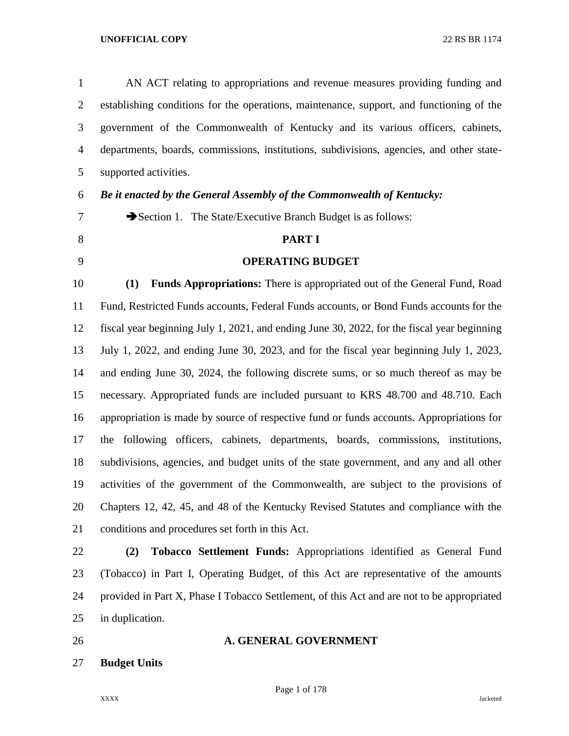| $\mathbf{1}$   | AN ACT relating to appropriations and revenue measures providing funding and                |
|----------------|---------------------------------------------------------------------------------------------|
| $\overline{2}$ | establishing conditions for the operations, maintenance, support, and functioning of the    |
| 3              | government of the Commonwealth of Kentucky and its various officers, cabinets,              |
| $\overline{4}$ | departments, boards, commissions, institutions, subdivisions, agencies, and other state-    |
| 5              | supported activities.                                                                       |
| 6              | Be it enacted by the General Assembly of the Commonwealth of Kentucky:                      |
| 7              | Section 1. The State/Executive Branch Budget is as follows:                                 |
| 8              | <b>PART I</b>                                                                               |
| 9              | <b>OPERATING BUDGET</b>                                                                     |
| 10             | Funds Appropriations: There is appropriated out of the General Fund, Road<br>(1)            |
| 11             | Fund, Restricted Funds accounts, Federal Funds accounts, or Bond Funds accounts for the     |
| 12             | fiscal year beginning July 1, 2021, and ending June 30, 2022, for the fiscal year beginning |
| 13             | July 1, 2022, and ending June 30, 2023, and for the fiscal year beginning July 1, 2023,     |
| 14             | and ending June 30, 2024, the following discrete sums, or so much thereof as may be         |
| 15             | necessary. Appropriated funds are included pursuant to KRS 48.700 and 48.710. Each          |
| 16             | appropriation is made by source of respective fund or funds accounts. Appropriations for    |
| 17             | the following officers, cabinets, departments, boards, commissions, institutions,           |
| 18             | subdivisions, agencies, and budget units of the state government, and any and all other     |
| 19             | activities of the government of the Commonwealth, are subject to the provisions of          |
| 20             | Chapters 12, 42, 45, and 48 of the Kentucky Revised Statutes and compliance with the        |
| 21             | conditions and procedures set forth in this Act.                                            |
| 22             | Tobacco Settlement Funds: Appropriations identified as General Fund<br>(2)                  |

 (Tobacco) in Part I, Operating Budget, of this Act are representative of the amounts provided in Part X, Phase I Tobacco Settlement, of this Act and are not to be appropriated in duplication.

# **A. GENERAL GOVERNMENT**

**Budget Units**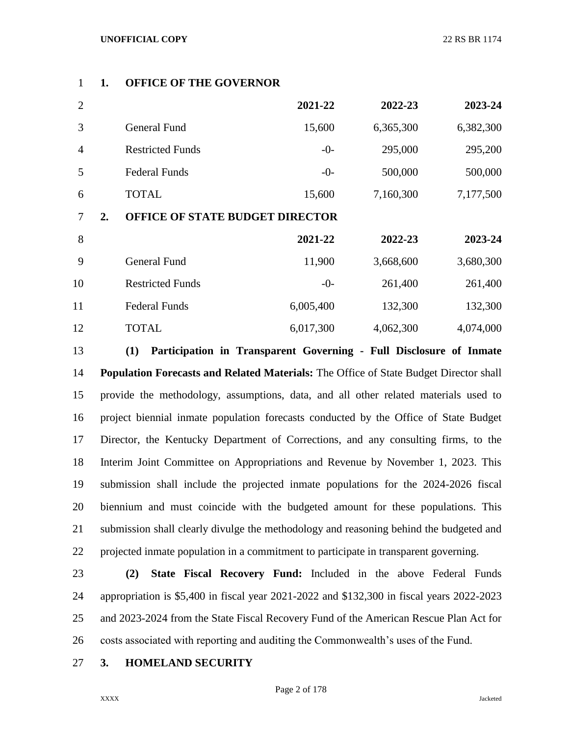# **1. OFFICE OF THE GOVERNOR**

| $\overline{2}$ |    |                                        | 2021-22   | 2022-23   | 2023-24   |
|----------------|----|----------------------------------------|-----------|-----------|-----------|
| 3              |    | <b>General Fund</b>                    | 15,600    | 6,365,300 | 6,382,300 |
| $\overline{4}$ |    | <b>Restricted Funds</b>                | $-0-$     | 295,000   | 295,200   |
| 5              |    | <b>Federal Funds</b>                   | $-0-$     | 500,000   | 500,000   |
| 6              |    | <b>TOTAL</b>                           | 15,600    | 7,160,300 | 7,177,500 |
| 7              | 2. | <b>OFFICE OF STATE BUDGET DIRECTOR</b> |           |           |           |
| 8              |    |                                        | 2021-22   | 2022-23   | 2023-24   |
| 9              |    | <b>General Fund</b>                    | 11,900    | 3,668,600 | 3,680,300 |
| 10             |    | <b>Restricted Funds</b>                | $-0-$     | 261,400   | 261,400   |
| 11             |    | <b>Federal Funds</b>                   | 6,005,400 | 132,300   | 132,300   |
| 12             |    | <b>TOTAL</b>                           | 6,017,300 | 4,062,300 | 4,074,000 |

 **(1) Participation in Transparent Governing - Full Disclosure of Inmate Population Forecasts and Related Materials:** The Office of State Budget Director shall provide the methodology, assumptions, data, and all other related materials used to project biennial inmate population forecasts conducted by the Office of State Budget Director, the Kentucky Department of Corrections, and any consulting firms, to the Interim Joint Committee on Appropriations and Revenue by November 1, 2023. This submission shall include the projected inmate populations for the 2024-2026 fiscal biennium and must coincide with the budgeted amount for these populations. This submission shall clearly divulge the methodology and reasoning behind the budgeted and projected inmate population in a commitment to participate in transparent governing.

 **(2) State Fiscal Recovery Fund:** Included in the above Federal Funds appropriation is \$5,400 in fiscal year 2021-2022 and \$132,300 in fiscal years 2022-2023 and 2023-2024 from the State Fiscal Recovery Fund of the American Rescue Plan Act for costs associated with reporting and auditing the Commonwealth's uses of the Fund.

## **3. HOMELAND SECURITY**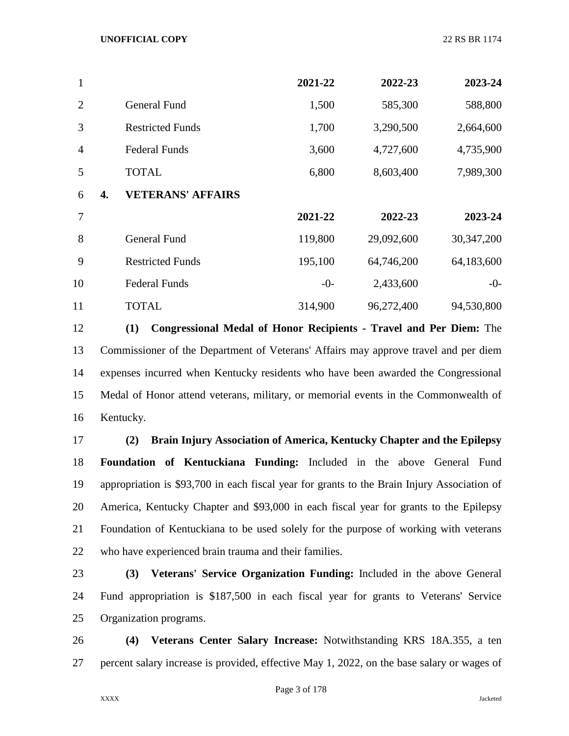| 1              |    |                          | 2021-22 | 2022-23    | 2023-24      |
|----------------|----|--------------------------|---------|------------|--------------|
| $\overline{2}$ |    | <b>General Fund</b>      | 1,500   | 585,300    | 588,800      |
| 3              |    | <b>Restricted Funds</b>  | 1,700   | 3,290,500  | 2,664,600    |
| $\overline{4}$ |    | <b>Federal Funds</b>     | 3,600   | 4,727,600  | 4,735,900    |
| 5              |    | <b>TOTAL</b>             | 6,800   | 8,603,400  | 7,989,300    |
| 6              | 4. | <b>VETERANS' AFFAIRS</b> |         |            |              |
| 7              |    |                          | 2021-22 | 2022-23    | 2023-24      |
| 8              |    | <b>General Fund</b>      | 119,800 | 29,092,600 | 30, 347, 200 |
| 9              |    | <b>Restricted Funds</b>  | 195,100 | 64,746,200 | 64,183,600   |
| 10             |    | <b>Federal Funds</b>     | $-0-$   | 2,433,600  | $-0-$        |
| 11             |    | <b>TOTAL</b>             | 314,900 | 96,272,400 | 94,530,800   |

 **(1) Congressional Medal of Honor Recipients - Travel and Per Diem:** The Commissioner of the Department of Veterans' Affairs may approve travel and per diem expenses incurred when Kentucky residents who have been awarded the Congressional Medal of Honor attend veterans, military, or memorial events in the Commonwealth of Kentucky.

 **(2) Brain Injury Association of America, Kentucky Chapter and the Epilepsy Foundation of Kentuckiana Funding:** Included in the above General Fund appropriation is \$93,700 in each fiscal year for grants to the Brain Injury Association of America, Kentucky Chapter and \$93,000 in each fiscal year for grants to the Epilepsy Foundation of Kentuckiana to be used solely for the purpose of working with veterans who have experienced brain trauma and their families.

 **(3) Veterans' Service Organization Funding:** Included in the above General Fund appropriation is \$187,500 in each fiscal year for grants to Veterans' Service Organization programs.

 **(4) Veterans Center Salary Increase:** Notwithstanding KRS 18A.355, a ten percent salary increase is provided, effective May 1, 2022, on the base salary or wages of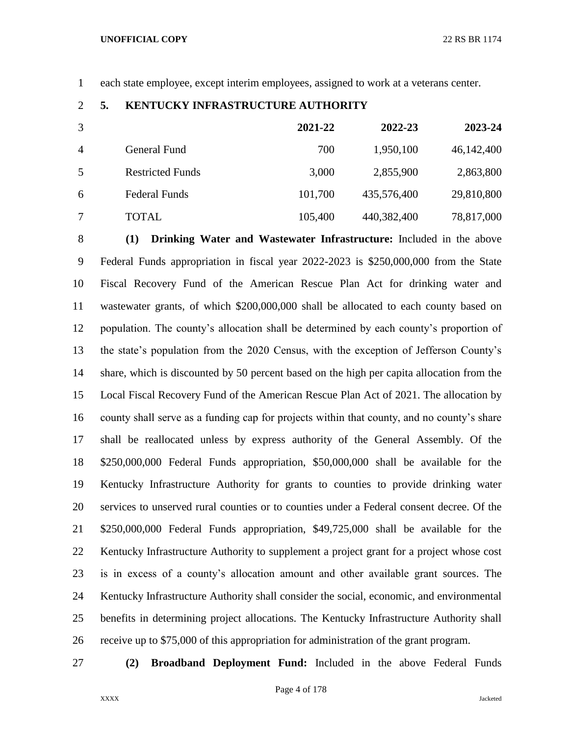each state employee, except interim employees, assigned to work at a veterans center.

## **5. KENTUCKY INFRASTRUCTURE AUTHORITY**

|                |                         | 2021-22 | 2022-23     | 2023-24    |
|----------------|-------------------------|---------|-------------|------------|
| $\overline{A}$ | General Fund            | 700     | 1,950,100   | 46,142,400 |
| 5              | <b>Restricted Funds</b> | 3,000   | 2,855,900   | 2,863,800  |
| 6              | <b>Federal Funds</b>    | 101,700 | 435,576,400 | 29,810,800 |
|                | TOTAL                   | 105,400 | 440,382,400 | 78,817,000 |

 **(1) Drinking Water and Wastewater Infrastructure:** Included in the above Federal Funds appropriation in fiscal year 2022-2023 is \$250,000,000 from the State Fiscal Recovery Fund of the American Rescue Plan Act for drinking water and wastewater grants, of which \$200,000,000 shall be allocated to each county based on population. The county's allocation shall be determined by each county's proportion of the state's population from the 2020 Census, with the exception of Jefferson County's share, which is discounted by 50 percent based on the high per capita allocation from the Local Fiscal Recovery Fund of the American Rescue Plan Act of 2021. The allocation by county shall serve as a funding cap for projects within that county, and no county's share shall be reallocated unless by express authority of the General Assembly. Of the \$250,000,000 Federal Funds appropriation, \$50,000,000 shall be available for the Kentucky Infrastructure Authority for grants to counties to provide drinking water services to unserved rural counties or to counties under a Federal consent decree. Of the \$250,000,000 Federal Funds appropriation, \$49,725,000 shall be available for the Kentucky Infrastructure Authority to supplement a project grant for a project whose cost is in excess of a county's allocation amount and other available grant sources. The Kentucky Infrastructure Authority shall consider the social, economic, and environmental benefits in determining project allocations. The Kentucky Infrastructure Authority shall receive up to \$75,000 of this appropriation for administration of the grant program.

**(2) Broadband Deployment Fund:** Included in the above Federal Funds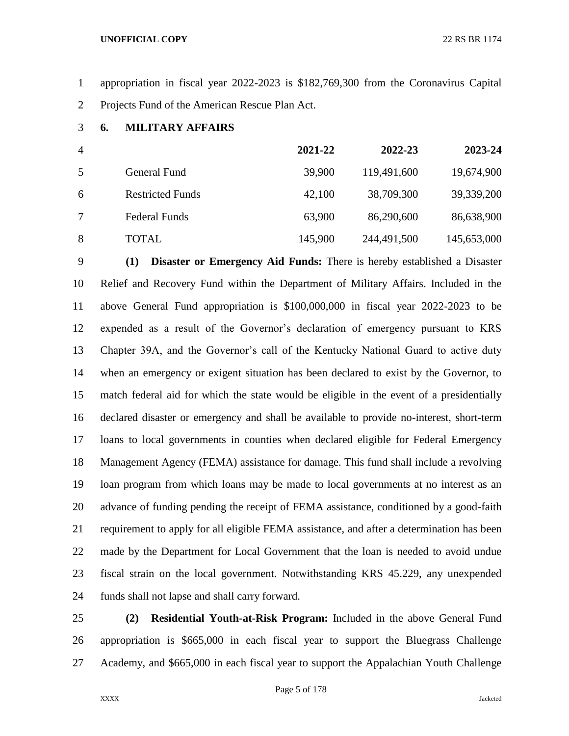appropriation in fiscal year 2022-2023 is \$182,769,300 from the Coronavirus Capital Projects Fund of the American Rescue Plan Act.

**6. MILITARY AFFAIRS**

| $\overline{4}$ |                         | 2021-22 | 2022-23     | 2023-24     |
|----------------|-------------------------|---------|-------------|-------------|
| 5              | General Fund            | 39,900  | 119,491,600 | 19,674,900  |
| 6              | <b>Restricted Funds</b> | 42,100  | 38,709,300  | 39,339,200  |
|                | <b>Federal Funds</b>    | 63,900  | 86,290,600  | 86,638,900  |
| 8              | <b>TOTAL</b>            | 145,900 | 244,491,500 | 145,653,000 |

 **(1) Disaster or Emergency Aid Funds:** There is hereby established a Disaster Relief and Recovery Fund within the Department of Military Affairs. Included in the above General Fund appropriation is \$100,000,000 in fiscal year 2022-2023 to be expended as a result of the Governor's declaration of emergency pursuant to KRS Chapter 39A, and the Governor's call of the Kentucky National Guard to active duty when an emergency or exigent situation has been declared to exist by the Governor, to match federal aid for which the state would be eligible in the event of a presidentially declared disaster or emergency and shall be available to provide no-interest, short-term loans to local governments in counties when declared eligible for Federal Emergency Management Agency (FEMA) assistance for damage. This fund shall include a revolving loan program from which loans may be made to local governments at no interest as an advance of funding pending the receipt of FEMA assistance, conditioned by a good-faith requirement to apply for all eligible FEMA assistance, and after a determination has been made by the Department for Local Government that the loan is needed to avoid undue fiscal strain on the local government. Notwithstanding KRS 45.229, any unexpended funds shall not lapse and shall carry forward.

 **(2) Residential Youth-at-Risk Program:** Included in the above General Fund appropriation is \$665,000 in each fiscal year to support the Bluegrass Challenge Academy, and \$665,000 in each fiscal year to support the Appalachian Youth Challenge

Page 5 of 178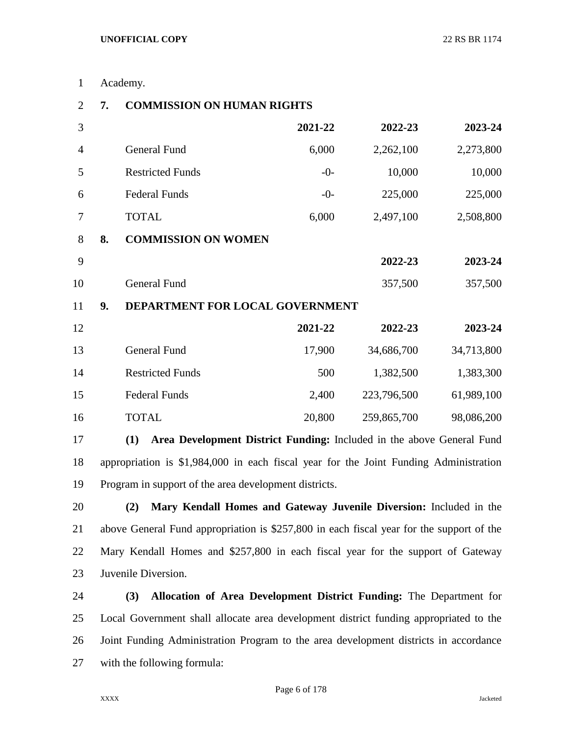| $\mathbf{1}$   |    | Academy.                          |         |             |            |
|----------------|----|-----------------------------------|---------|-------------|------------|
| $\overline{2}$ | 7. | <b>COMMISSION ON HUMAN RIGHTS</b> |         |             |            |
| 3              |    |                                   | 2021-22 | 2022-23     | 2023-24    |
| $\overline{4}$ |    | <b>General Fund</b>               | 6,000   | 2,262,100   | 2,273,800  |
| 5              |    | <b>Restricted Funds</b>           | $-0-$   | 10,000      | 10,000     |
| 6              |    | <b>Federal Funds</b>              | $-0-$   | 225,000     | 225,000    |
| 7              |    | <b>TOTAL</b>                      | 6,000   | 2,497,100   | 2,508,800  |
| 8              | 8. | <b>COMMISSION ON WOMEN</b>        |         |             |            |
| 9              |    |                                   |         | 2022-23     | 2023-24    |
| 10             |    | <b>General Fund</b>               |         | 357,500     | 357,500    |
| 11             | 9. | DEPARTMENT FOR LOCAL GOVERNMENT   |         |             |            |
| 12             |    |                                   | 2021-22 | 2022-23     | 2023-24    |
| 13             |    | <b>General Fund</b>               | 17,900  | 34,686,700  | 34,713,800 |
| 14             |    | <b>Restricted Funds</b>           | 500     | 1,382,500   | 1,383,300  |
| 15             |    | <b>Federal Funds</b>              | 2,400   | 223,796,500 | 61,989,100 |
| 16             |    | <b>TOTAL</b>                      | 20,800  | 259,865,700 | 98,086,200 |
|                |    |                                   |         |             |            |

 **(1) Area Development District Funding:** Included in the above General Fund appropriation is \$1,984,000 in each fiscal year for the Joint Funding Administration Program in support of the area development districts.

 **(2) Mary Kendall Homes and Gateway Juvenile Diversion:** Included in the above General Fund appropriation is \$257,800 in each fiscal year for the support of the Mary Kendall Homes and \$257,800 in each fiscal year for the support of Gateway Juvenile Diversion.

 **(3) Allocation of Area Development District Funding:** The Department for Local Government shall allocate area development district funding appropriated to the Joint Funding Administration Program to the area development districts in accordance with the following formula: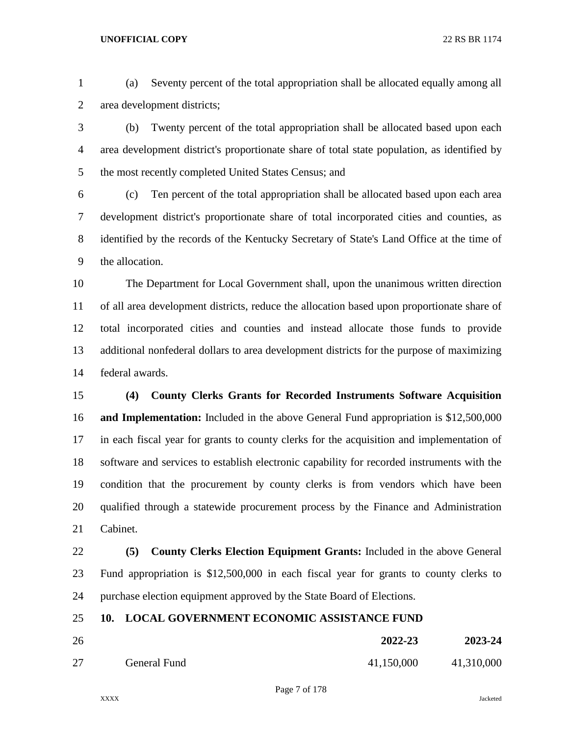(a) Seventy percent of the total appropriation shall be allocated equally among all area development districts;

 (b) Twenty percent of the total appropriation shall be allocated based upon each area development district's proportionate share of total state population, as identified by the most recently completed United States Census; and

 (c) Ten percent of the total appropriation shall be allocated based upon each area development district's proportionate share of total incorporated cities and counties, as identified by the records of the Kentucky Secretary of State's Land Office at the time of the allocation.

 The Department for Local Government shall, upon the unanimous written direction of all area development districts, reduce the allocation based upon proportionate share of total incorporated cities and counties and instead allocate those funds to provide additional nonfederal dollars to area development districts for the purpose of maximizing federal awards.

 **(4) County Clerks Grants for Recorded Instruments Software Acquisition and Implementation:** Included in the above General Fund appropriation is \$12,500,000 in each fiscal year for grants to county clerks for the acquisition and implementation of software and services to establish electronic capability for recorded instruments with the condition that the procurement by county clerks is from vendors which have been qualified through a statewide procurement process by the Finance and Administration Cabinet.

 **(5) County Clerks Election Equipment Grants:** Included in the above General Fund appropriation is \$12,500,000 in each fiscal year for grants to county clerks to purchase election equipment approved by the State Board of Elections.

# **10. LOCAL GOVERNMENT ECONOMIC ASSISTANCE FUND**

| 26 |              | 2022-23    | 2023-24    |
|----|--------------|------------|------------|
| 27 | General Fund | 41,150,000 | 41,310,000 |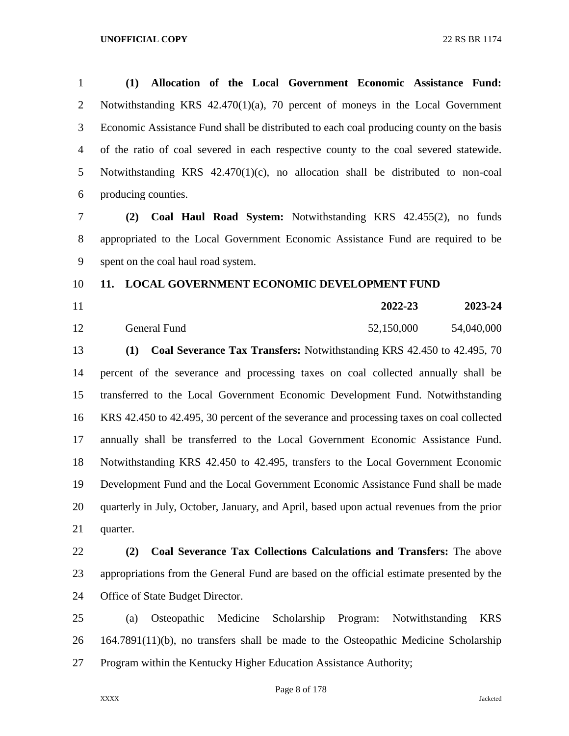| $\mathbf{1}$   | (1)<br>Allocation of the Local Government Economic Assistance Fund:                        |
|----------------|--------------------------------------------------------------------------------------------|
| $\overline{2}$ | Notwithstanding KRS $42.470(1)(a)$ , 70 percent of moneys in the Local Government          |
| 3              | Economic Assistance Fund shall be distributed to each coal producing county on the basis   |
| $\overline{4}$ | of the ratio of coal severed in each respective county to the coal severed statewide.      |
| 5              | Notwithstanding KRS $42.470(1)(c)$ , no allocation shall be distributed to non-coal        |
| 6              | producing counties.                                                                        |
| $\overline{7}$ | Coal Haul Road System: Notwithstanding KRS 42.455(2), no funds<br>(2)                      |
| $8\,$          | appropriated to the Local Government Economic Assistance Fund are required to be           |
| 9              | spent on the coal haul road system.                                                        |
| 10             | LOCAL GOVERNMENT ECONOMIC DEVELOPMENT FUND<br>11.                                          |
| 11             | 2022-23<br>2023-24                                                                         |
| 12             | 54,040,000<br>General Fund<br>52,150,000                                                   |
| 13             | Coal Severance Tax Transfers: Notwithstanding KRS 42.450 to 42.495, 70<br>(1)              |
| 14             | percent of the severance and processing taxes on coal collected annually shall be          |
| 15             | transferred to the Local Government Economic Development Fund. Notwithstanding             |
| 16             | KRS 42.450 to 42.495, 30 percent of the severance and processing taxes on coal collected   |
| 17             | annually shall be transferred to the Local Government Economic Assistance Fund.            |
| 18             | Notwithstanding KRS 42.450 to 42.495, transfers to the Local Government Economic           |
| 19             | Development Fund and the Local Government Economic Assistance Fund shall be made           |
| 20             | quarterly in July, October, January, and April, based upon actual revenues from the prior  |
| 21             | quarter.                                                                                   |
| 22             | Coal Severance Tax Collections Calculations and Transfers: The above<br>(2)                |
| 23             | appropriations from the General Fund are based on the official estimate presented by the   |
| 24             | Office of State Budget Director.                                                           |
| 25             | Medicine<br>Scholarship<br>Osteopathic<br>Program:<br>Notwithstanding<br><b>KRS</b><br>(a) |
| 26             | $164.7891(11)(b)$ , no transfers shall be made to the Osteopathic Medicine Scholarship     |
| 27             | Program within the Kentucky Higher Education Assistance Authority;                         |

Page 8 of 178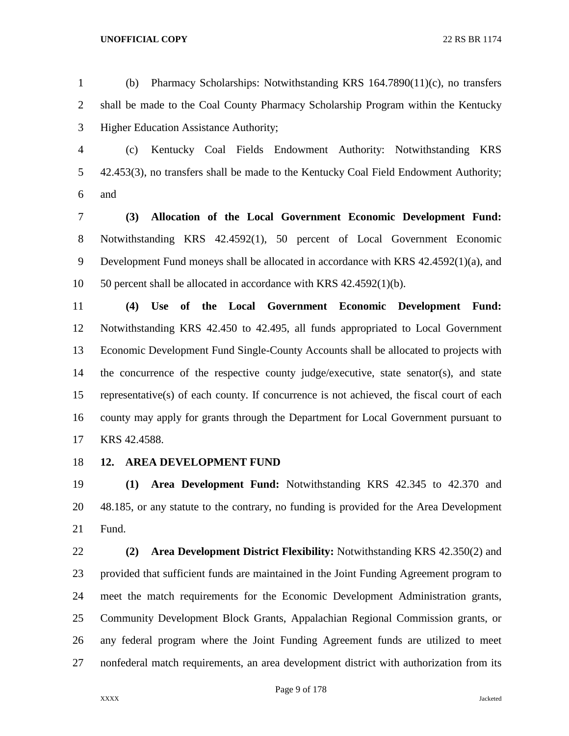(b) Pharmacy Scholarships: Notwithstanding KRS 164.7890(11)(c), no transfers shall be made to the Coal County Pharmacy Scholarship Program within the Kentucky Higher Education Assistance Authority;

 (c) Kentucky Coal Fields Endowment Authority: Notwithstanding KRS 42.453(3), no transfers shall be made to the Kentucky Coal Field Endowment Authority; and

 **(3) Allocation of the Local Government Economic Development Fund:**  Notwithstanding KRS 42.4592(1), 50 percent of Local Government Economic Development Fund moneys shall be allocated in accordance with KRS 42.4592(1)(a), and 50 percent shall be allocated in accordance with KRS 42.4592(1)(b).

 **(4) Use of the Local Government Economic Development Fund:**  Notwithstanding KRS 42.450 to 42.495, all funds appropriated to Local Government Economic Development Fund Single-County Accounts shall be allocated to projects with the concurrence of the respective county judge/executive, state senator(s), and state representative(s) of each county. If concurrence is not achieved, the fiscal court of each county may apply for grants through the Department for Local Government pursuant to KRS 42.4588.

**12. AREA DEVELOPMENT FUND**

 **(1) Area Development Fund:** Notwithstanding KRS 42.345 to 42.370 and 48.185, or any statute to the contrary, no funding is provided for the Area Development Fund.

 **(2) Area Development District Flexibility:** Notwithstanding KRS 42.350(2) and provided that sufficient funds are maintained in the Joint Funding Agreement program to meet the match requirements for the Economic Development Administration grants, Community Development Block Grants, Appalachian Regional Commission grants, or any federal program where the Joint Funding Agreement funds are utilized to meet nonfederal match requirements, an area development district with authorization from its

Page 9 of 178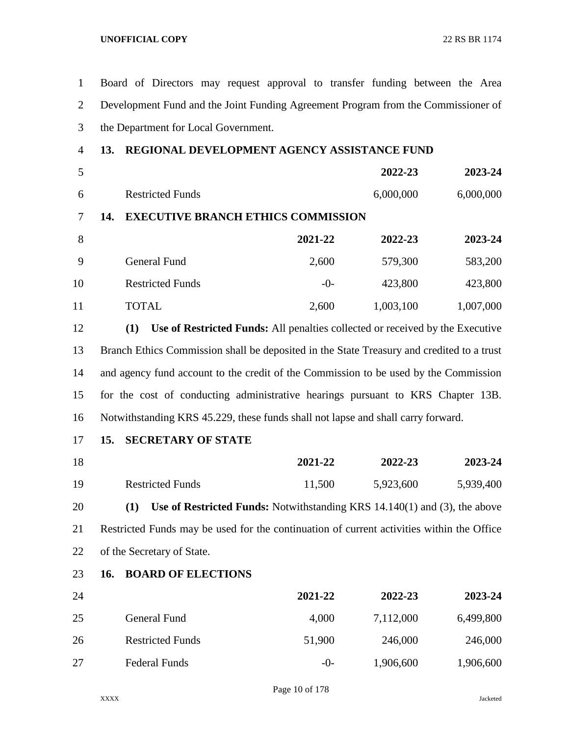Board of Directors may request approval to transfer funding between the Area Development Fund and the Joint Funding Agreement Program from the Commissioner of the Department for Local Government. **13. REGIONAL DEVELOPMENT AGENCY ASSISTANCE FUND 2022-23 2023-24** Restricted Funds 6,000,000 6,000,000 **14. EXECUTIVE BRANCH ETHICS COMMISSION 2021-22 2022-23 2023-24** 9 General Fund 2,600 579,300 583,200 10 Restricted Funds -0- 423,800 423,800 11 TOTAL 2,600 1,003,100 1,007,000 **(1) Use of Restricted Funds:** All penalties collected or received by the Executive Branch Ethics Commission shall be deposited in the State Treasury and credited to a trust

 and agency fund account to the credit of the Commission to be used by the Commission for the cost of conducting administrative hearings pursuant to KRS Chapter 13B. Notwithstanding KRS 45.229, these funds shall not lapse and shall carry forward.

## **15. SECRETARY OF STATE**

| 18 |                         | 2021-22 | 2022-23   | 2023-24   |
|----|-------------------------|---------|-----------|-----------|
| 19 | <b>Restricted Funds</b> | 11,500  | 5,923,600 | 5,939,400 |

 **(1) Use of Restricted Funds:** Notwithstanding KRS 14.140(1) and (3), the above Restricted Funds may be used for the continuation of current activities within the Office of the Secretary of State.

# **16. BOARD OF ELECTIONS**

| 24 |                         | 2021-22 | 2022-23   | 2023-24   |
|----|-------------------------|---------|-----------|-----------|
| 25 | General Fund            | 4,000   | 7,112,000 | 6,499,800 |
| 26 | <b>Restricted Funds</b> | 51,900  | 246,000   | 246,000   |
| 27 | <b>Federal Funds</b>    | $-()$   | 1,906,600 | 1,906,600 |

Page 10 of 178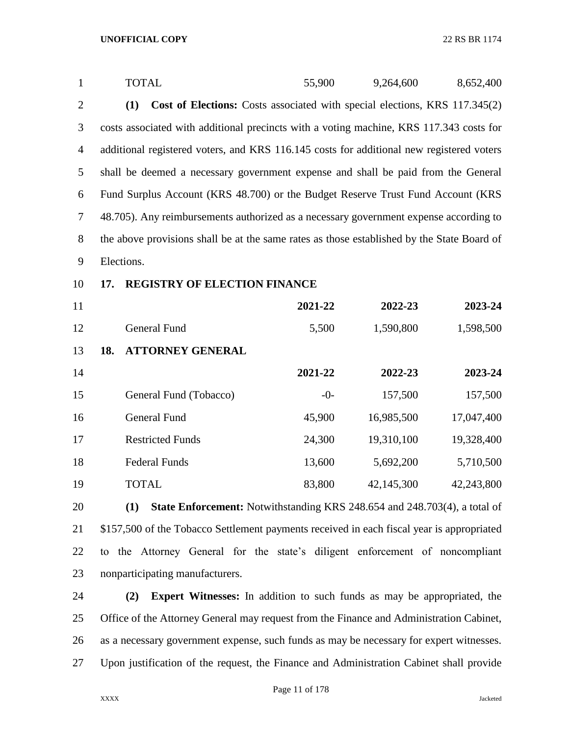| $\mathbf{1}$   | <b>TOTAL</b>                                                                               | 55,900  | 9,264,600  | 8,652,400  |
|----------------|--------------------------------------------------------------------------------------------|---------|------------|------------|
| $\overline{2}$ | Cost of Elections: Costs associated with special elections, KRS 117.345(2)<br>(1)          |         |            |            |
| 3              | costs associated with additional precincts with a voting machine, KRS 117.343 costs for    |         |            |            |
| $\overline{4}$ | additional registered voters, and KRS 116.145 costs for additional new registered voters   |         |            |            |
| 5              | shall be deemed a necessary government expense and shall be paid from the General          |         |            |            |
| 6              | Fund Surplus Account (KRS 48.700) or the Budget Reserve Trust Fund Account (KRS            |         |            |            |
| $\overline{7}$ | 48.705). Any reimbursements authorized as a necessary government expense according to      |         |            |            |
| $8\,$          | the above provisions shall be at the same rates as those established by the State Board of |         |            |            |
| 9              | Elections.                                                                                 |         |            |            |
| 10             | <b>REGISTRY OF ELECTION FINANCE</b><br>17.                                                 |         |            |            |
| 11             |                                                                                            | 2021-22 | 2022-23    | 2023-24    |
| 12             | General Fund                                                                               | 5,500   | 1,590,800  | 1,598,500  |
| 13             | <b>ATTORNEY GENERAL</b><br>18.                                                             |         |            |            |
| 14             |                                                                                            | 2021-22 | 2022-23    | 2023-24    |
| 15             | General Fund (Tobacco)                                                                     | $-0-$   | 157,500    | 157,500    |
| 16             | <b>General Fund</b>                                                                        | 45,900  | 16,985,500 | 17,047,400 |
| 17             | <b>Restricted Funds</b>                                                                    | 24,300  | 19,310,100 | 19,328,400 |
| 18             | <b>Federal Funds</b>                                                                       | 13,600  | 5,692,200  | 5,710,500  |
| 19             | <b>TOTAL</b>                                                                               | 83,800  | 42,145,300 | 42,243,800 |
| 20             | State Enforcement: Notwithstanding KRS 248.654 and 248.703(4), a total of<br>(1)           |         |            |            |
| 21             | \$157,500 of the Tobacco Settlement payments received in each fiscal year is appropriated  |         |            |            |
| 22             | to the Attorney General for the state's diligent enforcement of noncompliant               |         |            |            |
| 23             | nonparticipating manufacturers.                                                            |         |            |            |
|                |                                                                                            |         |            |            |

 **(2) Expert Witnesses:** In addition to such funds as may be appropriated, the Office of the Attorney General may request from the Finance and Administration Cabinet, as a necessary government expense, such funds as may be necessary for expert witnesses. Upon justification of the request, the Finance and Administration Cabinet shall provide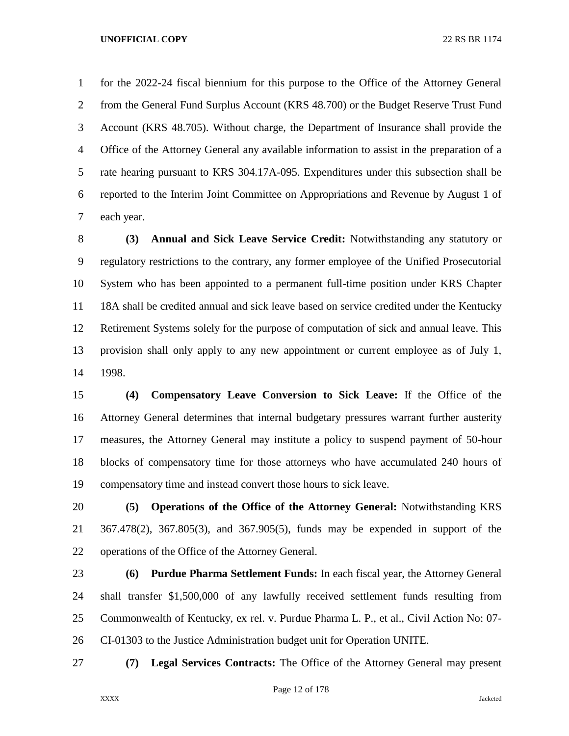for the 2022-24 fiscal biennium for this purpose to the Office of the Attorney General from the General Fund Surplus Account (KRS 48.700) or the Budget Reserve Trust Fund Account (KRS 48.705). Without charge, the Department of Insurance shall provide the Office of the Attorney General any available information to assist in the preparation of a rate hearing pursuant to KRS 304.17A-095. Expenditures under this subsection shall be reported to the Interim Joint Committee on Appropriations and Revenue by August 1 of each year.

 **(3) Annual and Sick Leave Service Credit:** Notwithstanding any statutory or regulatory restrictions to the contrary, any former employee of the Unified Prosecutorial System who has been appointed to a permanent full-time position under KRS Chapter 18A shall be credited annual and sick leave based on service credited under the Kentucky Retirement Systems solely for the purpose of computation of sick and annual leave. This provision shall only apply to any new appointment or current employee as of July 1, 1998.

 **(4) Compensatory Leave Conversion to Sick Leave:** If the Office of the Attorney General determines that internal budgetary pressures warrant further austerity measures, the Attorney General may institute a policy to suspend payment of 50-hour blocks of compensatory time for those attorneys who have accumulated 240 hours of compensatory time and instead convert those hours to sick leave.

 **(5) Operations of the Office of the Attorney General:** Notwithstanding KRS 367.478(2), 367.805(3), and 367.905(5), funds may be expended in support of the operations of the Office of the Attorney General.

 **(6) Purdue Pharma Settlement Funds:** In each fiscal year, the Attorney General shall transfer \$1,500,000 of any lawfully received settlement funds resulting from Commonwealth of Kentucky, ex rel. v. Purdue Pharma L. P., et al., Civil Action No: 07- CI-01303 to the Justice Administration budget unit for Operation UNITE.

**(7) Legal Services Contracts:** The Office of the Attorney General may present

Page 12 of 178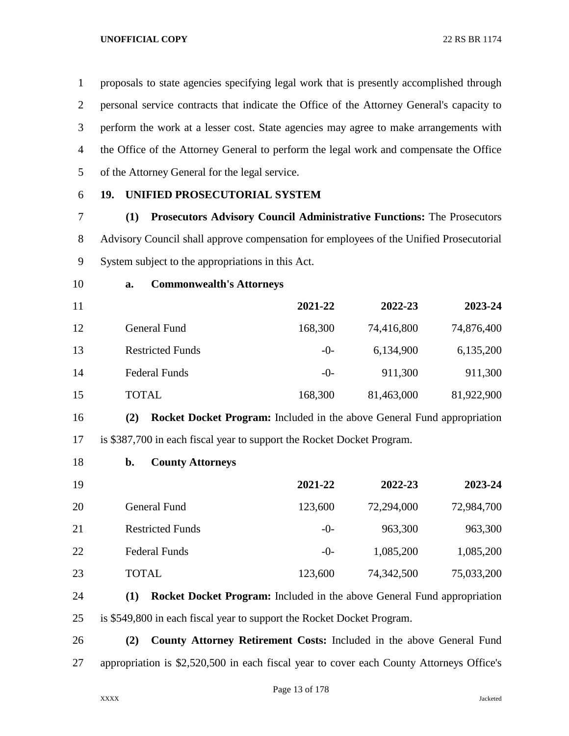proposals to state agencies specifying legal work that is presently accomplished through personal service contracts that indicate the Office of the Attorney General's capacity to perform the work at a lesser cost. State agencies may agree to make arrangements with the Office of the Attorney General to perform the legal work and compensate the Office of the Attorney General for the legal service.

# **19. UNIFIED PROSECUTORIAL SYSTEM**

 **(1) Prosecutors Advisory Council Administrative Functions:** The Prosecutors Advisory Council shall approve compensation for employees of the Unified Prosecutorial System subject to the appropriations in this Act.

## **a. Commonwealth's Attorneys**

| 11 |                         | 2021-22 | 2022-23    | 2023-24    |
|----|-------------------------|---------|------------|------------|
| 12 | General Fund            | 168,300 | 74,416,800 | 74,876,400 |
| 13 | <b>Restricted Funds</b> | $-0-$   | 6,134,900  | 6,135,200  |
| 14 | <b>Federal Funds</b>    | $-0-$   | 911,300    | 911,300    |
| 15 | <b>TOTAL</b>            | 168,300 | 81,463,000 | 81,922,900 |

 **(2) Rocket Docket Program:** Included in the above General Fund appropriation is \$387,700 in each fiscal year to support the Rocket Docket Program.

**b. County Attorneys**

| 19 |                         | 2021-22 | 2022-23    | 2023-24    |
|----|-------------------------|---------|------------|------------|
| 20 | General Fund            | 123,600 | 72,294,000 | 72,984,700 |
| 21 | <b>Restricted Funds</b> | $-()$   | 963,300    | 963,300    |
| 22 | <b>Federal Funds</b>    | $-()$   | 1,085,200  | 1,085,200  |
| 23 | <b>TOTAL</b>            | 123,600 | 74,342,500 | 75,033,200 |

 **(1) Rocket Docket Program:** Included in the above General Fund appropriation is \$549,800 in each fiscal year to support the Rocket Docket Program.

 **(2) County Attorney Retirement Costs:** Included in the above General Fund appropriation is \$2,520,500 in each fiscal year to cover each County Attorneys Office's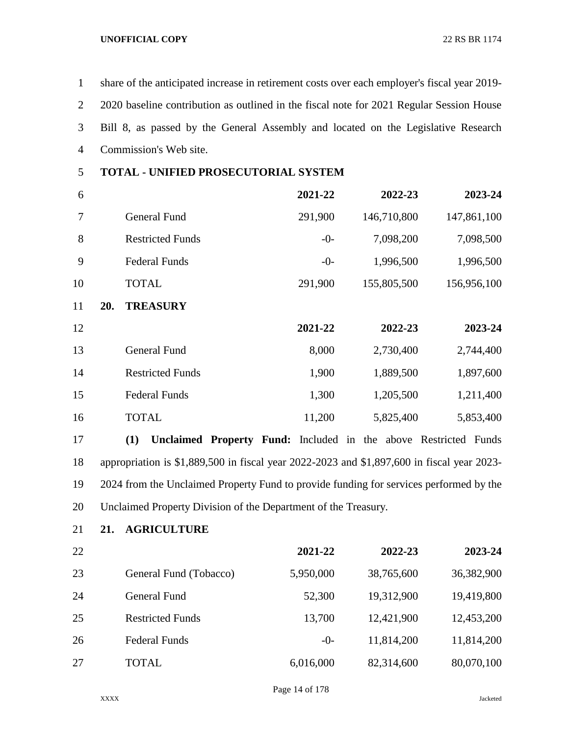share of the anticipated increase in retirement costs over each employer's fiscal year 2019- 2020 baseline contribution as outlined in the fiscal note for 2021 Regular Session House Bill 8, as passed by the General Assembly and located on the Legislative Research Commission's Web site.

# **TOTAL - UNIFIED PROSECUTORIAL SYSTEM**

| 6  |     |                         | 2021-22 | 2022-23     | 2023-24     |
|----|-----|-------------------------|---------|-------------|-------------|
| 7  |     | General Fund            | 291,900 | 146,710,800 | 147,861,100 |
| 8  |     | <b>Restricted Funds</b> | $-0-$   | 7,098,200   | 7,098,500   |
| 9  |     | <b>Federal Funds</b>    | $-0-$   | 1,996,500   | 1,996,500   |
| 10 |     | <b>TOTAL</b>            | 291,900 | 155,805,500 | 156,956,100 |
| 11 | 20. | <b>TREASURY</b>         |         |             |             |
| 12 |     |                         | 2021-22 | 2022-23     | 2023-24     |
| 13 |     | <b>General Fund</b>     | 8,000   | 2,730,400   | 2,744,400   |
| 14 |     | <b>Restricted Funds</b> | 1,900   | 1,889,500   | 1,897,600   |
| 15 |     | <b>Federal Funds</b>    | 1,300   | 1,205,500   | 1,211,400   |
| 16 |     | <b>TOTAL</b>            | 11,200  | 5,825,400   | 5,853,400   |

 **(1) Unclaimed Property Fund:** Included in the above Restricted Funds appropriation is \$1,889,500 in fiscal year 2022-2023 and \$1,897,600 in fiscal year 2023- 2024 from the Unclaimed Property Fund to provide funding for services performed by the Unclaimed Property Division of the Department of the Treasury.

**21. AGRICULTURE**

| 22 |                         | 2021-22   | 2022-23    | 2023-24    |
|----|-------------------------|-----------|------------|------------|
| 23 | General Fund (Tobacco)  | 5,950,000 | 38,765,600 | 36,382,900 |
| 24 | General Fund            | 52,300    | 19,312,900 | 19,419,800 |
| 25 | <b>Restricted Funds</b> | 13,700    | 12,421,900 | 12,453,200 |
| 26 | <b>Federal Funds</b>    | $-0-$     | 11,814,200 | 11,814,200 |
| 27 | TOTAL                   | 6,016,000 | 82,314,600 | 80,070,100 |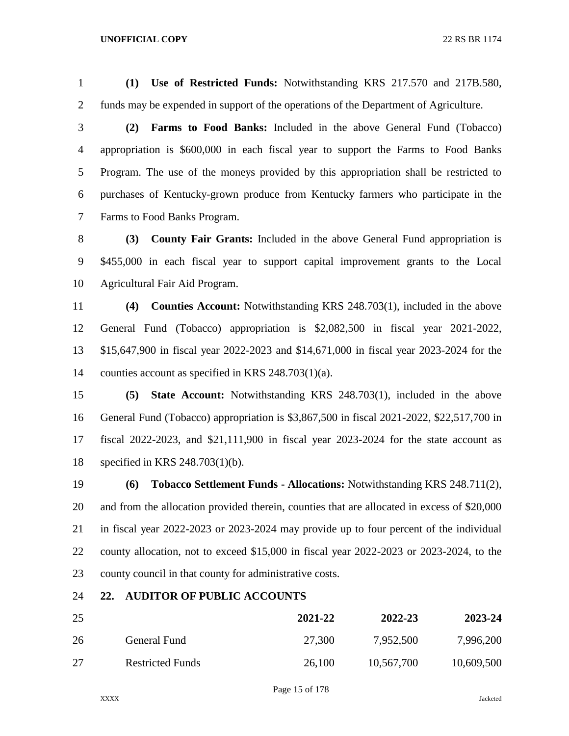**(1) Use of Restricted Funds:** Notwithstanding KRS 217.570 and 217B.580, funds may be expended in support of the operations of the Department of Agriculture.

 **(2) Farms to Food Banks:** Included in the above General Fund (Tobacco) appropriation is \$600,000 in each fiscal year to support the Farms to Food Banks Program. The use of the moneys provided by this appropriation shall be restricted to purchases of Kentucky-grown produce from Kentucky farmers who participate in the Farms to Food Banks Program.

 **(3) County Fair Grants:** Included in the above General Fund appropriation is \$455,000 in each fiscal year to support capital improvement grants to the Local Agricultural Fair Aid Program.

 **(4) Counties Account:** Notwithstanding KRS 248.703(1), included in the above General Fund (Tobacco) appropriation is \$2,082,500 in fiscal year 2021-2022, \$15,647,900 in fiscal year 2022-2023 and \$14,671,000 in fiscal year 2023-2024 for the counties account as specified in KRS 248.703(1)(a).

 **(5) State Account:** Notwithstanding KRS 248.703(1), included in the above General Fund (Tobacco) appropriation is \$3,867,500 in fiscal 2021-2022, \$22,517,700 in fiscal 2022-2023, and \$21,111,900 in fiscal year 2023-2024 for the state account as specified in KRS 248.703(1)(b).

 **(6) Tobacco Settlement Funds - Allocations:** Notwithstanding KRS 248.711(2), and from the allocation provided therein, counties that are allocated in excess of \$20,000 in fiscal year 2022-2023 or 2023-2024 may provide up to four percent of the individual county allocation, not to exceed \$15,000 in fiscal year 2022-2023 or 2023-2024, to the county council in that county for administrative costs.

## **22. AUDITOR OF PUBLIC ACCOUNTS**

| 25 |                         | 2021-22 | 2022-23    | 2023-24    |
|----|-------------------------|---------|------------|------------|
| 26 | General Fund            | 27,300  | 7,952,500  | 7,996,200  |
| 27 | <b>Restricted Funds</b> | 26,100  | 10,567,700 | 10,609,500 |

Page 15 of 178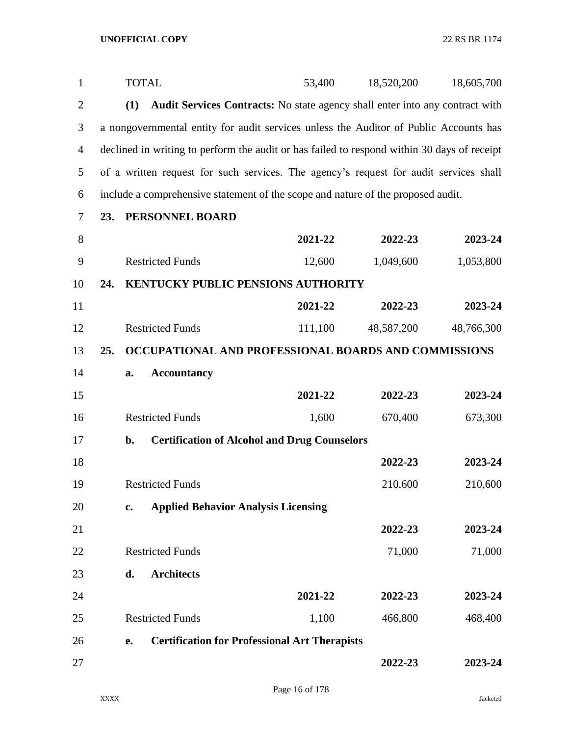| $\mathbf{1}$   |     | <b>TOTAL</b> |                                                                                             | 53,400  | 18,520,200 | 18,605,700 |
|----------------|-----|--------------|---------------------------------------------------------------------------------------------|---------|------------|------------|
| $\overline{2}$ |     | (1)          | Audit Services Contracts: No state agency shall enter into any contract with                |         |            |            |
| 3              |     |              | a nongovernmental entity for audit services unless the Auditor of Public Accounts has       |         |            |            |
| $\overline{4}$ |     |              | declined in writing to perform the audit or has failed to respond within 30 days of receipt |         |            |            |
| 5              |     |              | of a written request for such services. The agency's request for audit services shall       |         |            |            |
| 6              |     |              | include a comprehensive statement of the scope and nature of the proposed audit.            |         |            |            |
| 7              | 23. |              | PERSONNEL BOARD                                                                             |         |            |            |
| 8              |     |              |                                                                                             | 2021-22 | 2022-23    | 2023-24    |
| 9              |     |              | <b>Restricted Funds</b>                                                                     | 12,600  | 1,049,600  | 1,053,800  |
| 10             | 24. |              | <b>KENTUCKY PUBLIC PENSIONS AUTHORITY</b>                                                   |         |            |            |
| 11             |     |              |                                                                                             | 2021-22 | 2022-23    | 2023-24    |
| 12             |     |              | <b>Restricted Funds</b>                                                                     | 111,100 | 48,587,200 | 48,766,300 |
| 13             | 25. |              | OCCUPATIONAL AND PROFESSIONAL BOARDS AND COMMISSIONS                                        |         |            |            |
| 14             |     | a.           | <b>Accountancy</b>                                                                          |         |            |            |
| 15             |     |              |                                                                                             | 2021-22 | 2022-23    | 2023-24    |
| 16             |     |              | <b>Restricted Funds</b>                                                                     | 1,600   | 670,400    | 673,300    |
| 17             |     | b.           | <b>Certification of Alcohol and Drug Counselors</b>                                         |         |            |            |
| 18             |     |              |                                                                                             |         | 2022-23    | 2023-24    |
| 19             |     |              | <b>Restricted Funds</b>                                                                     |         | 210,600    | 210,600    |
| 20             |     | c.           | <b>Applied Behavior Analysis Licensing</b>                                                  |         |            |            |
| 21             |     |              |                                                                                             |         | 2022-23    | 2023-24    |
| 22             |     |              | <b>Restricted Funds</b>                                                                     |         | 71,000     | 71,000     |
| 23             |     | d.           | <b>Architects</b>                                                                           |         |            |            |
| 24             |     |              |                                                                                             | 2021-22 | 2022-23    | 2023-24    |
| 25             |     |              | <b>Restricted Funds</b>                                                                     | 1,100   | 466,800    | 468,400    |
| 26             |     | e.           | <b>Certification for Professional Art Therapists</b>                                        |         |            |            |
| 27             |     |              |                                                                                             |         | 2022-23    | 2023-24    |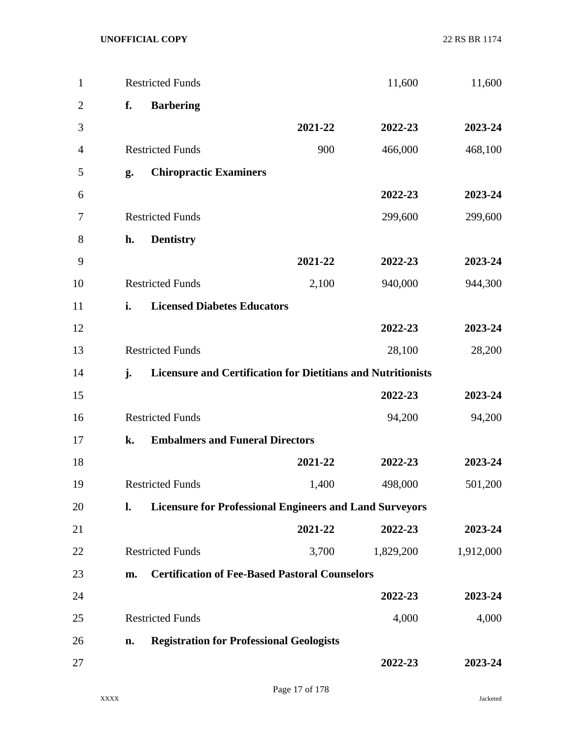| $\mathbf{1}$   |    | <b>Restricted Funds</b>                                             |         | 11,600    | 11,600    |
|----------------|----|---------------------------------------------------------------------|---------|-----------|-----------|
| $\overline{2}$ | f. | <b>Barbering</b>                                                    |         |           |           |
| 3              |    |                                                                     | 2021-22 | 2022-23   | 2023-24   |
| 4              |    | <b>Restricted Funds</b>                                             | 900     | 466,000   | 468,100   |
| 5              | g. | <b>Chiropractic Examiners</b>                                       |         |           |           |
| 6              |    |                                                                     |         | 2022-23   | 2023-24   |
| 7              |    | <b>Restricted Funds</b>                                             |         | 299,600   | 299,600   |
| 8              | h. | <b>Dentistry</b>                                                    |         |           |           |
| 9              |    |                                                                     | 2021-22 | 2022-23   | 2023-24   |
| 10             |    | <b>Restricted Funds</b>                                             | 2,100   | 940,000   | 944,300   |
| 11             | i. | <b>Licensed Diabetes Educators</b>                                  |         |           |           |
| 12             |    |                                                                     |         | 2022-23   | 2023-24   |
| 13             |    | <b>Restricted Funds</b>                                             |         | 28,100    | 28,200    |
| 14             | j. | <b>Licensure and Certification for Dietitians and Nutritionists</b> |         |           |           |
| 15             |    |                                                                     |         | 2022-23   | 2023-24   |
| 16             |    | <b>Restricted Funds</b>                                             |         | 94,200    | 94,200    |
| 17             | k. | <b>Embalmers and Funeral Directors</b>                              |         |           |           |
| 18             |    |                                                                     | 2021-22 | 2022-23   | 2023-24   |
| 19             |    | <b>Restricted Funds</b>                                             | 1,400   | 498,000   | 501,200   |
| 20             | l. | <b>Licensure for Professional Engineers and Land Surveyors</b>      |         |           |           |
| 21             |    |                                                                     | 2021-22 | 2022-23   | 2023-24   |
| 22             |    | <b>Restricted Funds</b>                                             | 3,700   | 1,829,200 | 1,912,000 |
| 23             | m. | <b>Certification of Fee-Based Pastoral Counselors</b>               |         |           |           |
| 24             |    |                                                                     |         | 2022-23   | 2023-24   |
| 25             |    | <b>Restricted Funds</b>                                             |         | 4,000     | 4,000     |
| 26             | n. | <b>Registration for Professional Geologists</b>                     |         |           |           |
| 27             |    |                                                                     |         | 2022-23   | 2023-24   |
|                |    |                                                                     |         |           |           |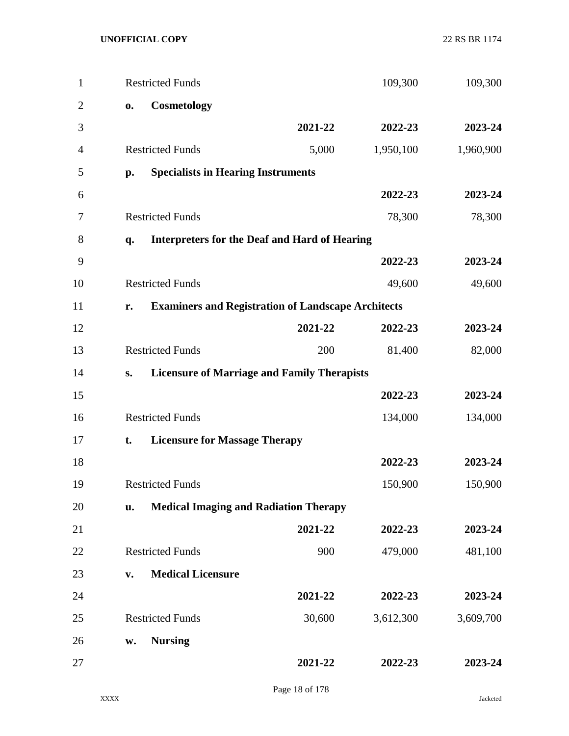| $\mathbf{1}$   |              | <b>Restricted Funds</b>                                   |         | 109,300   | 109,300   |
|----------------|--------------|-----------------------------------------------------------|---------|-----------|-----------|
| $\overline{2}$ | $\mathbf{0}$ | Cosmetology                                               |         |           |           |
| 3              |              |                                                           | 2021-22 | 2022-23   | 2023-24   |
| 4              |              | <b>Restricted Funds</b>                                   | 5,000   | 1,950,100 | 1,960,900 |
| 5              | p.           | <b>Specialists in Hearing Instruments</b>                 |         |           |           |
| 6              |              |                                                           |         | 2022-23   | 2023-24   |
| 7              |              | <b>Restricted Funds</b>                                   |         | 78,300    | 78,300    |
| 8              | q.           | <b>Interpreters for the Deaf and Hard of Hearing</b>      |         |           |           |
| 9              |              |                                                           |         | 2022-23   | 2023-24   |
| 10             |              | <b>Restricted Funds</b>                                   |         | 49,600    | 49,600    |
| 11             | r.           | <b>Examiners and Registration of Landscape Architects</b> |         |           |           |
| 12             |              |                                                           | 2021-22 | 2022-23   | 2023-24   |
| 13             |              | <b>Restricted Funds</b>                                   | 200     | 81,400    | 82,000    |
| 14             | S.           | <b>Licensure of Marriage and Family Therapists</b>        |         |           |           |
| 15             |              |                                                           |         | 2022-23   | 2023-24   |
| 16             |              | <b>Restricted Funds</b>                                   |         | 134,000   | 134,000   |
| 17             | t.           | <b>Licensure for Massage Therapy</b>                      |         |           |           |
| 18             |              |                                                           |         | 2022-23   | 2023-24   |
| 19             |              | <b>Restricted Funds</b>                                   |         | 150,900   | 150,900   |
| 20             | u.           | <b>Medical Imaging and Radiation Therapy</b>              |         |           |           |
| 21             |              |                                                           | 2021-22 | 2022-23   | 2023-24   |
| 22             |              | <b>Restricted Funds</b>                                   | 900     | 479,000   | 481,100   |
| 23             | V.           | <b>Medical Licensure</b>                                  |         |           |           |
| 24             |              |                                                           | 2021-22 | 2022-23   | 2023-24   |
| 25             |              | <b>Restricted Funds</b>                                   | 30,600  | 3,612,300 | 3,609,700 |
| 26             | w.           | <b>Nursing</b>                                            |         |           |           |
| 27             |              |                                                           | 2021-22 | 2022-23   | 2023-24   |
|                |              |                                                           |         |           |           |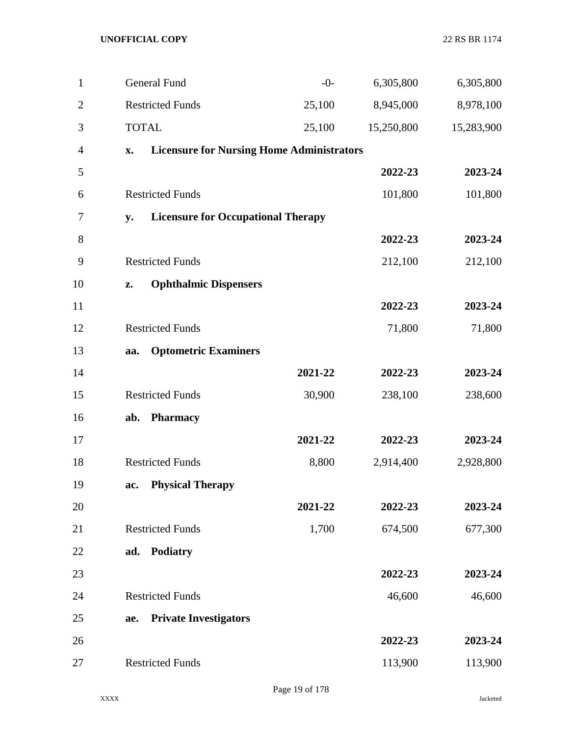| $\mathbf{1}$   | <b>General Fund</b>                                    | $-0-$   | 6,305,800  | 6,305,800  |
|----------------|--------------------------------------------------------|---------|------------|------------|
| $\overline{2}$ | <b>Restricted Funds</b>                                | 25,100  | 8,945,000  | 8,978,100  |
| 3              | <b>TOTAL</b>                                           | 25,100  | 15,250,800 | 15,283,900 |
| $\overline{4}$ | <b>Licensure for Nursing Home Administrators</b><br>X. |         |            |            |
| 5              |                                                        |         | 2022-23    | 2023-24    |
| 6              | <b>Restricted Funds</b>                                |         | 101,800    | 101,800    |
| 7              | <b>Licensure for Occupational Therapy</b><br>y.        |         |            |            |
| 8              |                                                        |         | 2022-23    | 2023-24    |
| 9              | <b>Restricted Funds</b>                                |         | 212,100    | 212,100    |
| 10             | <b>Ophthalmic Dispensers</b><br>Z.                     |         |            |            |
| 11             |                                                        |         | 2022-23    | 2023-24    |
| 12             | <b>Restricted Funds</b>                                |         | 71,800     | 71,800     |
| 13             | <b>Optometric Examiners</b><br>aa.                     |         |            |            |
| 14             |                                                        | 2021-22 | 2022-23    | 2023-24    |
| 15             | <b>Restricted Funds</b>                                | 30,900  | 238,100    | 238,600    |
| 16             | <b>Pharmacy</b><br>ab.                                 |         |            |            |
| 17             |                                                        | 2021-22 | 2022-23    | 2023-24    |
| 18             | <b>Restricted Funds</b>                                | 8,800   | 2,914,400  | 2,928,800  |
| 19             | <b>Physical Therapy</b><br>ac.                         |         |            |            |
| 20             |                                                        | 2021-22 | 2022-23    | 2023-24    |
| 21             | <b>Restricted Funds</b>                                | 1,700   | 674,500    | 677,300    |
| 22             | <b>Podiatry</b><br>ad.                                 |         |            |            |
| 23             |                                                        |         | 2022-23    | 2023-24    |
| 24             | <b>Restricted Funds</b>                                |         | 46,600     | 46,600     |
| 25             | <b>Private Investigators</b><br>ae.                    |         |            |            |
| 26             |                                                        |         | 2022-23    | 2023-24    |
| 27             | <b>Restricted Funds</b>                                |         | 113,900    | 113,900    |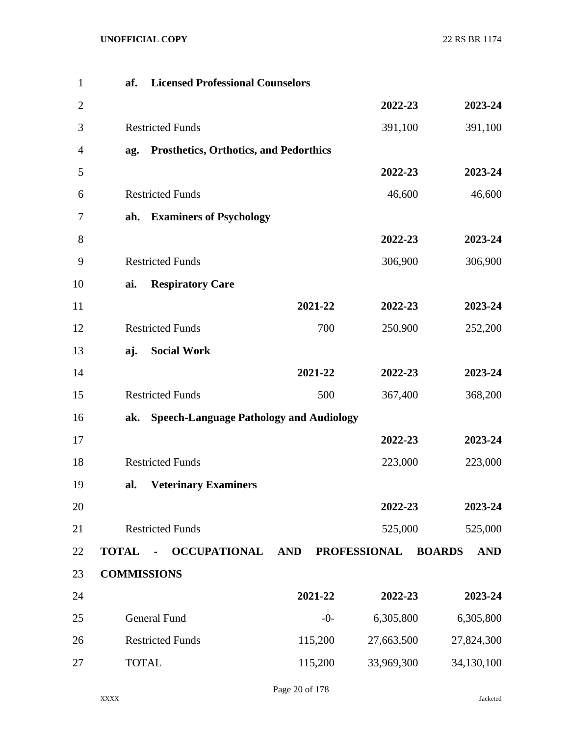| $\mathbf{1}$   | af.                | <b>Licensed Professional Counselors</b>        |            |                     |                             |
|----------------|--------------------|------------------------------------------------|------------|---------------------|-----------------------------|
| $\overline{2}$ |                    |                                                |            | 2022-23             | 2023-24                     |
| 3              |                    | <b>Restricted Funds</b>                        |            | 391,100             | 391,100                     |
| $\overline{4}$ | ag.                | <b>Prosthetics, Orthotics, and Pedorthics</b>  |            |                     |                             |
| 5              |                    |                                                |            | 2022-23             | 2023-24                     |
| 6              |                    | <b>Restricted Funds</b>                        |            | 46,600              | 46,600                      |
| 7              | ah.                | <b>Examiners of Psychology</b>                 |            |                     |                             |
| 8              |                    |                                                |            | 2022-23             | 2023-24                     |
| 9              |                    | <b>Restricted Funds</b>                        |            | 306,900             | 306,900                     |
| 10             | ai.                | <b>Respiratory Care</b>                        |            |                     |                             |
| 11             |                    |                                                | 2021-22    | 2022-23             | 2023-24                     |
| 12             |                    | <b>Restricted Funds</b>                        | 700        | 250,900             | 252,200                     |
| 13             | aj.                | <b>Social Work</b>                             |            |                     |                             |
| 14             |                    |                                                | 2021-22    | 2022-23             | 2023-24                     |
| 15             |                    | <b>Restricted Funds</b>                        | 500        | 367,400             | 368,200                     |
| 16             | ak.                | <b>Speech-Language Pathology and Audiology</b> |            |                     |                             |
| 17             |                    |                                                |            | 2022-23             | 2023-24                     |
| 18             |                    | <b>Restricted Funds</b>                        |            | 223,000             | 223,000                     |
| 19             | al.                | <b>Veterinary Examiners</b>                    |            |                     |                             |
| 20             |                    |                                                |            | 2022-23             | 2023-24                     |
| 21             |                    | <b>Restricted Funds</b>                        |            | 525,000             | 525,000                     |
| 22             | <b>TOTAL</b>       | <b>OCCUPATIONAL</b>                            | <b>AND</b> | <b>PROFESSIONAL</b> | <b>BOARDS</b><br><b>AND</b> |
| 23             | <b>COMMISSIONS</b> |                                                |            |                     |                             |
| 24             |                    |                                                | 2021-22    | 2022-23             | 2023-24                     |
| 25             |                    | <b>General Fund</b>                            | $-0-$      | 6,305,800           | 6,305,800                   |
| 26             |                    | <b>Restricted Funds</b>                        | 115,200    | 27,663,500          | 27,824,300                  |
| 27             | <b>TOTAL</b>       |                                                | 115,200    | 33,969,300          | 34,130,100                  |

Page 20 of 178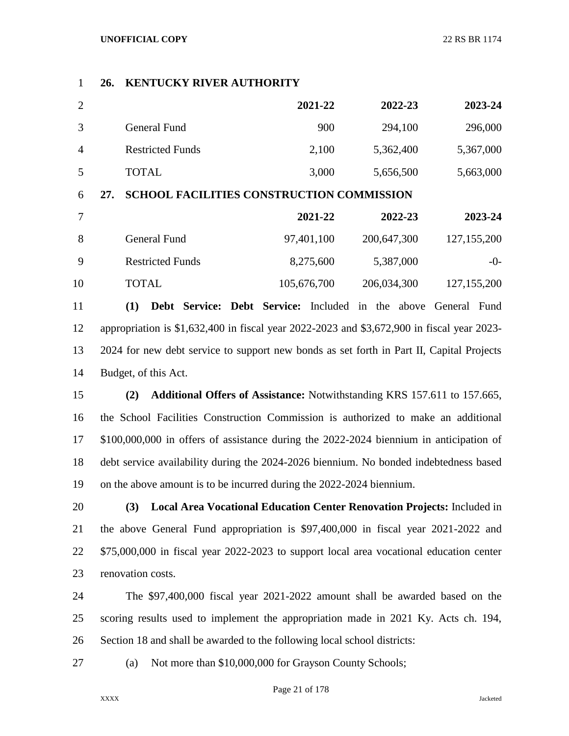## **26. KENTUCKY RIVER AUTHORITY**

|                |                         | 2021-22 | 2022-23   | 2023-24   |
|----------------|-------------------------|---------|-----------|-----------|
|                | General Fund            | 900     | 294,100   | 296,000   |
| $\overline{A}$ | <b>Restricted Funds</b> | 2,100   | 5,362,400 | 5,367,000 |
| 5              | TOTAL                   | 3,000   | 5,656,500 | 5,663,000 |

## **27. SCHOOL FACILITIES CONSTRUCTION COMMISSION**

| 2023-24       | 2022-23     | 2021-22     |                         |     |
|---------------|-------------|-------------|-------------------------|-----|
| 127, 155, 200 | 200,647,300 | 97,401,100  | General Fund            | -8  |
| $-()$         | 5,387,000   | 8,275,600   | <b>Restricted Funds</b> | - 9 |
| 127, 155, 200 | 206,034,300 | 105,676,700 | TOTAL                   | 10  |

 **(1) Debt Service: Debt Service:** Included in the above General Fund appropriation is \$1,632,400 in fiscal year 2022-2023 and \$3,672,900 in fiscal year 2023- 2024 for new debt service to support new bonds as set forth in Part II, Capital Projects Budget, of this Act.

 **(2) Additional Offers of Assistance:** Notwithstanding KRS 157.611 to 157.665, the School Facilities Construction Commission is authorized to make an additional \$100,000,000 in offers of assistance during the 2022-2024 biennium in anticipation of debt service availability during the 2024-2026 biennium. No bonded indebtedness based on the above amount is to be incurred during the 2022-2024 biennium.

 **(3) Local Area Vocational Education Center Renovation Projects:** Included in the above General Fund appropriation is \$97,400,000 in fiscal year 2021-2022 and \$75,000,000 in fiscal year 2022-2023 to support local area vocational education center renovation costs.

 The \$97,400,000 fiscal year 2021-2022 amount shall be awarded based on the scoring results used to implement the appropriation made in 2021 Ky. Acts ch. 194, Section 18 and shall be awarded to the following local school districts:

(a) Not more than \$10,000,000 for Grayson County Schools;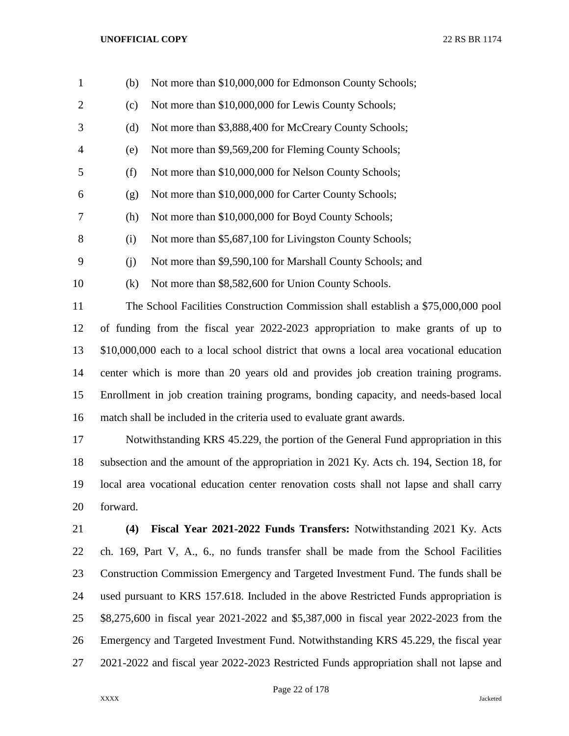| $\mathbf{1}$   | (b) | Not more than \$10,000,000 for Edmonson County Schools;                                  |
|----------------|-----|------------------------------------------------------------------------------------------|
| $\overline{2}$ | (c) | Not more than \$10,000,000 for Lewis County Schools;                                     |
| 3              | (d) | Not more than \$3,888,400 for McCreary County Schools;                                   |
| 4              | (e) | Not more than \$9,569,200 for Fleming County Schools;                                    |
| 5              | (f) | Not more than \$10,000,000 for Nelson County Schools;                                    |
| 6              | (g) | Not more than \$10,000,000 for Carter County Schools;                                    |
| 7              | (h) | Not more than \$10,000,000 for Boyd County Schools;                                      |
| 8              | (i) | Not more than \$5,687,100 for Livingston County Schools;                                 |
| 9              | (j) | Not more than \$9,590,100 for Marshall County Schools; and                               |
| 10             | (k) | Not more than \$8,582,600 for Union County Schools.                                      |
| 11             |     | The School Facilities Construction Commission shall establish a \$75,000,000 pool        |
| 12             |     | of funding from the fiscal year 2022-2023 appropriation to make grants of up to          |
| 13             |     | \$10,000,000 each to a local school district that owns a local area vocational education |
| 14             |     | center which is more than 20 years old and provides job creation training programs.      |
| 15             |     | Enrollment in job creation training programs, bonding capacity, and needs-based local    |
| 16             |     | match shall be included in the criteria used to evaluate grant awards.                   |
| 17             |     | Notwithstanding KRS 45.229, the portion of the General Fund appropriation in this        |
|                |     |                                                                                          |

 subsection and the amount of the appropriation in 2021 Ky. Acts ch. 194, Section 18, for local area vocational education center renovation costs shall not lapse and shall carry forward.

 **(4) Fiscal Year 2021-2022 Funds Transfers:** Notwithstanding 2021 Ky. Acts ch. 169, Part V, A., 6., no funds transfer shall be made from the School Facilities Construction Commission Emergency and Targeted Investment Fund. The funds shall be used pursuant to KRS 157.618. Included in the above Restricted Funds appropriation is \$8,275,600 in fiscal year 2021-2022 and \$5,387,000 in fiscal year 2022-2023 from the Emergency and Targeted Investment Fund. Notwithstanding KRS 45.229, the fiscal year 2021-2022 and fiscal year 2022-2023 Restricted Funds appropriation shall not lapse and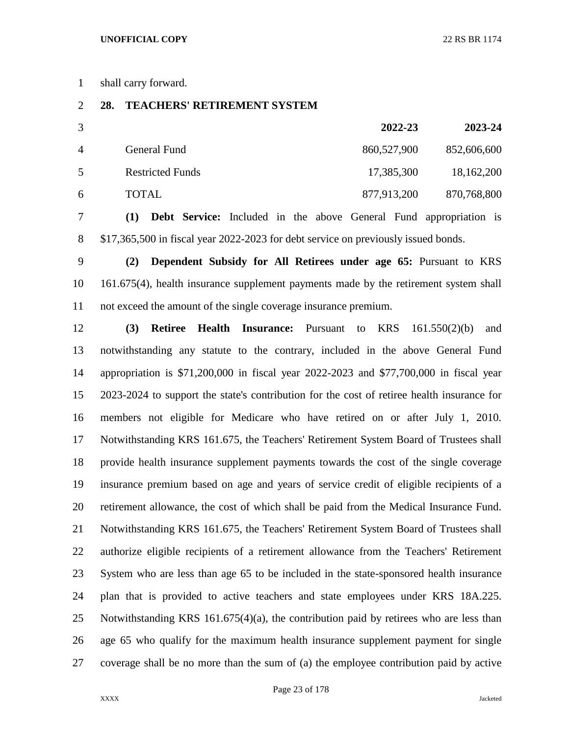shall carry forward.

## **28. TEACHERS' RETIREMENT SYSTEM**

| 3              |                         | 2022-23     | 2023-24     |
|----------------|-------------------------|-------------|-------------|
| $\overline{4}$ | General Fund            | 860,527,900 | 852,606,600 |
| 5              | <b>Restricted Funds</b> | 17,385,300  | 18,162,200  |
| 6              | <b>TOTAL</b>            | 877,913,200 | 870,768,800 |

 **(1) Debt Service:** Included in the above General Fund appropriation is \$17,365,500 in fiscal year 2022-2023 for debt service on previously issued bonds.

 **(2) Dependent Subsidy for All Retirees under age 65:** Pursuant to KRS 161.675(4), health insurance supplement payments made by the retirement system shall not exceed the amount of the single coverage insurance premium.

 **(3) Retiree Health Insurance:** Pursuant to KRS 161.550(2)(b) and notwithstanding any statute to the contrary, included in the above General Fund appropriation is \$71,200,000 in fiscal year 2022-2023 and \$77,700,000 in fiscal year 2023-2024 to support the state's contribution for the cost of retiree health insurance for members not eligible for Medicare who have retired on or after July 1, 2010. Notwithstanding KRS 161.675, the Teachers' Retirement System Board of Trustees shall provide health insurance supplement payments towards the cost of the single coverage insurance premium based on age and years of service credit of eligible recipients of a retirement allowance, the cost of which shall be paid from the Medical Insurance Fund. Notwithstanding KRS 161.675, the Teachers' Retirement System Board of Trustees shall authorize eligible recipients of a retirement allowance from the Teachers' Retirement System who are less than age 65 to be included in the state-sponsored health insurance plan that is provided to active teachers and state employees under KRS 18A.225. Notwithstanding KRS 161.675(4)(a), the contribution paid by retirees who are less than age 65 who qualify for the maximum health insurance supplement payment for single coverage shall be no more than the sum of (a) the employee contribution paid by active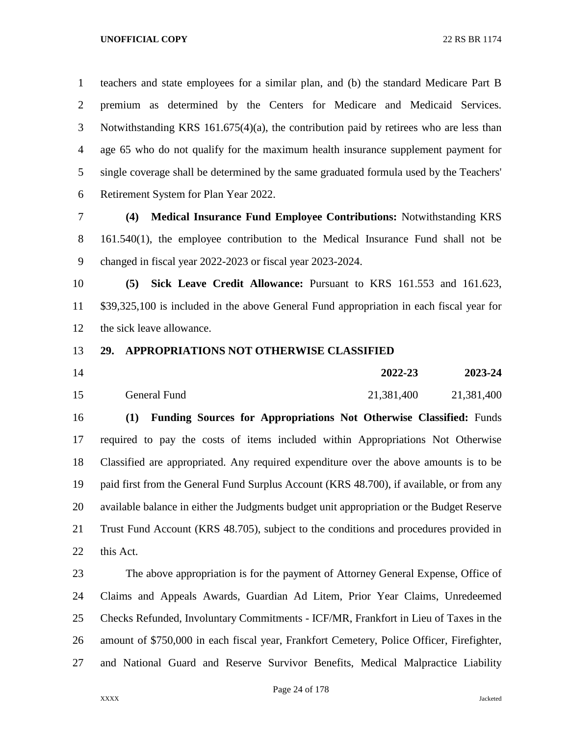teachers and state employees for a similar plan, and (b) the standard Medicare Part B premium as determined by the Centers for Medicare and Medicaid Services. Notwithstanding KRS 161.675(4)(a), the contribution paid by retirees who are less than age 65 who do not qualify for the maximum health insurance supplement payment for single coverage shall be determined by the same graduated formula used by the Teachers' Retirement System for Plan Year 2022.

 **(4) Medical Insurance Fund Employee Contributions:** Notwithstanding KRS 161.540(1), the employee contribution to the Medical Insurance Fund shall not be changed in fiscal year 2022-2023 or fiscal year 2023-2024.

 **(5) Sick Leave Credit Allowance:** Pursuant to KRS 161.553 and 161.623, \$39,325,100 is included in the above General Fund appropriation in each fiscal year for the sick leave allowance.

## **29. APPROPRIATIONS NOT OTHERWISE CLASSIFIED**

| 14 |              | 2022-23    | 2023-24    |
|----|--------------|------------|------------|
| 15 | General Fund | 21,381,400 | 21,381,400 |

 **(1) Funding Sources for Appropriations Not Otherwise Classified:** Funds required to pay the costs of items included within Appropriations Not Otherwise Classified are appropriated. Any required expenditure over the above amounts is to be paid first from the General Fund Surplus Account (KRS 48.700), if available, or from any available balance in either the Judgments budget unit appropriation or the Budget Reserve Trust Fund Account (KRS 48.705), subject to the conditions and procedures provided in this Act.

 The above appropriation is for the payment of Attorney General Expense, Office of Claims and Appeals Awards, Guardian Ad Litem, Prior Year Claims, Unredeemed Checks Refunded, Involuntary Commitments - ICF/MR, Frankfort in Lieu of Taxes in the amount of \$750,000 in each fiscal year, Frankfort Cemetery, Police Officer, Firefighter, and National Guard and Reserve Survivor Benefits, Medical Malpractice Liability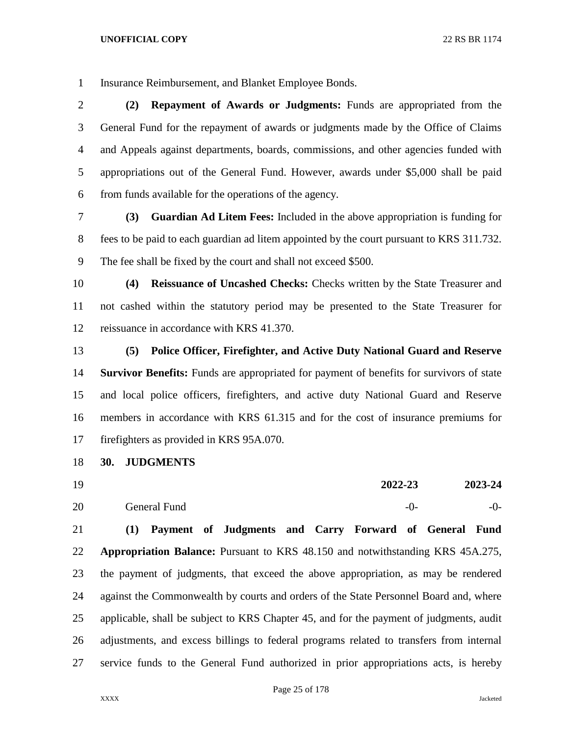Insurance Reimbursement, and Blanket Employee Bonds.

 **(2) Repayment of Awards or Judgments:** Funds are appropriated from the General Fund for the repayment of awards or judgments made by the Office of Claims and Appeals against departments, boards, commissions, and other agencies funded with appropriations out of the General Fund. However, awards under \$5,000 shall be paid from funds available for the operations of the agency.

 **(3) Guardian Ad Litem Fees:** Included in the above appropriation is funding for fees to be paid to each guardian ad litem appointed by the court pursuant to KRS 311.732. The fee shall be fixed by the court and shall not exceed \$500.

 **(4) Reissuance of Uncashed Checks:** Checks written by the State Treasurer and not cashed within the statutory period may be presented to the State Treasurer for reissuance in accordance with KRS 41.370.

 **(5) Police Officer, Firefighter, and Active Duty National Guard and Reserve Survivor Benefits:** Funds are appropriated for payment of benefits for survivors of state and local police officers, firefighters, and active duty National Guard and Reserve members in accordance with KRS 61.315 and for the cost of insurance premiums for firefighters as provided in KRS 95A.070.

- **30. JUDGMENTS**
- **2022-23 2023-24** 20 General Fund -0-

 **(1) Payment of Judgments and Carry Forward of General Fund Appropriation Balance:** Pursuant to KRS 48.150 and notwithstanding KRS 45A.275, the payment of judgments, that exceed the above appropriation, as may be rendered against the Commonwealth by courts and orders of the State Personnel Board and, where applicable, shall be subject to KRS Chapter 45, and for the payment of judgments, audit adjustments, and excess billings to federal programs related to transfers from internal service funds to the General Fund authorized in prior appropriations acts, is hereby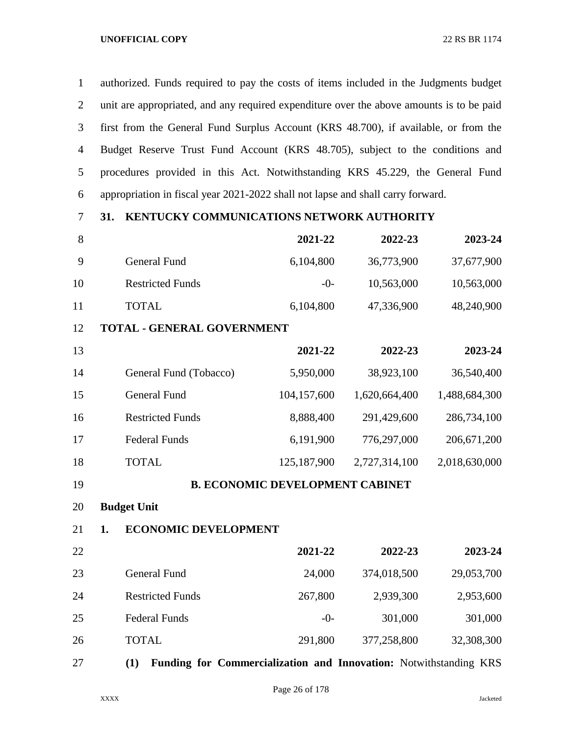authorized. Funds required to pay the costs of items included in the Judgments budget unit are appropriated, and any required expenditure over the above amounts is to be paid first from the General Fund Surplus Account (KRS 48.700), if available, or from the Budget Reserve Trust Fund Account (KRS 48.705), subject to the conditions and procedures provided in this Act. Notwithstanding KRS 45.229, the General Fund appropriation in fiscal year 2021-2022 shall not lapse and shall carry forward.

# **31. KENTUCKY COMMUNICATIONS NETWORK AUTHORITY**

| 8  |                                   | 2021-22     | 2022-23       | 2023-24       |
|----|-----------------------------------|-------------|---------------|---------------|
| 9  | <b>General Fund</b>               | 6,104,800   | 36,773,900    | 37,677,900    |
| 10 | <b>Restricted Funds</b>           | $-0-$       | 10,563,000    | 10,563,000    |
| 11 | <b>TOTAL</b>                      | 6,104,800   | 47,336,900    | 48,240,900    |
| 12 | <b>TOTAL - GENERAL GOVERNMENT</b> |             |               |               |
| 13 |                                   | 2021-22     | 2022-23       | 2023-24       |
| 14 | General Fund (Tobacco)            | 5,950,000   | 38,923,100    | 36,540,400    |
| 15 | <b>General Fund</b>               | 104,157,600 | 1,620,664,400 | 1,488,684,300 |
| 16 | <b>Restricted Funds</b>           | 8,888,400   | 291,429,600   | 286,734,100   |
| 17 | <b>Federal Funds</b>              | 6,191,900   | 776,297,000   | 206,671,200   |
| 18 | TOTAL                             | 125,187,900 | 2,727,314,100 | 2,018,630,000 |

## **B. ECONOMIC DEVELOPMENT CABINET**

**Budget Unit**

## **1. ECONOMIC DEVELOPMENT**

| 22 |                         | 2021-22 | 2022-23     | 2023-24    |
|----|-------------------------|---------|-------------|------------|
| 23 | General Fund            | 24,000  | 374,018,500 | 29,053,700 |
| 24 | <b>Restricted Funds</b> | 267,800 | 2,939,300   | 2,953,600  |
| 25 | <b>Federal Funds</b>    | $-0-$   | 301,000     | 301,000    |
| 26 | <b>TOTAL</b>            | 291,800 | 377,258,800 | 32,308,300 |

**(1) Funding for Commercialization and Innovation:** Notwithstanding KRS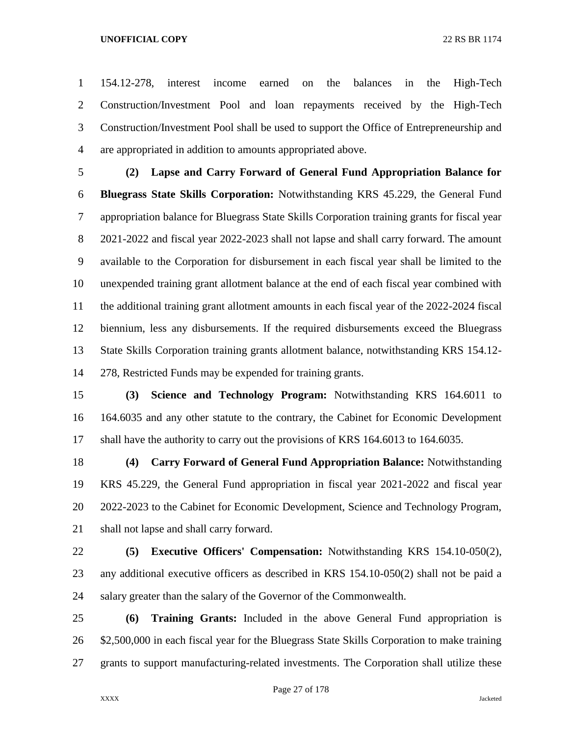154.12-278, interest income earned on the balances in the High-Tech Construction/Investment Pool and loan repayments received by the High-Tech Construction/Investment Pool shall be used to support the Office of Entrepreneurship and are appropriated in addition to amounts appropriated above.

 **(2) Lapse and Carry Forward of General Fund Appropriation Balance for Bluegrass State Skills Corporation:** Notwithstanding KRS 45.229, the General Fund appropriation balance for Bluegrass State Skills Corporation training grants for fiscal year 2021-2022 and fiscal year 2022-2023 shall not lapse and shall carry forward. The amount available to the Corporation for disbursement in each fiscal year shall be limited to the unexpended training grant allotment balance at the end of each fiscal year combined with the additional training grant allotment amounts in each fiscal year of the 2022-2024 fiscal biennium, less any disbursements. If the required disbursements exceed the Bluegrass State Skills Corporation training grants allotment balance, notwithstanding KRS 154.12- 278, Restricted Funds may be expended for training grants.

 **(3) Science and Technology Program:** Notwithstanding KRS 164.6011 to 164.6035 and any other statute to the contrary, the Cabinet for Economic Development shall have the authority to carry out the provisions of KRS 164.6013 to 164.6035.

 **(4) Carry Forward of General Fund Appropriation Balance:** Notwithstanding KRS 45.229, the General Fund appropriation in fiscal year 2021-2022 and fiscal year 2022-2023 to the Cabinet for Economic Development, Science and Technology Program, shall not lapse and shall carry forward.

 **(5) Executive Officers' Compensation:** Notwithstanding KRS 154.10-050(2), any additional executive officers as described in KRS 154.10-050(2) shall not be paid a salary greater than the salary of the Governor of the Commonwealth.

 **(6) Training Grants:** Included in the above General Fund appropriation is \$2,500,000 in each fiscal year for the Bluegrass State Skills Corporation to make training grants to support manufacturing-related investments. The Corporation shall utilize these

Page 27 of 178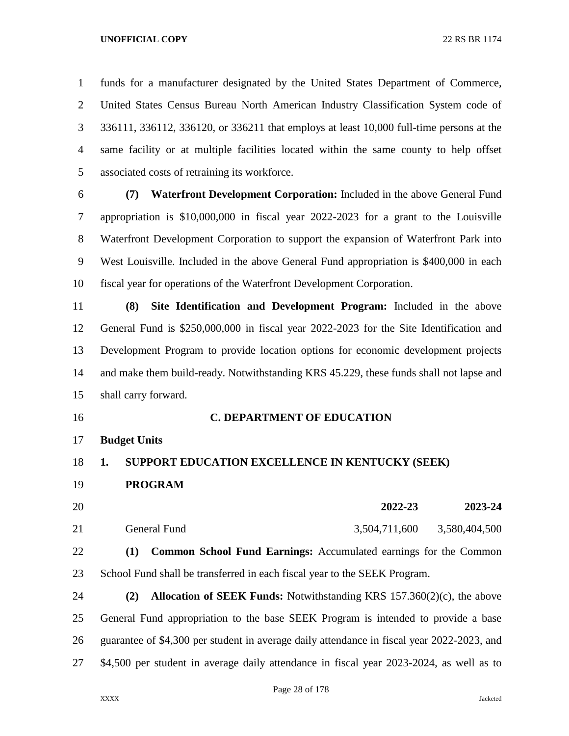funds for a manufacturer designated by the United States Department of Commerce, United States Census Bureau North American Industry Classification System code of 336111, 336112, 336120, or 336211 that employs at least 10,000 full-time persons at the same facility or at multiple facilities located within the same county to help offset associated costs of retraining its workforce.

 **(7) Waterfront Development Corporation:** Included in the above General Fund appropriation is \$10,000,000 in fiscal year 2022-2023 for a grant to the Louisville Waterfront Development Corporation to support the expansion of Waterfront Park into West Louisville. Included in the above General Fund appropriation is \$400,000 in each fiscal year for operations of the Waterfront Development Corporation.

 **(8) Site Identification and Development Program:** Included in the above General Fund is \$250,000,000 in fiscal year 2022-2023 for the Site Identification and Development Program to provide location options for economic development projects and make them build-ready. Notwithstanding KRS 45.229, these funds shall not lapse and shall carry forward.

**Budget Units**

## **1. SUPPORT EDUCATION EXCELLENCE IN KENTUCKY (SEEK)**

**C. DEPARTMENT OF EDUCATION**

- **PROGRAM**
- **2022-23 2023-24** General Fund 3,504,711,600 3,580,404,500 **(1) Common School Fund Earnings:** Accumulated earnings for the Common
- School Fund shall be transferred in each fiscal year to the SEEK Program.

 **(2) Allocation of SEEK Funds:** Notwithstanding KRS 157.360(2)(c), the above General Fund appropriation to the base SEEK Program is intended to provide a base guarantee of \$4,300 per student in average daily attendance in fiscal year 2022-2023, and \$4,500 per student in average daily attendance in fiscal year 2023-2024, as well as to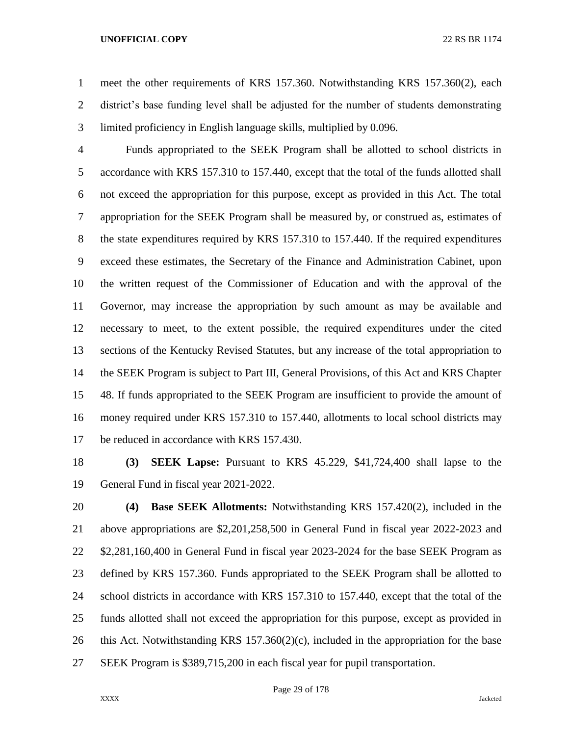meet the other requirements of KRS 157.360. Notwithstanding KRS 157.360(2), each district's base funding level shall be adjusted for the number of students demonstrating limited proficiency in English language skills, multiplied by 0.096.

 Funds appropriated to the SEEK Program shall be allotted to school districts in accordance with KRS 157.310 to 157.440, except that the total of the funds allotted shall not exceed the appropriation for this purpose, except as provided in this Act. The total appropriation for the SEEK Program shall be measured by, or construed as, estimates of the state expenditures required by KRS 157.310 to 157.440. If the required expenditures exceed these estimates, the Secretary of the Finance and Administration Cabinet, upon the written request of the Commissioner of Education and with the approval of the Governor, may increase the appropriation by such amount as may be available and necessary to meet, to the extent possible, the required expenditures under the cited sections of the Kentucky Revised Statutes, but any increase of the total appropriation to the SEEK Program is subject to Part III, General Provisions, of this Act and KRS Chapter 48. If funds appropriated to the SEEK Program are insufficient to provide the amount of money required under KRS 157.310 to 157.440, allotments to local school districts may be reduced in accordance with KRS 157.430.

 **(3) SEEK Lapse:** Pursuant to KRS 45.229, \$41,724,400 shall lapse to the General Fund in fiscal year 2021-2022.

 **(4) Base SEEK Allotments:** Notwithstanding KRS 157.420(2), included in the above appropriations are \$2,201,258,500 in General Fund in fiscal year 2022-2023 and \$2,281,160,400 in General Fund in fiscal year 2023-2024 for the base SEEK Program as defined by KRS 157.360. Funds appropriated to the SEEK Program shall be allotted to school districts in accordance with KRS 157.310 to 157.440, except that the total of the funds allotted shall not exceed the appropriation for this purpose, except as provided in this Act. Notwithstanding KRS 157.360(2)(c), included in the appropriation for the base SEEK Program is \$389,715,200 in each fiscal year for pupil transportation.

Page 29 of 178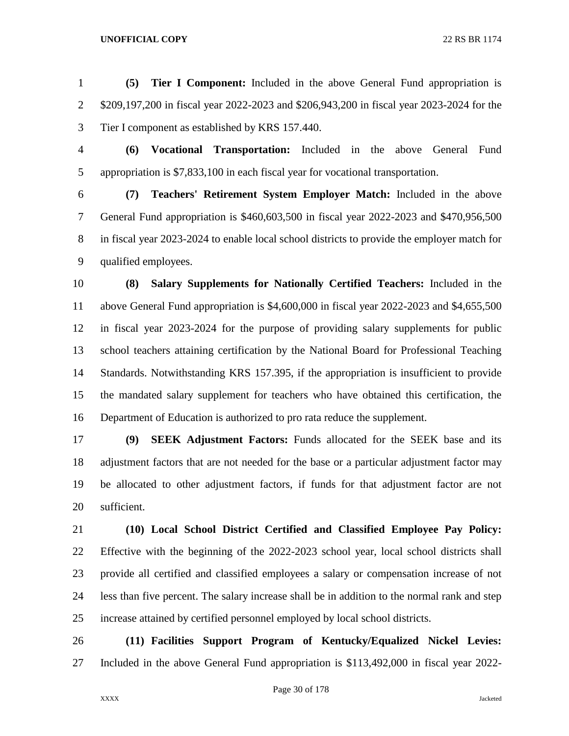**(5) Tier I Component:** Included in the above General Fund appropriation is \$209,197,200 in fiscal year 2022-2023 and \$206,943,200 in fiscal year 2023-2024 for the Tier I component as established by KRS 157.440.

 **(6) Vocational Transportation:** Included in the above General Fund appropriation is \$7,833,100 in each fiscal year for vocational transportation.

 **(7) Teachers' Retirement System Employer Match:** Included in the above General Fund appropriation is \$460,603,500 in fiscal year 2022-2023 and \$470,956,500 in fiscal year 2023-2024 to enable local school districts to provide the employer match for qualified employees.

 **(8) Salary Supplements for Nationally Certified Teachers:** Included in the above General Fund appropriation is \$4,600,000 in fiscal year 2022-2023 and \$4,655,500 in fiscal year 2023-2024 for the purpose of providing salary supplements for public school teachers attaining certification by the National Board for Professional Teaching Standards. Notwithstanding KRS 157.395, if the appropriation is insufficient to provide the mandated salary supplement for teachers who have obtained this certification, the Department of Education is authorized to pro rata reduce the supplement.

 **(9) SEEK Adjustment Factors:** Funds allocated for the SEEK base and its adjustment factors that are not needed for the base or a particular adjustment factor may be allocated to other adjustment factors, if funds for that adjustment factor are not sufficient.

 **(10) Local School District Certified and Classified Employee Pay Policy:**  Effective with the beginning of the 2022-2023 school year, local school districts shall provide all certified and classified employees a salary or compensation increase of not less than five percent. The salary increase shall be in addition to the normal rank and step increase attained by certified personnel employed by local school districts.

 **(11) Facilities Support Program of Kentucky/Equalized Nickel Levies:**  Included in the above General Fund appropriation is \$113,492,000 in fiscal year 2022-

Page 30 of 178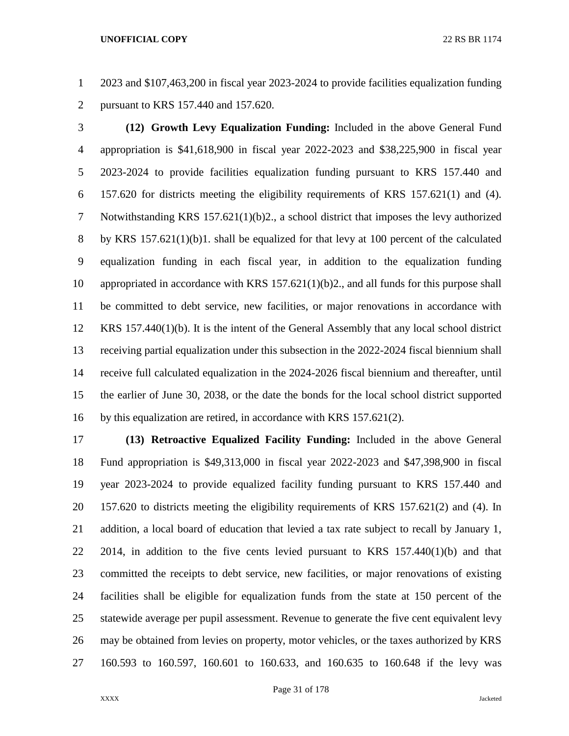2023 and \$107,463,200 in fiscal year 2023-2024 to provide facilities equalization funding pursuant to KRS 157.440 and 157.620.

 **(12) Growth Levy Equalization Funding:** Included in the above General Fund appropriation is \$41,618,900 in fiscal year 2022-2023 and \$38,225,900 in fiscal year 2023-2024 to provide facilities equalization funding pursuant to KRS 157.440 and 157.620 for districts meeting the eligibility requirements of KRS 157.621(1) and (4). Notwithstanding KRS 157.621(1)(b)2., a school district that imposes the levy authorized by KRS 157.621(1)(b)1. shall be equalized for that levy at 100 percent of the calculated equalization funding in each fiscal year, in addition to the equalization funding appropriated in accordance with KRS 157.621(1)(b)2., and all funds for this purpose shall be committed to debt service, new facilities, or major renovations in accordance with KRS 157.440(1)(b). It is the intent of the General Assembly that any local school district receiving partial equalization under this subsection in the 2022-2024 fiscal biennium shall receive full calculated equalization in the 2024-2026 fiscal biennium and thereafter, until the earlier of June 30, 2038, or the date the bonds for the local school district supported by this equalization are retired, in accordance with KRS 157.621(2).

 **(13) Retroactive Equalized Facility Funding:** Included in the above General Fund appropriation is \$49,313,000 in fiscal year 2022-2023 and \$47,398,900 in fiscal year 2023-2024 to provide equalized facility funding pursuant to KRS 157.440 and 157.620 to districts meeting the eligibility requirements of KRS 157.621(2) and (4). In 21 addition, a local board of education that levied a tax rate subject to recall by January 1, 2014, in addition to the five cents levied pursuant to KRS 157.440(1)(b) and that committed the receipts to debt service, new facilities, or major renovations of existing facilities shall be eligible for equalization funds from the state at 150 percent of the statewide average per pupil assessment. Revenue to generate the five cent equivalent levy may be obtained from levies on property, motor vehicles, or the taxes authorized by KRS 160.593 to 160.597, 160.601 to 160.633, and 160.635 to 160.648 if the levy was

Page 31 of 178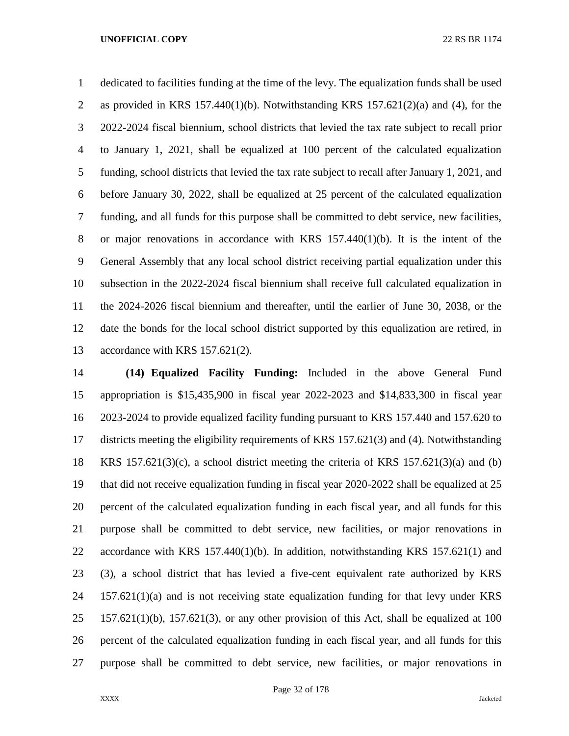dedicated to facilities funding at the time of the levy. The equalization funds shall be used 2 as provided in KRS 157.440(1)(b). Notwithstanding KRS 157.621(2)(a) and (4), for the 2022-2024 fiscal biennium, school districts that levied the tax rate subject to recall prior to January 1, 2021, shall be equalized at 100 percent of the calculated equalization funding, school districts that levied the tax rate subject to recall after January 1, 2021, and before January 30, 2022, shall be equalized at 25 percent of the calculated equalization funding, and all funds for this purpose shall be committed to debt service, new facilities, or major renovations in accordance with KRS 157.440(1)(b). It is the intent of the General Assembly that any local school district receiving partial equalization under this subsection in the 2022-2024 fiscal biennium shall receive full calculated equalization in the 2024-2026 fiscal biennium and thereafter, until the earlier of June 30, 2038, or the date the bonds for the local school district supported by this equalization are retired, in accordance with KRS 157.621(2).

 **(14) Equalized Facility Funding:** Included in the above General Fund appropriation is \$15,435,900 in fiscal year 2022-2023 and \$14,833,300 in fiscal year 2023-2024 to provide equalized facility funding pursuant to KRS 157.440 and 157.620 to districts meeting the eligibility requirements of KRS 157.621(3) and (4). Notwithstanding KRS 157.621(3)(c), a school district meeting the criteria of KRS 157.621(3)(a) and (b) that did not receive equalization funding in fiscal year 2020-2022 shall be equalized at 25 percent of the calculated equalization funding in each fiscal year, and all funds for this purpose shall be committed to debt service, new facilities, or major renovations in accordance with KRS 157.440(1)(b). In addition, notwithstanding KRS 157.621(1) and (3), a school district that has levied a five-cent equivalent rate authorized by KRS 157.621(1)(a) and is not receiving state equalization funding for that levy under KRS 157.621(1)(b), 157.621(3), or any other provision of this Act, shall be equalized at 100 percent of the calculated equalization funding in each fiscal year, and all funds for this purpose shall be committed to debt service, new facilities, or major renovations in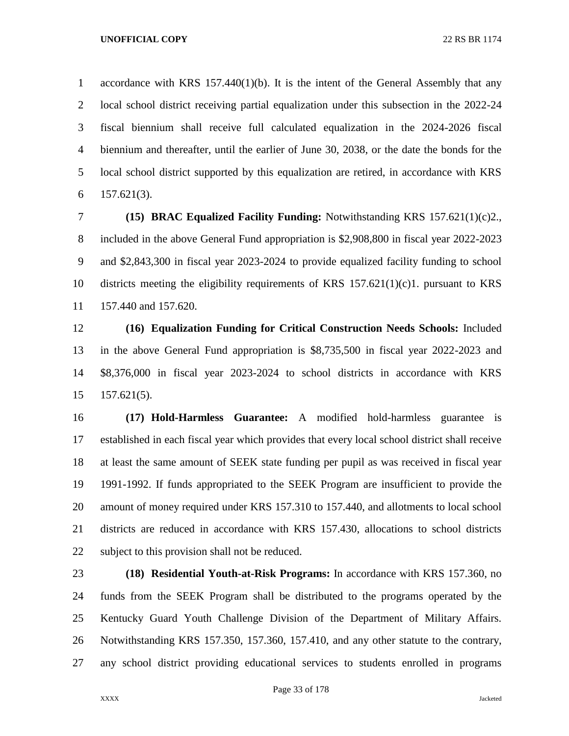accordance with KRS 157.440(1)(b). It is the intent of the General Assembly that any local school district receiving partial equalization under this subsection in the 2022-24 fiscal biennium shall receive full calculated equalization in the 2024-2026 fiscal biennium and thereafter, until the earlier of June 30, 2038, or the date the bonds for the local school district supported by this equalization are retired, in accordance with KRS 157.621(3).

 **(15) BRAC Equalized Facility Funding:** Notwithstanding KRS 157.621(1)(c)2., included in the above General Fund appropriation is \$2,908,800 in fiscal year 2022-2023 and \$2,843,300 in fiscal year 2023-2024 to provide equalized facility funding to school districts meeting the eligibility requirements of KRS 157.621(1)(c)1. pursuant to KRS 157.440 and 157.620.

 **(16) Equalization Funding for Critical Construction Needs Schools:** Included in the above General Fund appropriation is \$8,735,500 in fiscal year 2022-2023 and \$8,376,000 in fiscal year 2023-2024 to school districts in accordance with KRS 157.621(5).

 **(17) Hold-Harmless Guarantee:** A modified hold-harmless guarantee is established in each fiscal year which provides that every local school district shall receive at least the same amount of SEEK state funding per pupil as was received in fiscal year 1991-1992. If funds appropriated to the SEEK Program are insufficient to provide the amount of money required under KRS 157.310 to 157.440, and allotments to local school districts are reduced in accordance with KRS 157.430, allocations to school districts subject to this provision shall not be reduced.

 **(18) Residential Youth-at-Risk Programs:** In accordance with KRS 157.360, no funds from the SEEK Program shall be distributed to the programs operated by the Kentucky Guard Youth Challenge Division of the Department of Military Affairs. Notwithstanding KRS 157.350, 157.360, 157.410, and any other statute to the contrary, any school district providing educational services to students enrolled in programs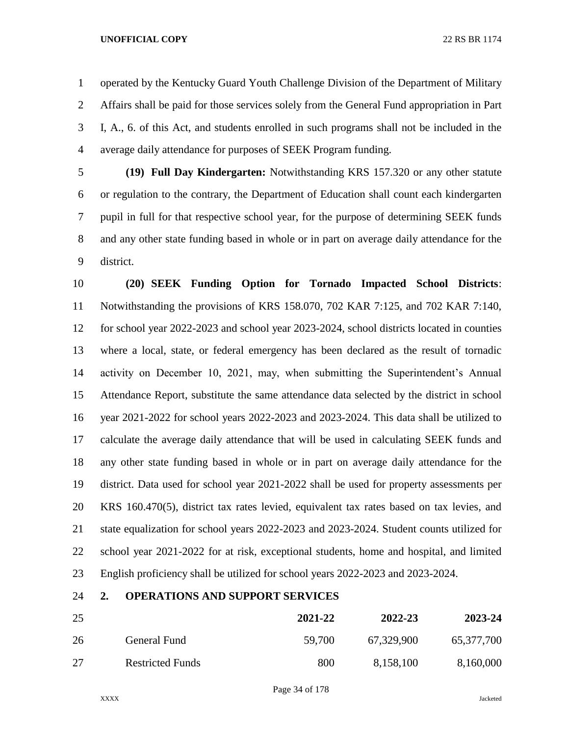operated by the Kentucky Guard Youth Challenge Division of the Department of Military Affairs shall be paid for those services solely from the General Fund appropriation in Part I, A., 6. of this Act, and students enrolled in such programs shall not be included in the average daily attendance for purposes of SEEK Program funding.

 **(19) Full Day Kindergarten:** Notwithstanding KRS 157.320 or any other statute or regulation to the contrary, the Department of Education shall count each kindergarten pupil in full for that respective school year, for the purpose of determining SEEK funds and any other state funding based in whole or in part on average daily attendance for the district.

 **(20) SEEK Funding Option for Tornado Impacted School Districts**: Notwithstanding the provisions of KRS 158.070, 702 KAR 7:125, and 702 KAR 7:140, for school year 2022-2023 and school year 2023-2024, school districts located in counties where a local, state, or federal emergency has been declared as the result of tornadic activity on December 10, 2021, may, when submitting the Superintendent's Annual Attendance Report, substitute the same attendance data selected by the district in school year 2021-2022 for school years 2022-2023 and 2023-2024. This data shall be utilized to calculate the average daily attendance that will be used in calculating SEEK funds and any other state funding based in whole or in part on average daily attendance for the district. Data used for school year 2021-2022 shall be used for property assessments per KRS 160.470(5), district tax rates levied, equivalent tax rates based on tax levies, and state equalization for school years 2022-2023 and 2023-2024. Student counts utilized for school year 2021-2022 for at risk, exceptional students, home and hospital, and limited English proficiency shall be utilized for school years 2022-2023 and 2023-2024.

## **2. OPERATIONS AND SUPPORT SERVICES**

| 25 |                         | 2021-22 | 2022-23    | 2023-24    |
|----|-------------------------|---------|------------|------------|
| 26 | General Fund            | 59,700  | 67,329,900 | 65,377,700 |
| 27 | <b>Restricted Funds</b> | 800     | 8,158,100  | 8,160,000  |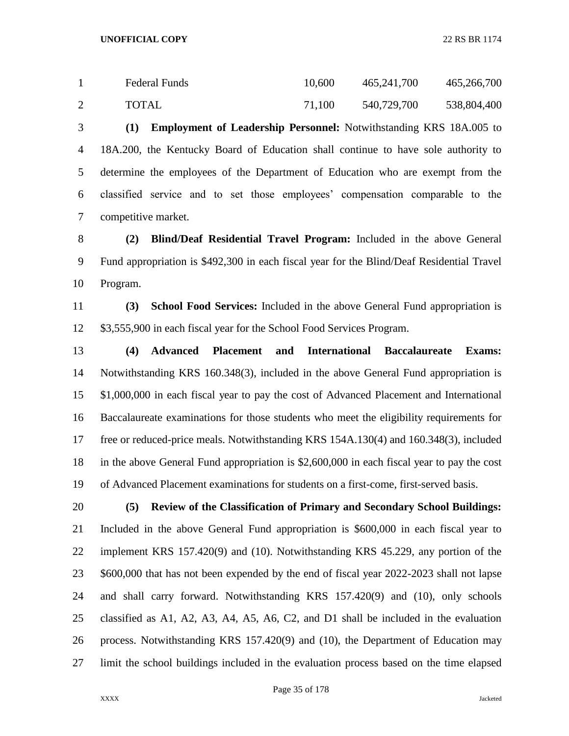| <b>Federal Funds</b> | 10,600 | 465,241,700 | 465,266,700 |
|----------------------|--------|-------------|-------------|
| TOTAL                | 71,100 | 540,729,700 | 538,804,400 |

 **(1) Employment of Leadership Personnel:** Notwithstanding KRS 18A.005 to 18A.200, the Kentucky Board of Education shall continue to have sole authority to determine the employees of the Department of Education who are exempt from the classified service and to set those employees' compensation comparable to the competitive market.

 **(2) Blind/Deaf Residential Travel Program:** Included in the above General Fund appropriation is \$492,300 in each fiscal year for the Blind/Deaf Residential Travel Program.

 **(3) School Food Services:** Included in the above General Fund appropriation is \$3,555,900 in each fiscal year for the School Food Services Program.

 **(4) Advanced Placement and International Baccalaureate Exams:**  Notwithstanding KRS 160.348(3), included in the above General Fund appropriation is \$1,000,000 in each fiscal year to pay the cost of Advanced Placement and International Baccalaureate examinations for those students who meet the eligibility requirements for free or reduced-price meals. Notwithstanding KRS 154A.130(4) and 160.348(3), included in the above General Fund appropriation is \$2,600,000 in each fiscal year to pay the cost of Advanced Placement examinations for students on a first-come, first-served basis.

 **(5) Review of the Classification of Primary and Secondary School Buildings:**  Included in the above General Fund appropriation is \$600,000 in each fiscal year to implement KRS 157.420(9) and (10). Notwithstanding KRS 45.229, any portion of the \$600,000 that has not been expended by the end of fiscal year 2022-2023 shall not lapse and shall carry forward. Notwithstanding KRS 157.420(9) and (10), only schools classified as A1, A2, A3, A4, A5, A6, C2, and D1 shall be included in the evaluation process. Notwithstanding KRS 157.420(9) and (10), the Department of Education may limit the school buildings included in the evaluation process based on the time elapsed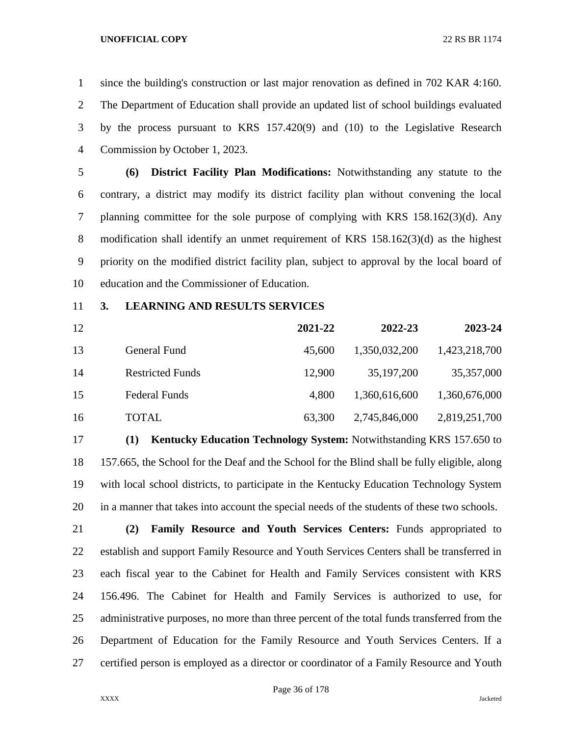since the building's construction or last major renovation as defined in 702 KAR 4:160. The Department of Education shall provide an updated list of school buildings evaluated by the process pursuant to KRS 157.420(9) and (10) to the Legislative Research Commission by October 1, 2023.

 **(6) District Facility Plan Modifications:** Notwithstanding any statute to the contrary, a district may modify its district facility plan without convening the local planning committee for the sole purpose of complying with KRS 158.162(3)(d). Any modification shall identify an unmet requirement of KRS 158.162(3)(d) as the highest priority on the modified district facility plan, subject to approval by the local board of education and the Commissioner of Education.

**3. LEARNING AND RESULTS SERVICES**

| 12 |                         | 2021-22 | 2022-23       | 2023-24       |
|----|-------------------------|---------|---------------|---------------|
| 13 | General Fund            | 45,600  | 1,350,032,200 | 1,423,218,700 |
| 14 | <b>Restricted Funds</b> | 12.900  | 35, 197, 200  | 35, 357, 000  |
| 15 | <b>Federal Funds</b>    | 4.800   | 1,360,616,600 | 1,360,676,000 |
| 16 | <b>TOTAL</b>            | 63,300  | 2,745,846,000 | 2,819,251,700 |

 **(1) Kentucky Education Technology System:** Notwithstanding KRS 157.650 to 157.665, the School for the Deaf and the School for the Blind shall be fully eligible, along with local school districts, to participate in the Kentucky Education Technology System in a manner that takes into account the special needs of the students of these two schools.

 **(2) Family Resource and Youth Services Centers:** Funds appropriated to establish and support Family Resource and Youth Services Centers shall be transferred in each fiscal year to the Cabinet for Health and Family Services consistent with KRS 156.496. The Cabinet for Health and Family Services is authorized to use, for 25 administrative purposes, no more than three percent of the total funds transferred from the Department of Education for the Family Resource and Youth Services Centers. If a certified person is employed as a director or coordinator of a Family Resource and Youth

Page 36 of 178

XXXX Jacketed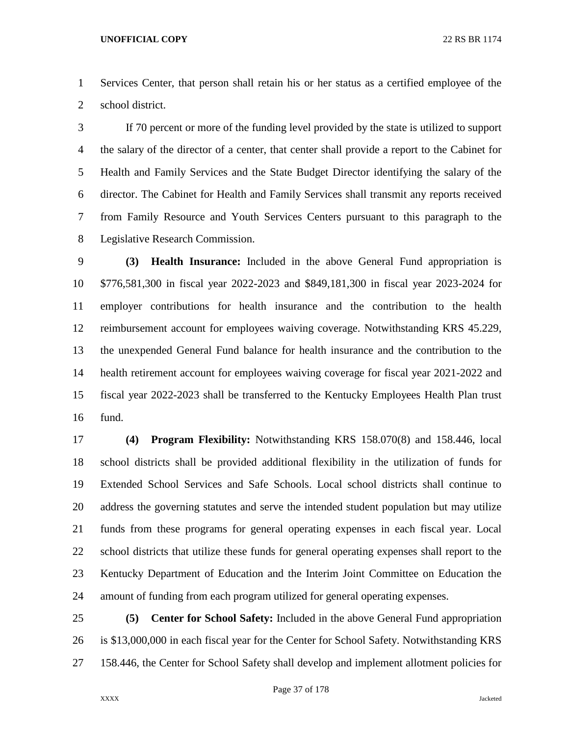Services Center, that person shall retain his or her status as a certified employee of the school district.

 If 70 percent or more of the funding level provided by the state is utilized to support the salary of the director of a center, that center shall provide a report to the Cabinet for Health and Family Services and the State Budget Director identifying the salary of the director. The Cabinet for Health and Family Services shall transmit any reports received from Family Resource and Youth Services Centers pursuant to this paragraph to the Legislative Research Commission.

 **(3) Health Insurance:** Included in the above General Fund appropriation is \$776,581,300 in fiscal year 2022-2023 and \$849,181,300 in fiscal year 2023-2024 for employer contributions for health insurance and the contribution to the health reimbursement account for employees waiving coverage. Notwithstanding KRS 45.229, the unexpended General Fund balance for health insurance and the contribution to the health retirement account for employees waiving coverage for fiscal year 2021-2022 and fiscal year 2022-2023 shall be transferred to the Kentucky Employees Health Plan trust fund.

 **(4) Program Flexibility:** Notwithstanding KRS 158.070(8) and 158.446, local school districts shall be provided additional flexibility in the utilization of funds for Extended School Services and Safe Schools. Local school districts shall continue to address the governing statutes and serve the intended student population but may utilize funds from these programs for general operating expenses in each fiscal year. Local school districts that utilize these funds for general operating expenses shall report to the Kentucky Department of Education and the Interim Joint Committee on Education the amount of funding from each program utilized for general operating expenses.

 **(5) Center for School Safety:** Included in the above General Fund appropriation is \$13,000,000 in each fiscal year for the Center for School Safety. Notwithstanding KRS 158.446, the Center for School Safety shall develop and implement allotment policies for

Page 37 of 178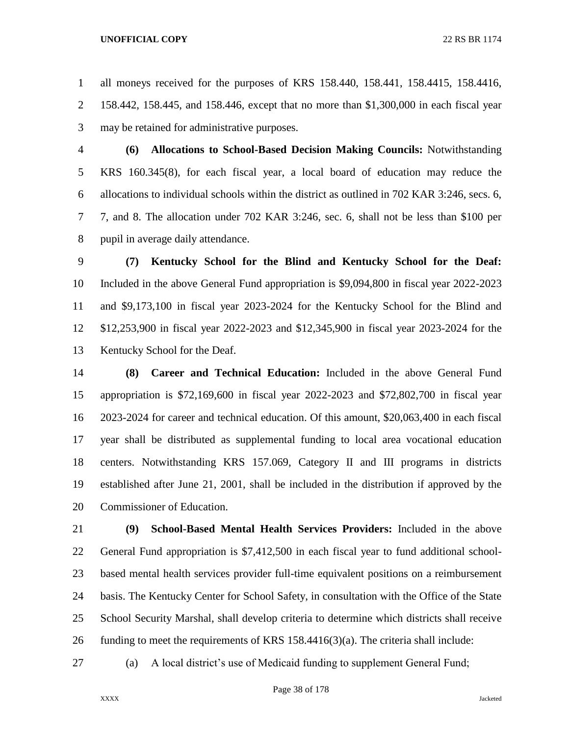all moneys received for the purposes of KRS 158.440, 158.441, 158.4415, 158.4416, 158.442, 158.445, and 158.446, except that no more than \$1,300,000 in each fiscal year may be retained for administrative purposes.

 **(6) Allocations to School-Based Decision Making Councils:** Notwithstanding KRS 160.345(8), for each fiscal year, a local board of education may reduce the allocations to individual schools within the district as outlined in 702 KAR 3:246, secs. 6, 7, and 8. The allocation under 702 KAR 3:246, sec. 6, shall not be less than \$100 per pupil in average daily attendance.

 **(7) Kentucky School for the Blind and Kentucky School for the Deaf:**  Included in the above General Fund appropriation is \$9,094,800 in fiscal year 2022-2023 and \$9,173,100 in fiscal year 2023-2024 for the Kentucky School for the Blind and \$12,253,900 in fiscal year 2022-2023 and \$12,345,900 in fiscal year 2023-2024 for the Kentucky School for the Deaf.

 **(8) Career and Technical Education:** Included in the above General Fund appropriation is \$72,169,600 in fiscal year 2022-2023 and \$72,802,700 in fiscal year 2023-2024 for career and technical education. Of this amount, \$20,063,400 in each fiscal year shall be distributed as supplemental funding to local area vocational education centers. Notwithstanding KRS 157.069, Category II and III programs in districts established after June 21, 2001, shall be included in the distribution if approved by the Commissioner of Education.

 **(9) School-Based Mental Health Services Providers:** Included in the above General Fund appropriation is \$7,412,500 in each fiscal year to fund additional school- based mental health services provider full-time equivalent positions on a reimbursement basis. The Kentucky Center for School Safety, in consultation with the Office of the State School Security Marshal, shall develop criteria to determine which districts shall receive 26 funding to meet the requirements of KRS  $158.4416(3)(a)$ . The criteria shall include:

(a) A local district's use of Medicaid funding to supplement General Fund;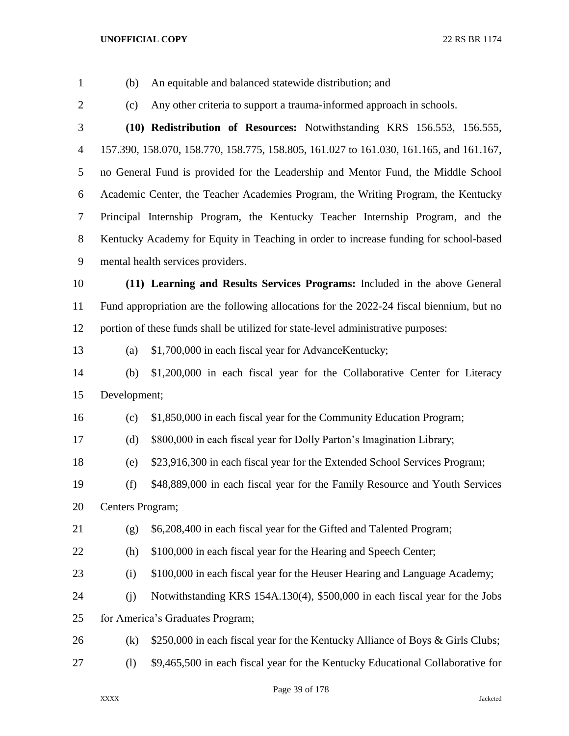(b) An equitable and balanced statewide distribution; and

(c) Any other criteria to support a trauma-informed approach in schools.

 **(10) Redistribution of Resources:** Notwithstanding KRS 156.553, 156.555, 157.390, 158.070, 158.770, 158.775, 158.805, 161.027 to 161.030, 161.165, and 161.167, no General Fund is provided for the Leadership and Mentor Fund, the Middle School Academic Center, the Teacher Academies Program, the Writing Program, the Kentucky Principal Internship Program, the Kentucky Teacher Internship Program, and the Kentucky Academy for Equity in Teaching in order to increase funding for school-based mental health services providers.

 **(11) Learning and Results Services Programs:** Included in the above General Fund appropriation are the following allocations for the 2022-24 fiscal biennium, but no portion of these funds shall be utilized for state-level administrative purposes:

(a) \$1,700,000 in each fiscal year for AdvanceKentucky;

 (b) \$1,200,000 in each fiscal year for the Collaborative Center for Literacy Development;

(c) \$1,850,000 in each fiscal year for the Community Education Program;

(d) \$800,000 in each fiscal year for Dolly Parton's Imagination Library;

(e) \$23,916,300 in each fiscal year for the Extended School Services Program;

 (f) \$48,889,000 in each fiscal year for the Family Resource and Youth Services Centers Program;

- (g) \$6,208,400 in each fiscal year for the Gifted and Talented Program;
- 

(h) \$100,000 in each fiscal year for the Hearing and Speech Center;

(i) \$100,000 in each fiscal year for the Heuser Hearing and Language Academy;

 (j) Notwithstanding KRS 154A.130(4), \$500,000 in each fiscal year for the Jobs for America's Graduates Program;

- (k) \$250,000 in each fiscal year for the Kentucky Alliance of Boys & Girls Clubs;
- (l) \$9,465,500 in each fiscal year for the Kentucky Educational Collaborative for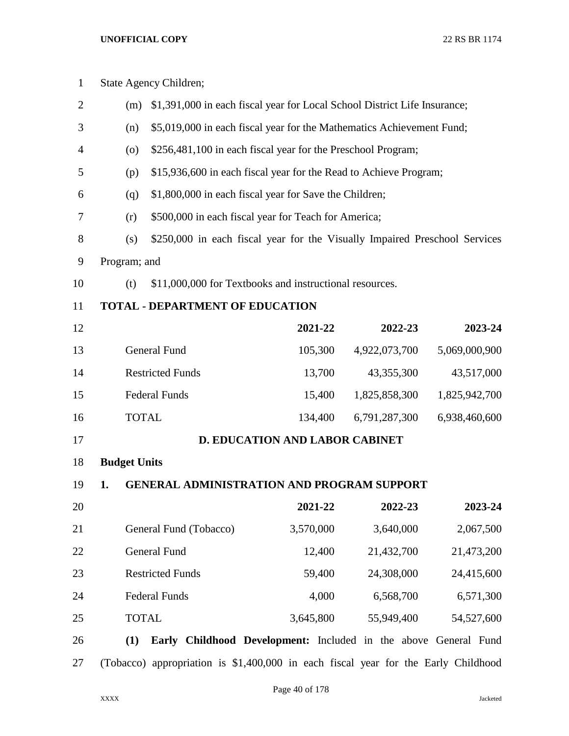| $\mathbf{1}$   |                     | State Agency Children;                                                             |                                                                       |               |               |  |
|----------------|---------------------|------------------------------------------------------------------------------------|-----------------------------------------------------------------------|---------------|---------------|--|
| $\overline{2}$ | (m)                 | \$1,391,000 in each fiscal year for Local School District Life Insurance;          |                                                                       |               |               |  |
| 3              | (n)                 |                                                                                    | \$5,019,000 in each fiscal year for the Mathematics Achievement Fund; |               |               |  |
| $\overline{4}$ | $\left( 0 \right)$  | \$256,481,100 in each fiscal year for the Preschool Program;                       |                                                                       |               |               |  |
| 5              | (p)                 | \$15,936,600 in each fiscal year for the Read to Achieve Program;                  |                                                                       |               |               |  |
| 6              | (q)                 | \$1,800,000 in each fiscal year for Save the Children;                             |                                                                       |               |               |  |
| 7              | (r)                 | \$500,000 in each fiscal year for Teach for America;                               |                                                                       |               |               |  |
| 8              | (s)                 | \$250,000 in each fiscal year for the Visually Impaired Preschool Services         |                                                                       |               |               |  |
| 9              | Program; and        |                                                                                    |                                                                       |               |               |  |
| 10             | (t)                 | \$11,000,000 for Textbooks and instructional resources.                            |                                                                       |               |               |  |
| 11             |                     | <b>TOTAL - DEPARTMENT OF EDUCATION</b>                                             |                                                                       |               |               |  |
| 12             |                     |                                                                                    | 2021-22                                                               | 2022-23       | 2023-24       |  |
| 13             |                     | <b>General Fund</b>                                                                | 105,300                                                               | 4,922,073,700 | 5,069,000,900 |  |
| 14             |                     | <b>Restricted Funds</b>                                                            | 13,700                                                                | 43,355,300    | 43,517,000    |  |
| 15             |                     | <b>Federal Funds</b>                                                               | 15,400                                                                | 1,825,858,300 | 1,825,942,700 |  |
| 16             | <b>TOTAL</b>        |                                                                                    | 134,400                                                               | 6,791,287,300 | 6,938,460,600 |  |
| 17             |                     |                                                                                    | <b>D. EDUCATION AND LABOR CABINET</b>                                 |               |               |  |
| 18             | <b>Budget Units</b> |                                                                                    |                                                                       |               |               |  |
| 19             | 1.                  | <b>GENERAL ADMINISTRATION AND PROGRAM SUPPORT</b>                                  |                                                                       |               |               |  |
| 20             |                     |                                                                                    | 2021-22                                                               | 2022-23       | 2023-24       |  |
| 21             |                     | General Fund (Tobacco)                                                             | 3,570,000                                                             | 3,640,000     | 2,067,500     |  |
| 22             |                     | General Fund                                                                       | 12,400                                                                | 21,432,700    | 21,473,200    |  |
| 23             |                     | <b>Restricted Funds</b>                                                            | 59,400                                                                | 24,308,000    | 24,415,600    |  |
| 24             |                     | <b>Federal Funds</b>                                                               | 4,000                                                                 | 6,568,700     | 6,571,300     |  |
| 25             | <b>TOTAL</b>        |                                                                                    | 3,645,800                                                             | 55,949,400    | 54,527,600    |  |
| 26             | (1)                 | Early Childhood Development: Included in the above General Fund                    |                                                                       |               |               |  |
| 27             |                     | (Tobacco) appropriation is \$1,400,000 in each fiscal year for the Early Childhood |                                                                       |               |               |  |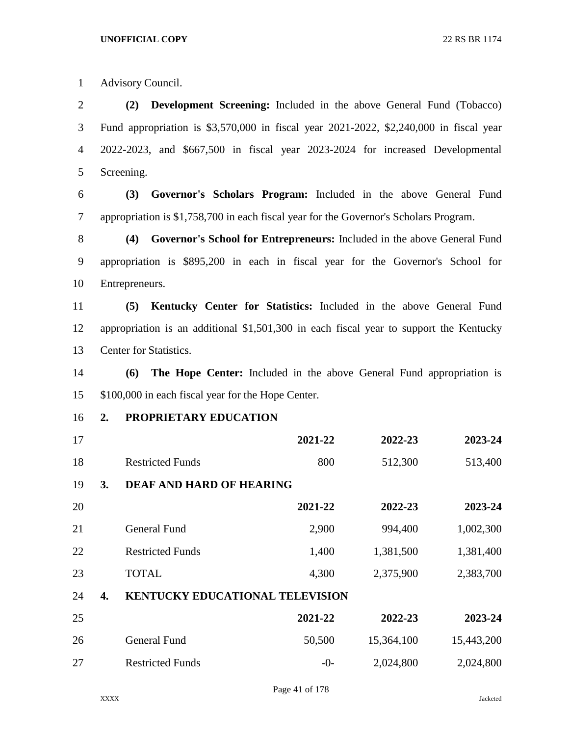Advisory Council.

 **(2) Development Screening:** Included in the above General Fund (Tobacco) Fund appropriation is \$3,570,000 in fiscal year 2021-2022, \$2,240,000 in fiscal year 2022-2023, and \$667,500 in fiscal year 2023-2024 for increased Developmental Screening.

 **(3) Governor's Scholars Program:** Included in the above General Fund appropriation is \$1,758,700 in each fiscal year for the Governor's Scholars Program.

 **(4) Governor's School for Entrepreneurs:** Included in the above General Fund appropriation is \$895,200 in each in fiscal year for the Governor's School for Entrepreneurs.

 **(5) Kentucky Center for Statistics:** Included in the above General Fund appropriation is an additional \$1,501,300 in each fiscal year to support the Kentucky Center for Statistics.

 **(6) The Hope Center:** Included in the above General Fund appropriation is \$100,000 in each fiscal year for the Hope Center.

**2. PROPRIETARY EDUCATION**

| 17 |    |                                        | 2021-22 | 2022-23   | 2023-24   |
|----|----|----------------------------------------|---------|-----------|-----------|
| 18 |    | <b>Restricted Funds</b>                | 800     | 512,300   | 513,400   |
| 19 | 3. | <b>DEAF AND HARD OF HEARING</b>        |         |           |           |
| 20 |    |                                        | 2021-22 | 2022-23   | 2023-24   |
| 21 |    | <b>General Fund</b>                    | 2,900   | 994,400   | 1,002,300 |
| 22 |    | <b>Restricted Funds</b>                | 1,400   | 1,381,500 | 1,381,400 |
| 23 |    | <b>TOTAL</b>                           | 4,300   | 2,375,900 | 2,383,700 |
| 24 | 4. | <b>KENTUCKY EDUCATIONAL TELEVISION</b> |         |           |           |
|    |    |                                        |         |           |           |

| 25 |                         | 2021-22 | 2022-23    | 2023-24    |
|----|-------------------------|---------|------------|------------|
| 26 | General Fund            | 50,500  | 15,364,100 | 15,443,200 |
| 27 | <b>Restricted Funds</b> | $-()$   | 2,024,800  | 2,024,800  |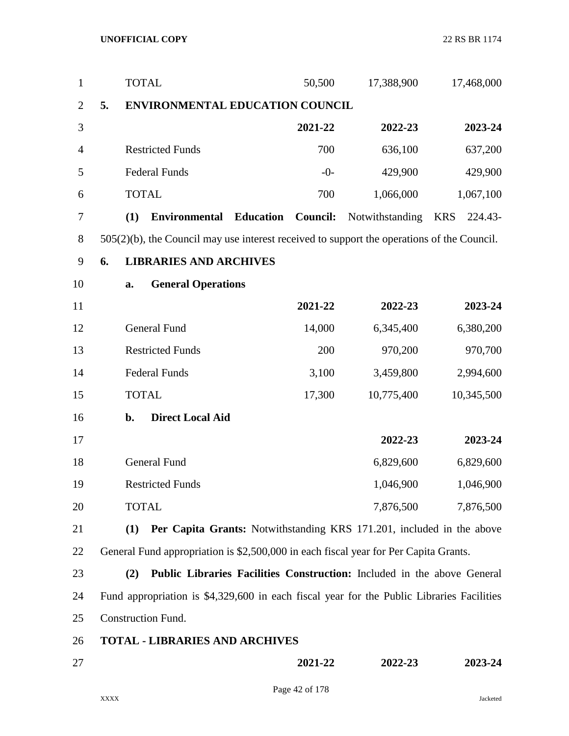| $\mathbf{1}$   |    | <b>TOTAL</b>                                                                                  | 50,500                                                                  | 17,388,900      | 17,468,000            |
|----------------|----|-----------------------------------------------------------------------------------------------|-------------------------------------------------------------------------|-----------------|-----------------------|
| $\overline{2}$ | 5. | ENVIRONMENTAL EDUCATION COUNCIL                                                               |                                                                         |                 |                       |
| 3              |    |                                                                                               | 2021-22                                                                 | 2022-23         | 2023-24               |
| 4              |    | <b>Restricted Funds</b>                                                                       | 700                                                                     | 636,100         | 637,200               |
| 5              |    | <b>Federal Funds</b>                                                                          | $-0-$                                                                   | 429,900         | 429,900               |
| 6              |    | <b>TOTAL</b>                                                                                  | 700                                                                     | 1,066,000       | 1,067,100             |
| 7              |    | (1)<br><b>Environmental</b>                                                                   | <b>Education</b><br><b>Council:</b>                                     | Notwithstanding | <b>KRS</b><br>224.43- |
| 8              |    | $505(2)(b)$ , the Council may use interest received to support the operations of the Council. |                                                                         |                 |                       |
| 9              | 6. | <b>LIBRARIES AND ARCHIVES</b>                                                                 |                                                                         |                 |                       |
| 10             |    | <b>General Operations</b><br>a.                                                               |                                                                         |                 |                       |
| 11             |    |                                                                                               | 2021-22                                                                 | 2022-23         | 2023-24               |
| 12             |    | <b>General Fund</b>                                                                           | 14,000                                                                  | 6,345,400       | 6,380,200             |
| 13             |    | <b>Restricted Funds</b>                                                                       | 200                                                                     | 970,200         | 970,700               |
| 14             |    | <b>Federal Funds</b>                                                                          | 3,100                                                                   | 3,459,800       | 2,994,600             |
| 15             |    | <b>TOTAL</b>                                                                                  | 17,300                                                                  | 10,775,400      | 10,345,500            |
| 16             |    | <b>Direct Local Aid</b><br>b.                                                                 |                                                                         |                 |                       |
| 17             |    |                                                                                               |                                                                         | 2022-23         | 2023-24               |
| 18             |    | <b>General Fund</b>                                                                           |                                                                         | 6,829,600       | 6,829,600             |
| 19             |    | <b>Restricted Funds</b>                                                                       |                                                                         | 1,046,900       | 1,046,900             |
| 20             |    | <b>TOTAL</b>                                                                                  |                                                                         | 7,876,500       | 7,876,500             |
| 21             |    | (1)                                                                                           | Per Capita Grants: Notwithstanding KRS 171.201, included in the above   |                 |                       |
| 22             |    | General Fund appropriation is \$2,500,000 in each fiscal year for Per Capita Grants.          |                                                                         |                 |                       |
| 23             |    | (2)                                                                                           | Public Libraries Facilities Construction: Included in the above General |                 |                       |
| 24             |    | Fund appropriation is \$4,329,600 in each fiscal year for the Public Libraries Facilities     |                                                                         |                 |                       |
| 25             |    | <b>Construction Fund.</b>                                                                     |                                                                         |                 |                       |
| 26             |    | <b>TOTAL - LIBRARIES AND ARCHIVES</b>                                                         |                                                                         |                 |                       |
| 27             |    |                                                                                               | 2021-22                                                                 | 2022-23         | 2023-24               |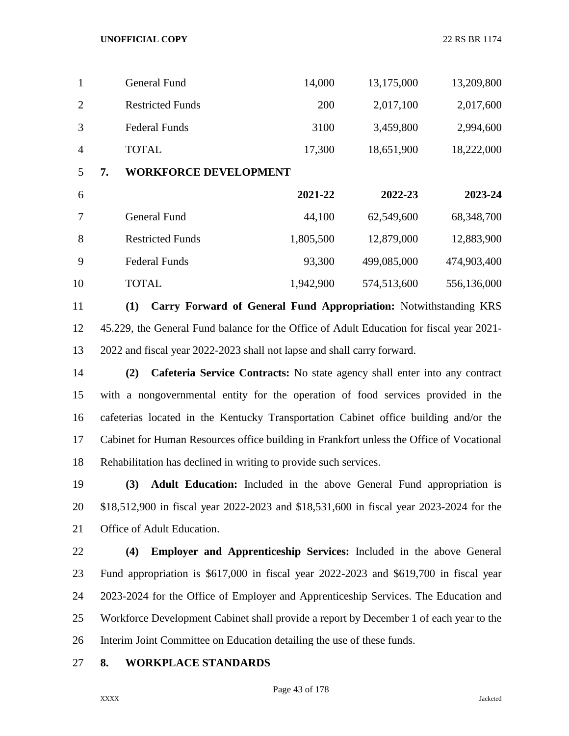| 1              |    | <b>General Fund</b>          | 14,000    | 13,175,000  | 13,209,800   |
|----------------|----|------------------------------|-----------|-------------|--------------|
| $\overline{2}$ |    | <b>Restricted Funds</b>      | 200       | 2,017,100   | 2,017,600    |
| 3              |    | <b>Federal Funds</b>         | 3100      | 3,459,800   | 2,994,600    |
| $\overline{4}$ |    | <b>TOTAL</b>                 | 17,300    | 18,651,900  | 18,222,000   |
| 5              | 7. | <b>WORKFORCE DEVELOPMENT</b> |           |             |              |
|                |    |                              |           |             |              |
| 6              |    |                              | 2021-22   | 2022-23     | 2023-24      |
| 7              |    | <b>General Fund</b>          | 44,100    | 62,549,600  | 68, 348, 700 |
| 8              |    | <b>Restricted Funds</b>      | 1,805,500 | 12,879,000  | 12,883,900   |
| 9              |    | <b>Federal Funds</b>         | 93,300    | 499,085,000 | 474,903,400  |

 **(1) Carry Forward of General Fund Appropriation:** Notwithstanding KRS 45.229, the General Fund balance for the Office of Adult Education for fiscal year 2021- 2022 and fiscal year 2022-2023 shall not lapse and shall carry forward.

 **(2) Cafeteria Service Contracts:** No state agency shall enter into any contract with a nongovernmental entity for the operation of food services provided in the cafeterias located in the Kentucky Transportation Cabinet office building and/or the Cabinet for Human Resources office building in Frankfort unless the Office of Vocational Rehabilitation has declined in writing to provide such services.

 **(3) Adult Education:** Included in the above General Fund appropriation is \$18,512,900 in fiscal year 2022-2023 and \$18,531,600 in fiscal year 2023-2024 for the Office of Adult Education.

 **(4) Employer and Apprenticeship Services:** Included in the above General Fund appropriation is \$617,000 in fiscal year 2022-2023 and \$619,700 in fiscal year 2023-2024 for the Office of Employer and Apprenticeship Services. The Education and Workforce Development Cabinet shall provide a report by December 1 of each year to the Interim Joint Committee on Education detailing the use of these funds.

**8. WORKPLACE STANDARDS**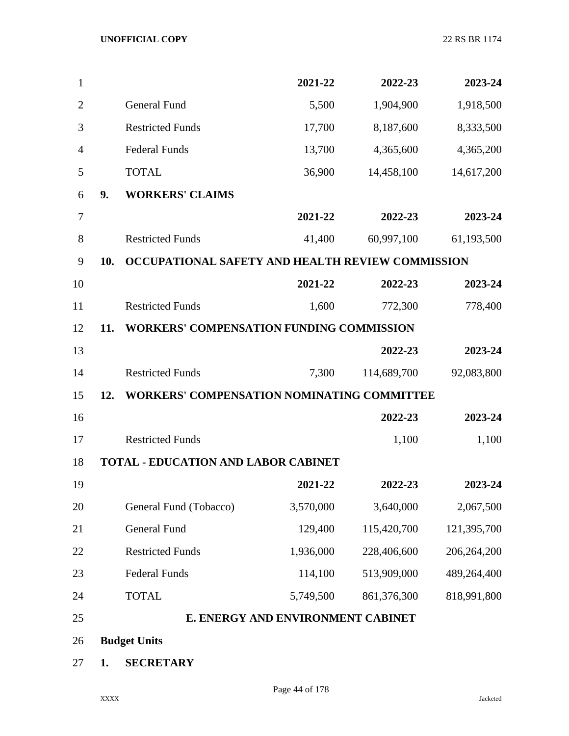| 1              |     |                                                   | 2021-22                           | 2022-23     | 2023-24     |
|----------------|-----|---------------------------------------------------|-----------------------------------|-------------|-------------|
| $\overline{2}$ |     | General Fund                                      | 5,500                             | 1,904,900   | 1,918,500   |
| 3              |     | <b>Restricted Funds</b>                           | 17,700                            | 8,187,600   | 8,333,500   |
| $\overline{4}$ |     | <b>Federal Funds</b>                              | 13,700                            | 4,365,600   | 4,365,200   |
| 5              |     | <b>TOTAL</b>                                      | 36,900                            | 14,458,100  | 14,617,200  |
| 6              | 9.  | <b>WORKERS' CLAIMS</b>                            |                                   |             |             |
| $\overline{7}$ |     |                                                   | 2021-22                           | 2022-23     | 2023-24     |
| 8              |     | <b>Restricted Funds</b>                           | 41,400                            | 60,997,100  | 61,193,500  |
| 9              | 10. | OCCUPATIONAL SAFETY AND HEALTH REVIEW COMMISSION  |                                   |             |             |
| 10             |     |                                                   | 2021-22                           | 2022-23     | 2023-24     |
| 11             |     | <b>Restricted Funds</b>                           | 1,600                             | 772,300     | 778,400     |
| 12             | 11. | <b>WORKERS' COMPENSATION FUNDING COMMISSION</b>   |                                   |             |             |
| 13             |     |                                                   |                                   | 2022-23     | 2023-24     |
| 14             |     | <b>Restricted Funds</b>                           | 7,300                             | 114,689,700 | 92,083,800  |
| 15             | 12. | <b>WORKERS' COMPENSATION NOMINATING COMMITTEE</b> |                                   |             |             |
| 16             |     |                                                   |                                   | 2022-23     | 2023-24     |
| 17             |     | <b>Restricted Funds</b>                           |                                   | 1,100       | 1,100       |
| 18             |     | <b>TOTAL - EDUCATION AND LABOR CABINET</b>        |                                   |             |             |
| 19             |     |                                                   | 2021-22                           | 2022-23     | 2023-24     |
| 20             |     | General Fund (Tobacco)                            | 3,570,000                         | 3,640,000   | 2,067,500   |
| 21             |     | General Fund                                      | 129,400                           | 115,420,700 | 121,395,700 |
| 22             |     | <b>Restricted Funds</b>                           | 1,936,000                         | 228,406,600 | 206,264,200 |
| 23             |     | <b>Federal Funds</b>                              | 114,100                           | 513,909,000 | 489,264,400 |
| 24             |     | <b>TOTAL</b>                                      | 5,749,500                         | 861,376,300 | 818,991,800 |
| 25             |     |                                                   | E. ENERGY AND ENVIRONMENT CABINET |             |             |
| 26             |     | <b>Budget Units</b>                               |                                   |             |             |
| 27             | 1.  | <b>SECRETARY</b>                                  |                                   |             |             |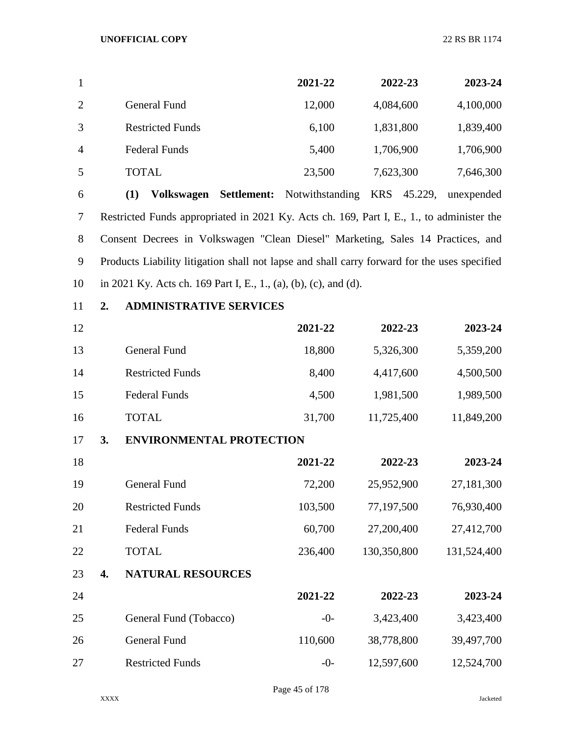| 1              |                         | 2021-22 | 2022-23   | 2023-24   |
|----------------|-------------------------|---------|-----------|-----------|
| 2              | General Fund            | 12,000  | 4,084,600 | 4,100,000 |
| 3              | <b>Restricted Funds</b> | 6,100   | 1,831,800 | 1,839,400 |
| $\overline{4}$ | <b>Federal Funds</b>    | 5,400   | 1,706,900 | 1,706,900 |
| 5              | <b>TOTAL</b>            | 23,500  | 7,623,300 | 7,646,300 |
|                |                         |         |           |           |

 **(1) Volkswagen Settlement:** Notwithstanding KRS 45.229, unexpended Restricted Funds appropriated in 2021 Ky. Acts ch. 169, Part I, E., 1., to administer the Consent Decrees in Volkswagen "Clean Diesel" Marketing, Sales 14 Practices, and Products Liability litigation shall not lapse and shall carry forward for the uses specified in 2021 Ky. Acts ch. 169 Part I, E., 1., (a), (b), (c), and (d).

**2. ADMINISTRATIVE SERVICES**

| 12 |    |                                 | 2021-22 | 2022-23     | 2023-24     |
|----|----|---------------------------------|---------|-------------|-------------|
| 13 |    | <b>General Fund</b>             | 18,800  | 5,326,300   | 5,359,200   |
| 14 |    | <b>Restricted Funds</b>         | 8,400   | 4,417,600   | 4,500,500   |
| 15 |    | <b>Federal Funds</b>            | 4,500   | 1,981,500   | 1,989,500   |
| 16 |    | <b>TOTAL</b>                    | 31,700  | 11,725,400  | 11,849,200  |
| 17 | 3. | <b>ENVIRONMENTAL PROTECTION</b> |         |             |             |
| 18 |    |                                 | 2021-22 | 2022-23     | 2023-24     |
| 19 |    | <b>General Fund</b>             | 72,200  | 25,952,900  | 27,181,300  |
| 20 |    | <b>Restricted Funds</b>         | 103,500 | 77,197,500  | 76,930,400  |
| 21 |    | <b>Federal Funds</b>            | 60,700  | 27,200,400  | 27,412,700  |
| 22 |    | <b>TOTAL</b>                    | 236,400 | 130,350,800 | 131,524,400 |
| 23 | 4. | <b>NATURAL RESOURCES</b>        |         |             |             |
| 24 |    |                                 | 2021-22 | 2022-23     | 2023-24     |
| 25 |    | General Fund (Tobacco)          | $-0-$   | 3,423,400   | 3,423,400   |
| 26 |    | <b>General Fund</b>             | 110,600 | 38,778,800  | 39,497,700  |
| 27 |    | <b>Restricted Funds</b>         | $-0-$   | 12,597,600  | 12,524,700  |
|    |    |                                 |         |             |             |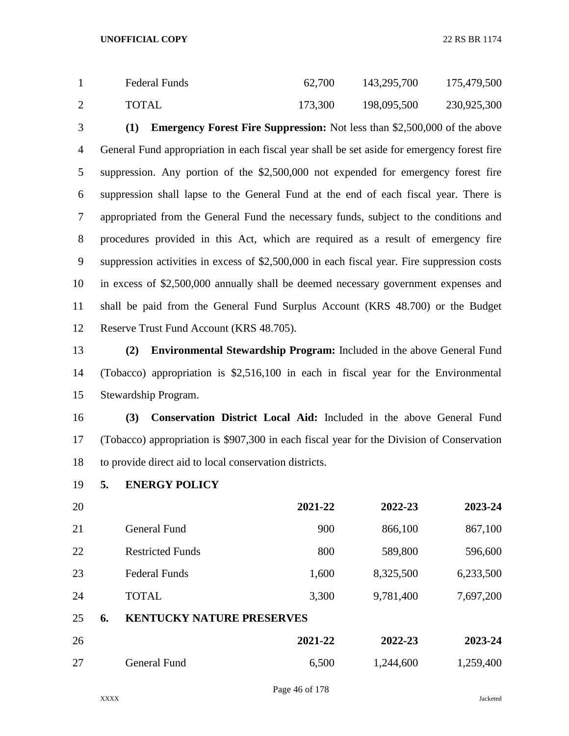| Federal Funds | 62,700  | 143,295,700 | 175,479,500 |
|---------------|---------|-------------|-------------|
| TOTAL         | 173,300 | 198,095,500 | 230,925,300 |

 **(1) Emergency Forest Fire Suppression:** Not less than \$2,500,000 of the above General Fund appropriation in each fiscal year shall be set aside for emergency forest fire suppression. Any portion of the \$2,500,000 not expended for emergency forest fire suppression shall lapse to the General Fund at the end of each fiscal year. There is appropriated from the General Fund the necessary funds, subject to the conditions and procedures provided in this Act, which are required as a result of emergency fire suppression activities in excess of \$2,500,000 in each fiscal year. Fire suppression costs in excess of \$2,500,000 annually shall be deemed necessary government expenses and shall be paid from the General Fund Surplus Account (KRS 48.700) or the Budget Reserve Trust Fund Account (KRS 48.705).

 **(2) Environmental Stewardship Program:** Included in the above General Fund (Tobacco) appropriation is \$2,516,100 in each in fiscal year for the Environmental Stewardship Program.

 **(3) Conservation District Local Aid:** Included in the above General Fund (Tobacco) appropriation is \$907,300 in each fiscal year for the Division of Conservation to provide direct aid to local conservation districts.

**5. ENERGY POLICY**

| 20 |    |                                  | 2021-22 | 2022-23   | 2023-24   |
|----|----|----------------------------------|---------|-----------|-----------|
| 21 |    | General Fund                     | 900     | 866,100   | 867,100   |
| 22 |    | <b>Restricted Funds</b>          | 800     | 589,800   | 596,600   |
| 23 |    | <b>Federal Funds</b>             | 1,600   | 8,325,500 | 6,233,500 |
| 24 |    | <b>TOTAL</b>                     | 3,300   | 9,781,400 | 7,697,200 |
| 25 | 6. | <b>KENTUCKY NATURE PRESERVES</b> |         |           |           |
| 26 |    |                                  | 2021-22 | 2022-23   | 2023-24   |
| 27 |    | <b>General Fund</b>              | 6,500   | 1,244,600 | 1,259,400 |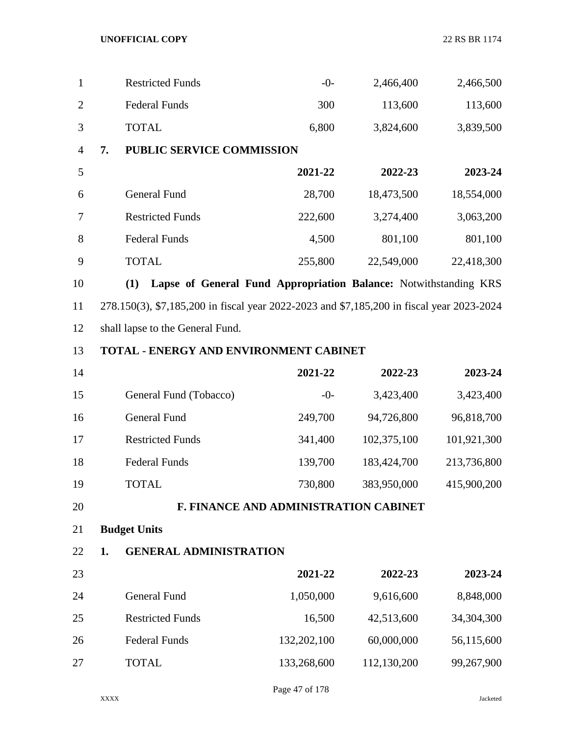| $\mathbf{1}$   | <b>Restricted Funds</b>                                                                   | $-0-$   | 2,466,400   | 2,466,500   |
|----------------|-------------------------------------------------------------------------------------------|---------|-------------|-------------|
| $\overline{2}$ | <b>Federal Funds</b>                                                                      | 300     | 113,600     | 113,600     |
| 3              | <b>TOTAL</b>                                                                              | 6,800   | 3,824,600   | 3,839,500   |
| $\overline{4}$ | 7.<br>PUBLIC SERVICE COMMISSION                                                           |         |             |             |
| 5              |                                                                                           | 2021-22 | 2022-23     | 2023-24     |
| 6              | <b>General Fund</b>                                                                       | 28,700  | 18,473,500  | 18,554,000  |
| $\overline{7}$ | <b>Restricted Funds</b>                                                                   | 222,600 | 3,274,400   | 3,063,200   |
| 8              | <b>Federal Funds</b>                                                                      | 4,500   | 801,100     | 801,100     |
| 9              | <b>TOTAL</b>                                                                              | 255,800 | 22,549,000  | 22,418,300  |
| 10             | Lapse of General Fund Appropriation Balance: Notwithstanding KRS<br>(1)                   |         |             |             |
| 11             | 278.150(3), \$7,185,200 in fiscal year 2022-2023 and \$7,185,200 in fiscal year 2023-2024 |         |             |             |
| 12             | shall lapse to the General Fund.                                                          |         |             |             |
| 13             | <b>TOTAL - ENERGY AND ENVIRONMENT CABINET</b>                                             |         |             |             |
| 14             |                                                                                           | 2021-22 | 2022-23     | 2023-24     |
| 15             | General Fund (Tobacco)                                                                    | $-0-$   | 3,423,400   | 3,423,400   |
| 16             | <b>General Fund</b>                                                                       | 249,700 | 94,726,800  | 96,818,700  |
| 17             | <b>Restricted Funds</b>                                                                   | 341,400 | 102,375,100 | 101,921,300 |
| 18             | <b>Federal Funds</b>                                                                      | 139,700 | 183,424,700 | 213,736,800 |
| 19             | <b>TOTAL</b>                                                                              | 730,800 | 383,950,000 | 415,900,200 |
| 20             | F. FINANCE AND ADMINISTRATION CABINET                                                     |         |             |             |
| 21             | <b>Budget Units</b>                                                                       |         |             |             |

**1. GENERAL ADMINISTRATION**

| 23 |                         | 2021-22     | 2022-23     | 2023-24    |
|----|-------------------------|-------------|-------------|------------|
| 24 | General Fund            | 1,050,000   | 9,616,600   | 8,848,000  |
| 25 | <b>Restricted Funds</b> | 16,500      | 42,513,600  | 34,304,300 |
| 26 | <b>Federal Funds</b>    | 132,202,100 | 60,000,000  | 56,115,600 |
| 27 | <b>TOTAL</b>            | 133,268,600 | 112,130,200 | 99,267,900 |

Page 47 of 178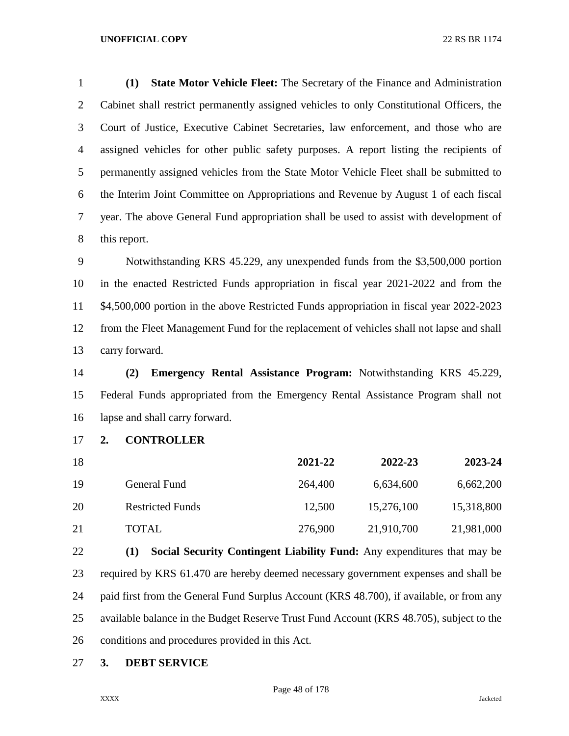**(1) State Motor Vehicle Fleet:** The Secretary of the Finance and Administration Cabinet shall restrict permanently assigned vehicles to only Constitutional Officers, the Court of Justice, Executive Cabinet Secretaries, law enforcement, and those who are assigned vehicles for other public safety purposes. A report listing the recipients of permanently assigned vehicles from the State Motor Vehicle Fleet shall be submitted to the Interim Joint Committee on Appropriations and Revenue by August 1 of each fiscal year. The above General Fund appropriation shall be used to assist with development of this report.

 Notwithstanding KRS 45.229, any unexpended funds from the \$3,500,000 portion in the enacted Restricted Funds appropriation in fiscal year 2021-2022 and from the \$4,500,000 portion in the above Restricted Funds appropriation in fiscal year 2022-2023 from the Fleet Management Fund for the replacement of vehicles shall not lapse and shall carry forward.

 **(2) Emergency Rental Assistance Program:** Notwithstanding KRS 45.229, Federal Funds appropriated from the Emergency Rental Assistance Program shall not lapse and shall carry forward.

**2. CONTROLLER**

| 18  |                         | 2021-22 | 2022-23    | 2023-24    |
|-----|-------------------------|---------|------------|------------|
| -19 | General Fund            | 264,400 | 6,634,600  | 6,662,200  |
| 20  | <b>Restricted Funds</b> | 12,500  | 15,276,100 | 15,318,800 |
| 21  | <b>TOTAL</b>            | 276,900 | 21,910,700 | 21,981,000 |

 **(1) Social Security Contingent Liability Fund:** Any expenditures that may be required by KRS 61.470 are hereby deemed necessary government expenses and shall be paid first from the General Fund Surplus Account (KRS 48.700), if available, or from any available balance in the Budget Reserve Trust Fund Account (KRS 48.705), subject to the conditions and procedures provided in this Act.

**3. DEBT SERVICE**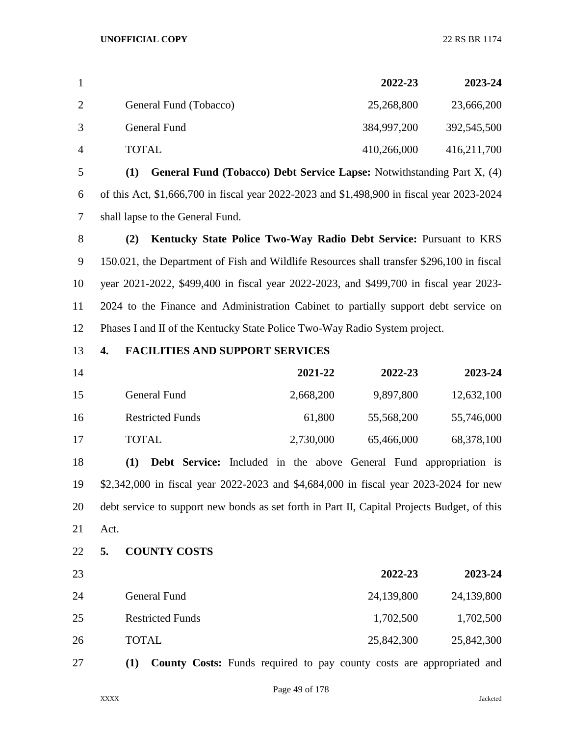|   |                        | 2022-23     | 2023-24     |
|---|------------------------|-------------|-------------|
|   | General Fund (Tobacco) | 25,268,800  | 23,666,200  |
|   | General Fund           | 384,997,200 | 392,545,500 |
| 4 | TOTAL                  | 410,266,000 | 416,211,700 |

 **(1) General Fund (Tobacco) Debt Service Lapse:** Notwithstanding Part X, (4) of this Act, \$1,666,700 in fiscal year 2022-2023 and \$1,498,900 in fiscal year 2023-2024 shall lapse to the General Fund.

 **(2) Kentucky State Police Two-Way Radio Debt Service:** Pursuant to KRS 150.021, the Department of Fish and Wildlife Resources shall transfer \$296,100 in fiscal year 2021-2022, \$499,400 in fiscal year 2022-2023, and \$499,700 in fiscal year 2023- 2024 to the Finance and Administration Cabinet to partially support debt service on Phases I and II of the Kentucky State Police Two-Way Radio System project.

## **4. FACILITIES AND SUPPORT SERVICES**

| 14  |                         | 2021-22   | 2022-23    | 2023-24    |
|-----|-------------------------|-----------|------------|------------|
| 15  | General Fund            | 2,668,200 | 9,897,800  | 12,632,100 |
| -16 | <b>Restricted Funds</b> | 61,800    | 55,568,200 | 55,746,000 |
| -17 | <b>TOTAL</b>            | 2,730,000 | 65,466,000 | 68,378,100 |

 **(1) Debt Service:** Included in the above General Fund appropriation is \$2,342,000 in fiscal year 2022-2023 and \$4,684,000 in fiscal year 2023-2024 for new debt service to support new bonds as set forth in Part II, Capital Projects Budget, of this Act.

## **5. COUNTY COSTS**

| 23 |                         | 2022-23    | 2023-24    |
|----|-------------------------|------------|------------|
| 24 | General Fund            | 24,139,800 | 24,139,800 |
| 25 | <b>Restricted Funds</b> | 1,702,500  | 1,702,500  |
| 26 | <b>TOTAL</b>            | 25,842,300 | 25,842,300 |

**(1) County Costs:** Funds required to pay county costs are appropriated and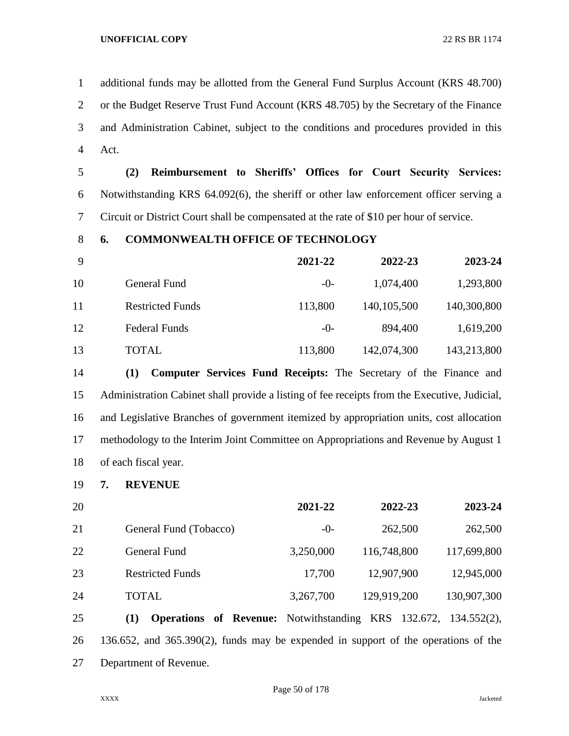additional funds may be allotted from the General Fund Surplus Account (KRS 48.700) or the Budget Reserve Trust Fund Account (KRS 48.705) by the Secretary of the Finance and Administration Cabinet, subject to the conditions and procedures provided in this Act.

 **(2) Reimbursement to Sheriffs' Offices for Court Security Services:**  Notwithstanding KRS 64.092(6), the sheriff or other law enforcement officer serving a Circuit or District Court shall be compensated at the rate of \$10 per hour of service.

## **6. COMMONWEALTH OFFICE OF TECHNOLOGY**

| - 9 |                         | 2021-22 | 2022-23       | 2023-24     |
|-----|-------------------------|---------|---------------|-------------|
| 10  | General Fund            | $-()$ - | 1,074,400     | 1,293,800   |
| 11  | <b>Restricted Funds</b> | 113,800 | 140, 105, 500 | 140,300,800 |
| 12  | <b>Federal Funds</b>    | $-0-$   | 894,400       | 1,619,200   |
| 13  | TOTAL                   | 113,800 | 142,074,300   | 143,213,800 |

 **(1) Computer Services Fund Receipts:** The Secretary of the Finance and Administration Cabinet shall provide a listing of fee receipts from the Executive, Judicial, and Legislative Branches of government itemized by appropriation units, cost allocation methodology to the Interim Joint Committee on Appropriations and Revenue by August 1 of each fiscal year.

**7. REVENUE**

| 20 |                                                                                    | 2021-22   | 2022-23     | 2023-24     |
|----|------------------------------------------------------------------------------------|-----------|-------------|-------------|
| 21 | General Fund (Tobacco)                                                             | $-0-$     | 262,500     | 262,500     |
| 22 | <b>General Fund</b>                                                                | 3,250,000 | 116,748,800 | 117,699,800 |
| 23 | <b>Restricted Funds</b>                                                            | 17,700    | 12,907,900  | 12,945,000  |
| 24 | <b>TOTAL</b>                                                                       | 3,267,700 | 129,919,200 | 130,907,300 |
| 25 | <b>Operations of Revenue:</b> Notwithstanding KRS 132.672, 134.552(2),<br>(1)      |           |             |             |
| 26 | 136.652, and 365.390(2), funds may be expended in support of the operations of the |           |             |             |
| 27 | Department of Revenue.                                                             |           |             |             |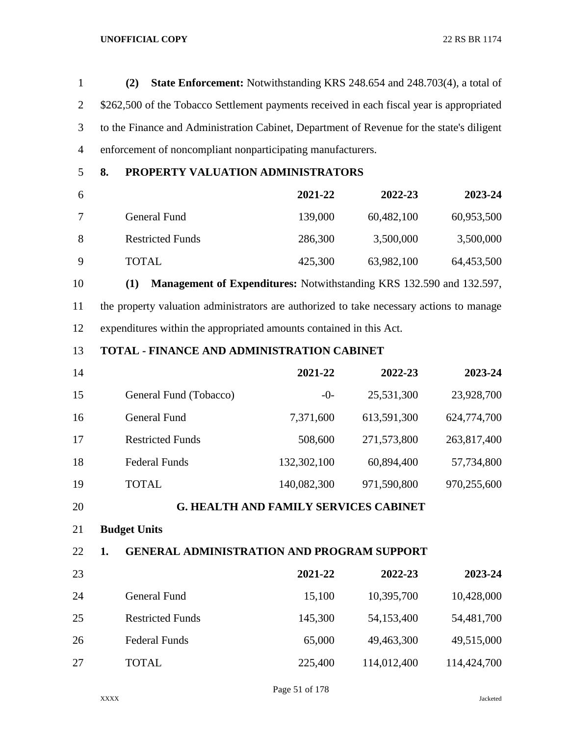| $\mathbf{1}$   | <b>State Enforcement:</b> Notwithstanding KRS 248.654 and 248.703(4), a total of<br>(2)   |                                              |             |             |  |
|----------------|-------------------------------------------------------------------------------------------|----------------------------------------------|-------------|-------------|--|
| $\overline{2}$ | \$262,500 of the Tobacco Settlement payments received in each fiscal year is appropriated |                                              |             |             |  |
| 3              | to the Finance and Administration Cabinet, Department of Revenue for the state's diligent |                                              |             |             |  |
| $\overline{4}$ | enforcement of noncompliant nonparticipating manufacturers.                               |                                              |             |             |  |
| 5              | 8.<br>PROPERTY VALUATION ADMINISTRATORS                                                   |                                              |             |             |  |
| 6              |                                                                                           | 2021-22                                      | 2022-23     | 2023-24     |  |
| 7              | <b>General Fund</b>                                                                       | 139,000                                      | 60,482,100  | 60,953,500  |  |
| 8              | <b>Restricted Funds</b>                                                                   | 286,300                                      | 3,500,000   | 3,500,000   |  |
| 9              | <b>TOTAL</b>                                                                              | 425,300                                      | 63,982,100  | 64,453,500  |  |
| 10             | (1)<br>Management of Expenditures: Notwithstanding KRS 132.590 and 132.597,               |                                              |             |             |  |
| 11             | the property valuation administrators are authorized to take necessary actions to manage  |                                              |             |             |  |
| 12             | expenditures within the appropriated amounts contained in this Act.                       |                                              |             |             |  |
| 13             | TOTAL - FINANCE AND ADMINISTRATION CABINET                                                |                                              |             |             |  |
| 14             |                                                                                           | 2021-22                                      | 2022-23     | 2023-24     |  |
| 15             | General Fund (Tobacco)                                                                    | $-0-$                                        | 25,531,300  | 23,928,700  |  |
| 16             | <b>General Fund</b>                                                                       | 7,371,600                                    | 613,591,300 | 624,774,700 |  |
| 17             | <b>Restricted Funds</b>                                                                   | 508,600                                      | 271,573,800 | 263,817,400 |  |
| 18             | <b>Federal Funds</b>                                                                      | 132,302,100                                  | 60,894,400  | 57,734,800  |  |
| 19             | <b>TOTAL</b>                                                                              | 140,082,300                                  | 971,590,800 | 970,255,600 |  |
| 20             |                                                                                           | <b>G. HEALTH AND FAMILY SERVICES CABINET</b> |             |             |  |
| 21             | <b>Budget Units</b>                                                                       |                                              |             |             |  |
| 22             | <b>GENERAL ADMINISTRATION AND PROGRAM SUPPORT</b><br>1.                                   |                                              |             |             |  |
| 23             |                                                                                           | 2021-22                                      | 2022-23     | 2023-24     |  |
| 24             | <b>General Fund</b>                                                                       | 15,100                                       | 10,395,700  | 10,428,000  |  |
| 25             | <b>Restricted Funds</b>                                                                   | 145,300                                      | 54,153,400  | 54,481,700  |  |
| 26             | <b>Federal Funds</b>                                                                      | 65,000                                       | 49,463,300  | 49,515,000  |  |
| 27             | <b>TOTAL</b>                                                                              | 225,400                                      | 114,012,400 | 114,424,700 |  |

Page 51 of 178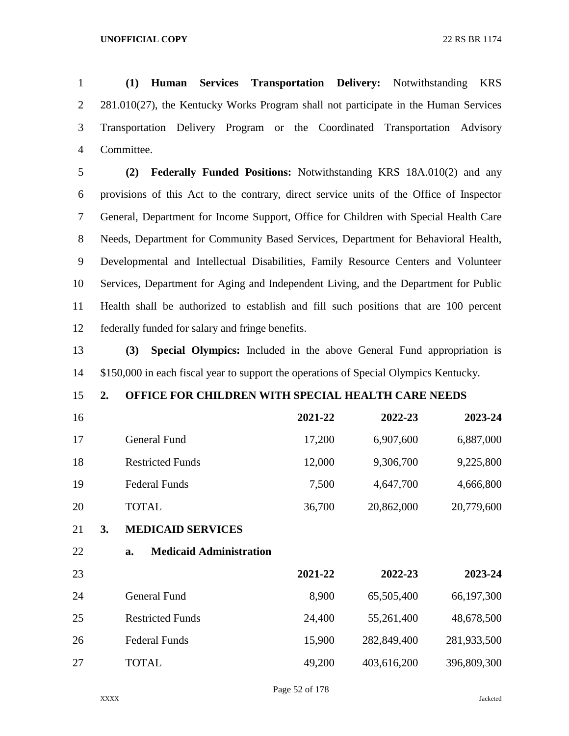**(1) Human Services Transportation Delivery:** Notwithstanding KRS 281.010(27), the Kentucky Works Program shall not participate in the Human Services Transportation Delivery Program or the Coordinated Transportation Advisory Committee.

 **(2) Federally Funded Positions:** Notwithstanding KRS 18A.010(2) and any provisions of this Act to the contrary, direct service units of the Office of Inspector General, Department for Income Support, Office for Children with Special Health Care Needs, Department for Community Based Services, Department for Behavioral Health, Developmental and Intellectual Disabilities, Family Resource Centers and Volunteer Services, Department for Aging and Independent Living, and the Department for Public Health shall be authorized to establish and fill such positions that are 100 percent federally funded for salary and fringe benefits.

 **(3) Special Olympics:** Included in the above General Fund appropriation is \$150,000 in each fiscal year to support the operations of Special Olympics Kentucky.

# **2. OFFICE FOR CHILDREN WITH SPECIAL HEALTH CARE NEEDS**

| 16       |                                      | 2021-22 | 2022-23     | 2023-24     |
|----------|--------------------------------------|---------|-------------|-------------|
| 17       | <b>General Fund</b>                  | 17,200  | 6,907,600   | 6,887,000   |
| 18       | <b>Restricted Funds</b>              | 12,000  | 9,306,700   | 9,225,800   |
| 19       | <b>Federal Funds</b>                 | 7,500   | 4,647,700   | 4,666,800   |
| 20       | <b>TOTAL</b>                         | 36,700  | 20,862,000  | 20,779,600  |
| 21<br>3. | <b>MEDICAID SERVICES</b>             |         |             |             |
| 22       | <b>Medicaid Administration</b><br>a. |         |             |             |
| 23       |                                      | 2021-22 | 2022-23     | 2023-24     |
| 24       | <b>General Fund</b>                  | 8,900   | 65,505,400  | 66,197,300  |
| 25       | <b>Restricted Funds</b>              | 24,400  | 55,261,400  | 48,678,500  |
| 26       | <b>Federal Funds</b>                 | 15,900  | 282,849,400 | 281,933,500 |
| 27       | <b>TOTAL</b>                         | 49,200  | 403,616,200 | 396,809,300 |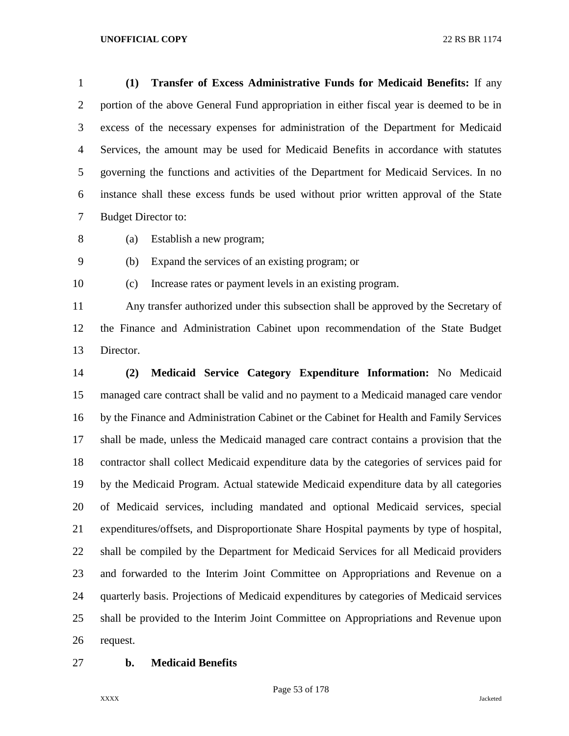**(1) Transfer of Excess Administrative Funds for Medicaid Benefits:** If any portion of the above General Fund appropriation in either fiscal year is deemed to be in excess of the necessary expenses for administration of the Department for Medicaid Services, the amount may be used for Medicaid Benefits in accordance with statutes governing the functions and activities of the Department for Medicaid Services. In no instance shall these excess funds be used without prior written approval of the State Budget Director to:

(a) Establish a new program;

(b) Expand the services of an existing program; or

(c) Increase rates or payment levels in an existing program.

 Any transfer authorized under this subsection shall be approved by the Secretary of the Finance and Administration Cabinet upon recommendation of the State Budget Director.

 **(2) Medicaid Service Category Expenditure Information:** No Medicaid managed care contract shall be valid and no payment to a Medicaid managed care vendor by the Finance and Administration Cabinet or the Cabinet for Health and Family Services shall be made, unless the Medicaid managed care contract contains a provision that the contractor shall collect Medicaid expenditure data by the categories of services paid for by the Medicaid Program. Actual statewide Medicaid expenditure data by all categories of Medicaid services, including mandated and optional Medicaid services, special expenditures/offsets, and Disproportionate Share Hospital payments by type of hospital, shall be compiled by the Department for Medicaid Services for all Medicaid providers and forwarded to the Interim Joint Committee on Appropriations and Revenue on a quarterly basis. Projections of Medicaid expenditures by categories of Medicaid services shall be provided to the Interim Joint Committee on Appropriations and Revenue upon request.

**b. Medicaid Benefits**

Page 53 of 178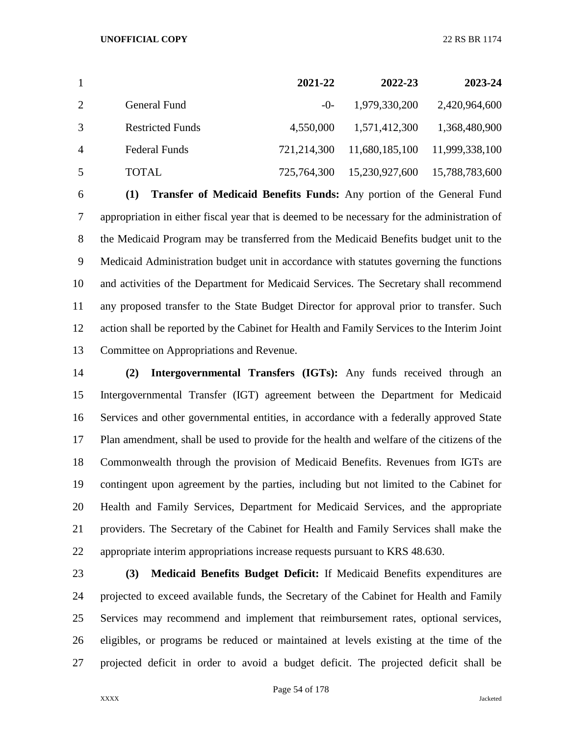|                |                         | 2021-22     | 2022-23        | 2023-24        |
|----------------|-------------------------|-------------|----------------|----------------|
| 2              | General Fund            | $-()$ -     | 1,979,330,200  | 2,420,964,600  |
| 3              | <b>Restricted Funds</b> | 4,550,000   | 1,571,412,300  | 1,368,480,900  |
| $\overline{4}$ | <b>Federal Funds</b>    | 721,214,300 | 11,680,185,100 | 11,999,338,100 |
| 5              | TOTAL.                  | 725,764,300 | 15,230,927,600 | 15,788,783,600 |

 **(1) Transfer of Medicaid Benefits Funds:** Any portion of the General Fund appropriation in either fiscal year that is deemed to be necessary for the administration of the Medicaid Program may be transferred from the Medicaid Benefits budget unit to the Medicaid Administration budget unit in accordance with statutes governing the functions and activities of the Department for Medicaid Services. The Secretary shall recommend any proposed transfer to the State Budget Director for approval prior to transfer. Such action shall be reported by the Cabinet for Health and Family Services to the Interim Joint Committee on Appropriations and Revenue.

 **(2) Intergovernmental Transfers (IGTs):** Any funds received through an Intergovernmental Transfer (IGT) agreement between the Department for Medicaid Services and other governmental entities, in accordance with a federally approved State Plan amendment, shall be used to provide for the health and welfare of the citizens of the Commonwealth through the provision of Medicaid Benefits. Revenues from IGTs are contingent upon agreement by the parties, including but not limited to the Cabinet for Health and Family Services, Department for Medicaid Services, and the appropriate providers. The Secretary of the Cabinet for Health and Family Services shall make the appropriate interim appropriations increase requests pursuant to KRS 48.630.

 **(3) Medicaid Benefits Budget Deficit:** If Medicaid Benefits expenditures are projected to exceed available funds, the Secretary of the Cabinet for Health and Family Services may recommend and implement that reimbursement rates, optional services, eligibles, or programs be reduced or maintained at levels existing at the time of the projected deficit in order to avoid a budget deficit. The projected deficit shall be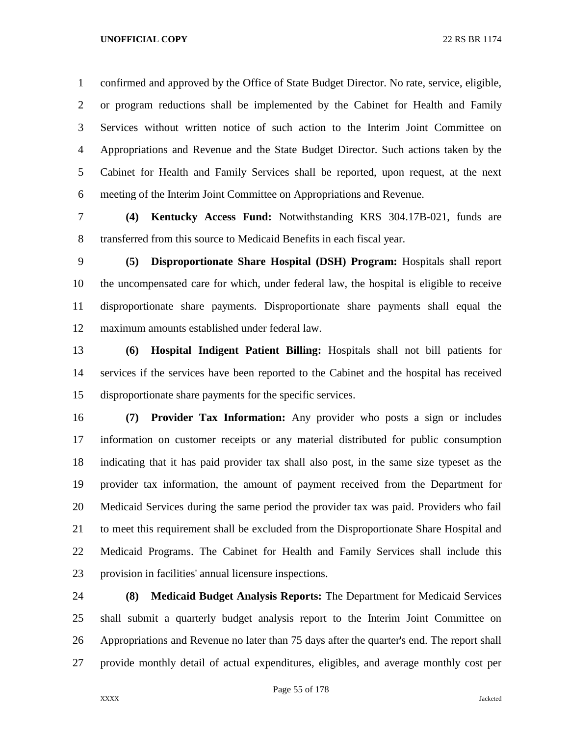confirmed and approved by the Office of State Budget Director. No rate, service, eligible, or program reductions shall be implemented by the Cabinet for Health and Family Services without written notice of such action to the Interim Joint Committee on Appropriations and Revenue and the State Budget Director. Such actions taken by the Cabinet for Health and Family Services shall be reported, upon request, at the next meeting of the Interim Joint Committee on Appropriations and Revenue.

 **(4) Kentucky Access Fund:** Notwithstanding KRS 304.17B-021, funds are transferred from this source to Medicaid Benefits in each fiscal year.

 **(5) Disproportionate Share Hospital (DSH) Program:** Hospitals shall report the uncompensated care for which, under federal law, the hospital is eligible to receive disproportionate share payments. Disproportionate share payments shall equal the maximum amounts established under federal law.

 **(6) Hospital Indigent Patient Billing:** Hospitals shall not bill patients for services if the services have been reported to the Cabinet and the hospital has received disproportionate share payments for the specific services.

 **(7) Provider Tax Information:** Any provider who posts a sign or includes information on customer receipts or any material distributed for public consumption indicating that it has paid provider tax shall also post, in the same size typeset as the provider tax information, the amount of payment received from the Department for Medicaid Services during the same period the provider tax was paid. Providers who fail to meet this requirement shall be excluded from the Disproportionate Share Hospital and Medicaid Programs. The Cabinet for Health and Family Services shall include this provision in facilities' annual licensure inspections.

 **(8) Medicaid Budget Analysis Reports:** The Department for Medicaid Services shall submit a quarterly budget analysis report to the Interim Joint Committee on Appropriations and Revenue no later than 75 days after the quarter's end. The report shall provide monthly detail of actual expenditures, eligibles, and average monthly cost per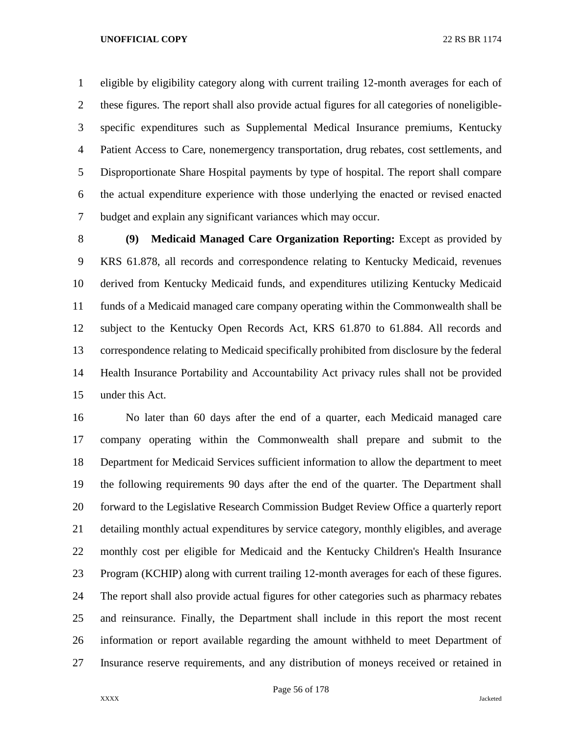eligible by eligibility category along with current trailing 12-month averages for each of these figures. The report shall also provide actual figures for all categories of noneligible- specific expenditures such as Supplemental Medical Insurance premiums, Kentucky Patient Access to Care, nonemergency transportation, drug rebates, cost settlements, and Disproportionate Share Hospital payments by type of hospital. The report shall compare the actual expenditure experience with those underlying the enacted or revised enacted budget and explain any significant variances which may occur.

 **(9) Medicaid Managed Care Organization Reporting:** Except as provided by KRS 61.878, all records and correspondence relating to Kentucky Medicaid, revenues derived from Kentucky Medicaid funds, and expenditures utilizing Kentucky Medicaid funds of a Medicaid managed care company operating within the Commonwealth shall be subject to the Kentucky Open Records Act, KRS 61.870 to 61.884. All records and correspondence relating to Medicaid specifically prohibited from disclosure by the federal Health Insurance Portability and Accountability Act privacy rules shall not be provided under this Act.

 No later than 60 days after the end of a quarter, each Medicaid managed care company operating within the Commonwealth shall prepare and submit to the Department for Medicaid Services sufficient information to allow the department to meet the following requirements 90 days after the end of the quarter. The Department shall forward to the Legislative Research Commission Budget Review Office a quarterly report detailing monthly actual expenditures by service category, monthly eligibles, and average monthly cost per eligible for Medicaid and the Kentucky Children's Health Insurance Program (KCHIP) along with current trailing 12-month averages for each of these figures. The report shall also provide actual figures for other categories such as pharmacy rebates and reinsurance. Finally, the Department shall include in this report the most recent information or report available regarding the amount withheld to meet Department of Insurance reserve requirements, and any distribution of moneys received or retained in

Page 56 of 178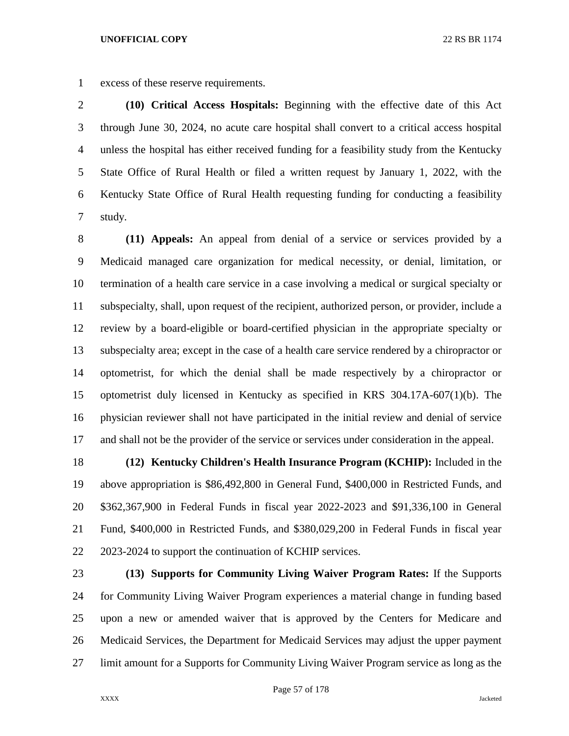excess of these reserve requirements.

 **(10) Critical Access Hospitals:** Beginning with the effective date of this Act through June 30, 2024, no acute care hospital shall convert to a critical access hospital unless the hospital has either received funding for a feasibility study from the Kentucky State Office of Rural Health or filed a written request by January 1, 2022, with the Kentucky State Office of Rural Health requesting funding for conducting a feasibility study.

 **(11) Appeals:** An appeal from denial of a service or services provided by a Medicaid managed care organization for medical necessity, or denial, limitation, or termination of a health care service in a case involving a medical or surgical specialty or subspecialty, shall, upon request of the recipient, authorized person, or provider, include a review by a board-eligible or board-certified physician in the appropriate specialty or subspecialty area; except in the case of a health care service rendered by a chiropractor or optometrist, for which the denial shall be made respectively by a chiropractor or optometrist duly licensed in Kentucky as specified in KRS 304.17A-607(1)(b). The physician reviewer shall not have participated in the initial review and denial of service and shall not be the provider of the service or services under consideration in the appeal.

 **(12) Kentucky Children's Health Insurance Program (KCHIP):** Included in the above appropriation is \$86,492,800 in General Fund, \$400,000 in Restricted Funds, and \$362,367,900 in Federal Funds in fiscal year 2022-2023 and \$91,336,100 in General Fund, \$400,000 in Restricted Funds, and \$380,029,200 in Federal Funds in fiscal year 2023-2024 to support the continuation of KCHIP services.

 **(13) Supports for Community Living Waiver Program Rates:** If the Supports for Community Living Waiver Program experiences a material change in funding based upon a new or amended waiver that is approved by the Centers for Medicare and Medicaid Services, the Department for Medicaid Services may adjust the upper payment limit amount for a Supports for Community Living Waiver Program service as long as the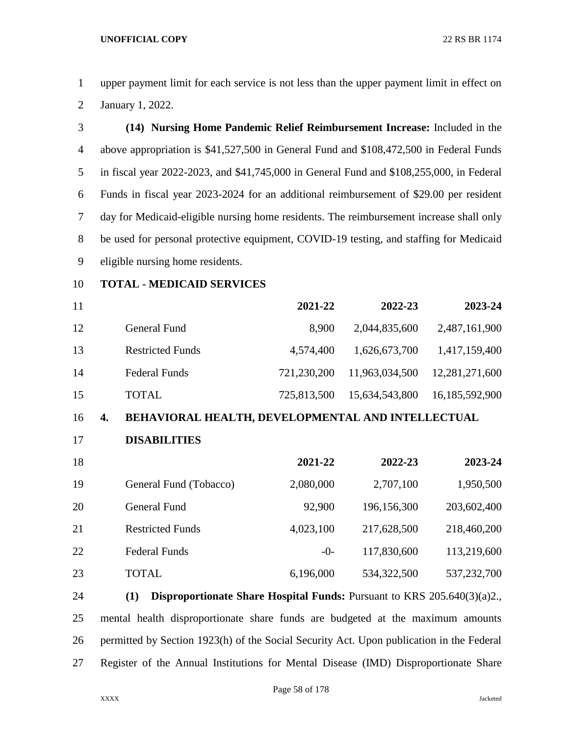upper payment limit for each service is not less than the upper payment limit in effect on January 1, 2022.

| 3              | (14) Nursing Home Pandemic Relief Reimbursement Increase: Included in the                |
|----------------|------------------------------------------------------------------------------------------|
| $\overline{A}$ | above appropriation is \$41,527,500 in General Fund and \$108,472,500 in Federal Funds   |
| 5              | in fiscal year 2022-2023, and \$41,745,000 in General Fund and \$108,255,000, in Federal |
| 6              | Funds in fiscal year 2023-2024 for an additional reimbursement of \$29.00 per resident   |
| 7              | day for Medicaid-eligible nursing home residents. The reimbursement increase shall only  |
| 8              | be used for personal protective equipment, COVID-19 testing, and staffing for Medicaid   |
| 9              | eligible nursing home residents.                                                         |

**TOTAL - MEDICAID SERVICES**

| 11 |                         | 2021-22     | 2022-23        | 2023-24        |
|----|-------------------------|-------------|----------------|----------------|
| 12 | General Fund            | 8.900       | 2,044,835,600  | 2,487,161,900  |
| 13 | <b>Restricted Funds</b> | 4,574,400   | 1,626,673,700  | 1,417,159,400  |
| 14 | <b>Federal Funds</b>    | 721,230,200 | 11,963,034,500 | 12,281,271,600 |
| 15 | <b>TOTAL</b>            | 725,813,500 | 15,634,543,800 | 16,185,592,900 |

## **4. BEHAVIORAL HEALTH, DEVELOPMENTAL AND INTELLECTUAL**

**DISABILITIES**

| 18 |                         | 2021-22   | 2022-23     | 2023-24     |
|----|-------------------------|-----------|-------------|-------------|
| 19 | General Fund (Tobacco)  | 2,080,000 | 2,707,100   | 1,950,500   |
| 20 | <b>General Fund</b>     | 92,900    | 196,156,300 | 203,602,400 |
| 21 | <b>Restricted Funds</b> | 4,023,100 | 217,628,500 | 218,460,200 |
| 22 | <b>Federal Funds</b>    | $-0-$     | 117,830,600 | 113,219,600 |
| 23 | TOTAL                   | 6,196,000 | 534,322,500 | 537,232,700 |

 **(1) Disproportionate Share Hospital Funds:** Pursuant to KRS 205.640(3)(a)2., mental health disproportionate share funds are budgeted at the maximum amounts permitted by Section 1923(h) of the Social Security Act. Upon publication in the Federal Register of the Annual Institutions for Mental Disease (IMD) Disproportionate Share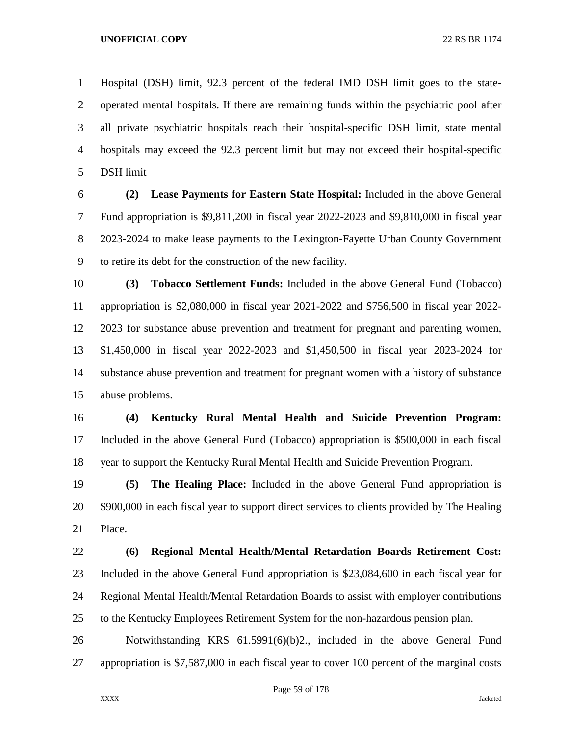Hospital (DSH) limit, 92.3 percent of the federal IMD DSH limit goes to the state- operated mental hospitals. If there are remaining funds within the psychiatric pool after all private psychiatric hospitals reach their hospital-specific DSH limit, state mental hospitals may exceed the 92.3 percent limit but may not exceed their hospital-specific DSH limit

 **(2) Lease Payments for Eastern State Hospital:** Included in the above General Fund appropriation is \$9,811,200 in fiscal year 2022-2023 and \$9,810,000 in fiscal year 2023-2024 to make lease payments to the Lexington-Fayette Urban County Government to retire its debt for the construction of the new facility.

 **(3) Tobacco Settlement Funds:** Included in the above General Fund (Tobacco) appropriation is \$2,080,000 in fiscal year 2021-2022 and \$756,500 in fiscal year 2022- 2023 for substance abuse prevention and treatment for pregnant and parenting women, \$1,450,000 in fiscal year 2022-2023 and \$1,450,500 in fiscal year 2023-2024 for substance abuse prevention and treatment for pregnant women with a history of substance abuse problems.

 **(4) Kentucky Rural Mental Health and Suicide Prevention Program:**  Included in the above General Fund (Tobacco) appropriation is \$500,000 in each fiscal year to support the Kentucky Rural Mental Health and Suicide Prevention Program.

 **(5) The Healing Place:** Included in the above General Fund appropriation is 20 \$900,000 in each fiscal year to support direct services to clients provided by The Healing Place.

 **(6) Regional Mental Health/Mental Retardation Boards Retirement Cost:**  Included in the above General Fund appropriation is \$23,084,600 in each fiscal year for Regional Mental Health/Mental Retardation Boards to assist with employer contributions to the Kentucky Employees Retirement System for the non-hazardous pension plan.

 Notwithstanding KRS 61.5991(6)(b)2., included in the above General Fund appropriation is \$7,587,000 in each fiscal year to cover 100 percent of the marginal costs

Page 59 of 178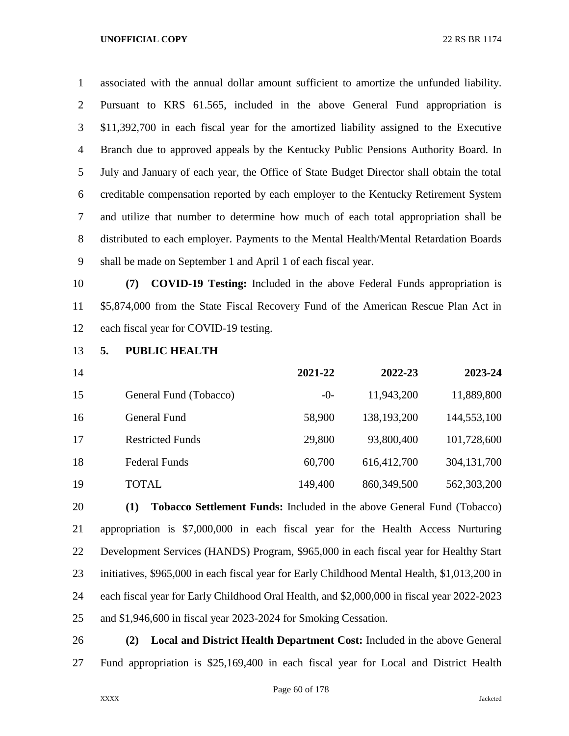associated with the annual dollar amount sufficient to amortize the unfunded liability. Pursuant to KRS 61.565, included in the above General Fund appropriation is \$11,392,700 in each fiscal year for the amortized liability assigned to the Executive Branch due to approved appeals by the Kentucky Public Pensions Authority Board. In July and January of each year, the Office of State Budget Director shall obtain the total creditable compensation reported by each employer to the Kentucky Retirement System and utilize that number to determine how much of each total appropriation shall be distributed to each employer. Payments to the Mental Health/Mental Retardation Boards shall be made on September 1 and April 1 of each fiscal year.

 **(7) COVID-19 Testing:** Included in the above Federal Funds appropriation is \$5,874,000 from the State Fiscal Recovery Fund of the American Rescue Plan Act in each fiscal year for COVID-19 testing.

**5. PUBLIC HEALTH**

| 14 |                         | 2021-22 | 2022-23     | 2023-24     |
|----|-------------------------|---------|-------------|-------------|
| 15 | General Fund (Tobacco)  | $-0-$   | 11,943,200  | 11,889,800  |
| 16 | General Fund            | 58,900  | 138,193,200 | 144,553,100 |
| 17 | <b>Restricted Funds</b> | 29,800  | 93,800,400  | 101,728,600 |
| 18 | <b>Federal Funds</b>    | 60,700  | 616,412,700 | 304,131,700 |
| 19 | <b>TOTAL</b>            | 149,400 | 860,349,500 | 562,303,200 |

 **(1) Tobacco Settlement Funds:** Included in the above General Fund (Tobacco) appropriation is \$7,000,000 in each fiscal year for the Health Access Nurturing Development Services (HANDS) Program, \$965,000 in each fiscal year for Healthy Start initiatives, \$965,000 in each fiscal year for Early Childhood Mental Health, \$1,013,200 in each fiscal year for Early Childhood Oral Health, and \$2,000,000 in fiscal year 2022-2023 and \$1,946,600 in fiscal year 2023-2024 for Smoking Cessation.

 **(2) Local and District Health Department Cost:** Included in the above General Fund appropriation is \$25,169,400 in each fiscal year for Local and District Health

Page 60 of 178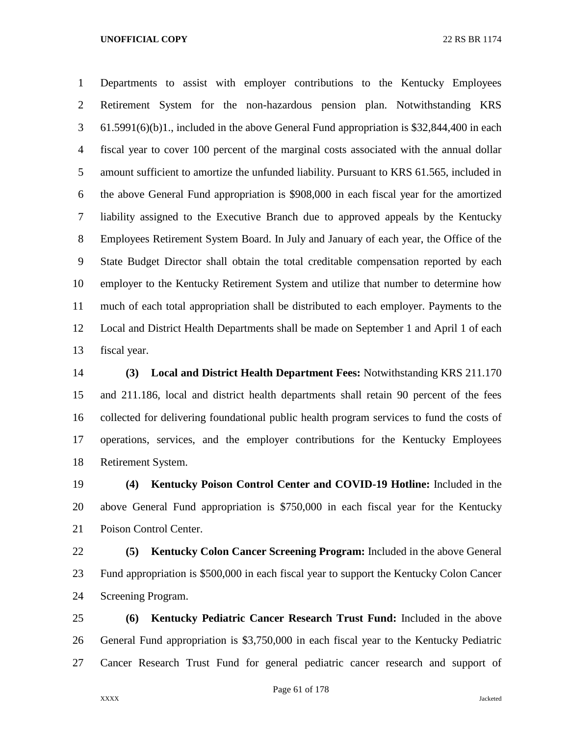Departments to assist with employer contributions to the Kentucky Employees Retirement System for the non-hazardous pension plan. Notwithstanding KRS 61.5991(6)(b)1., included in the above General Fund appropriation is \$32,844,400 in each fiscal year to cover 100 percent of the marginal costs associated with the annual dollar amount sufficient to amortize the unfunded liability. Pursuant to KRS 61.565, included in the above General Fund appropriation is \$908,000 in each fiscal year for the amortized liability assigned to the Executive Branch due to approved appeals by the Kentucky Employees Retirement System Board. In July and January of each year, the Office of the State Budget Director shall obtain the total creditable compensation reported by each employer to the Kentucky Retirement System and utilize that number to determine how much of each total appropriation shall be distributed to each employer. Payments to the Local and District Health Departments shall be made on September 1 and April 1 of each fiscal year.

 **(3) Local and District Health Department Fees:** Notwithstanding KRS 211.170 and 211.186, local and district health departments shall retain 90 percent of the fees collected for delivering foundational public health program services to fund the costs of operations, services, and the employer contributions for the Kentucky Employees Retirement System.

 **(4) Kentucky Poison Control Center and COVID-19 Hotline:** Included in the above General Fund appropriation is \$750,000 in each fiscal year for the Kentucky Poison Control Center.

 **(5) Kentucky Colon Cancer Screening Program:** Included in the above General Fund appropriation is \$500,000 in each fiscal year to support the Kentucky Colon Cancer Screening Program.

 **(6) Kentucky Pediatric Cancer Research Trust Fund:** Included in the above General Fund appropriation is \$3,750,000 in each fiscal year to the Kentucky Pediatric Cancer Research Trust Fund for general pediatric cancer research and support of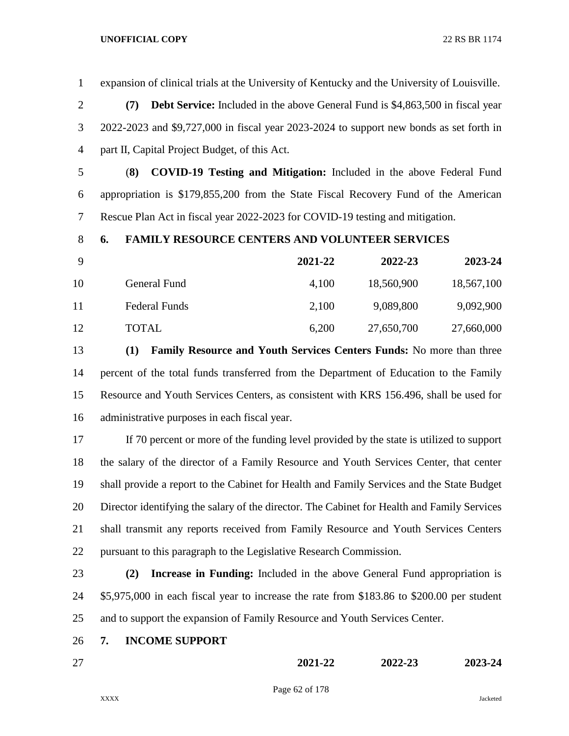expansion of clinical trials at the University of Kentucky and the University of Louisville. **(7) Debt Service:** Included in the above General Fund is \$4,863,500 in fiscal year 2022-2023 and \$9,727,000 in fiscal year 2023-2024 to support new bonds as set forth in part II, Capital Project Budget, of this Act. (**8) COVID-19 Testing and Mitigation:** Included in the above Federal Fund appropriation is \$179,855,200 from the State Fiscal Recovery Fund of the American Rescue Plan Act in fiscal year 2022-2023 for COVID-19 testing and mitigation. **6. FAMILY RESOURCE CENTERS AND VOLUNTEER SERVICES 2021-22 2022-23 2023-24** 10 General Fund 4,100 18,560,900 18,567,100 Federal Funds 2,100 9,089,800 9,092,900 TOTAL 6,200 27,650,700 27,660,000 **(1) Family Resource and Youth Services Centers Funds:** No more than three percent of the total funds transferred from the Department of Education to the Family Resource and Youth Services Centers, as consistent with KRS 156.496, shall be used for administrative purposes in each fiscal year. If 70 percent or more of the funding level provided by the state is utilized to support the salary of the director of a Family Resource and Youth Services Center, that center shall provide a report to the Cabinet for Health and Family Services and the State Budget Director identifying the salary of the director. The Cabinet for Health and Family Services shall transmit any reports received from Family Resource and Youth Services Centers pursuant to this paragraph to the Legislative Research Commission. **(2) Increase in Funding:** Included in the above General Fund appropriation is \$5,975,000 in each fiscal year to increase the rate from \$183.86 to \$200.00 per student and to support the expansion of Family Resource and Youth Services Center. **7. INCOME SUPPORT 2021-22 2022-23 2023-24**

Page 62 of 178

XXXX Jacketed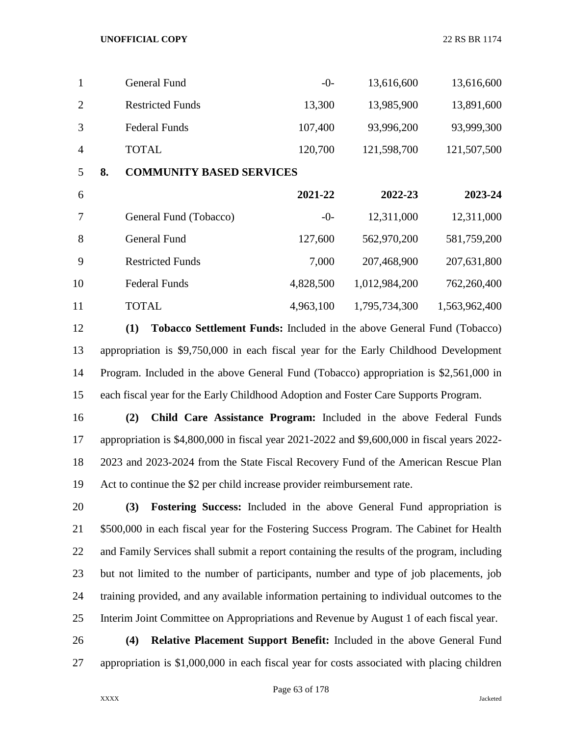| 1              |    | <b>General Fund</b>             | $-0-$     | 13,616,600    | 13,616,600    |  |  |  |
|----------------|----|---------------------------------|-----------|---------------|---------------|--|--|--|
| $\overline{2}$ |    | <b>Restricted Funds</b>         | 13,300    | 13,985,900    | 13,891,600    |  |  |  |
| 3              |    | <b>Federal Funds</b>            | 107,400   | 93,996,200    | 93,999,300    |  |  |  |
| $\overline{4}$ |    | <b>TOTAL</b>                    | 120,700   | 121,598,700   | 121,507,500   |  |  |  |
| 5              | 8. | <b>COMMUNITY BASED SERVICES</b> |           |               |               |  |  |  |
| 6              |    |                                 | 2021-22   | 2022-23       | 2023-24       |  |  |  |
| 7              |    | General Fund (Tobacco)          | $-0-$     | 12,311,000    | 12,311,000    |  |  |  |
| 8              |    | <b>General Fund</b>             | 127,600   | 562,970,200   | 581,759,200   |  |  |  |
| 9              |    | <b>Restricted Funds</b>         | 7,000     | 207,468,900   | 207,631,800   |  |  |  |
| 10             |    | <b>Federal Funds</b>            | 4,828,500 | 1,012,984,200 | 762,260,400   |  |  |  |
| 11             |    | <b>TOTAL</b>                    | 4,963,100 | 1,795,734,300 | 1,563,962,400 |  |  |  |

 **(1) Tobacco Settlement Funds:** Included in the above General Fund (Tobacco) appropriation is \$9,750,000 in each fiscal year for the Early Childhood Development Program. Included in the above General Fund (Tobacco) appropriation is \$2,561,000 in each fiscal year for the Early Childhood Adoption and Foster Care Supports Program.

 **(2) Child Care Assistance Program:** Included in the above Federal Funds appropriation is \$4,800,000 in fiscal year 2021-2022 and \$9,600,000 in fiscal years 2022- 2023 and 2023-2024 from the State Fiscal Recovery Fund of the American Rescue Plan Act to continue the \$2 per child increase provider reimbursement rate.

 **(3) Fostering Success:** Included in the above General Fund appropriation is \$500,000 in each fiscal year for the Fostering Success Program. The Cabinet for Health and Family Services shall submit a report containing the results of the program, including but not limited to the number of participants, number and type of job placements, job training provided, and any available information pertaining to individual outcomes to the Interim Joint Committee on Appropriations and Revenue by August 1 of each fiscal year.

 **(4) Relative Placement Support Benefit:** Included in the above General Fund appropriation is \$1,000,000 in each fiscal year for costs associated with placing children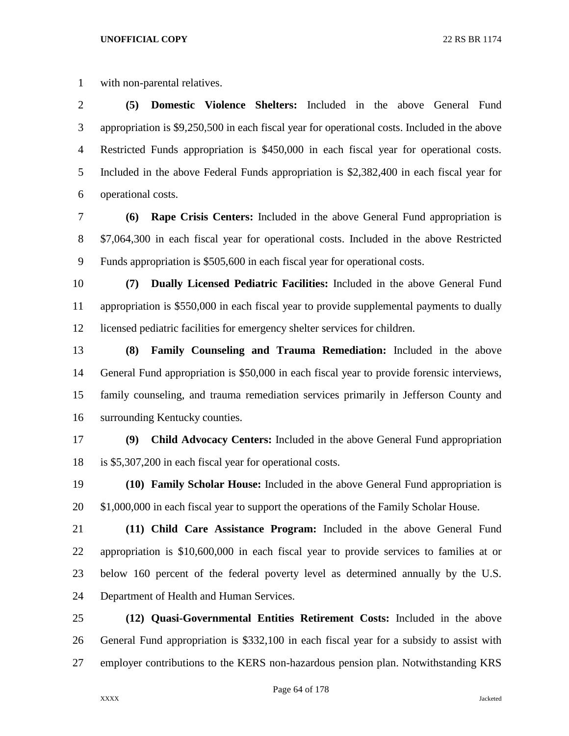with non-parental relatives.

 **(5) Domestic Violence Shelters:** Included in the above General Fund appropriation is \$9,250,500 in each fiscal year for operational costs. Included in the above Restricted Funds appropriation is \$450,000 in each fiscal year for operational costs. Included in the above Federal Funds appropriation is \$2,382,400 in each fiscal year for operational costs.

 **(6) Rape Crisis Centers:** Included in the above General Fund appropriation is \$7,064,300 in each fiscal year for operational costs. Included in the above Restricted Funds appropriation is \$505,600 in each fiscal year for operational costs.

 **(7) Dually Licensed Pediatric Facilities:** Included in the above General Fund appropriation is \$550,000 in each fiscal year to provide supplemental payments to dually licensed pediatric facilities for emergency shelter services for children.

 **(8) Family Counseling and Trauma Remediation:** Included in the above General Fund appropriation is \$50,000 in each fiscal year to provide forensic interviews, family counseling, and trauma remediation services primarily in Jefferson County and surrounding Kentucky counties.

 **(9) Child Advocacy Centers:** Included in the above General Fund appropriation is \$5,307,200 in each fiscal year for operational costs.

 **(10) Family Scholar House:** Included in the above General Fund appropriation is 20 \$1,000,000 in each fiscal year to support the operations of the Family Scholar House.

 **(11) Child Care Assistance Program:** Included in the above General Fund appropriation is \$10,600,000 in each fiscal year to provide services to families at or below 160 percent of the federal poverty level as determined annually by the U.S. Department of Health and Human Services.

 **(12) Quasi-Governmental Entities Retirement Costs:** Included in the above General Fund appropriation is \$332,100 in each fiscal year for a subsidy to assist with employer contributions to the KERS non-hazardous pension plan. Notwithstanding KRS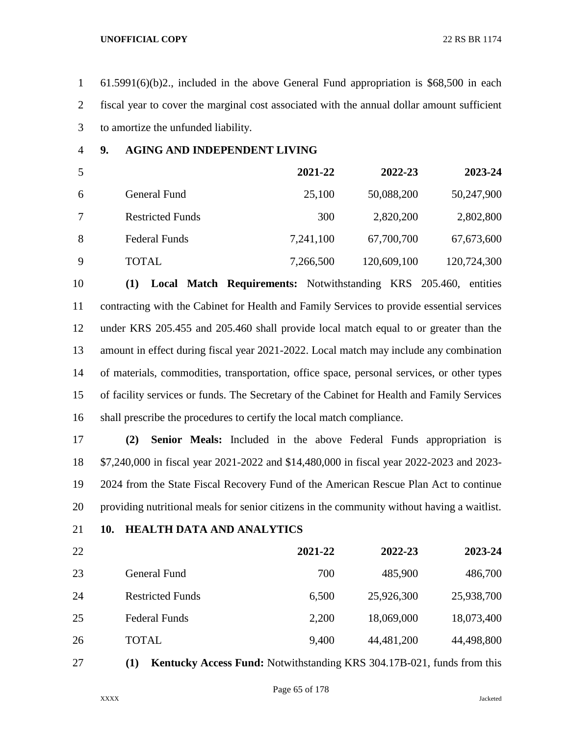61.5991(6)(b)2., included in the above General Fund appropriation is \$68,500 in each fiscal year to cover the marginal cost associated with the annual dollar amount sufficient to amortize the unfunded liability.

# **9. AGING AND INDEPENDENT LIVING**

| 5 |                         | 2021-22   | 2022-23     | 2023-24     |
|---|-------------------------|-----------|-------------|-------------|
| 6 | General Fund            | 25,100    | 50,088,200  | 50,247,900  |
|   | <b>Restricted Funds</b> | 300       | 2,820,200   | 2,802,800   |
| 8 | <b>Federal Funds</b>    | 7,241,100 | 67,700,700  | 67,673,600  |
| 9 | TOTAL                   | 7,266,500 | 120,609,100 | 120,724,300 |

 **(1) Local Match Requirements:** Notwithstanding KRS 205.460, entities contracting with the Cabinet for Health and Family Services to provide essential services under KRS 205.455 and 205.460 shall provide local match equal to or greater than the amount in effect during fiscal year 2021-2022. Local match may include any combination of materials, commodities, transportation, office space, personal services, or other types of facility services or funds. The Secretary of the Cabinet for Health and Family Services shall prescribe the procedures to certify the local match compliance.

 **(2) Senior Meals:** Included in the above Federal Funds appropriation is \$7,240,000 in fiscal year 2021-2022 and \$14,480,000 in fiscal year 2022-2023 and 2023- 2024 from the State Fiscal Recovery Fund of the American Rescue Plan Act to continue providing nutritional meals for senior citizens in the community without having a waitlist.

# **10. HEALTH DATA AND ANALYTICS**

 **2021-22 2022-23 2023-24** General Fund 700 485,900 486,700 Restricted Funds 6,500 25,926,300 25,938,700 Federal Funds 2,200 18,069,000 18,073,400

**(1) Kentucky Access Fund:** Notwithstanding KRS 304.17B-021, funds from this

TOTAL 9,400 44,481,200 44,498,800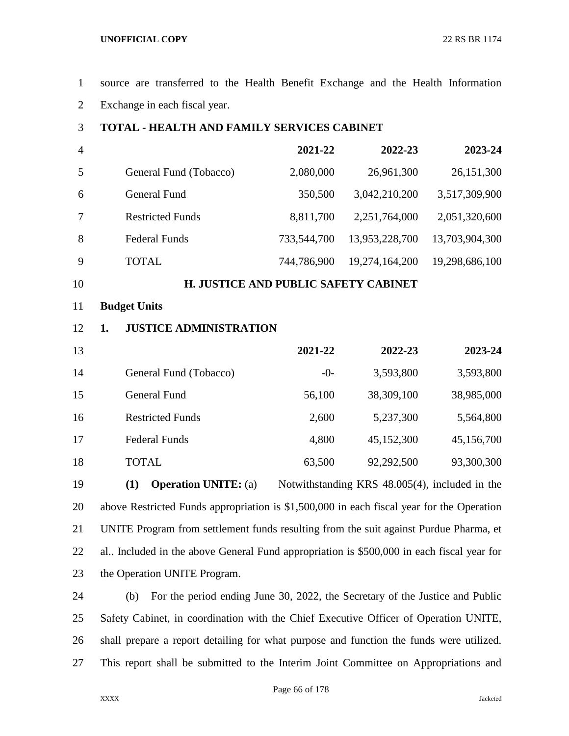source are transferred to the Health Benefit Exchange and the Health Information Exchange in each fiscal year.

## **TOTAL - HEALTH AND FAMILY SERVICES CABINET**

| $\overline{4}$ |                         | 2021-22     | 2022-23        | 2023-24        |
|----------------|-------------------------|-------------|----------------|----------------|
| 5              | General Fund (Tobacco)  | 2,080,000   | 26,961,300     | 26,151,300     |
| 6              | General Fund            | 350,500     | 3,042,210,200  | 3,517,309,900  |
| 7              | <b>Restricted Funds</b> | 8,811,700   | 2,251,764,000  | 2,051,320,600  |
| 8              | <b>Federal Funds</b>    | 733,544,700 | 13,953,228,700 | 13,703,904,300 |
| 9              | TOTAL                   | 744,786,900 | 19,274,164,200 | 19,298,686,100 |

## **H. JUSTICE AND PUBLIC SAFETY CABINET**

## **Budget Units**

## **1. JUSTICE ADMINISTRATION**

| 13 |                         | 2021-22 | 2022-23    | 2023-24    |
|----|-------------------------|---------|------------|------------|
| 14 | General Fund (Tobacco)  | $-0-$   | 3,593,800  | 3,593,800  |
| 15 | General Fund            | 56,100  | 38,309,100 | 38,985,000 |
| 16 | <b>Restricted Funds</b> | 2,600   | 5,237,300  | 5,564,800  |
| 17 | <b>Federal Funds</b>    | 4,800   | 45,152,300 | 45,156,700 |
| 18 | <b>TOTAL</b>            | 63,500  | 92,292,500 | 93,300,300 |

 **(1) Operation UNITE:** (a) Notwithstanding KRS 48.005(4), included in the above Restricted Funds appropriation is \$1,500,000 in each fiscal year for the Operation UNITE Program from settlement funds resulting from the suit against Purdue Pharma, et al.. Included in the above General Fund appropriation is \$500,000 in each fiscal year for the Operation UNITE Program.

 (b) For the period ending June 30, 2022, the Secretary of the Justice and Public Safety Cabinet, in coordination with the Chief Executive Officer of Operation UNITE, shall prepare a report detailing for what purpose and function the funds were utilized. This report shall be submitted to the Interim Joint Committee on Appropriations and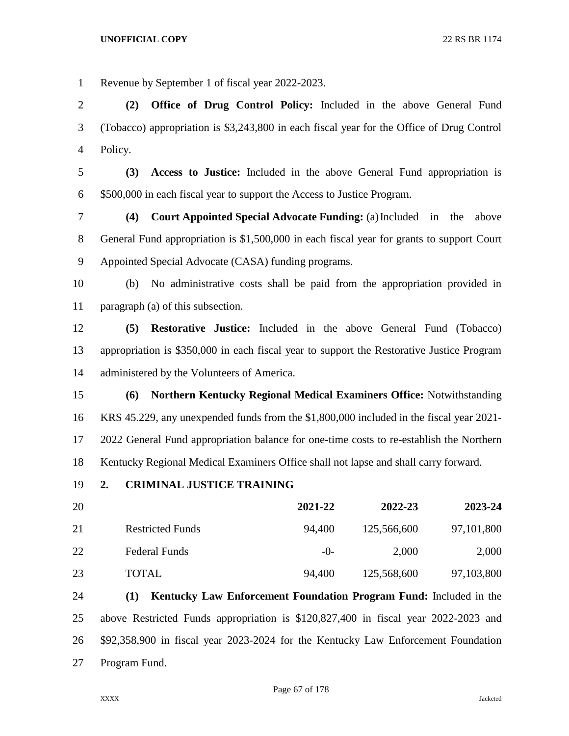Revenue by September 1 of fiscal year 2022-2023.

 **(2) Office of Drug Control Policy:** Included in the above General Fund (Tobacco) appropriation is \$3,243,800 in each fiscal year for the Office of Drug Control Policy.

 **(3) Access to Justice:** Included in the above General Fund appropriation is \$500,000 in each fiscal year to support the Access to Justice Program.

 **(4) Court Appointed Special Advocate Funding:** (a)Included in the above General Fund appropriation is \$1,500,000 in each fiscal year for grants to support Court Appointed Special Advocate (CASA) funding programs.

 (b) No administrative costs shall be paid from the appropriation provided in paragraph (a) of this subsection.

 **(5) Restorative Justice:** Included in the above General Fund (Tobacco) appropriation is \$350,000 in each fiscal year to support the Restorative Justice Program administered by the Volunteers of America.

 **(6) Northern Kentucky Regional Medical Examiners Office:** Notwithstanding KRS 45.229, any unexpended funds from the \$1,800,000 included in the fiscal year 2021- 2022 General Fund appropriation balance for one-time costs to re-establish the Northern Kentucky Regional Medical Examiners Office shall not lapse and shall carry forward.

**2. CRIMINAL JUSTICE TRAINING**

| 20 |                         | 2021-22 | 2022-23     | 2023-24    |
|----|-------------------------|---------|-------------|------------|
| 21 | <b>Restricted Funds</b> | 94,400  | 125,566,600 | 97,101,800 |
| 22 | <b>Federal Funds</b>    | $-()$   | 2,000       | 2,000      |
| 23 | <b>TOTAL</b>            | 94,400  | 125,568,600 | 97,103,800 |

 **(1) Kentucky Law Enforcement Foundation Program Fund:** Included in the above Restricted Funds appropriation is \$120,827,400 in fiscal year 2022-2023 and \$92,358,900 in fiscal year 2023-2024 for the Kentucky Law Enforcement Foundation Program Fund.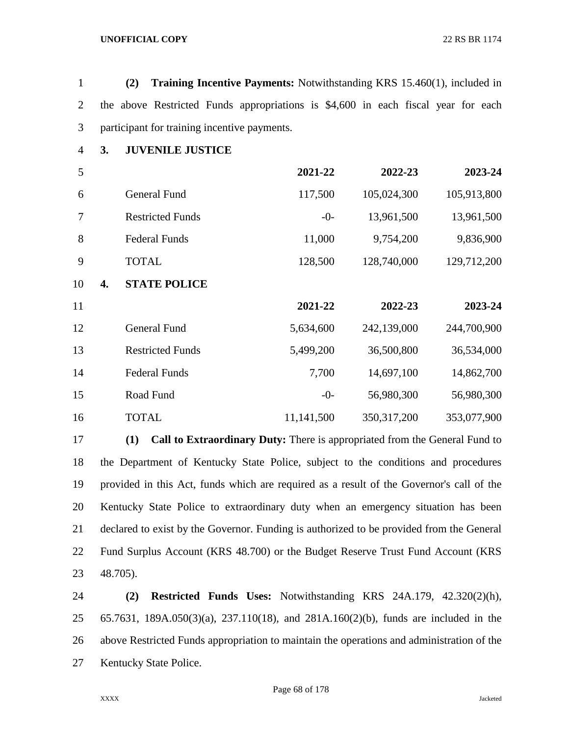|  | (2) |  | <b>Training Incentive Payments:</b> Notwithstanding KRS 15.460(1), included in    |  |  |  |  |
|--|-----|--|-----------------------------------------------------------------------------------|--|--|--|--|
|  |     |  | the above Restricted Funds appropriations is \$4,600 in each fiscal year for each |  |  |  |  |
|  |     |  | participant for training incentive payments.                                      |  |  |  |  |

**3. JUVENILE JUSTICE**

| 5        |                         | 2021-22    | 2022-23       | 2023-24     |
|----------|-------------------------|------------|---------------|-------------|
| 6        | <b>General Fund</b>     | 117,500    | 105,024,300   | 105,913,800 |
| 7        | <b>Restricted Funds</b> | $-0-$      | 13,961,500    | 13,961,500  |
| 8        | <b>Federal Funds</b>    | 11,000     | 9,754,200     | 9,836,900   |
| 9        | <b>TOTAL</b>            | 128,500    | 128,740,000   | 129,712,200 |
| 10<br>4. | <b>STATE POLICE</b>     |            |               |             |
| 11       |                         | 2021-22    | 2022-23       | 2023-24     |
| 12       | <b>General Fund</b>     | 5,634,600  | 242,139,000   | 244,700,900 |
| 13       | <b>Restricted Funds</b> | 5,499,200  | 36,500,800    | 36,534,000  |
| 14       | <b>Federal Funds</b>    | 7,700      | 14,697,100    | 14,862,700  |
| 15       | Road Fund               | $-0-$      | 56,980,300    | 56,980,300  |
| 16       | <b>TOTAL</b>            | 11,141,500 | 350, 317, 200 | 353,077,900 |

 **(1) Call to Extraordinary Duty:** There is appropriated from the General Fund to the Department of Kentucky State Police, subject to the conditions and procedures provided in this Act, funds which are required as a result of the Governor's call of the Kentucky State Police to extraordinary duty when an emergency situation has been declared to exist by the Governor. Funding is authorized to be provided from the General Fund Surplus Account (KRS 48.700) or the Budget Reserve Trust Fund Account (KRS 48.705).

 **(2) Restricted Funds Uses:** Notwithstanding KRS 24A.179, 42.320(2)(h), 65.7631, 189A.050(3)(a), 237.110(18), and 281A.160(2)(b), funds are included in the above Restricted Funds appropriation to maintain the operations and administration of the Kentucky State Police.

Page 68 of 178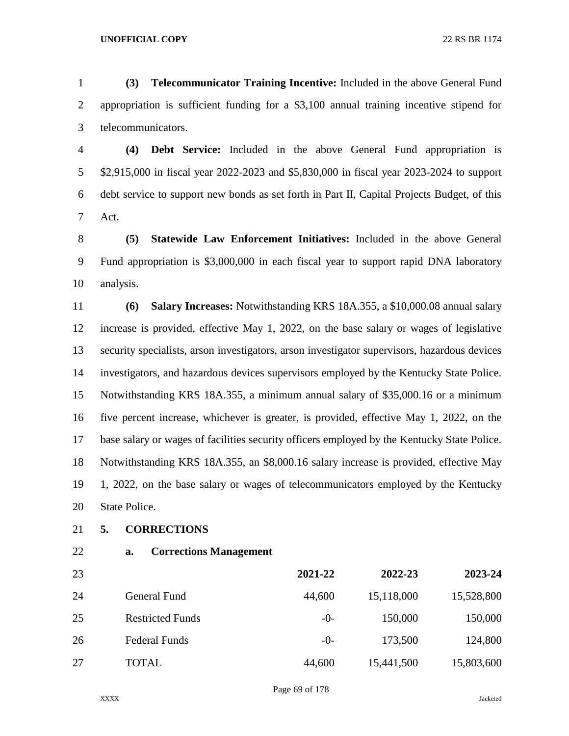**(3) Telecommunicator Training Incentive:** Included in the above General Fund appropriation is sufficient funding for a \$3,100 annual training incentive stipend for telecommunicators.

 **(4) Debt Service:** Included in the above General Fund appropriation is \$2,915,000 in fiscal year 2022-2023 and \$5,830,000 in fiscal year 2023-2024 to support debt service to support new bonds as set forth in Part II, Capital Projects Budget, of this Act.

 **(5) Statewide Law Enforcement Initiatives:** Included in the above General Fund appropriation is \$3,000,000 in each fiscal year to support rapid DNA laboratory analysis.

 **(6) Salary Increases:** Notwithstanding KRS 18A.355, a \$10,000.08 annual salary increase is provided, effective May 1, 2022, on the base salary or wages of legislative security specialists, arson investigators, arson investigator supervisors, hazardous devices investigators, and hazardous devices supervisors employed by the Kentucky State Police. Notwithstanding KRS 18A.355, a minimum annual salary of \$35,000.16 or a minimum five percent increase, whichever is greater, is provided, effective May 1, 2022, on the base salary or wages of facilities security officers employed by the Kentucky State Police. Notwithstanding KRS 18A.355, an \$8,000.16 salary increase is provided, effective May 1, 2022, on the base salary or wages of telecommunicators employed by the Kentucky State Police.

- **5. CORRECTIONS**
- 
- **a. Corrections Management**

| 23 |                         | 2021-22 | 2022-23    | 2023-24    |
|----|-------------------------|---------|------------|------------|
| 24 | General Fund            | 44,600  | 15,118,000 | 15,528,800 |
| 25 | <b>Restricted Funds</b> | $-()$   | 150,000    | 150,000    |
| 26 | <b>Federal Funds</b>    | $-0-$   | 173,500    | 124,800    |
| 27 | <b>TOTAL</b>            | 44,600  | 15,441,500 | 15,803,600 |

Page 69 of 178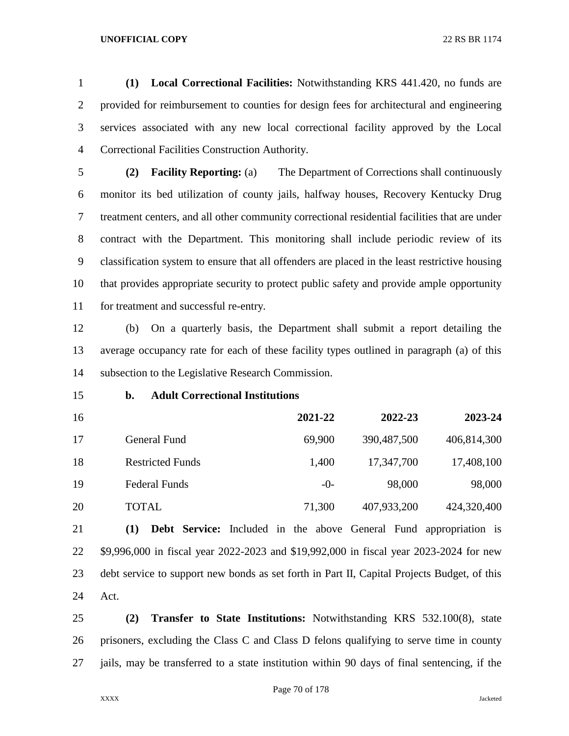**(1) Local Correctional Facilities:** Notwithstanding KRS 441.420, no funds are provided for reimbursement to counties for design fees for architectural and engineering services associated with any new local correctional facility approved by the Local Correctional Facilities Construction Authority.

 **(2) Facility Reporting:** (a) The Department of Corrections shall continuously monitor its bed utilization of county jails, halfway houses, Recovery Kentucky Drug treatment centers, and all other community correctional residential facilities that are under contract with the Department. This monitoring shall include periodic review of its classification system to ensure that all offenders are placed in the least restrictive housing that provides appropriate security to protect public safety and provide ample opportunity for treatment and successful re-entry.

 (b) On a quarterly basis, the Department shall submit a report detailing the average occupancy rate for each of these facility types outlined in paragraph (a) of this subsection to the Legislative Research Commission.

### **b. Adult Correctional Institutions**

 **2021-22 2022-23 2023-24** General Fund 69,900 390,487,500 406,814,300 Restricted Funds 1,400 17,347,700 17,408,100 19 Federal Funds -0- 98,000 98,000 TOTAL 71,300 407,933,200 424,320,400

 **(1) Debt Service:** Included in the above General Fund appropriation is \$9,996,000 in fiscal year 2022-2023 and \$19,992,000 in fiscal year 2023-2024 for new debt service to support new bonds as set forth in Part II, Capital Projects Budget, of this Act.

 **(2) Transfer to State Institutions:** Notwithstanding KRS 532.100(8), state prisoners, excluding the Class C and Class D felons qualifying to serve time in county jails, may be transferred to a state institution within 90 days of final sentencing, if the

Page 70 of 178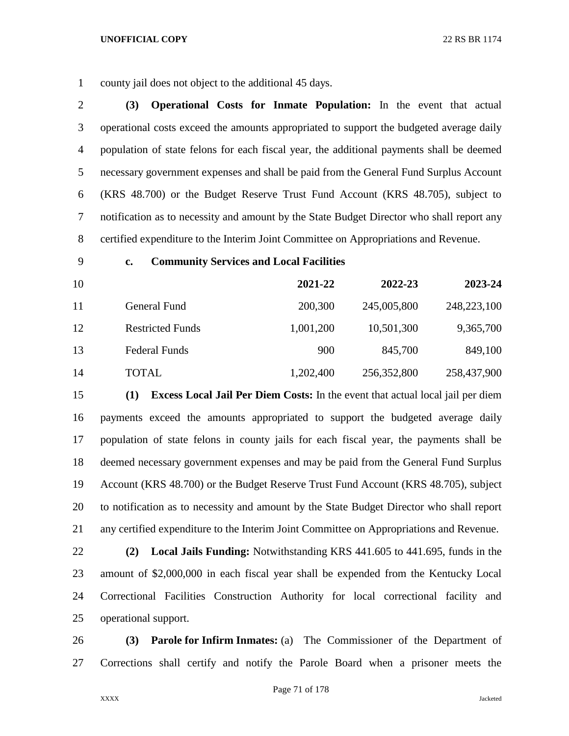county jail does not object to the additional 45 days.

 **(3) Operational Costs for Inmate Population:** In the event that actual operational costs exceed the amounts appropriated to support the budgeted average daily population of state felons for each fiscal year, the additional payments shall be deemed necessary government expenses and shall be paid from the General Fund Surplus Account (KRS 48.700) or the Budget Reserve Trust Fund Account (KRS 48.705), subject to notification as to necessity and amount by the State Budget Director who shall report any certified expenditure to the Interim Joint Committee on Appropriations and Revenue.

## **c. Community Services and Local Facilities**

| 10 |                         | 2021-22   | 2022-23     | 2023-24     |
|----|-------------------------|-----------|-------------|-------------|
| 11 | <b>General Fund</b>     | 200,300   | 245,005,800 | 248,223,100 |
| 12 | <b>Restricted Funds</b> | 1,001,200 | 10,501,300  | 9,365,700   |
| 13 | <b>Federal Funds</b>    | 900       | 845,700     | 849,100     |
| 14 | TOTAL                   | 1,202,400 | 256,352,800 | 258,437,900 |

 **(1) Excess Local Jail Per Diem Costs:** In the event that actual local jail per diem payments exceed the amounts appropriated to support the budgeted average daily population of state felons in county jails for each fiscal year, the payments shall be deemed necessary government expenses and may be paid from the General Fund Surplus Account (KRS 48.700) or the Budget Reserve Trust Fund Account (KRS 48.705), subject to notification as to necessity and amount by the State Budget Director who shall report any certified expenditure to the Interim Joint Committee on Appropriations and Revenue.

 **(2) Local Jails Funding:** Notwithstanding KRS 441.605 to 441.695, funds in the amount of \$2,000,000 in each fiscal year shall be expended from the Kentucky Local Correctional Facilities Construction Authority for local correctional facility and operational support.

 **(3) Parole for Infirm Inmates:** (a) The Commissioner of the Department of Corrections shall certify and notify the Parole Board when a prisoner meets the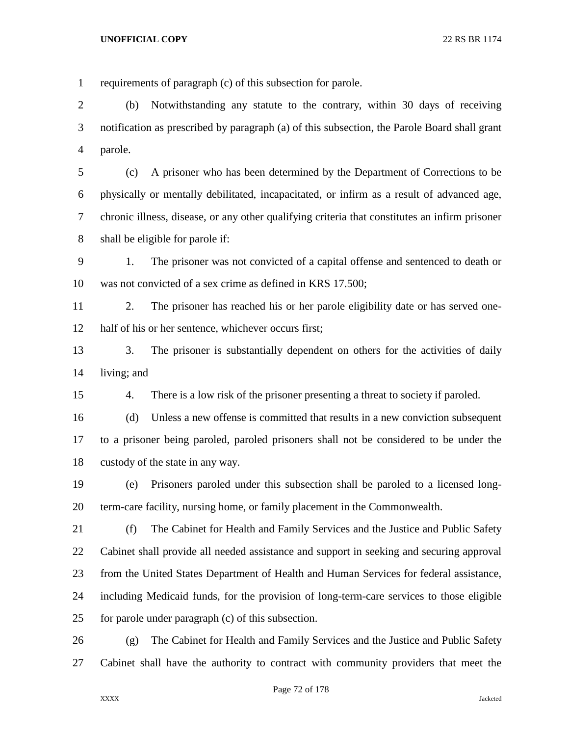requirements of paragraph (c) of this subsection for parole. (b) Notwithstanding any statute to the contrary, within 30 days of receiving notification as prescribed by paragraph (a) of this subsection, the Parole Board shall grant parole. (c) A prisoner who has been determined by the Department of Corrections to be physically or mentally debilitated, incapacitated, or infirm as a result of advanced age,

 chronic illness, disease, or any other qualifying criteria that constitutes an infirm prisoner shall be eligible for parole if:

 1. The prisoner was not convicted of a capital offense and sentenced to death or was not convicted of a sex crime as defined in KRS 17.500;

 2. The prisoner has reached his or her parole eligibility date or has served one-half of his or her sentence, whichever occurs first;

13 3. The prisoner is substantially dependent on others for the activities of daily living; and

4. There is a low risk of the prisoner presenting a threat to society if paroled.

 (d) Unless a new offense is committed that results in a new conviction subsequent to a prisoner being paroled, paroled prisoners shall not be considered to be under the custody of the state in any way.

 (e) Prisoners paroled under this subsection shall be paroled to a licensed long-term-care facility, nursing home, or family placement in the Commonwealth.

 (f) The Cabinet for Health and Family Services and the Justice and Public Safety Cabinet shall provide all needed assistance and support in seeking and securing approval from the United States Department of Health and Human Services for federal assistance, including Medicaid funds, for the provision of long-term-care services to those eligible for parole under paragraph (c) of this subsection.

 (g) The Cabinet for Health and Family Services and the Justice and Public Safety Cabinet shall have the authority to contract with community providers that meet the

Page 72 of 178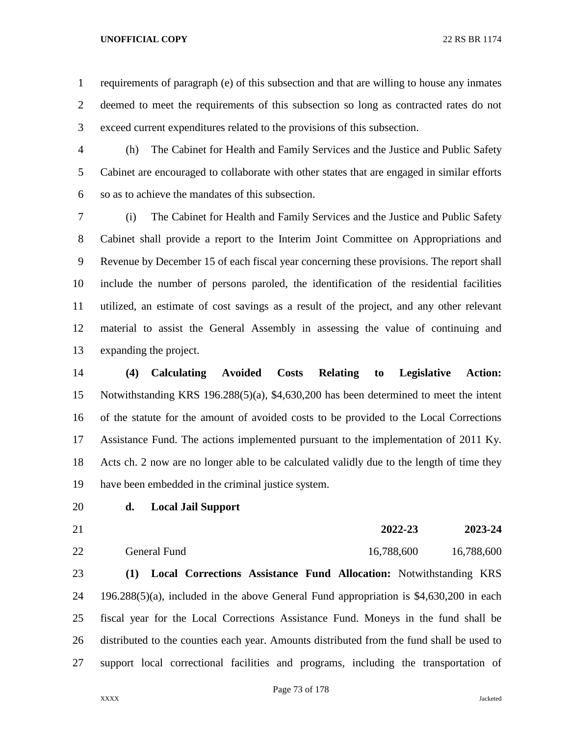requirements of paragraph (e) of this subsection and that are willing to house any inmates deemed to meet the requirements of this subsection so long as contracted rates do not exceed current expenditures related to the provisions of this subsection.

 (h) The Cabinet for Health and Family Services and the Justice and Public Safety Cabinet are encouraged to collaborate with other states that are engaged in similar efforts so as to achieve the mandates of this subsection.

 (i) The Cabinet for Health and Family Services and the Justice and Public Safety Cabinet shall provide a report to the Interim Joint Committee on Appropriations and Revenue by December 15 of each fiscal year concerning these provisions. The report shall include the number of persons paroled, the identification of the residential facilities utilized, an estimate of cost savings as a result of the project, and any other relevant material to assist the General Assembly in assessing the value of continuing and expanding the project.

 **(4) Calculating Avoided Costs Relating to Legislative Action:**  Notwithstanding KRS 196.288(5)(a), \$4,630,200 has been determined to meet the intent of the statute for the amount of avoided costs to be provided to the Local Corrections Assistance Fund. The actions implemented pursuant to the implementation of 2011 Ky. Acts ch. 2 now are no longer able to be calculated validly due to the length of time they have been embedded in the criminal justice system.

# **d. Local Jail Support**

- 
- General Fund 16,788,600 16,788,600

**2022-23 2023-24**

 **(1) Local Corrections Assistance Fund Allocation:** Notwithstanding KRS 196.288(5)(a), included in the above General Fund appropriation is \$4,630,200 in each fiscal year for the Local Corrections Assistance Fund. Moneys in the fund shall be distributed to the counties each year. Amounts distributed from the fund shall be used to support local correctional facilities and programs, including the transportation of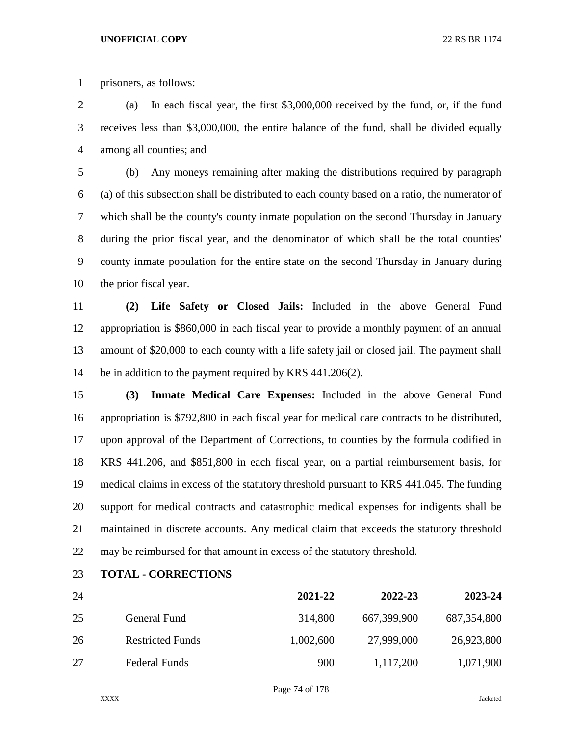prisoners, as follows:

 (a) In each fiscal year, the first \$3,000,000 received by the fund, or, if the fund receives less than \$3,000,000, the entire balance of the fund, shall be divided equally among all counties; and

 (b) Any moneys remaining after making the distributions required by paragraph (a) of this subsection shall be distributed to each county based on a ratio, the numerator of which shall be the county's county inmate population on the second Thursday in January during the prior fiscal year, and the denominator of which shall be the total counties' county inmate population for the entire state on the second Thursday in January during the prior fiscal year.

 **(2) Life Safety or Closed Jails:** Included in the above General Fund appropriation is \$860,000 in each fiscal year to provide a monthly payment of an annual amount of \$20,000 to each county with a life safety jail or closed jail. The payment shall be in addition to the payment required by KRS 441.206(2).

 **(3) Inmate Medical Care Expenses:** Included in the above General Fund appropriation is \$792,800 in each fiscal year for medical care contracts to be distributed, upon approval of the Department of Corrections, to counties by the formula codified in KRS 441.206, and \$851,800 in each fiscal year, on a partial reimbursement basis, for medical claims in excess of the statutory threshold pursuant to KRS 441.045. The funding support for medical contracts and catastrophic medical expenses for indigents shall be maintained in discrete accounts. Any medical claim that exceeds the statutory threshold may be reimbursed for that amount in excess of the statutory threshold.

**TOTAL - CORRECTIONS**

| 24 |                         | 2021-22   | 2022-23     | 2023-24       |
|----|-------------------------|-----------|-------------|---------------|
| 25 | General Fund            | 314,800   | 667,399,900 | 687, 354, 800 |
| 26 | <b>Restricted Funds</b> | 1,002,600 | 27,999,000  | 26,923,800    |
| 27 | <b>Federal Funds</b>    | 900       | 1,117,200   | 1,071,900     |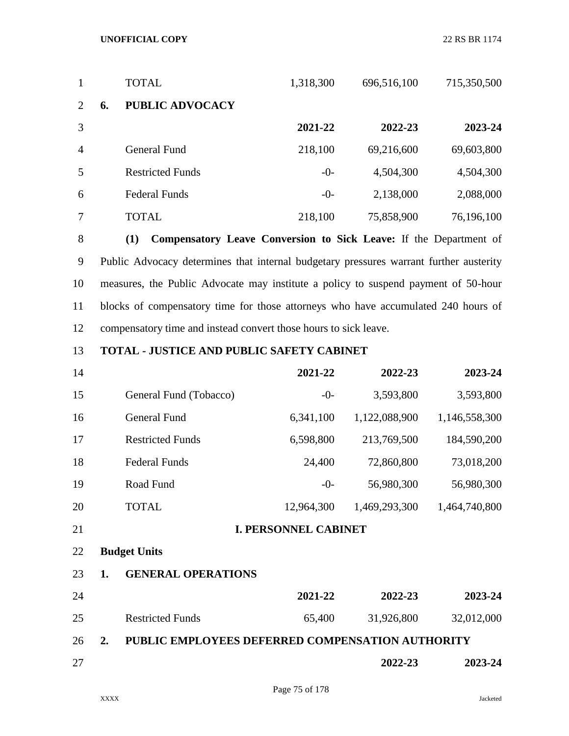| $\mathbf{1}$   | <b>TOTAL</b>                 | 1,318,300 | 696,516,100 | 715,350,500 |
|----------------|------------------------------|-----------|-------------|-------------|
| 2              | <b>PUBLIC ADVOCACY</b><br>6. |           |             |             |
| 3              |                              | 2021-22   | 2022-23     | 2023-24     |
| $\overline{4}$ | General Fund                 | 218,100   | 69,216,600  | 69,603,800  |
| 5              | <b>Restricted Funds</b>      | $-0-$     | 4,504,300   | 4,504,300   |
| 6              | <b>Federal Funds</b>         | $-0-$     | 2,138,000   | 2,088,000   |
| 7              | TOTAL                        | 218,100   | 75,858,900  | 76,196,100  |

 **(1) Compensatory Leave Conversion to Sick Leave:** If the Department of Public Advocacy determines that internal budgetary pressures warrant further austerity measures, the Public Advocate may institute a policy to suspend payment of 50-hour blocks of compensatory time for those attorneys who have accumulated 240 hours of compensatory time and instead convert those hours to sick leave.

# **TOTAL - JUSTICE AND PUBLIC SAFETY CABINET**

| 14 |                         | 2021-22    | 2022-23       | 2023-24       |
|----|-------------------------|------------|---------------|---------------|
| 15 | General Fund (Tobacco)  | $-0-$      | 3,593,800     | 3,593,800     |
| 16 | <b>General Fund</b>     | 6,341,100  | 1,122,088,900 | 1,146,558,300 |
| 17 | <b>Restricted Funds</b> | 6,598,800  | 213,769,500   | 184,590,200   |
| 18 | <b>Federal Funds</b>    | 24,400     | 72,860,800    | 73,018,200    |
| 19 | Road Fund               | $-0-$      | 56,980,300    | 56,980,300    |
| 20 | TOTAL                   | 12,964,300 | 1,469,293,300 | 1,464,740,800 |
|    |                         |            |               |               |

**I. PERSONNEL CABINET**

# **Budget Units**

## **1. GENERAL OPERATIONS**

| 24 |                         | 2021-22 | 2022-23    | 2023-24    |
|----|-------------------------|---------|------------|------------|
| 25 | <b>Restricted Funds</b> | 65.400  | 31,926,800 | 32,012,000 |

**2. PUBLIC EMPLOYEES DEFERRED COMPENSATION AUTHORITY**

# **2022-23 2023-24**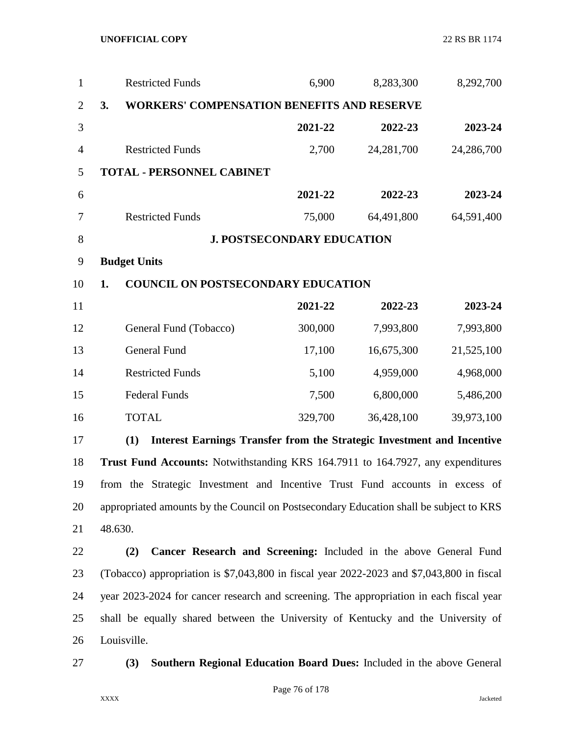| $\mathbf{1}$   |    | <b>Restricted Funds</b>                                                                   | 6,900                             | 8,283,300  | 8,292,700  |
|----------------|----|-------------------------------------------------------------------------------------------|-----------------------------------|------------|------------|
| $\overline{2}$ | 3. | <b>WORKERS' COMPENSATION BENEFITS AND RESERVE</b>                                         |                                   |            |            |
| 3              |    |                                                                                           | 2021-22                           | 2022-23    | 2023-24    |
| $\overline{4}$ |    | <b>Restricted Funds</b>                                                                   | 2,700                             | 24,281,700 | 24,286,700 |
| 5              |    | <b>TOTAL - PERSONNEL CABINET</b>                                                          |                                   |            |            |
| 6              |    |                                                                                           | 2021-22                           | 2022-23    | 2023-24    |
| 7              |    | <b>Restricted Funds</b>                                                                   | 75,000                            | 64,491,800 | 64,591,400 |
| $8\,$          |    |                                                                                           | <b>J. POSTSECONDARY EDUCATION</b> |            |            |
| 9              |    | <b>Budget Units</b>                                                                       |                                   |            |            |
| 10             | 1. | <b>COUNCIL ON POSTSECONDARY EDUCATION</b>                                                 |                                   |            |            |
| 11             |    |                                                                                           | 2021-22                           | 2022-23    | 2023-24    |
| 12             |    | General Fund (Tobacco)                                                                    | 300,000                           | 7,993,800  | 7,993,800  |
| 13             |    | <b>General Fund</b>                                                                       | 17,100                            | 16,675,300 | 21,525,100 |
| 14             |    | <b>Restricted Funds</b>                                                                   | 5,100                             | 4,959,000  | 4,968,000  |
| 15             |    | <b>Federal Funds</b>                                                                      | 7,500                             | 6,800,000  | 5,486,200  |
| 16             |    | <b>TOTAL</b>                                                                              | 329,700                           | 36,428,100 | 39,973,100 |
| 17             |    | <b>Interest Earnings Transfer from the Strategic Investment and Incentive</b><br>(1)      |                                   |            |            |
| 18             |    | Trust Fund Accounts: Notwithstanding KRS 164.7911 to 164.7927, any expenditures           |                                   |            |            |
| 19             |    | from the Strategic Investment and Incentive Trust Fund accounts in excess of              |                                   |            |            |
| 20             |    | appropriated amounts by the Council on Postsecondary Education shall be subject to KRS    |                                   |            |            |
| 21             |    | 48.630.                                                                                   |                                   |            |            |
| 22             |    | Cancer Research and Screening: Included in the above General Fund<br>(2)                  |                                   |            |            |
| 23             |    | (Tobacco) appropriation is \$7,043,800 in fiscal year 2022-2023 and \$7,043,800 in fiscal |                                   |            |            |
| 24             |    | year 2023-2024 for cancer research and screening. The appropriation in each fiscal year   |                                   |            |            |
| 25             |    | shall be equally shared between the University of Kentucky and the University of          |                                   |            |            |
| 26             |    | Louisville.                                                                               |                                   |            |            |
| 27             |    | Southern Regional Education Board Dues: Included in the above General<br>(3)              |                                   |            |            |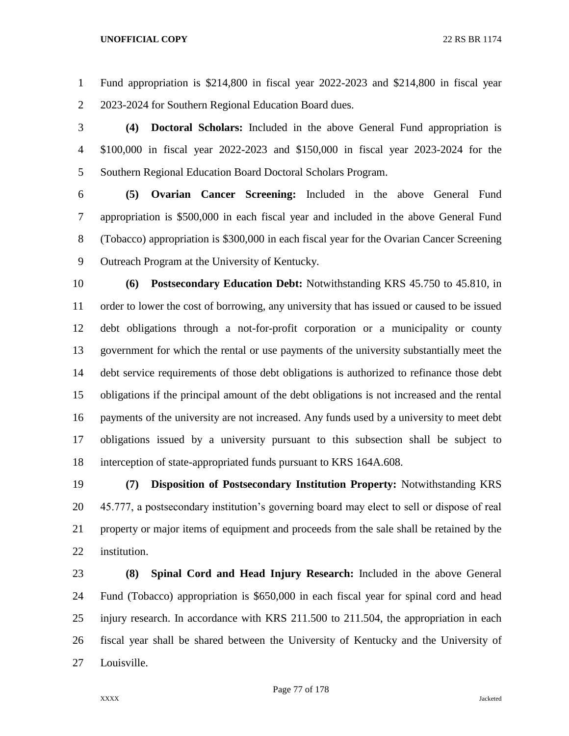Fund appropriation is \$214,800 in fiscal year 2022-2023 and \$214,800 in fiscal year 2023-2024 for Southern Regional Education Board dues.

 **(4) Doctoral Scholars:** Included in the above General Fund appropriation is \$100,000 in fiscal year 2022-2023 and \$150,000 in fiscal year 2023-2024 for the Southern Regional Education Board Doctoral Scholars Program.

 **(5) Ovarian Cancer Screening:** Included in the above General Fund appropriation is \$500,000 in each fiscal year and included in the above General Fund (Tobacco) appropriation is \$300,000 in each fiscal year for the Ovarian Cancer Screening Outreach Program at the University of Kentucky.

 **(6) Postsecondary Education Debt:** Notwithstanding KRS 45.750 to 45.810, in order to lower the cost of borrowing, any university that has issued or caused to be issued debt obligations through a not-for-profit corporation or a municipality or county government for which the rental or use payments of the university substantially meet the debt service requirements of those debt obligations is authorized to refinance those debt obligations if the principal amount of the debt obligations is not increased and the rental payments of the university are not increased. Any funds used by a university to meet debt obligations issued by a university pursuant to this subsection shall be subject to interception of state-appropriated funds pursuant to KRS 164A.608.

 **(7) Disposition of Postsecondary Institution Property:** Notwithstanding KRS 45.777, a postsecondary institution's governing board may elect to sell or dispose of real property or major items of equipment and proceeds from the sale shall be retained by the institution.

 **(8) Spinal Cord and Head Injury Research:** Included in the above General Fund (Tobacco) appropriation is \$650,000 in each fiscal year for spinal cord and head injury research. In accordance with KRS 211.500 to 211.504, the appropriation in each fiscal year shall be shared between the University of Kentucky and the University of Louisville.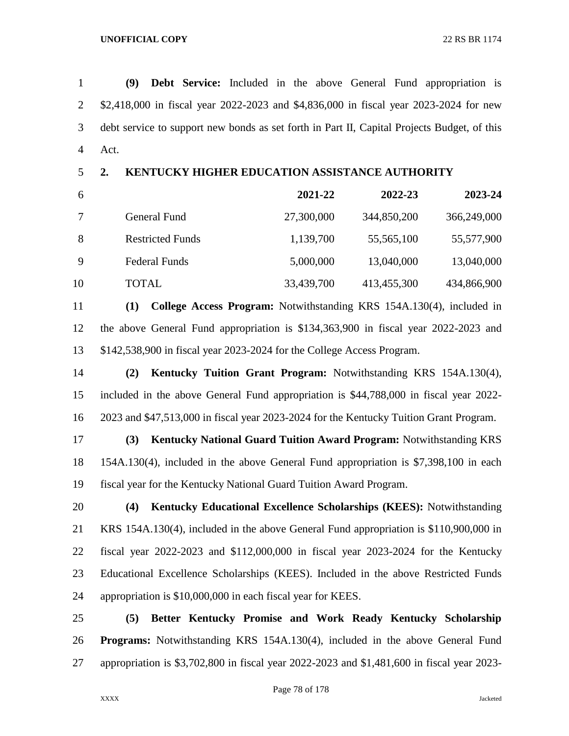**(9) Debt Service:** Included in the above General Fund appropriation is \$2,418,000 in fiscal year 2022-2023 and \$4,836,000 in fiscal year 2023-2024 for new debt service to support new bonds as set forth in Part II, Capital Projects Budget, of this Act.

# **2. KENTUCKY HIGHER EDUCATION ASSISTANCE AUTHORITY**

| 6  |                         | 2021-22    | 2022-23     | 2023-24     |
|----|-------------------------|------------|-------------|-------------|
|    | General Fund            | 27,300,000 | 344,850,200 | 366,249,000 |
| -8 | <b>Restricted Funds</b> | 1,139,700  | 55,565,100  | 55,577,900  |
| 9  | <b>Federal Funds</b>    | 5,000,000  | 13,040,000  | 13,040,000  |
| 10 | TOTAL                   | 33,439,700 | 413,455,300 | 434,866,900 |

 **(1) College Access Program:** Notwithstanding KRS 154A.130(4), included in the above General Fund appropriation is \$134,363,900 in fiscal year 2022-2023 and \$142,538,900 in fiscal year 2023-2024 for the College Access Program.

 **(2) Kentucky Tuition Grant Program:** Notwithstanding KRS 154A.130(4), included in the above General Fund appropriation is \$44,788,000 in fiscal year 2022- 2023 and \$47,513,000 in fiscal year 2023-2024 for the Kentucky Tuition Grant Program.

 **(3) Kentucky National Guard Tuition Award Program:** Notwithstanding KRS 154A.130(4), included in the above General Fund appropriation is \$7,398,100 in each fiscal year for the Kentucky National Guard Tuition Award Program.

 **(4) Kentucky Educational Excellence Scholarships (KEES):** Notwithstanding KRS 154A.130(4), included in the above General Fund appropriation is \$110,900,000 in fiscal year 2022-2023 and \$112,000,000 in fiscal year 2023-2024 for the Kentucky Educational Excellence Scholarships (KEES). Included in the above Restricted Funds appropriation is \$10,000,000 in each fiscal year for KEES.

 **(5) Better Kentucky Promise and Work Ready Kentucky Scholarship Programs:** Notwithstanding KRS 154A.130(4), included in the above General Fund appropriation is \$3,702,800 in fiscal year 2022-2023 and \$1,481,600 in fiscal year 2023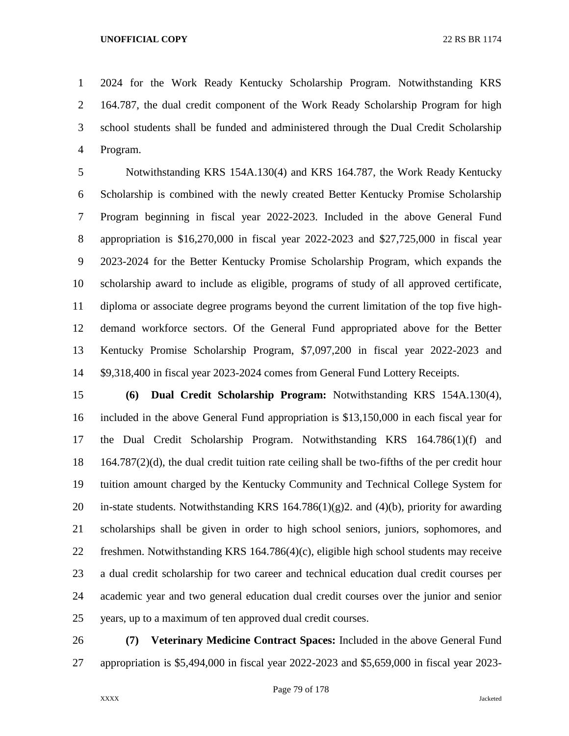2024 for the Work Ready Kentucky Scholarship Program. Notwithstanding KRS 164.787, the dual credit component of the Work Ready Scholarship Program for high school students shall be funded and administered through the Dual Credit Scholarship Program.

 Notwithstanding KRS 154A.130(4) and KRS 164.787, the Work Ready Kentucky Scholarship is combined with the newly created Better Kentucky Promise Scholarship Program beginning in fiscal year 2022-2023. Included in the above General Fund appropriation is \$16,270,000 in fiscal year 2022-2023 and \$27,725,000 in fiscal year 2023-2024 for the Better Kentucky Promise Scholarship Program, which expands the scholarship award to include as eligible, programs of study of all approved certificate, diploma or associate degree programs beyond the current limitation of the top five high- demand workforce sectors. Of the General Fund appropriated above for the Better Kentucky Promise Scholarship Program, \$7,097,200 in fiscal year 2022-2023 and \$9,318,400 in fiscal year 2023-2024 comes from General Fund Lottery Receipts.

 **(6) Dual Credit Scholarship Program:** Notwithstanding KRS 154A.130(4), included in the above General Fund appropriation is \$13,150,000 in each fiscal year for the Dual Credit Scholarship Program. Notwithstanding KRS 164.786(1)(f) and  $18 \text{ } 164.787(2)(d)$ , the dual credit tuition rate ceiling shall be two-fifths of the per credit hour tuition amount charged by the Kentucky Community and Technical College System for 20 in-state students. Notwithstanding KRS  $164.786(1)(g)$  and  $(4)(b)$ , priority for awarding scholarships shall be given in order to high school seniors, juniors, sophomores, and freshmen. Notwithstanding KRS 164.786(4)(c), eligible high school students may receive a dual credit scholarship for two career and technical education dual credit courses per academic year and two general education dual credit courses over the junior and senior years, up to a maximum of ten approved dual credit courses.

 **(7) Veterinary Medicine Contract Spaces:** Included in the above General Fund appropriation is \$5,494,000 in fiscal year 2022-2023 and \$5,659,000 in fiscal year 2023-

Page 79 of 178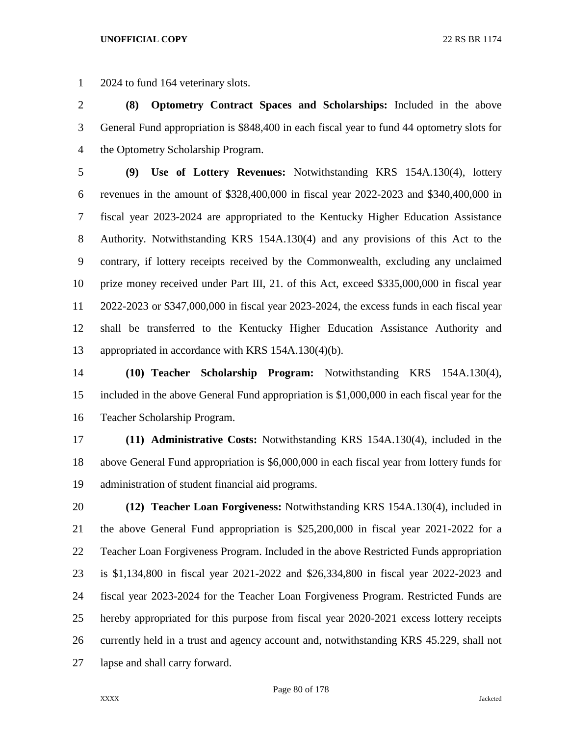2024 to fund 164 veterinary slots.

 **(8) Optometry Contract Spaces and Scholarships:** Included in the above General Fund appropriation is \$848,400 in each fiscal year to fund 44 optometry slots for the Optometry Scholarship Program.

 **(9) Use of Lottery Revenues:** Notwithstanding KRS 154A.130(4), lottery revenues in the amount of \$328,400,000 in fiscal year 2022-2023 and \$340,400,000 in fiscal year 2023-2024 are appropriated to the Kentucky Higher Education Assistance Authority. Notwithstanding KRS 154A.130(4) and any provisions of this Act to the contrary, if lottery receipts received by the Commonwealth, excluding any unclaimed prize money received under Part III, 21. of this Act, exceed \$335,000,000 in fiscal year 2022-2023 or \$347,000,000 in fiscal year 2023-2024, the excess funds in each fiscal year shall be transferred to the Kentucky Higher Education Assistance Authority and appropriated in accordance with KRS 154A.130(4)(b).

 **(10) Teacher Scholarship Program:** Notwithstanding KRS 154A.130(4), included in the above General Fund appropriation is \$1,000,000 in each fiscal year for the Teacher Scholarship Program.

 **(11) Administrative Costs:** Notwithstanding KRS 154A.130(4), included in the above General Fund appropriation is \$6,000,000 in each fiscal year from lottery funds for administration of student financial aid programs.

 **(12) Teacher Loan Forgiveness:** Notwithstanding KRS 154A.130(4), included in the above General Fund appropriation is \$25,200,000 in fiscal year 2021-2022 for a Teacher Loan Forgiveness Program. Included in the above Restricted Funds appropriation is \$1,134,800 in fiscal year 2021-2022 and \$26,334,800 in fiscal year 2022-2023 and fiscal year 2023-2024 for the Teacher Loan Forgiveness Program. Restricted Funds are hereby appropriated for this purpose from fiscal year 2020-2021 excess lottery receipts currently held in a trust and agency account and, notwithstanding KRS 45.229, shall not lapse and shall carry forward.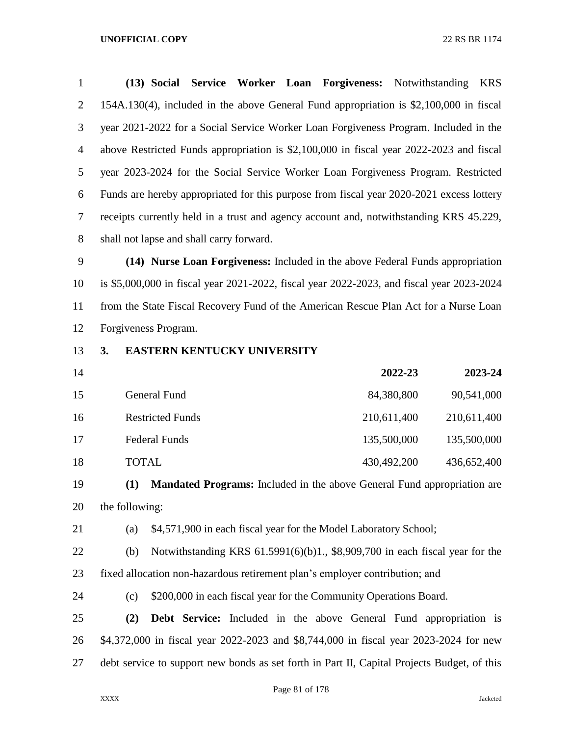| $\mathbf{1}$   | (13) Social Service Worker Loan Forgiveness: Notwithstanding<br><b>KRS</b>                |
|----------------|-------------------------------------------------------------------------------------------|
| 2              | $154A.130(4)$ , included in the above General Fund appropriation is \$2,100,000 in fiscal |
| 3              | year 2021-2022 for a Social Service Worker Loan Forgiveness Program. Included in the      |
| $\overline{4}$ | above Restricted Funds appropriation is \$2,100,000 in fiscal year 2022-2023 and fiscal   |
| 5              | year 2023-2024 for the Social Service Worker Loan Forgiveness Program. Restricted         |
| 6              | Funds are hereby appropriated for this purpose from fiscal year 2020-2021 excess lottery  |
| 7              | receipts currently held in a trust and agency account and, notwithstanding KRS 45.229,    |
| 8              | shall not lapse and shall carry forward.                                                  |

 **(14) Nurse Loan Forgiveness:** Included in the above Federal Funds appropriation is \$5,000,000 in fiscal year 2021-2022, fiscal year 2022-2023, and fiscal year 2023-2024 from the State Fiscal Recovery Fund of the American Rescue Plan Act for a Nurse Loan Forgiveness Program.

## **3. EASTERN KENTUCKY UNIVERSITY**

| 14 |                         | 2022-23     | 2023-24     |
|----|-------------------------|-------------|-------------|
| 15 | General Fund            | 84,380,800  | 90,541,000  |
| 16 | <b>Restricted Funds</b> | 210,611,400 | 210,611,400 |
| 17 | <b>Federal Funds</b>    | 135,500,000 | 135,500,000 |
| 18 | <b>TOTAL</b>            | 430,492,200 | 436,652,400 |

 **(1) Mandated Programs:** Included in the above General Fund appropriation are the following:

(a) \$4,571,900 in each fiscal year for the Model Laboratory School;

- (b) Notwithstanding KRS 61.5991(6)(b)1., \$8,909,700 in each fiscal year for the fixed allocation non-hazardous retirement plan's employer contribution; and
- (c) \$200,000 in each fiscal year for the Community Operations Board.
- **(2) Debt Service:** Included in the above General Fund appropriation is \$4,372,000 in fiscal year 2022-2023 and \$8,744,000 in fiscal year 2023-2024 for new debt service to support new bonds as set forth in Part II, Capital Projects Budget, of this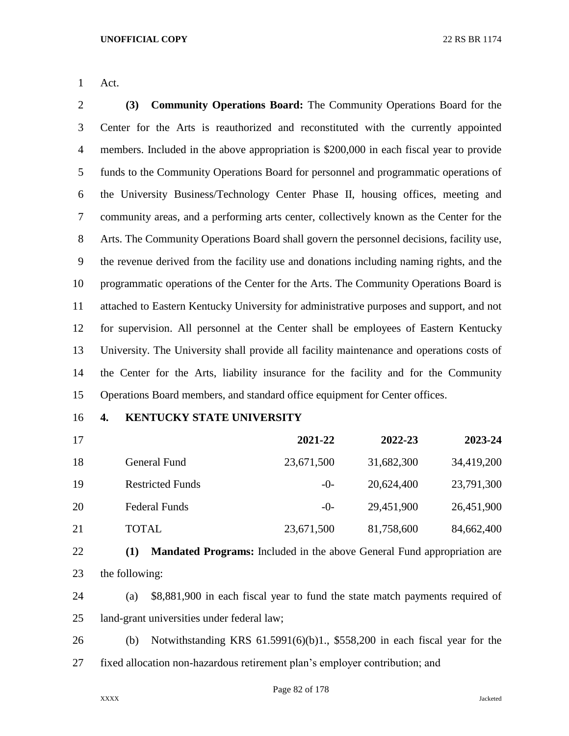Act.

 **(3) Community Operations Board:** The Community Operations Board for the Center for the Arts is reauthorized and reconstituted with the currently appointed members. Included in the above appropriation is \$200,000 in each fiscal year to provide funds to the Community Operations Board for personnel and programmatic operations of the University Business/Technology Center Phase II, housing offices, meeting and community areas, and a performing arts center, collectively known as the Center for the Arts. The Community Operations Board shall govern the personnel decisions, facility use, the revenue derived from the facility use and donations including naming rights, and the programmatic operations of the Center for the Arts. The Community Operations Board is attached to Eastern Kentucky University for administrative purposes and support, and not for supervision. All personnel at the Center shall be employees of Eastern Kentucky University. The University shall provide all facility maintenance and operations costs of the Center for the Arts, liability insurance for the facility and for the Community Operations Board members, and standard office equipment for Center offices.

## **4. KENTUCKY STATE UNIVERSITY**

| 17 |                         | 2021-22    | 2022-23    | 2023-24    |
|----|-------------------------|------------|------------|------------|
| 18 | General Fund            | 23,671,500 | 31,682,300 | 34,419,200 |
| 19 | <b>Restricted Funds</b> | $-0-$      | 20,624,400 | 23,791,300 |
| 20 | <b>Federal Funds</b>    | $-0-$      | 29,451,900 | 26,451,900 |
| 21 | <b>TOTAL</b>            | 23,671,500 | 81,758,600 | 84,662,400 |

```
22 (1) Mandated Programs: Included in the above General Fund appropriation are 
23 the following:
```
- (a) \$8,881,900 in each fiscal year to fund the state match payments required of land-grant universities under federal law;
- (b) Notwithstanding KRS 61.5991(6)(b)1., \$558,200 in each fiscal year for the fixed allocation non-hazardous retirement plan's employer contribution; and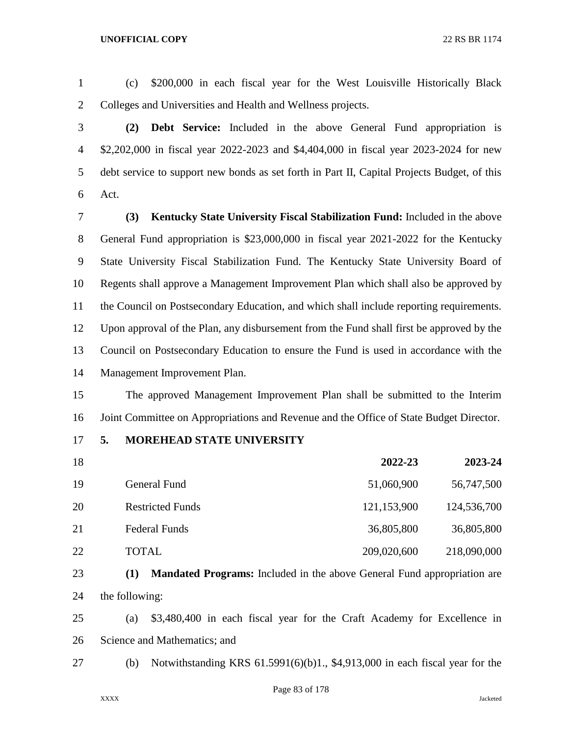(c) \$200,000 in each fiscal year for the West Louisville Historically Black Colleges and Universities and Health and Wellness projects.

 **(2) Debt Service:** Included in the above General Fund appropriation is \$2,202,000 in fiscal year 2022-2023 and \$4,404,000 in fiscal year 2023-2024 for new debt service to support new bonds as set forth in Part II, Capital Projects Budget, of this Act.

 **(3) Kentucky State University Fiscal Stabilization Fund:** Included in the above General Fund appropriation is \$23,000,000 in fiscal year 2021-2022 for the Kentucky State University Fiscal Stabilization Fund. The Kentucky State University Board of Regents shall approve a Management Improvement Plan which shall also be approved by the Council on Postsecondary Education, and which shall include reporting requirements. Upon approval of the Plan, any disbursement from the Fund shall first be approved by the Council on Postsecondary Education to ensure the Fund is used in accordance with the Management Improvement Plan.

 The approved Management Improvement Plan shall be submitted to the Interim Joint Committee on Appropriations and Revenue and the Office of State Budget Director.

**5. MOREHEAD STATE UNIVERSITY**

| 18 |                         | 2022-23     | 2023-24     |
|----|-------------------------|-------------|-------------|
| 19 | General Fund            | 51,060,900  | 56,747,500  |
| 20 | <b>Restricted Funds</b> | 121,153,900 | 124,536,700 |
| 21 | <b>Federal Funds</b>    | 36,805,800  | 36,805,800  |
| 22 | <b>TOTAL</b>            | 209,020,600 | 218,090,000 |

 **(1) Mandated Programs:** Included in the above General Fund appropriation are the following:

(b) Notwithstanding KRS 61.5991(6)(b)1., \$4,913,000 in each fiscal year for the

 (a) \$3,480,400 in each fiscal year for the Craft Academy for Excellence in Science and Mathematics; and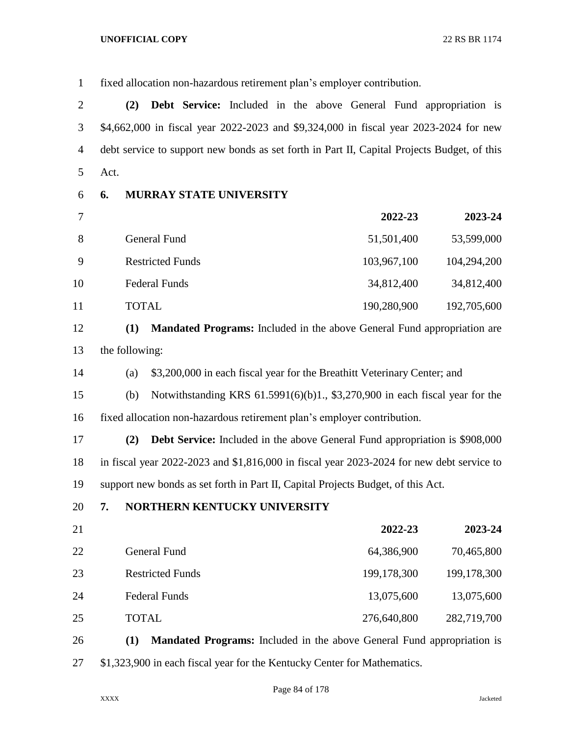fixed allocation non-hazardous retirement plan's employer contribution. **(2) Debt Service:** Included in the above General Fund appropriation is \$4,662,000 in fiscal year 2022-2023 and \$9,324,000 in fiscal year 2023-2024 for new debt service to support new bonds as set forth in Part II, Capital Projects Budget, of this Act. **6. MURRAY STATE UNIVERSITY 2022-23 2023-24** 8 General Fund 51,501,400 53,599,000 Restricted Funds 103,967,100 104,294,200 10 Federal Funds 34,812,400 34,812,400 TOTAL 190,280,900 192,705,600 **(1) Mandated Programs:** Included in the above General Fund appropriation are the following: (a) \$3,200,000 in each fiscal year for the Breathitt Veterinary Center; and (b) Notwithstanding KRS 61.5991(6)(b)1., \$3,270,900 in each fiscal year for the fixed allocation non-hazardous retirement plan's employer contribution.

 **(2) Debt Service:** Included in the above General Fund appropriation is \$908,000 in fiscal year 2022-2023 and \$1,816,000 in fiscal year 2023-2024 for new debt service to support new bonds as set forth in Part II, Capital Projects Budget, of this Act.

## **7. NORTHERN KENTUCKY UNIVERSITY**

| 21 |                         | 2022-23       | 2023-24     |
|----|-------------------------|---------------|-------------|
| 22 | General Fund            | 64,386,900    | 70,465,800  |
| 23 | <b>Restricted Funds</b> | 199, 178, 300 | 199,178,300 |
| 24 | <b>Federal Funds</b>    | 13,075,600    | 13,075,600  |
| 25 | <b>TOTAL</b>            | 276,640,800   | 282,719,700 |

 **(1) Mandated Programs:** Included in the above General Fund appropriation is \$1,323,900 in each fiscal year for the Kentucky Center for Mathematics.

Page 84 of 178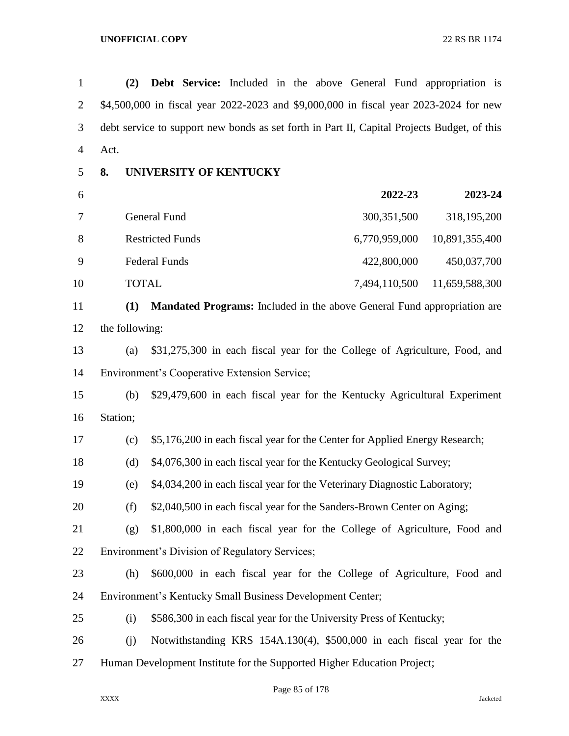**(2) Debt Service:** Included in the above General Fund appropriation is \$4,500,000 in fiscal year 2022-2023 and \$9,000,000 in fiscal year 2023-2024 for new debt service to support new bonds as set forth in Part II, Capital Projects Budget, of this Act.

## **8. UNIVERSITY OF KENTUCKY**

| 6  |                         | 2022-23       | 2023-24        |
|----|-------------------------|---------------|----------------|
|    | General Fund            | 300, 351, 500 | 318,195,200    |
| 8  | <b>Restricted Funds</b> | 6,770,959,000 | 10,891,355,400 |
| 9  | <b>Federal Funds</b>    | 422,800,000   | 450,037,700    |
| 10 | <b>TOTAL</b>            | 7,494,110,500 | 11,659,588,300 |

 **(1) Mandated Programs:** Included in the above General Fund appropriation are the following:

 (a) \$31,275,300 in each fiscal year for the College of Agriculture, Food, and Environment's Cooperative Extension Service;

 (b) \$29,479,600 in each fiscal year for the Kentucky Agricultural Experiment Station;

(c) \$5,176,200 in each fiscal year for the Center for Applied Energy Research;

(d) \$4,076,300 in each fiscal year for the Kentucky Geological Survey;

(e) \$4,034,200 in each fiscal year for the Veterinary Diagnostic Laboratory;

(f) \$2,040,500 in each fiscal year for the Sanders-Brown Center on Aging;

 (g) \$1,800,000 in each fiscal year for the College of Agriculture, Food and Environment's Division of Regulatory Services;

 (h) \$600,000 in each fiscal year for the College of Agriculture, Food and Environment's Kentucky Small Business Development Center;

- (i) \$586,300 in each fiscal year for the University Press of Kentucky;
- (j) Notwithstanding KRS 154A.130(4), \$500,000 in each fiscal year for the Human Development Institute for the Supported Higher Education Project;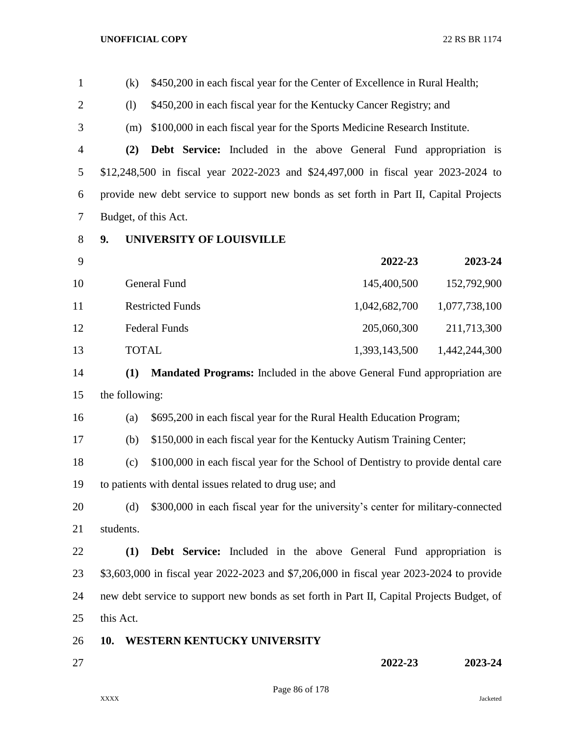| $\mathbf{1}$   | \$450,200 in each fiscal year for the Center of Excellence in Rural Health;<br>(k) |                                                         |                                                                                            |               |
|----------------|------------------------------------------------------------------------------------|---------------------------------------------------------|--------------------------------------------------------------------------------------------|---------------|
| $\overline{2}$ | (1)                                                                                |                                                         | \$450,200 in each fiscal year for the Kentucky Cancer Registry; and                        |               |
| 3              | (m)                                                                                |                                                         | \$100,000 in each fiscal year for the Sports Medicine Research Institute.                  |               |
| $\overline{4}$ | (2)                                                                                |                                                         | <b>Debt Service:</b> Included in the above General Fund appropriation is                   |               |
| 5              |                                                                                    |                                                         | \$12,248,500 in fiscal year 2022-2023 and \$24,497,000 in fiscal year 2023-2024 to         |               |
| 6              |                                                                                    |                                                         | provide new debt service to support new bonds as set forth in Part II, Capital Projects    |               |
| 7              | Budget, of this Act.                                                               |                                                         |                                                                                            |               |
| 8              | 9.<br><b>UNIVERSITY OF LOUISVILLE</b>                                              |                                                         |                                                                                            |               |
| 9              |                                                                                    |                                                         | 2022-23                                                                                    | 2023-24       |
| 10             |                                                                                    | <b>General Fund</b>                                     | 145,400,500                                                                                | 152,792,900   |
| 11             |                                                                                    | <b>Restricted Funds</b>                                 | 1,042,682,700                                                                              | 1,077,738,100 |
| 12             |                                                                                    | <b>Federal Funds</b>                                    | 205,060,300                                                                                | 211,713,300   |
| 13             | <b>TOTAL</b>                                                                       |                                                         | 1,393,143,500                                                                              | 1,442,244,300 |
| 14             | (1)                                                                                |                                                         | <b>Mandated Programs:</b> Included in the above General Fund appropriation are             |               |
| 15             | the following:                                                                     |                                                         |                                                                                            |               |
| 16             | \$695,200 in each fiscal year for the Rural Health Education Program;<br>(a)       |                                                         |                                                                                            |               |
| 17             | (b)                                                                                |                                                         | \$150,000 in each fiscal year for the Kentucky Autism Training Center;                     |               |
| 18             | (c)                                                                                |                                                         | \$100,000 in each fiscal year for the School of Dentistry to provide dental care           |               |
| 19             |                                                                                    | to patients with dental issues related to drug use; and |                                                                                            |               |
| 20             | (d)                                                                                |                                                         | \$300,000 in each fiscal year for the university's center for military-connected           |               |
| 21             | students.                                                                          |                                                         |                                                                                            |               |
| 22             | (1)                                                                                |                                                         | <b>Debt Service:</b> Included in the above General Fund appropriation is                   |               |
| 23             |                                                                                    |                                                         | \$3,603,000 in fiscal year 2022-2023 and \$7,206,000 in fiscal year 2023-2024 to provide   |               |
| 24             |                                                                                    |                                                         | new debt service to support new bonds as set forth in Part II, Capital Projects Budget, of |               |
| 25             | this Act.                                                                          |                                                         |                                                                                            |               |
| 26             | 10.                                                                                | WESTERN KENTUCKY UNIVERSITY                             |                                                                                            |               |
| 27             |                                                                                    |                                                         | 2022-23                                                                                    | 2023-24       |
|                |                                                                                    |                                                         |                                                                                            |               |

Page 86 of 178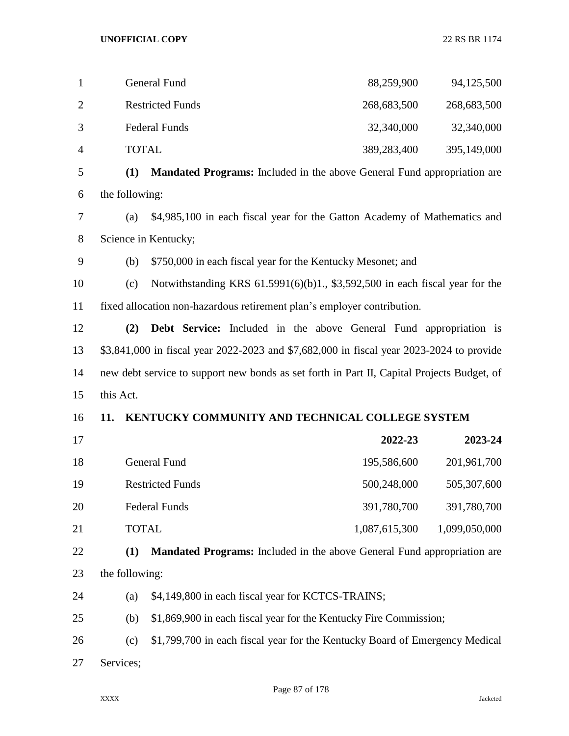| 1              |                      | General Fund                                                                   | 88,259,900  | 94,125,500  |
|----------------|----------------------|--------------------------------------------------------------------------------|-------------|-------------|
| $\overline{2}$ |                      | <b>Restricted Funds</b>                                                        | 268,683,500 | 268,683,500 |
| 3              |                      | <b>Federal Funds</b>                                                           | 32,340,000  | 32,340,000  |
| $\overline{4}$ | <b>TOTAL</b>         |                                                                                | 389,283,400 | 395,149,000 |
| 5              | (1)                  | <b>Mandated Programs:</b> Included in the above General Fund appropriation are |             |             |
| 6              | the following:       |                                                                                |             |             |
| 7              | (a)                  | \$4,985,100 in each fiscal year for the Gatton Academy of Mathematics and      |             |             |
| 8              | Science in Kentucky; |                                                                                |             |             |
| 9              | (b)                  | \$750,000 in each fiscal year for the Kentucky Mesonet; and                    |             |             |
| 10             | (c)                  | Notwithstanding KRS 61.5991(6)(b)1., \$3,592,500 in each fiscal year for the   |             |             |

fixed allocation non-hazardous retirement plan's employer contribution.

 **(2) Debt Service:** Included in the above General Fund appropriation is \$3,841,000 in fiscal year 2022-2023 and \$7,682,000 in fiscal year 2023-2024 to provide new debt service to support new bonds as set forth in Part II, Capital Projects Budget, of this Act.

## **11. KENTUCKY COMMUNITY AND TECHNICAL COLLEGE SYSTEM**

- **2022-23 2023-24** 18 General Fund 195,586,600 201,961,700 19 Restricted Funds 500,248,000 505,307,600 Federal Funds 391,780,700 391,780,700 21 TOTAL 1,087,615,300 1,099,050,000
- **(1) Mandated Programs:** Included in the above General Fund appropriation are the following:
- (a) \$4,149,800 in each fiscal year for KCTCS-TRAINS;
- (b) \$1,869,900 in each fiscal year for the Kentucky Fire Commission;
- (c) \$1,799,700 in each fiscal year for the Kentucky Board of Emergency Medical
- Services;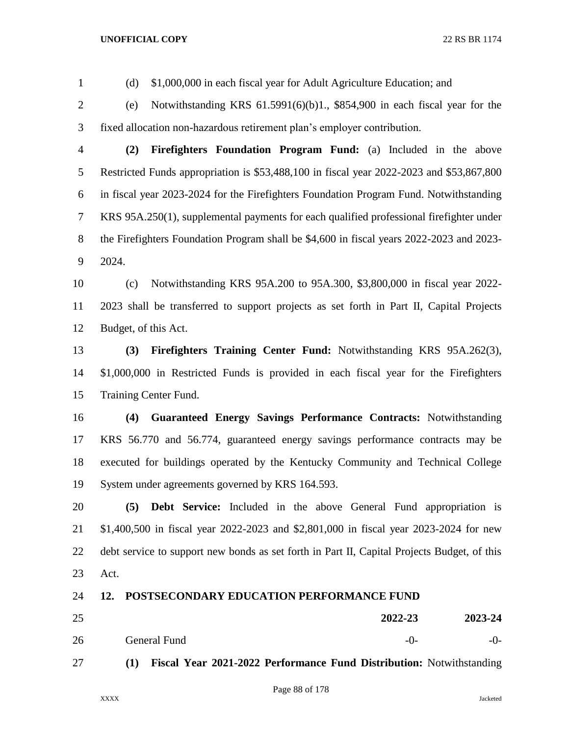(d) \$1,000,000 in each fiscal year for Adult Agriculture Education; and

 (e) Notwithstanding KRS 61.5991(6)(b)1., \$854,900 in each fiscal year for the fixed allocation non-hazardous retirement plan's employer contribution.

- **(2) Firefighters Foundation Program Fund:** (a) Included in the above Restricted Funds appropriation is \$53,488,100 in fiscal year 2022-2023 and \$53,867,800 in fiscal year 2023-2024 for the Firefighters Foundation Program Fund. Notwithstanding KRS 95A.250(1), supplemental payments for each qualified professional firefighter under the Firefighters Foundation Program shall be \$4,600 in fiscal years 2022-2023 and 2023- 2024.
- (c) Notwithstanding KRS 95A.200 to 95A.300, \$3,800,000 in fiscal year 2022- 2023 shall be transferred to support projects as set forth in Part II, Capital Projects Budget, of this Act.

 **(3) Firefighters Training Center Fund:** Notwithstanding KRS 95A.262(3), \$1,000,000 in Restricted Funds is provided in each fiscal year for the Firefighters Training Center Fund.

 **(4) Guaranteed Energy Savings Performance Contracts:** Notwithstanding KRS 56.770 and 56.774, guaranteed energy savings performance contracts may be executed for buildings operated by the Kentucky Community and Technical College System under agreements governed by KRS 164.593.

 **(5) Debt Service:** Included in the above General Fund appropriation is \$1,400,500 in fiscal year 2022-2023 and \$2,801,000 in fiscal year 2023-2024 for new debt service to support new bonds as set forth in Part II, Capital Projects Budget, of this Act.

## **12. POSTSECONDARY EDUCATION PERFORMANCE FUND**

| 25 |              | 2022-23 | 2023-24 |
|----|--------------|---------|---------|
| 26 | General Fund | -0-     | $-0-$   |

**(1) Fiscal Year 2021-2022 Performance Fund Distribution:** Notwithstanding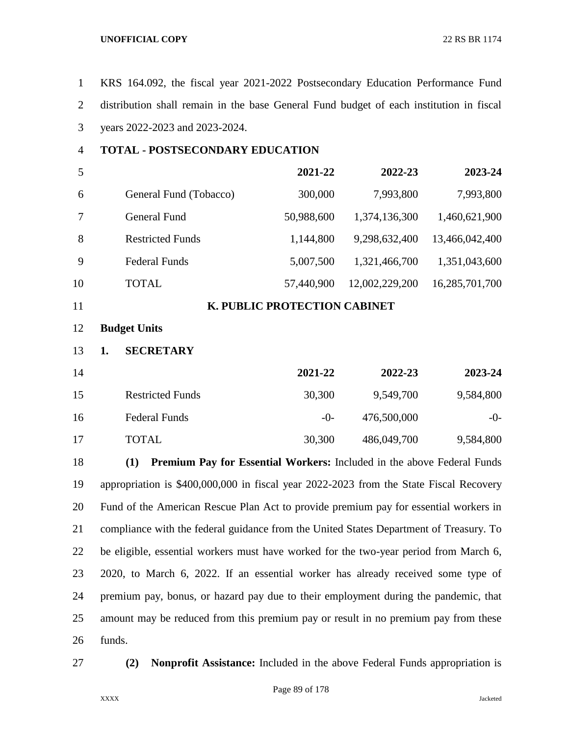| $\mathbf{1}$   | KRS 164.092, the fiscal year 2021-2022 Postsecondary Education Performance Fund         |                              |                |                |
|----------------|-----------------------------------------------------------------------------------------|------------------------------|----------------|----------------|
| $\overline{2}$ | distribution shall remain in the base General Fund budget of each institution in fiscal |                              |                |                |
| 3              | years 2022-2023 and 2023-2024.                                                          |                              |                |                |
| $\overline{4}$ | <b>TOTAL - POSTSECONDARY EDUCATION</b>                                                  |                              |                |                |
| 5              |                                                                                         | 2021-22                      | 2022-23        | 2023-24        |
| 6              | General Fund (Tobacco)                                                                  | 300,000                      | 7,993,800      | 7,993,800      |
| 7              | General Fund                                                                            | 50,988,600                   | 1,374,136,300  | 1,460,621,900  |
| 8              | <b>Restricted Funds</b>                                                                 | 1,144,800                    | 9,298,632,400  | 13,466,042,400 |
| 9              | <b>Federal Funds</b>                                                                    | 5,007,500                    | 1,321,466,700  | 1,351,043,600  |
| 10             | <b>TOTAL</b>                                                                            | 57,440,900                   | 12,002,229,200 | 16,285,701,700 |
| 11             |                                                                                         | K. PUBLIC PROTECTION CABINET |                |                |
| 12             | <b>Budget Units</b>                                                                     |                              |                |                |
| 13             | <b>SECRETARY</b><br>1.                                                                  |                              |                |                |
| 14             |                                                                                         | 2021-22                      | 2022-23        | 2023-24        |
| 15             | <b>Restricted Funds</b>                                                                 | 30,300                       | 9,549,700      | 9,584,800      |
| 16             | <b>Federal Funds</b>                                                                    | $-0-$                        | 476,500,000    | $-0-$          |
| 17             | <b>TOTAL</b>                                                                            | 30,300                       | 486,049,700    | 9,584,800      |
| 18             | Premium Pay for Essential Workers: Included in the above Federal Funds<br>(1)           |                              |                |                |
| 19             | appropriation is \$400,000,000 in fiscal year 2022-2023 from the State Fiscal Recovery  |                              |                |                |
|                |                                                                                         |                              |                |                |
| 20             | Fund of the American Rescue Plan Act to provide premium pay for essential workers in    |                              |                |                |
| 21             | compliance with the federal guidance from the United States Department of Treasury. To  |                              |                |                |
| 22             | be eligible, essential workers must have worked for the two-year period from March 6,   |                              |                |                |
| 23             | 2020, to March 6, 2022. If an essential worker has already received some type of        |                              |                |                |
| 24             | premium pay, bonus, or hazard pay due to their employment during the pandemic, that     |                              |                |                |
| 25             | amount may be reduced from this premium pay or result in no premium pay from these      |                              |                |                |

**(2) Nonprofit Assistance:** Included in the above Federal Funds appropriation is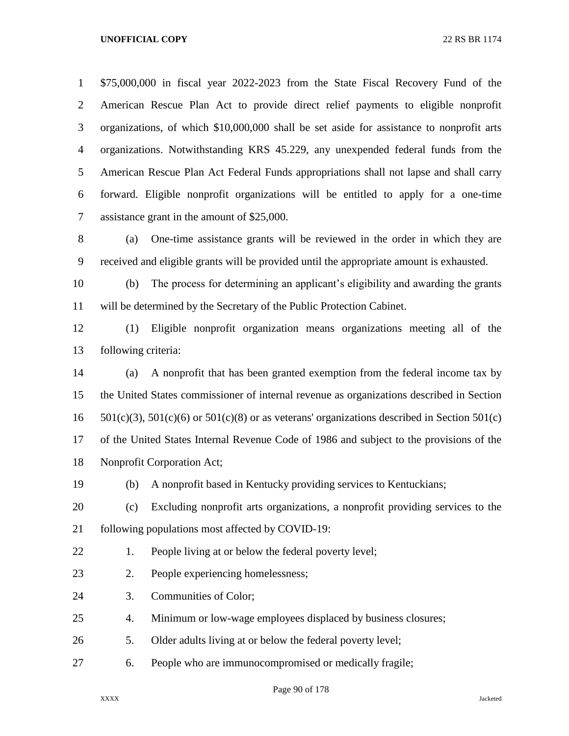\$75,000,000 in fiscal year 2022-2023 from the State Fiscal Recovery Fund of the American Rescue Plan Act to provide direct relief payments to eligible nonprofit organizations, of which \$10,000,000 shall be set aside for assistance to nonprofit arts organizations. Notwithstanding KRS 45.229, any unexpended federal funds from the American Rescue Plan Act Federal Funds appropriations shall not lapse and shall carry forward. Eligible nonprofit organizations will be entitled to apply for a one-time assistance grant in the amount of \$25,000.

 (a) One-time assistance grants will be reviewed in the order in which they are received and eligible grants will be provided until the appropriate amount is exhausted.

 (b) The process for determining an applicant's eligibility and awarding the grants will be determined by the Secretary of the Public Protection Cabinet.

 (1) Eligible nonprofit organization means organizations meeting all of the following criteria:

 (a) A nonprofit that has been granted exemption from the federal income tax by the United States commissioner of internal revenue as organizations described in Section 16 501(c)(3), 501(c)(6) or 501(c)(8) or as veterans' organizations described in Section 501(c) of the United States Internal Revenue Code of 1986 and subject to the provisions of the Nonprofit Corporation Act;

(b) A nonprofit based in Kentucky providing services to Kentuckians;

 (c) Excluding nonprofit arts organizations, a nonprofit providing services to the following populations most affected by COVID-19:

22 1. People living at or below the federal poverty level;

- 2. People experiencing homelessness;
- 3. Communities of Color;

4. Minimum or low-wage employees displaced by business closures;

- 5. Older adults living at or below the federal poverty level;
- 6. People who are immunocompromised or medically fragile;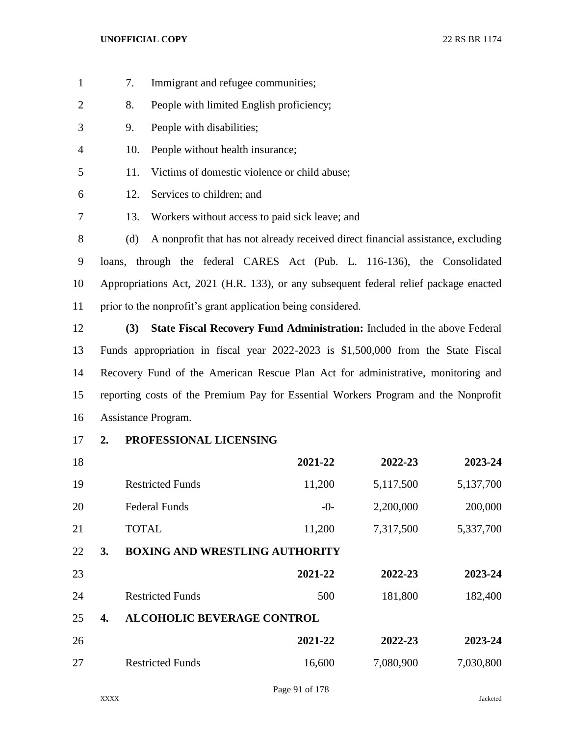- 7. Immigrant and refugee communities;
- 8. People with limited English proficiency;
- 9. People with disabilities;
- 10. People without health insurance;
- 11. Victims of domestic violence or child abuse;
- 12. Services to children; and
- 13. Workers without access to paid sick leave; and

 (d) A nonprofit that has not already received direct financial assistance, excluding loans, through the federal CARES Act (Pub. L. 116-136), the Consolidated Appropriations Act, 2021 (H.R. 133), or any subsequent federal relief package enacted prior to the nonprofit's grant application being considered.

 **(3) State Fiscal Recovery Fund Administration:** Included in the above Federal Funds appropriation in fiscal year 2022-2023 is \$1,500,000 from the State Fiscal Recovery Fund of the American Rescue Plan Act for administrative, monitoring and reporting costs of the Premium Pay for Essential Workers Program and the Nonprofit Assistance Program.

**2. PROFESSIONAL LICENSING**

| 18 |    |                                       | 2021-22 | 2022-23   | 2023-24   |
|----|----|---------------------------------------|---------|-----------|-----------|
| 19 |    | <b>Restricted Funds</b>               | 11,200  | 5,117,500 | 5,137,700 |
| 20 |    | <b>Federal Funds</b>                  | $-0-$   | 2,200,000 | 200,000   |
| 21 |    | <b>TOTAL</b>                          | 11,200  | 7,317,500 | 5,337,700 |
| 22 | 3. | <b>BOXING AND WRESTLING AUTHORITY</b> |         |           |           |
| 23 |    |                                       | 2021-22 | 2022-23   | 2023-24   |
| 24 |    | <b>Restricted Funds</b>               | 500     | 181,800   | 182,400   |
| 25 | 4. | <b>ALCOHOLIC BEVERAGE CONTROL</b>     |         |           |           |
| 26 |    |                                       | 2021-22 | 2022-23   | 2023-24   |
| 27 |    | <b>Restricted Funds</b>               | 16,600  | 7,080,900 | 7,030,800 |
|    |    |                                       |         |           |           |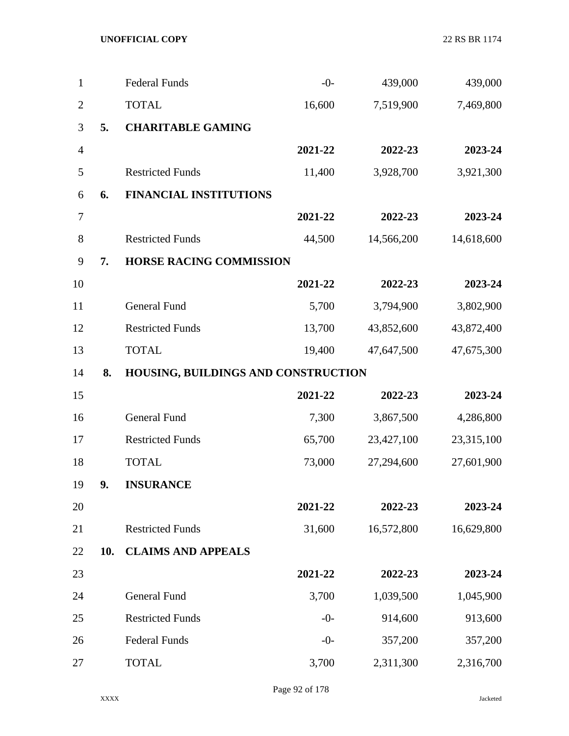| 1              |     | <b>Federal Funds</b>                | $-0-$   | 439,000    | 439,000    |
|----------------|-----|-------------------------------------|---------|------------|------------|
| $\overline{2}$ |     | <b>TOTAL</b>                        | 16,600  | 7,519,900  | 7,469,800  |
| 3              | 5.  | <b>CHARITABLE GAMING</b>            |         |            |            |
| $\overline{4}$ |     |                                     | 2021-22 | 2022-23    | 2023-24    |
| 5              |     | <b>Restricted Funds</b>             | 11,400  | 3,928,700  | 3,921,300  |
| 6              | 6.  | <b>FINANCIAL INSTITUTIONS</b>       |         |            |            |
| 7              |     |                                     | 2021-22 | 2022-23    | 2023-24    |
| $8\,$          |     | <b>Restricted Funds</b>             | 44,500  | 14,566,200 | 14,618,600 |
| 9              | 7.  | <b>HORSE RACING COMMISSION</b>      |         |            |            |
| 10             |     |                                     | 2021-22 | 2022-23    | 2023-24    |
| 11             |     | General Fund                        | 5,700   | 3,794,900  | 3,802,900  |
| 12             |     | <b>Restricted Funds</b>             | 13,700  | 43,852,600 | 43,872,400 |
| 13             |     | <b>TOTAL</b>                        | 19,400  | 47,647,500 | 47,675,300 |
| 14             | 8.  | HOUSING, BUILDINGS AND CONSTRUCTION |         |            |            |
| 15             |     |                                     | 2021-22 | 2022-23    | 2023-24    |
| 16             |     | General Fund                        | 7,300   | 3,867,500  | 4,286,800  |
| 17             |     | <b>Restricted Funds</b>             | 65,700  | 23,427,100 | 23,315,100 |
| 18             |     | <b>TOTAL</b>                        | 73,000  | 27,294,600 | 27,601,900 |
| 19             | 9.  | <b>INSURANCE</b>                    |         |            |            |
| 20             |     |                                     | 2021-22 | 2022-23    | 2023-24    |
| 21             |     | <b>Restricted Funds</b>             | 31,600  | 16,572,800 | 16,629,800 |
| 22             | 10. | <b>CLAIMS AND APPEALS</b>           |         |            |            |
| 23             |     |                                     | 2021-22 | 2022-23    | 2023-24    |
| 24             |     | <b>General Fund</b>                 | 3,700   | 1,039,500  | 1,045,900  |
| 25             |     | <b>Restricted Funds</b>             | $-0-$   | 914,600    | 913,600    |
| 26             |     | <b>Federal Funds</b>                | $-0-$   | 357,200    | 357,200    |
| 27             |     | <b>TOTAL</b>                        | 3,700   | 2,311,300  | 2,316,700  |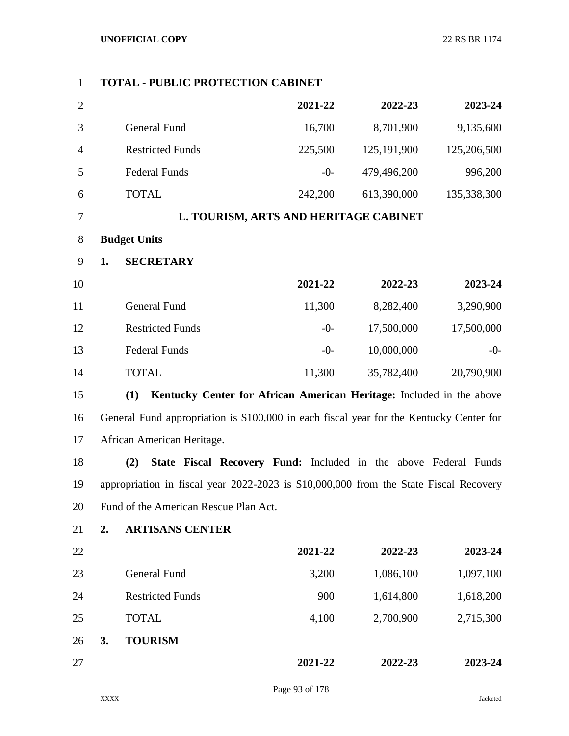| $\mathbf{1}$   |    | <b>TOTAL - PUBLIC PROTECTION CABINET</b>                                                |         |             |             |
|----------------|----|-----------------------------------------------------------------------------------------|---------|-------------|-------------|
| $\overline{2}$ |    |                                                                                         | 2021-22 | 2022-23     | 2023-24     |
| 3              |    | <b>General Fund</b>                                                                     | 16,700  | 8,701,900   | 9,135,600   |
| $\overline{4}$ |    | <b>Restricted Funds</b>                                                                 | 225,500 | 125,191,900 | 125,206,500 |
| 5              |    | <b>Federal Funds</b>                                                                    | $-0-$   | 479,496,200 | 996,200     |
| 6              |    | <b>TOTAL</b>                                                                            | 242,200 | 613,390,000 | 135,338,300 |
| 7              |    | L. TOURISM, ARTS AND HERITAGE CABINET                                                   |         |             |             |
| 8              |    | <b>Budget Units</b>                                                                     |         |             |             |
| 9              | 1. | <b>SECRETARY</b>                                                                        |         |             |             |
| 10             |    |                                                                                         | 2021-22 | 2022-23     | 2023-24     |
| 11             |    | <b>General Fund</b>                                                                     | 11,300  | 8,282,400   | 3,290,900   |
| 12             |    | <b>Restricted Funds</b>                                                                 | $-0-$   | 17,500,000  | 17,500,000  |
| 13             |    | <b>Federal Funds</b>                                                                    | $-0-$   | 10,000,000  | $-0-$       |
| 14             |    | <b>TOTAL</b>                                                                            | 11,300  | 35,782,400  | 20,790,900  |
| 15             |    | (1)<br>Kentucky Center for African American Heritage: Included in the above             |         |             |             |
| 16             |    | General Fund appropriation is \$100,000 in each fiscal year for the Kentucky Center for |         |             |             |
| 17             |    | African American Heritage.                                                              |         |             |             |
| 18             |    | (2)<br>State Fiscal Recovery Fund: Included in the above Federal Funds                  |         |             |             |
| 19             |    | appropriation in fiscal year 2022-2023 is \$10,000,000 from the State Fiscal Recovery   |         |             |             |
| 20             |    | Fund of the American Rescue Plan Act.                                                   |         |             |             |
| 21             | 2. | <b>ARTISANS CENTER</b>                                                                  |         |             |             |
| 22             |    |                                                                                         | 2021-22 | 2022-23     | 2023-24     |
| 23             |    | General Fund                                                                            | 3,200   | 1,086,100   | 1,097,100   |
| 24             |    | <b>Restricted Funds</b>                                                                 | 900     | 1,614,800   | 1,618,200   |
| 25             |    | <b>TOTAL</b>                                                                            | 4,100   | 2,700,900   | 2,715,300   |
| 26             | 3. | <b>TOURISM</b>                                                                          |         |             |             |
| 27             |    |                                                                                         | 2021-22 | 2022-23     | 2023-24     |
|                |    |                                                                                         |         |             |             |

Page 93 of 178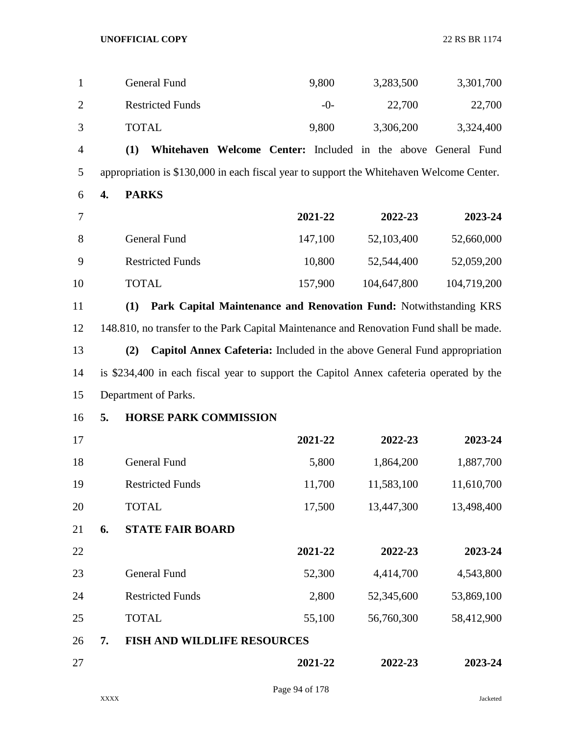| $\mathbf{1}$   |    | General Fund                                                                             | 9,800   | 3,283,500   | 3,301,700   |
|----------------|----|------------------------------------------------------------------------------------------|---------|-------------|-------------|
| $\overline{2}$ |    | <b>Restricted Funds</b>                                                                  | $-0-$   | 22,700      | 22,700      |
| 3              |    | <b>TOTAL</b>                                                                             | 9,800   | 3,306,200   | 3,324,400   |
| $\overline{4}$ |    | Whitehaven Welcome Center: Included in the above General Fund<br>(1)                     |         |             |             |
| 5              |    | appropriation is \$130,000 in each fiscal year to support the Whitehaven Welcome Center. |         |             |             |
| 6              | 4. | <b>PARKS</b>                                                                             |         |             |             |
| 7              |    |                                                                                          | 2021-22 | 2022-23     | 2023-24     |
| 8              |    | General Fund                                                                             | 147,100 | 52,103,400  | 52,660,000  |
| 9              |    | <b>Restricted Funds</b>                                                                  | 10,800  | 52,544,400  | 52,059,200  |
| 10             |    | <b>TOTAL</b>                                                                             | 157,900 | 104,647,800 | 104,719,200 |
| 11             |    | Park Capital Maintenance and Renovation Fund: Notwithstanding KRS<br>(1)                 |         |             |             |
| 12             |    | 148.810, no transfer to the Park Capital Maintenance and Renovation Fund shall be made.  |         |             |             |
| 13             |    | Capitol Annex Cafeteria: Included in the above General Fund appropriation<br>(2)         |         |             |             |
| 14             |    | is \$234,400 in each fiscal year to support the Capitol Annex cafeteria operated by the  |         |             |             |
| 15             |    | Department of Parks.                                                                     |         |             |             |
| 16             | 5. | <b>HORSE PARK COMMISSION</b>                                                             |         |             |             |
| 17             |    |                                                                                          | 2021-22 | 2022-23     | 2023-24     |
| 18             |    | General Fund                                                                             | 5,800   | 1,864,200   | 1,887,700   |
| 19             |    | <b>Restricted Funds</b>                                                                  | 11,700  | 11,583,100  | 11,610,700  |
| 20             |    | <b>TOTAL</b>                                                                             | 17,500  | 13,447,300  | 13,498,400  |
| 21             | 6. | <b>STATE FAIR BOARD</b>                                                                  |         |             |             |
| 22             |    |                                                                                          | 2021-22 | 2022-23     | 2023-24     |
| 23             |    | <b>General Fund</b>                                                                      | 52,300  | 4,414,700   | 4,543,800   |
| 24             |    | <b>Restricted Funds</b>                                                                  | 2,800   | 52,345,600  | 53,869,100  |
| 25             |    | <b>TOTAL</b>                                                                             | 55,100  | 56,760,300  | 58,412,900  |
| 26             | 7. | <b>FISH AND WILDLIFE RESOURCES</b>                                                       |         |             |             |
| 27             |    |                                                                                          | 2021-22 | 2022-23     | 2023-24     |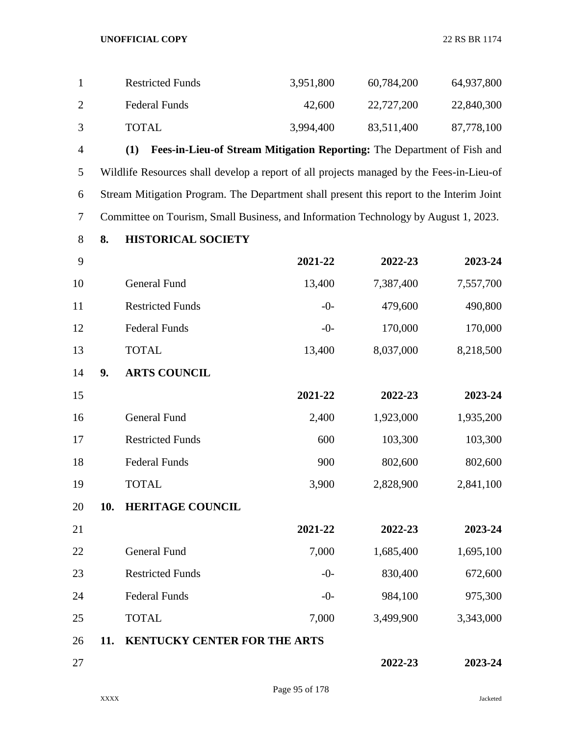| <b>Restricted Funds</b> | 3,951,800 | 60,784,200 | 64,937,800 |
|-------------------------|-----------|------------|------------|
| Federal Funds           | 42.600    | 22,727,200 | 22,840,300 |
| <b>TOTAL</b>            | 3,994,400 | 83,511,400 | 87,778,100 |

 **(1) Fees-in-Lieu-of Stream Mitigation Reporting:** The Department of Fish and Wildlife Resources shall develop a report of all projects managed by the Fees-in-Lieu-of Stream Mitigation Program. The Department shall present this report to the Interim Joint Committee on Tourism, Small Business, and Information Technology by August 1, 2023.

**8. HISTORICAL SOCIETY**

| 9  |     |                                     | 2021-22 | 2022-23   | 2023-24   |
|----|-----|-------------------------------------|---------|-----------|-----------|
| 10 |     | <b>General Fund</b>                 | 13,400  | 7,387,400 | 7,557,700 |
| 11 |     | <b>Restricted Funds</b>             | $-0-$   | 479,600   | 490,800   |
| 12 |     | <b>Federal Funds</b>                | $-0-$   | 170,000   | 170,000   |
| 13 |     | <b>TOTAL</b>                        | 13,400  | 8,037,000 | 8,218,500 |
| 14 | 9.  | <b>ARTS COUNCIL</b>                 |         |           |           |
| 15 |     |                                     | 2021-22 | 2022-23   | 2023-24   |
| 16 |     | <b>General Fund</b>                 | 2,400   | 1,923,000 | 1,935,200 |
| 17 |     | <b>Restricted Funds</b>             | 600     | 103,300   | 103,300   |
| 18 |     | <b>Federal Funds</b>                | 900     | 802,600   | 802,600   |
| 19 |     | <b>TOTAL</b>                        | 3,900   | 2,828,900 | 2,841,100 |
| 20 | 10. | <b>HERITAGE COUNCIL</b>             |         |           |           |
| 21 |     |                                     | 2021-22 | 2022-23   | 2023-24   |
| 22 |     | <b>General Fund</b>                 | 7,000   | 1,685,400 | 1,695,100 |
| 23 |     | <b>Restricted Funds</b>             | $-0-$   | 830,400   | 672,600   |
| 24 |     | <b>Federal Funds</b>                | $-0-$   | 984,100   | 975,300   |
| 25 |     | <b>TOTAL</b>                        | 7,000   | 3,499,900 | 3,343,000 |
| 26 | 11. | <b>KENTUCKY CENTER FOR THE ARTS</b> |         |           |           |
| 27 |     |                                     |         | 2022-23   | 2023-24   |
|    |     |                                     |         |           |           |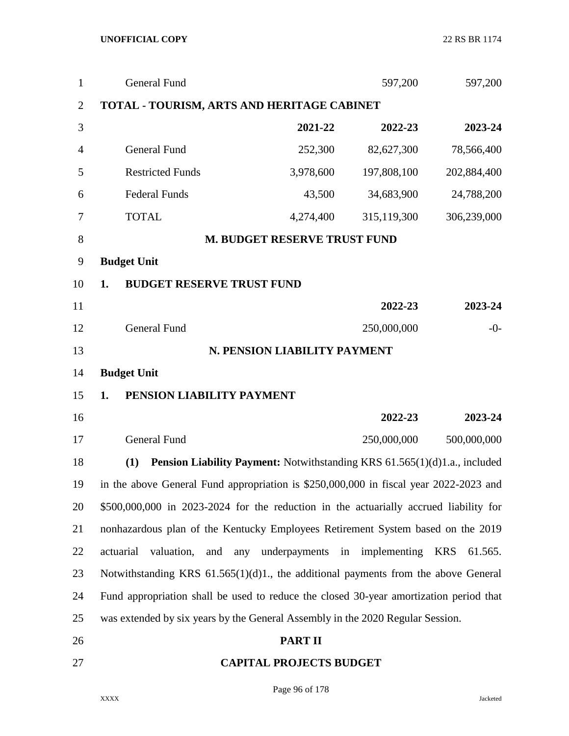| $\mathbf{1}$   | <b>General Fund</b>                                                                    |                                     | 597,200     | 597,200               |
|----------------|----------------------------------------------------------------------------------------|-------------------------------------|-------------|-----------------------|
| $\overline{2}$ | <b>TOTAL - TOURISM, ARTS AND HERITAGE CABINET</b>                                      |                                     |             |                       |
| 3              |                                                                                        | 2021-22                             | 2022-23     | 2023-24               |
| $\overline{4}$ | General Fund                                                                           | 252,300                             | 82,627,300  | 78,566,400            |
| 5              | <b>Restricted Funds</b>                                                                | 3,978,600                           | 197,808,100 | 202,884,400           |
| 6              | <b>Federal Funds</b>                                                                   | 43,500                              | 34,683,900  | 24,788,200            |
| 7              | <b>TOTAL</b>                                                                           | 4,274,400                           | 315,119,300 | 306,239,000           |
| 8              |                                                                                        | <b>M. BUDGET RESERVE TRUST FUND</b> |             |                       |
| 9              | <b>Budget Unit</b>                                                                     |                                     |             |                       |
| 10             | <b>BUDGET RESERVE TRUST FUND</b><br>1.                                                 |                                     |             |                       |
| 11             |                                                                                        |                                     | 2022-23     | 2023-24               |
| 12             | General Fund                                                                           |                                     | 250,000,000 | $-0-$                 |
| 13             |                                                                                        | N. PENSION LIABILITY PAYMENT        |             |                       |
| 14             | <b>Budget Unit</b>                                                                     |                                     |             |                       |
| 15             | PENSION LIABILITY PAYMENT<br>1.                                                        |                                     |             |                       |
| 16             |                                                                                        |                                     | 2022-23     | 2023-24               |
| 17             | <b>General Fund</b>                                                                    |                                     | 250,000,000 | 500,000,000           |
| 18             | Pension Liability Payment: Notwithstanding KRS 61.565(1)(d)1.a., included<br>(1)       |                                     |             |                       |
| 19             | in the above General Fund appropriation is \$250,000,000 in fiscal year 2022-2023 and  |                                     |             |                       |
| 20             | \$500,000,000 in 2023-2024 for the reduction in the actuarially accrued liability for  |                                     |             |                       |
| 21             | nonhazardous plan of the Kentucky Employees Retirement System based on the 2019        |                                     |             |                       |
| 22             | actuarial<br>valuation,<br>and<br>any                                                  | underpayments in implementing       |             | <b>KRS</b><br>61.565. |
| 23             | Notwithstanding KRS $61.565(1)(d)1$ , the additional payments from the above General   |                                     |             |                       |
| 24             | Fund appropriation shall be used to reduce the closed 30-year amortization period that |                                     |             |                       |
| 25             | was extended by six years by the General Assembly in the 2020 Regular Session.         |                                     |             |                       |
| 26             |                                                                                        | <b>PART II</b>                      |             |                       |
| 27             |                                                                                        | <b>CAPITAL PROJECTS BUDGET</b>      |             |                       |

Page 96 of 178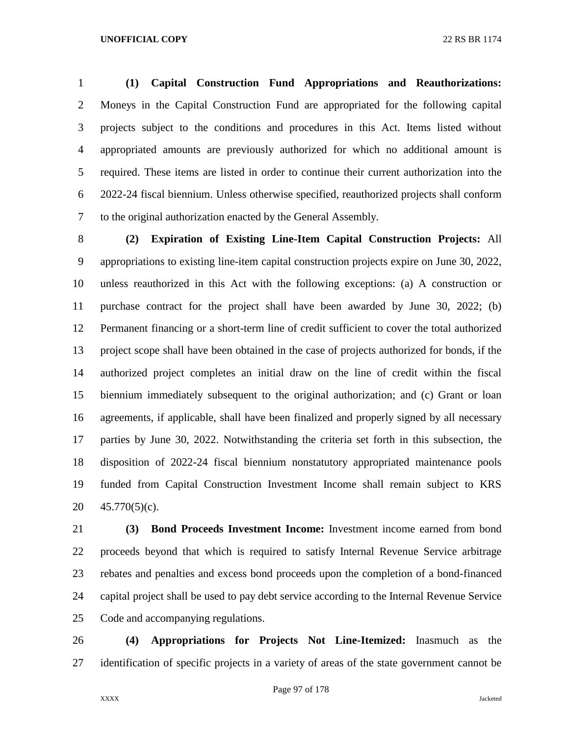**(1) Capital Construction Fund Appropriations and Reauthorizations:**  Moneys in the Capital Construction Fund are appropriated for the following capital projects subject to the conditions and procedures in this Act. Items listed without appropriated amounts are previously authorized for which no additional amount is required. These items are listed in order to continue their current authorization into the 2022-24 fiscal biennium. Unless otherwise specified, reauthorized projects shall conform to the original authorization enacted by the General Assembly.

 **(2) Expiration of Existing Line-Item Capital Construction Projects:** All appropriations to existing line-item capital construction projects expire on June 30, 2022, unless reauthorized in this Act with the following exceptions: (a) A construction or purchase contract for the project shall have been awarded by June 30, 2022; (b) Permanent financing or a short-term line of credit sufficient to cover the total authorized project scope shall have been obtained in the case of projects authorized for bonds, if the authorized project completes an initial draw on the line of credit within the fiscal biennium immediately subsequent to the original authorization; and (c) Grant or loan agreements, if applicable, shall have been finalized and properly signed by all necessary parties by June 30, 2022. Notwithstanding the criteria set forth in this subsection, the disposition of 2022-24 fiscal biennium nonstatutory appropriated maintenance pools funded from Capital Construction Investment Income shall remain subject to KRS 45.770(5)(c).

 **(3) Bond Proceeds Investment Income:** Investment income earned from bond proceeds beyond that which is required to satisfy Internal Revenue Service arbitrage rebates and penalties and excess bond proceeds upon the completion of a bond-financed capital project shall be used to pay debt service according to the Internal Revenue Service Code and accompanying regulations.

 **(4) Appropriations for Projects Not Line-Itemized:** Inasmuch as the identification of specific projects in a variety of areas of the state government cannot be

Page 97 of 178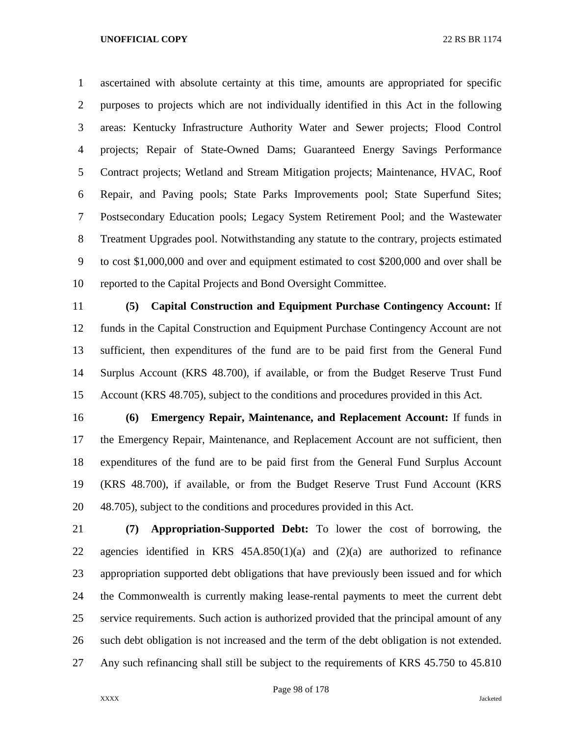ascertained with absolute certainty at this time, amounts are appropriated for specific purposes to projects which are not individually identified in this Act in the following areas: Kentucky Infrastructure Authority Water and Sewer projects; Flood Control projects; Repair of State-Owned Dams; Guaranteed Energy Savings Performance Contract projects; Wetland and Stream Mitigation projects; Maintenance, HVAC, Roof Repair, and Paving pools; State Parks Improvements pool; State Superfund Sites; Postsecondary Education pools; Legacy System Retirement Pool; and the Wastewater Treatment Upgrades pool. Notwithstanding any statute to the contrary, projects estimated to cost \$1,000,000 and over and equipment estimated to cost \$200,000 and over shall be reported to the Capital Projects and Bond Oversight Committee.

 **(5) Capital Construction and Equipment Purchase Contingency Account:** If funds in the Capital Construction and Equipment Purchase Contingency Account are not sufficient, then expenditures of the fund are to be paid first from the General Fund Surplus Account (KRS 48.700), if available, or from the Budget Reserve Trust Fund Account (KRS 48.705), subject to the conditions and procedures provided in this Act.

 **(6) Emergency Repair, Maintenance, and Replacement Account:** If funds in the Emergency Repair, Maintenance, and Replacement Account are not sufficient, then expenditures of the fund are to be paid first from the General Fund Surplus Account (KRS 48.700), if available, or from the Budget Reserve Trust Fund Account (KRS 48.705), subject to the conditions and procedures provided in this Act.

 **(7) Appropriation-Supported Debt:** To lower the cost of borrowing, the agencies identified in KRS 45A.850(1)(a) and (2)(a) are authorized to refinance appropriation supported debt obligations that have previously been issued and for which the Commonwealth is currently making lease-rental payments to meet the current debt service requirements. Such action is authorized provided that the principal amount of any such debt obligation is not increased and the term of the debt obligation is not extended. Any such refinancing shall still be subject to the requirements of KRS 45.750 to 45.810

Page 98 of 178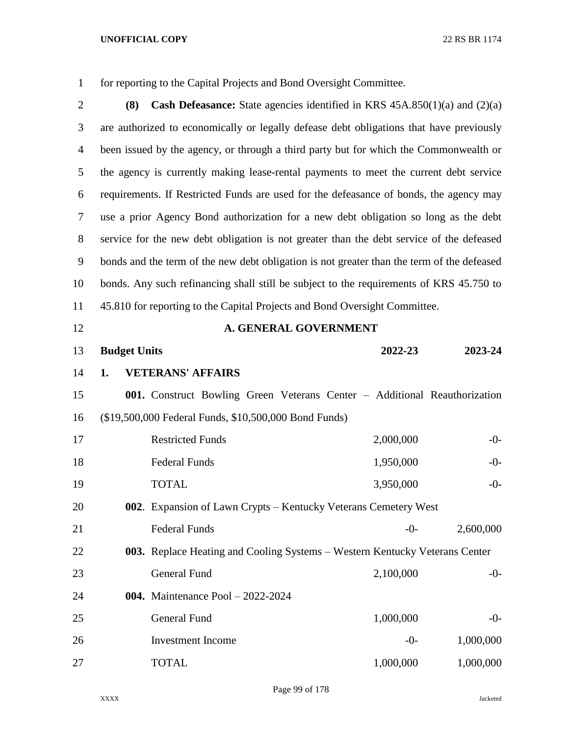for reporting to the Capital Projects and Bond Oversight Committee.

| $\overline{2}$ | <b>Cash Defeasance:</b> State agencies identified in KRS $45A.850(1)(a)$ and $(2)(a)$<br>(8) |  |
|----------------|----------------------------------------------------------------------------------------------|--|
| 3              | are authorized to economically or legally defease debt obligations that have previously      |  |
| $\overline{4}$ | been issued by the agency, or through a third party but for which the Commonwealth or        |  |
| 5              | the agency is currently making lease-rental payments to meet the current debt service        |  |
| 6              | requirements. If Restricted Funds are used for the defeasance of bonds, the agency may       |  |
| 7              | use a prior Agency Bond authorization for a new debt obligation so long as the debt          |  |
| 8              | service for the new debt obligation is not greater than the debt service of the defeased     |  |
| 9              | bonds and the term of the new debt obligation is not greater than the term of the defeased   |  |
| 10             | bonds. Any such refinancing shall still be subject to the requirements of KRS 45.750 to      |  |
| 11             | 45.810 for reporting to the Capital Projects and Bond Oversight Committee.                   |  |
| 12             | A. GENERAL GOVERNMENT                                                                        |  |
| 13             | <b>Budget Units</b><br>2022-23<br>2023-24                                                    |  |
| 14             | <b>VETERANS' AFFAIRS</b><br>1.                                                               |  |
| 15             | 001. Construct Bowling Green Veterans Center - Additional Reauthorization                    |  |
| 16             | (\$19,500,000 Federal Funds, \$10,500,000 Bond Funds)                                        |  |
| 17             | 2,000,000<br><b>Restricted Funds</b><br>$-0-$                                                |  |
| 18             | 1,950,000<br><b>Federal Funds</b><br>$-0-$                                                   |  |
| 19             | <b>TOTAL</b><br>3,950,000<br>$-0-$                                                           |  |
| 20             | 002. Expansion of Lawn Crypts – Kentucky Veterans Cemetery West                              |  |
| 21             | <b>Federal Funds</b><br>2,600,000<br>$-0-$                                                   |  |
| 22             | 003. Replace Heating and Cooling Systems – Western Kentucky Veterans Center                  |  |
| 23             | <b>General Fund</b><br>2,100,000<br>$-0-$                                                    |  |
| 24             | <b>004.</b> Maintenance Pool $-2022-2024$                                                    |  |
| 25             | General Fund<br>1,000,000<br>$-0-$                                                           |  |
| 26             | 1,000,000<br><b>Investment Income</b><br>$-0-$                                               |  |
| 27             | 1,000,000<br>1,000,000<br><b>TOTAL</b>                                                       |  |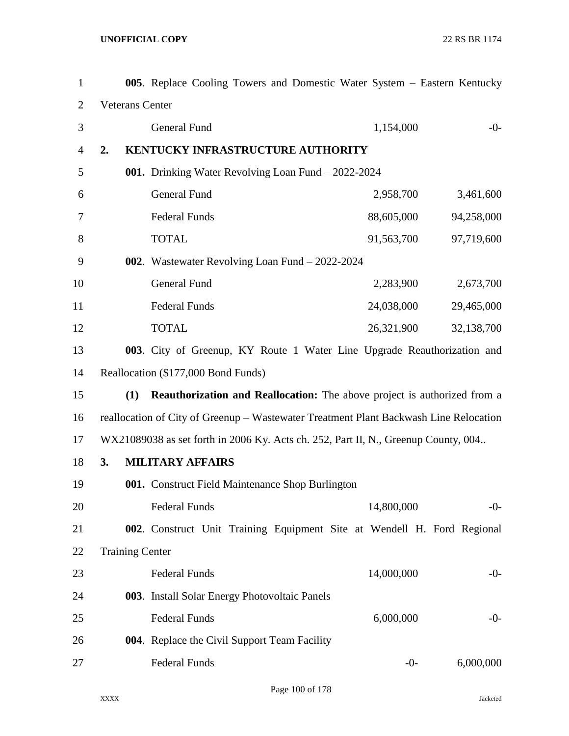| $\mathbf{1}$   |                        | 005. Replace Cooling Towers and Domestic Water System – Eastern Kentucky              |            |            |
|----------------|------------------------|---------------------------------------------------------------------------------------|------------|------------|
| $\overline{2}$ | <b>Veterans Center</b> |                                                                                       |            |            |
| 3              |                        | <b>General Fund</b>                                                                   | 1,154,000  | $-0-$      |
| 4              | 2.                     | KENTUCKY INFRASTRUCTURE AUTHORITY                                                     |            |            |
| 5              |                        | 001. Drinking Water Revolving Loan Fund - 2022-2024                                   |            |            |
| 6              |                        | General Fund                                                                          | 2,958,700  | 3,461,600  |
| 7              |                        | <b>Federal Funds</b>                                                                  | 88,605,000 | 94,258,000 |
| 8              |                        | <b>TOTAL</b>                                                                          | 91,563,700 | 97,719,600 |
| 9              |                        | 002. Wastewater Revolving Loan Fund - 2022-2024                                       |            |            |
| 10             |                        | General Fund                                                                          | 2,283,900  | 2,673,700  |
| 11             |                        | <b>Federal Funds</b>                                                                  | 24,038,000 | 29,465,000 |
| 12             |                        | <b>TOTAL</b>                                                                          | 26,321,900 | 32,138,700 |
| 13             |                        | 003. City of Greenup, KY Route 1 Water Line Upgrade Reauthorization and               |            |            |
| 14             |                        | Reallocation (\$177,000 Bond Funds)                                                   |            |            |
| 15             | (1)                    | <b>Reauthorization and Reallocation:</b> The above project is authorized from a       |            |            |
| 16             |                        | reallocation of City of Greenup - Wastewater Treatment Plant Backwash Line Relocation |            |            |
| 17             |                        | WX21089038 as set forth in 2006 Ky. Acts ch. 252, Part II, N., Greenup County, 004    |            |            |
| 18             | 3.                     | <b>MILITARY AFFAIRS</b>                                                               |            |            |
| 19             |                        | 001. Construct Field Maintenance Shop Burlington                                      |            |            |
| 20             |                        | <b>Federal Funds</b>                                                                  | 14,800,000 | $-0-$      |
| 21             |                        | 002. Construct Unit Training Equipment Site at Wendell H. Ford Regional               |            |            |
| 22             | <b>Training Center</b> |                                                                                       |            |            |
| 23             |                        | <b>Federal Funds</b>                                                                  | 14,000,000 | $-0-$      |
| 24             |                        | 003. Install Solar Energy Photovoltaic Panels                                         |            |            |
| 25             |                        | <b>Federal Funds</b>                                                                  | 6,000,000  | $-0-$      |
| 26             |                        | 004. Replace the Civil Support Team Facility                                          |            |            |
| 27             |                        | <b>Federal Funds</b>                                                                  | $-0-$      | 6,000,000  |

Page 100 of 178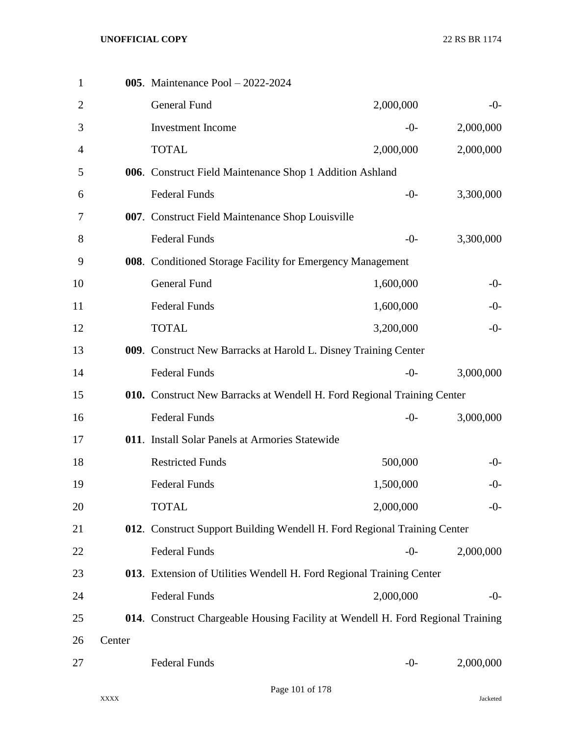| $\mathbf{1}$   |        | 005. Maintenance Pool - 2022-2024                                               |           |           |
|----------------|--------|---------------------------------------------------------------------------------|-----------|-----------|
| $\overline{2}$ |        | <b>General Fund</b>                                                             | 2,000,000 | $-0-$     |
| 3              |        | <b>Investment Income</b>                                                        | $-0-$     | 2,000,000 |
| $\overline{4}$ |        | <b>TOTAL</b>                                                                    | 2,000,000 | 2,000,000 |
| 5              |        | 006. Construct Field Maintenance Shop 1 Addition Ashland                        |           |           |
| 6              |        | <b>Federal Funds</b>                                                            | $-0-$     | 3,300,000 |
| 7              |        | 007. Construct Field Maintenance Shop Louisville                                |           |           |
| 8              |        | <b>Federal Funds</b>                                                            | $-0-$     | 3,300,000 |
| 9              |        | 008. Conditioned Storage Facility for Emergency Management                      |           |           |
| 10             |        | <b>General Fund</b>                                                             | 1,600,000 | $-0-$     |
| 11             |        | <b>Federal Funds</b>                                                            | 1,600,000 | $-0-$     |
| 12             |        | <b>TOTAL</b>                                                                    | 3,200,000 | $-0-$     |
| 13             |        | 009. Construct New Barracks at Harold L. Disney Training Center                 |           |           |
| 14             |        | <b>Federal Funds</b>                                                            | $-0-$     | 3,000,000 |
| 15             |        | 010. Construct New Barracks at Wendell H. Ford Regional Training Center         |           |           |
| 16             |        | <b>Federal Funds</b>                                                            | $-0-$     | 3,000,000 |
| 17             |        | 011. Install Solar Panels at Armories Statewide                                 |           |           |
| 18             |        | <b>Restricted Funds</b>                                                         | 500,000   | $-0-$     |
| 19             |        | <b>Federal Funds</b>                                                            | 1,500,000 | $-0-$     |
| 20             |        | <b>TOTAL</b>                                                                    | 2,000,000 | $-0-$     |
| 21             |        | 012. Construct Support Building Wendell H. Ford Regional Training Center        |           |           |
| 22             |        | <b>Federal Funds</b>                                                            | $-0-$     | 2,000,000 |
| 23             |        | 013. Extension of Utilities Wendell H. Ford Regional Training Center            |           |           |
| 24             |        | <b>Federal Funds</b>                                                            | 2,000,000 | $-0-$     |
| 25             |        | 014. Construct Chargeable Housing Facility at Wendell H. Ford Regional Training |           |           |
| 26             | Center |                                                                                 |           |           |
| 27             |        | <b>Federal Funds</b>                                                            | $-0-$     | 2,000,000 |
|                |        |                                                                                 |           |           |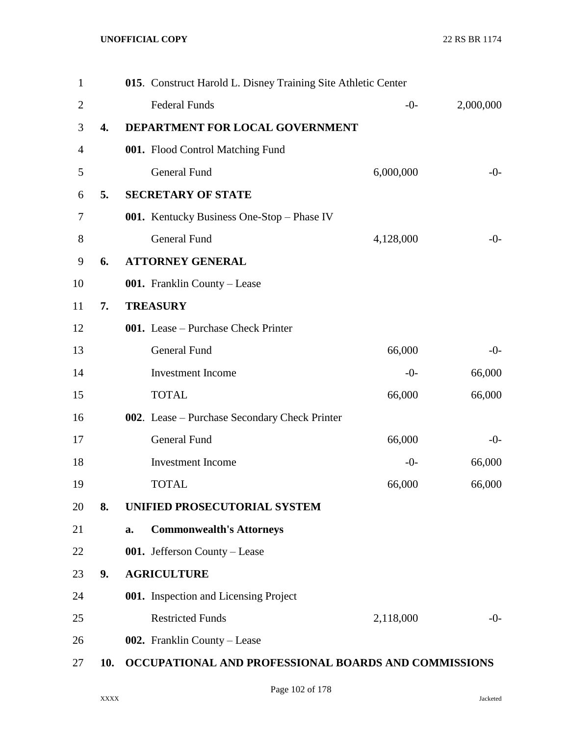| $\mathbf{1}$   |                  |    | 015. Construct Harold L. Disney Training Site Athletic Center |           |           |
|----------------|------------------|----|---------------------------------------------------------------|-----------|-----------|
| $\overline{2}$ |                  |    | <b>Federal Funds</b>                                          | $-0-$     | 2,000,000 |
| 3              | $\overline{4}$ . |    | DEPARTMENT FOR LOCAL GOVERNMENT                               |           |           |
| 4              |                  |    | 001. Flood Control Matching Fund                              |           |           |
| 5              |                  |    | <b>General Fund</b>                                           | 6,000,000 | $-0-$     |
| 6              | 5.               |    | <b>SECRETARY OF STATE</b>                                     |           |           |
| 7              |                  |    | 001. Kentucky Business One-Stop - Phase IV                    |           |           |
| 8              |                  |    | <b>General Fund</b>                                           | 4,128,000 | $-0-$     |
| 9              | 6.               |    | <b>ATTORNEY GENERAL</b>                                       |           |           |
| 10             |                  |    | 001. Franklin County – Lease                                  |           |           |
| 11             | 7.               |    | <b>TREASURY</b>                                               |           |           |
| 12             |                  |    | 001. Lease - Purchase Check Printer                           |           |           |
| 13             |                  |    | General Fund                                                  | 66,000    | $-0-$     |
| 14             |                  |    | <b>Investment</b> Income                                      | $-0-$     | 66,000    |
| 15             |                  |    | <b>TOTAL</b>                                                  | 66,000    | 66,000    |
| 16             |                  |    | 002. Lease – Purchase Secondary Check Printer                 |           |           |
| 17             |                  |    | <b>General Fund</b>                                           | 66,000    | $-0-$     |
| 18             |                  |    | <b>Investment</b> Income                                      | $-0-$     | 66,000    |
| 19             |                  |    | <b>TOTAL</b>                                                  | 66,000    | 66,000    |
| 20             | 8.               |    | UNIFIED PROSECUTORIAL SYSTEM                                  |           |           |
| 21             |                  | a. | <b>Commonwealth's Attorneys</b>                               |           |           |
| 22             |                  |    | 001. Jefferson County - Lease                                 |           |           |
| 23             | 9.               |    | <b>AGRICULTURE</b>                                            |           |           |
| 24             |                  |    | 001. Inspection and Licensing Project                         |           |           |
| 25             |                  |    | <b>Restricted Funds</b>                                       | 2,118,000 | $-0-$     |
| 26             |                  |    | 002. Franklin County – Lease                                  |           |           |
| 27             | 10.              |    | OCCUPATIONAL AND PROFESSIONAL BOARDS AND COMMISSIONS          |           |           |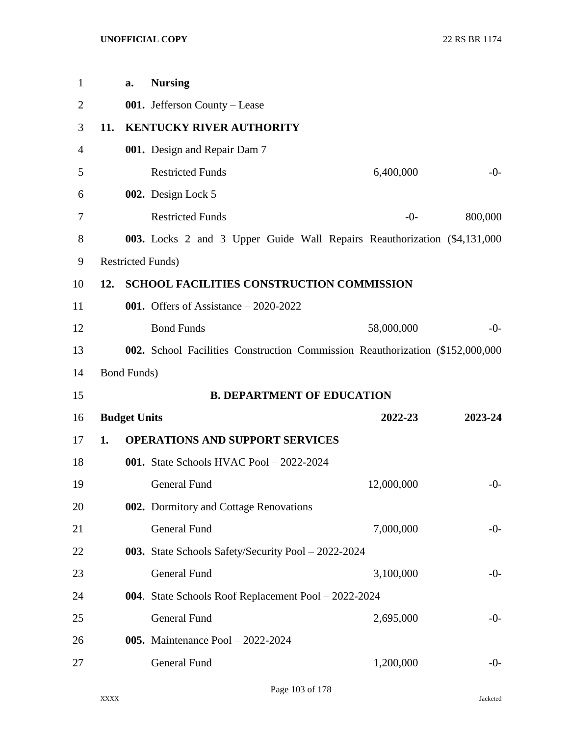| $\mathbf{1}$   |     | a.                  | <b>Nursing</b>                                                                |            |         |
|----------------|-----|---------------------|-------------------------------------------------------------------------------|------------|---------|
| $\overline{2}$ |     |                     | 001. Jefferson County - Lease                                                 |            |         |
| 3              | 11. |                     | <b>KENTUCKY RIVER AUTHORITY</b>                                               |            |         |
| 4              |     |                     | 001. Design and Repair Dam 7                                                  |            |         |
| 5              |     |                     | <b>Restricted Funds</b>                                                       | 6,400,000  | $-0-$   |
| 6              |     |                     | 002. Design Lock 5                                                            |            |         |
| 7              |     |                     | <b>Restricted Funds</b>                                                       | $-0-$      | 800,000 |
| 8              |     |                     | 003. Locks 2 and 3 Upper Guide Wall Repairs Reauthorization (\$4,131,000)     |            |         |
| 9              |     |                     | <b>Restricted Funds</b> )                                                     |            |         |
| 10             | 12. |                     | <b>SCHOOL FACILITIES CONSTRUCTION COMMISSION</b>                              |            |         |
| 11             |     |                     | 001. Offers of Assistance $-2020-2022$                                        |            |         |
| 12             |     |                     | <b>Bond Funds</b>                                                             | 58,000,000 | $-0-$   |
| 13             |     |                     | 002. School Facilities Construction Commission Reauthorization (\$152,000,000 |            |         |
| 14             |     | <b>Bond Funds)</b>  |                                                                               |            |         |
| 15             |     |                     | <b>B. DEPARTMENT OF EDUCATION</b>                                             |            |         |
| 16             |     | <b>Budget Units</b> |                                                                               | 2022-23    | 2023-24 |
| 17             | 1.  |                     | <b>OPERATIONS AND SUPPORT SERVICES</b>                                        |            |         |
| 18             |     |                     | 001. State Schools HVAC Pool $-2022-2024$                                     |            |         |
| 19             |     |                     | <b>General Fund</b>                                                           | 12,000,000 | $-0-$   |
| 20             |     |                     | 002. Dormitory and Cottage Renovations                                        |            |         |
| 21             |     |                     | <b>General Fund</b>                                                           | 7,000,000  | $-0-$   |
| 22             |     |                     | 003. State Schools Safety/Security Pool - 2022-2024                           |            |         |
| 23             |     |                     | <b>General Fund</b>                                                           | 3,100,000  | $-0-$   |
| 24             |     |                     | 004. State Schools Roof Replacement Pool - 2022-2024                          |            |         |
| 25             |     |                     | General Fund                                                                  | 2,695,000  | $-0-$   |
| 26             |     |                     | <b>005.</b> Maintenance Pool $-2022-2024$                                     |            |         |
| 27             |     |                     | General Fund                                                                  | 1,200,000  | $-0-$   |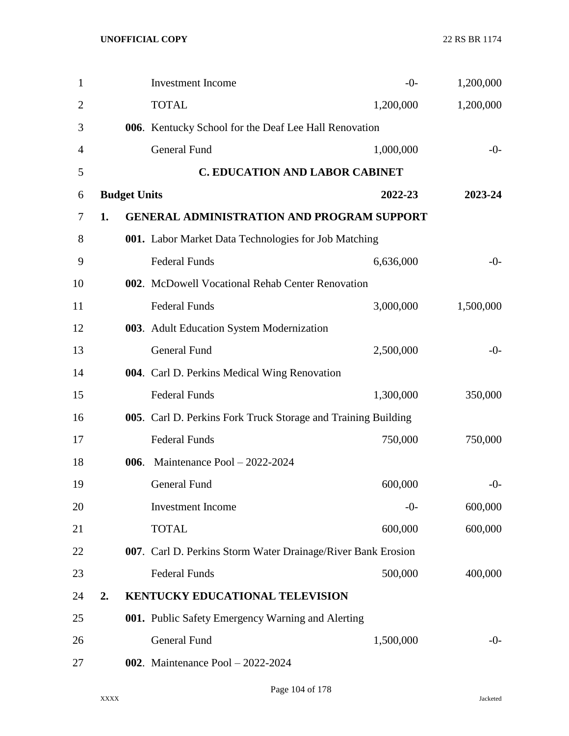| 1  |                     | <b>Investment</b> Income                                      | $-0-$     | 1,200,000 |
|----|---------------------|---------------------------------------------------------------|-----------|-----------|
| 2  |                     | <b>TOTAL</b>                                                  | 1,200,000 | 1,200,000 |
| 3  |                     | 006. Kentucky School for the Deaf Lee Hall Renovation         |           |           |
| 4  |                     | <b>General Fund</b>                                           | 1,000,000 | $-0-$     |
| 5  |                     | <b>C. EDUCATION AND LABOR CABINET</b>                         |           |           |
| 6  | <b>Budget Units</b> |                                                               | 2022-23   | 2023-24   |
| 7  | 1.                  | <b>GENERAL ADMINISTRATION AND PROGRAM SUPPORT</b>             |           |           |
| 8  |                     | 001. Labor Market Data Technologies for Job Matching          |           |           |
| 9  |                     | <b>Federal Funds</b>                                          | 6,636,000 | $-0-$     |
| 10 |                     | 002. McDowell Vocational Rehab Center Renovation              |           |           |
| 11 |                     | <b>Federal Funds</b>                                          | 3,000,000 | 1,500,000 |
| 12 |                     | 003. Adult Education System Modernization                     |           |           |
| 13 |                     | <b>General Fund</b>                                           | 2,500,000 | $-0-$     |
| 14 |                     | 004. Carl D. Perkins Medical Wing Renovation                  |           |           |
| 15 |                     | <b>Federal Funds</b>                                          | 1,300,000 | 350,000   |
| 16 |                     | 005. Carl D. Perkins Fork Truck Storage and Training Building |           |           |
| 17 |                     | <b>Federal Funds</b>                                          | 750,000   | 750,000   |
| 18 |                     | 006. Maintenance Pool - 2022-2024                             |           |           |
| 19 |                     | <b>General Fund</b>                                           | 600,000   | $-0-$     |
| 20 |                     | <b>Investment Income</b>                                      | $-0-$     | 600,000   |
| 21 |                     | <b>TOTAL</b>                                                  | 600,000   | 600,000   |
| 22 |                     | 007. Carl D. Perkins Storm Water Drainage/River Bank Erosion  |           |           |
| 23 |                     | <b>Federal Funds</b>                                          | 500,000   | 400,000   |
| 24 | 2.                  | KENTUCKY EDUCATIONAL TELEVISION                               |           |           |
| 25 |                     | 001. Public Safety Emergency Warning and Alerting             |           |           |
| 26 |                     | <b>General Fund</b>                                           | 1,500,000 | $-0-$     |
| 27 |                     | <b>002.</b> Maintenance Pool $-2022-2024$                     |           |           |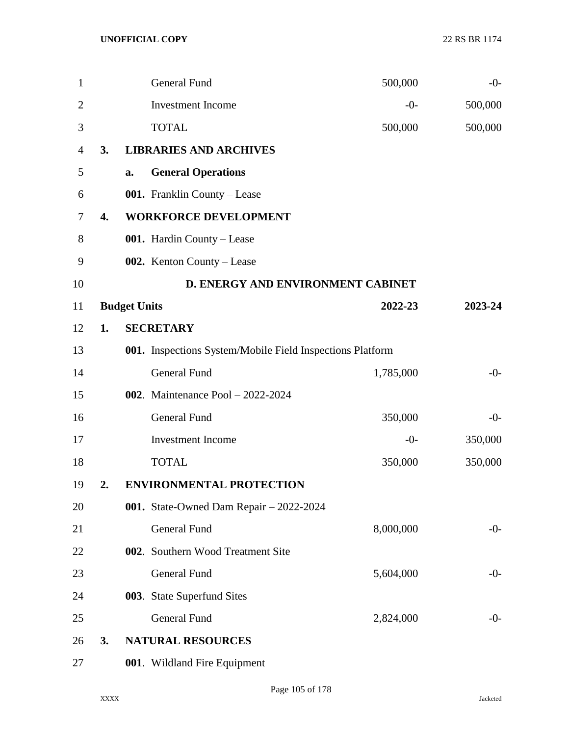| $\mathbf{1}$   |    |                     | <b>General Fund</b>                                       | 500,000   | $-0-$   |
|----------------|----|---------------------|-----------------------------------------------------------|-----------|---------|
| $\overline{2}$ |    |                     | <b>Investment Income</b>                                  | $-0-$     | 500,000 |
| 3              |    |                     | <b>TOTAL</b>                                              | 500,000   | 500,000 |
| $\overline{4}$ | 3. |                     | <b>LIBRARIES AND ARCHIVES</b>                             |           |         |
| 5              |    | a.                  | <b>General Operations</b>                                 |           |         |
| 6              |    |                     | 001. Franklin County - Lease                              |           |         |
| 7              | 4. |                     | <b>WORKFORCE DEVELOPMENT</b>                              |           |         |
| 8              |    |                     | 001. Hardin County - Lease                                |           |         |
| 9              |    |                     | 002. Kenton County – Lease                                |           |         |
| 10             |    |                     | D. ENERGY AND ENVIRONMENT CABINET                         |           |         |
| 11             |    | <b>Budget Units</b> |                                                           | 2022-23   | 2023-24 |
| 12             | 1. |                     | <b>SECRETARY</b>                                          |           |         |
| 13             |    |                     | 001. Inspections System/Mobile Field Inspections Platform |           |         |
| 14             |    |                     | <b>General Fund</b>                                       | 1,785,000 | $-0-$   |
| 15             |    |                     | <b>002.</b> Maintenance Pool $-2022-2024$                 |           |         |
| 16             |    |                     | <b>General Fund</b>                                       | 350,000   | $-0-$   |
| 17             |    |                     | <b>Investment Income</b>                                  | $-0-$     | 350,000 |
| 18             |    |                     | <b>TOTAL</b>                                              | 350,000   | 350,000 |
| 19             | 2. |                     | <b>ENVIRONMENTAL PROTECTION</b>                           |           |         |
| 20             |    |                     | 001. State-Owned Dam Repair - 2022-2024                   |           |         |
| 21             |    |                     | General Fund                                              | 8,000,000 | $-0-$   |
| 22             |    |                     | 002. Southern Wood Treatment Site                         |           |         |
| 23             |    |                     | General Fund                                              | 5,604,000 | $-0-$   |
| 24             |    |                     | 003. State Superfund Sites                                |           |         |
| 25             |    |                     | <b>General Fund</b>                                       | 2,824,000 | $-0-$   |
| 26             | 3. |                     | <b>NATURAL RESOURCES</b>                                  |           |         |
| 27             |    |                     | 001. Wildland Fire Equipment                              |           |         |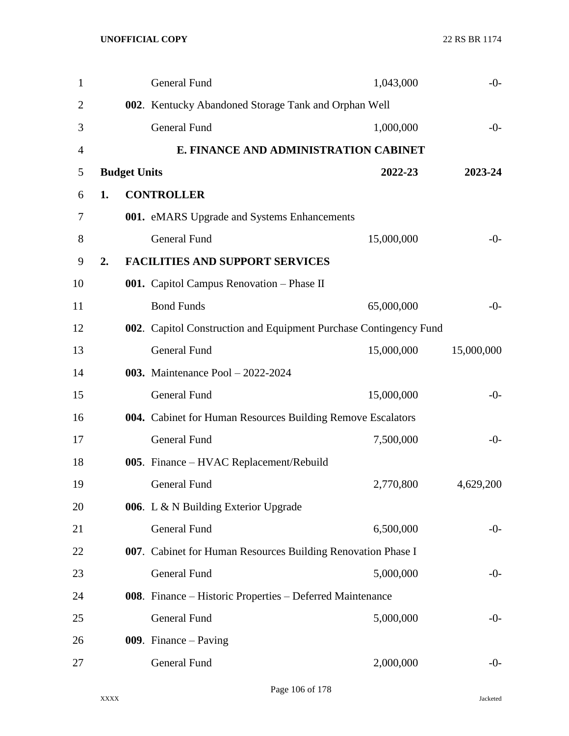| $\mathbf{1}$ |    |                     | General Fund                                                      | 1,043,000  | $-0-$      |
|--------------|----|---------------------|-------------------------------------------------------------------|------------|------------|
| 2            |    |                     | 002. Kentucky Abandoned Storage Tank and Orphan Well              |            |            |
| 3            |    |                     | <b>General Fund</b>                                               | 1,000,000  | $-0-$      |
| 4            |    |                     | E. FINANCE AND ADMINISTRATION CABINET                             |            |            |
| 5            |    | <b>Budget Units</b> |                                                                   | 2022-23    | 2023-24    |
| $6\,$        | 1. |                     | <b>CONTROLLER</b>                                                 |            |            |
| 7            |    |                     | 001. eMARS Upgrade and Systems Enhancements                       |            |            |
| 8            |    |                     | <b>General Fund</b>                                               | 15,000,000 | $-0-$      |
| 9            | 2. |                     | <b>FACILITIES AND SUPPORT SERVICES</b>                            |            |            |
| 10           |    |                     | 001. Capitol Campus Renovation - Phase II                         |            |            |
| 11           |    |                     | <b>Bond Funds</b>                                                 | 65,000,000 | $-0-$      |
| 12           |    |                     | 002. Capitol Construction and Equipment Purchase Contingency Fund |            |            |
| 13           |    |                     | <b>General Fund</b>                                               | 15,000,000 | 15,000,000 |
| 14           |    |                     | 003. Maintenance Pool - 2022-2024                                 |            |            |
| 15           |    |                     | <b>General Fund</b>                                               | 15,000,000 | $-0-$      |
| 16           |    |                     | 004. Cabinet for Human Resources Building Remove Escalators       |            |            |
| 17           |    |                     | <b>General Fund</b>                                               | 7,500,000  | $-0-$      |
| 18           |    |                     | 005. Finance – HVAC Replacement/Rebuild                           |            |            |
| 19           |    |                     | <b>General Fund</b>                                               | 2,770,800  | 4,629,200  |
| 20           |    |                     | 006. L & N Building Exterior Upgrade                              |            |            |
| 21           |    |                     | <b>General Fund</b>                                               | 6,500,000  | $-0-$      |
| 22           |    |                     | 007. Cabinet for Human Resources Building Renovation Phase I      |            |            |
| 23           |    |                     | General Fund                                                      | 5,000,000  | $-0-$      |
| 24           |    |                     | 008. Finance – Historic Properties – Deferred Maintenance         |            |            |
| 25           |    |                     | General Fund                                                      | 5,000,000  | $-0-$      |
| 26           |    |                     | 009. Finance $-$ Paving                                           |            |            |
| 27           |    |                     | General Fund                                                      | 2,000,000  | $-0-$      |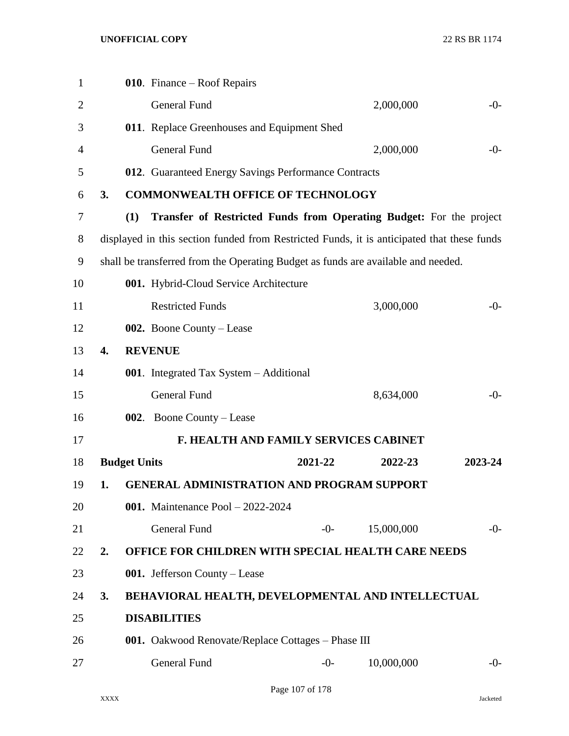| $\mathbf{1}$   |                  |                     | 010. Finance – Roof Repairs                                                                |         |            |         |
|----------------|------------------|---------------------|--------------------------------------------------------------------------------------------|---------|------------|---------|
| $\overline{2}$ |                  |                     | <b>General Fund</b>                                                                        |         | 2,000,000  | $-0-$   |
| 3              |                  |                     | 011. Replace Greenhouses and Equipment Shed                                                |         |            |         |
| 4              |                  |                     | <b>General Fund</b>                                                                        |         | 2,000,000  | $-0-$   |
| 5              |                  |                     | 012. Guaranteed Energy Savings Performance Contracts                                       |         |            |         |
| 6              | 3.               |                     | <b>COMMONWEALTH OFFICE OF TECHNOLOGY</b>                                                   |         |            |         |
| 7              |                  | (1)                 | Transfer of Restricted Funds from Operating Budget: For the project                        |         |            |         |
| 8              |                  |                     | displayed in this section funded from Restricted Funds, it is anticipated that these funds |         |            |         |
| 9              |                  |                     | shall be transferred from the Operating Budget as funds are available and needed.          |         |            |         |
| 10             |                  |                     | 001. Hybrid-Cloud Service Architecture                                                     |         |            |         |
| 11             |                  |                     | <b>Restricted Funds</b>                                                                    |         | 3,000,000  | $-0-$   |
| 12             |                  |                     | 002. Boone County – Lease                                                                  |         |            |         |
| 13             | $\overline{4}$ . |                     | <b>REVENUE</b>                                                                             |         |            |         |
| 14             |                  |                     | <b>001.</b> Integrated Tax System – Additional                                             |         |            |         |
| 15             |                  |                     | <b>General Fund</b>                                                                        |         | 8,634,000  | $-0-$   |
| 16             |                  |                     | <b>002.</b> Boone County – Lease                                                           |         |            |         |
| 17             |                  |                     | <b>F. HEALTH AND FAMILY SERVICES CABINET</b>                                               |         |            |         |
| 18             |                  | <b>Budget Units</b> |                                                                                            | 2021-22 | 2022-23    | 2023-24 |
| 19             | 1.               |                     | <b>GENERAL ADMINISTRATION AND PROGRAM SUPPORT</b>                                          |         |            |         |
| 20             |                  |                     | <b>001.</b> Maintenance Pool $-2022-2024$                                                  |         |            |         |
| 21             |                  |                     | <b>General Fund</b>                                                                        | $-0-$   | 15,000,000 | $-0-$   |
| 22             | 2.               |                     | OFFICE FOR CHILDREN WITH SPECIAL HEALTH CARE NEEDS                                         |         |            |         |
| 23             |                  |                     | 001. Jefferson County - Lease                                                              |         |            |         |
| 24             | 3.               |                     | BEHAVIORAL HEALTH, DEVELOPMENTAL AND INTELLECTUAL                                          |         |            |         |
| 25             |                  |                     | <b>DISABILITIES</b>                                                                        |         |            |         |
| 26             |                  |                     | 001. Oakwood Renovate/Replace Cottages - Phase III                                         |         |            |         |
| 27             |                  |                     | General Fund                                                                               | $-0-$   | 10,000,000 | $-0-$   |
|                |                  |                     |                                                                                            |         |            |         |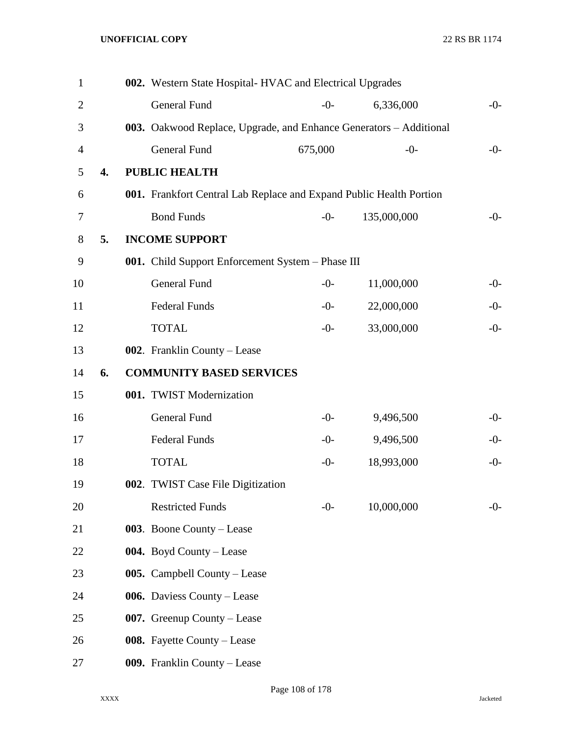| $\mathbf{1}$     |    | 002. Western State Hospital-HVAC and Electrical Upgrades            |         |             |       |
|------------------|----|---------------------------------------------------------------------|---------|-------------|-------|
| $\mathbf{2}$     |    | <b>General Fund</b>                                                 | $-0-$   | 6,336,000   | $-0-$ |
| 3                |    | 003. Oakwood Replace, Upgrade, and Enhance Generators – Additional  |         |             |       |
| $\overline{4}$   |    | <b>General Fund</b>                                                 | 675,000 | $-0-$       | $-0-$ |
| 5                | 4. | <b>PUBLIC HEALTH</b>                                                |         |             |       |
| 6                |    | 001. Frankfort Central Lab Replace and Expand Public Health Portion |         |             |       |
| $\boldsymbol{7}$ |    | <b>Bond Funds</b>                                                   | $-0-$   | 135,000,000 | $-0-$ |
| 8                | 5. | <b>INCOME SUPPORT</b>                                               |         |             |       |
| 9                |    | 001. Child Support Enforcement System - Phase III                   |         |             |       |
| 10               |    | <b>General Fund</b>                                                 | $-0-$   | 11,000,000  | $-0-$ |
| 11               |    | <b>Federal Funds</b>                                                | $-0-$   | 22,000,000  | $-0-$ |
| 12               |    | <b>TOTAL</b>                                                        | $-0-$   | 33,000,000  | $-0-$ |
| 13               |    | 002. Franklin County – Lease                                        |         |             |       |
| 14               | 6. | <b>COMMUNITY BASED SERVICES</b>                                     |         |             |       |
| 15               |    | 001. TWIST Modernization                                            |         |             |       |
| 16               |    | General Fund                                                        | $-0-$   | 9,496,500   | $-0-$ |
| 17               |    | <b>Federal Funds</b>                                                | $-0-$   | 9,496,500   | $-0-$ |
| 18               |    | <b>TOTAL</b>                                                        | $-0-$   | 18,993,000  | $-0-$ |
| 19               |    | 002. TWIST Case File Digitization                                   |         |             |       |
| 20               |    | <b>Restricted Funds</b>                                             | $-0-$   | 10,000,000  | $-0-$ |
| 21               |    | 003. Boone County – Lease                                           |         |             |       |
| 22               |    | 004. Boyd County – Lease                                            |         |             |       |
| 23               |    | 005. Campbell County – Lease                                        |         |             |       |
| 24               |    | 006. Daviess County – Lease                                         |         |             |       |
| 25               |    | 007. Greenup County – Lease                                         |         |             |       |
| 26               |    | 008. Fayette County - Lease                                         |         |             |       |
| 27               |    | 009. Franklin County - Lease                                        |         |             |       |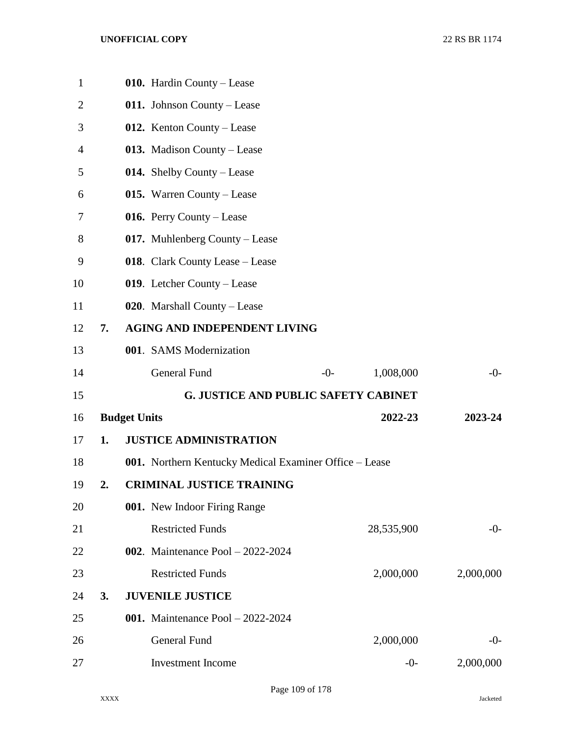| $\mathbf{1}$   |    |                     | 010. Hardin County - Lease                             |       |            |           |
|----------------|----|---------------------|--------------------------------------------------------|-------|------------|-----------|
| $\overline{2}$ |    |                     | 011. Johnson County – Lease                            |       |            |           |
| 3              |    |                     | 012. Kenton County – Lease                             |       |            |           |
| 4              |    |                     | 013. Madison County – Lease                            |       |            |           |
| 5              |    |                     | 014. Shelby County – Lease                             |       |            |           |
| 6              |    |                     | 015. Warren County – Lease                             |       |            |           |
| 7              |    |                     | 016. Perry County – Lease                              |       |            |           |
| 8              |    |                     | 017. Muhlenberg County – Lease                         |       |            |           |
| 9              |    |                     | 018. Clark County Lease – Lease                        |       |            |           |
| 10             |    |                     | 019. Letcher County - Lease                            |       |            |           |
| 11             |    |                     | 020. Marshall County – Lease                           |       |            |           |
| 12             | 7. |                     | <b>AGING AND INDEPENDENT LIVING</b>                    |       |            |           |
| 13             |    |                     | 001. SAMS Modernization                                |       |            |           |
| 14             |    |                     | General Fund                                           | $-0-$ | 1,008,000  | $-0-$     |
| 15             |    |                     | <b>G. JUSTICE AND PUBLIC SAFETY CABINET</b>            |       |            |           |
| 16             |    | <b>Budget Units</b> |                                                        |       | 2022-23    | 2023-24   |
| 17             | 1. |                     | <b>JUSTICE ADMINISTRATION</b>                          |       |            |           |
| 18             |    |                     | 001. Northern Kentucky Medical Examiner Office – Lease |       |            |           |
| 19             | 2. |                     | <b>CRIMINAL JUSTICE TRAINING</b>                       |       |            |           |
| 20             |    |                     | 001. New Indoor Firing Range                           |       |            |           |
| 21             |    |                     | <b>Restricted Funds</b>                                |       | 28,535,900 | $-0-$     |
|                |    |                     |                                                        |       |            |           |
| 22             |    |                     | <b>002.</b> Maintenance Pool $-2022-2024$              |       |            |           |
| 23             |    |                     | <b>Restricted Funds</b>                                |       | 2,000,000  | 2,000,000 |
| 24             | 3. |                     | <b>JUVENILE JUSTICE</b>                                |       |            |           |
| 25             |    |                     | <b>001.</b> Maintenance Pool $-2022-2024$              |       |            |           |
| 26             |    |                     | General Fund                                           |       | 2,000,000  | $-0-$     |
| 27             |    |                     | <b>Investment Income</b>                               |       | $-0-$      | 2,000,000 |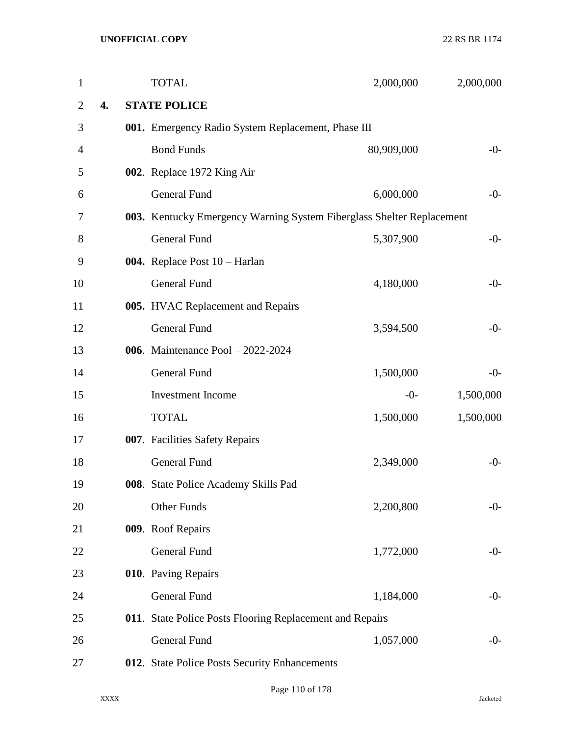| $\mathbf{1}$   |    | <b>TOTAL</b>                                                          | 2,000,000  | 2,000,000 |
|----------------|----|-----------------------------------------------------------------------|------------|-----------|
| $\overline{2}$ | 4. | <b>STATE POLICE</b>                                                   |            |           |
| 3              |    | 001. Emergency Radio System Replacement, Phase III                    |            |           |
| 4              |    | <b>Bond Funds</b>                                                     | 80,909,000 | $-0-$     |
| 5              |    | 002. Replace 1972 King Air                                            |            |           |
| 6              |    | <b>General Fund</b>                                                   | 6,000,000  | $-0-$     |
| 7              |    | 003. Kentucky Emergency Warning System Fiberglass Shelter Replacement |            |           |
| 8              |    | <b>General Fund</b>                                                   | 5,307,900  | $-0-$     |
| 9              |    | 004. Replace Post 10 - Harlan                                         |            |           |
| 10             |    | <b>General Fund</b>                                                   | 4,180,000  | $-0-$     |
| 11             |    | 005. HVAC Replacement and Repairs                                     |            |           |
| 12             |    | <b>General Fund</b>                                                   | 3,594,500  | $-0-$     |
| 13             |    | 006. Maintenance Pool - 2022-2024                                     |            |           |
| 14             |    | General Fund                                                          | 1,500,000  | $-0-$     |
| 15             |    | Investment Income                                                     | $-0-$      | 1,500,000 |
| 16             |    | <b>TOTAL</b>                                                          | 1,500,000  | 1,500,000 |
| 17             |    | 007. Facilities Safety Repairs                                        |            |           |
| 18             |    | <b>General Fund</b>                                                   | 2,349,000  | $-0-$     |
| 19             |    | 008. State Police Academy Skills Pad                                  |            |           |
| 20             |    | <b>Other Funds</b>                                                    | 2,200,800  | $-0-$     |
| 21             |    | 009. Roof Repairs                                                     |            |           |
| 22             |    | General Fund                                                          | 1,772,000  | $-0-$     |
| 23             |    | 010. Paving Repairs                                                   |            |           |
| 24             |    | <b>General Fund</b>                                                   | 1,184,000  | $-0-$     |
| 25             |    | 011. State Police Posts Flooring Replacement and Repairs              |            |           |
| 26             |    | General Fund                                                          | 1,057,000  | $-0-$     |
| 27             |    | 012. State Police Posts Security Enhancements                         |            |           |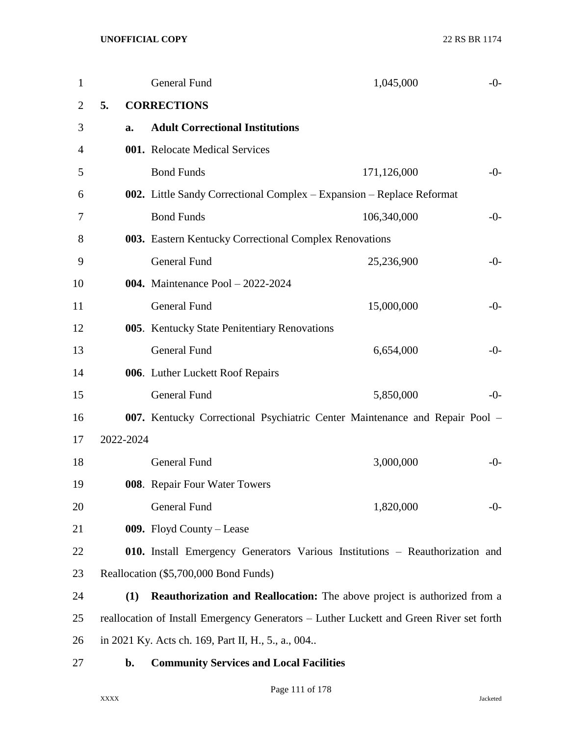| 1              |           | <b>General Fund</b>                                    | 1,045,000                                                                               | $-0-$ |
|----------------|-----------|--------------------------------------------------------|-----------------------------------------------------------------------------------------|-------|
| $\overline{2}$ | 5.        | <b>CORRECTIONS</b>                                     |                                                                                         |       |
| 3              | a.        | <b>Adult Correctional Institutions</b>                 |                                                                                         |       |
| 4              |           | 001. Relocate Medical Services                         |                                                                                         |       |
| 5              |           | <b>Bond Funds</b>                                      | 171,126,000                                                                             | $-0-$ |
| 6              |           |                                                        | 002. Little Sandy Correctional Complex – Expansion – Replace Reformat                   |       |
| 7              |           | <b>Bond Funds</b>                                      | 106,340,000                                                                             | $-0-$ |
| 8              |           | 003. Eastern Kentucky Correctional Complex Renovations |                                                                                         |       |
| 9              |           | <b>General Fund</b>                                    | 25,236,900                                                                              | $-0-$ |
| 10             |           | <b>004.</b> Maintenance Pool - 2022-2024               |                                                                                         |       |
| 11             |           | <b>General Fund</b>                                    | 15,000,000                                                                              | $-0-$ |
| 12             |           | 005. Kentucky State Penitentiary Renovations           |                                                                                         |       |
| 13             |           | <b>General Fund</b>                                    | 6,654,000                                                                               | $-0-$ |
| 14             |           | 006. Luther Luckett Roof Repairs                       |                                                                                         |       |
| 15             |           | <b>General Fund</b>                                    | 5,850,000                                                                               | $-0-$ |
| 16             |           |                                                        | 007. Kentucky Correctional Psychiatric Center Maintenance and Repair Pool -             |       |
| 17             | 2022-2024 |                                                        |                                                                                         |       |
| 18             |           | <b>General Fund</b>                                    | 3,000,000                                                                               | $-0-$ |
| 19             |           | 008. Repair Four Water Towers                          |                                                                                         |       |
| 20             |           | General Fund                                           | 1,820,000                                                                               | $-0-$ |
| 21             |           | 009. Floyd County – Lease                              |                                                                                         |       |
| 22             |           |                                                        | 010. Install Emergency Generators Various Institutions - Reauthorization and            |       |
| 23             |           | Reallocation (\$5,700,000 Bond Funds)                  |                                                                                         |       |
| 24             | (1)       |                                                        | Reauthorization and Reallocation: The above project is authorized from a                |       |
| 25             |           |                                                        | reallocation of Install Emergency Generators - Luther Luckett and Green River set forth |       |
| 26             |           | in 2021 Ky. Acts ch. 169, Part II, H., 5., a., 004     |                                                                                         |       |
| 27             | b.        | <b>Community Services and Local Facilities</b>         |                                                                                         |       |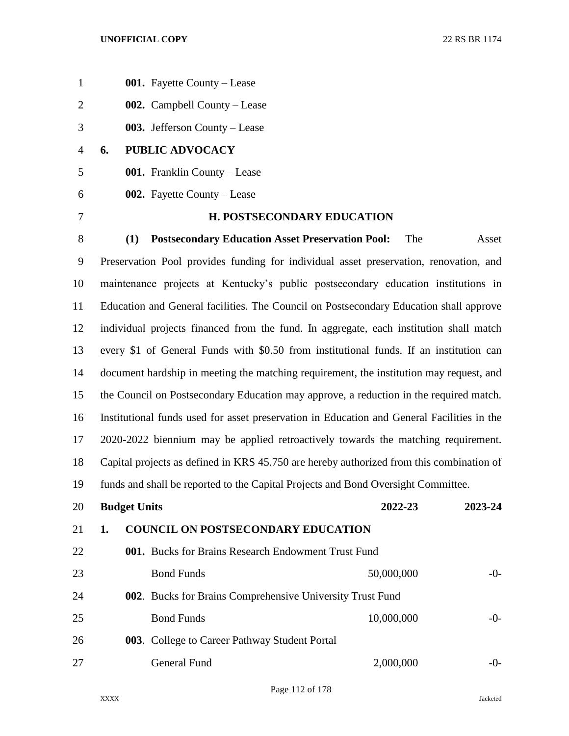| $\mathbf{1}$   | 001. Fayette County - Lease                                                                |
|----------------|--------------------------------------------------------------------------------------------|
| $\overline{2}$ | 002. Campbell County – Lease                                                               |
| 3              | 003. Jefferson County – Lease                                                              |
| 4              | PUBLIC ADVOCACY<br>6.                                                                      |
| 5              | 001. Franklin County - Lease                                                               |
| 6              | <b>002.</b> Fayette County – Lease                                                         |
| 7              | <b>H. POSTSECONDARY EDUCATION</b>                                                          |
| 8              | <b>Postsecondary Education Asset Preservation Pool:</b><br>The<br>(1)<br>Asset             |
| 9              | Preservation Pool provides funding for individual asset preservation, renovation, and      |
| 10             | maintenance projects at Kentucky's public postsecondary education institutions in          |
| 11             | Education and General facilities. The Council on Postsecondary Education shall approve     |
| 12             | individual projects financed from the fund. In aggregate, each institution shall match     |
| 13             | every \$1 of General Funds with \$0.50 from institutional funds. If an institution can     |
| 14             | document hardship in meeting the matching requirement, the institution may request, and    |
| 15             | the Council on Postsecondary Education may approve, a reduction in the required match.     |
| 16             | Institutional funds used for asset preservation in Education and General Facilities in the |
| 17             | 2020-2022 biennium may be applied retroactively towards the matching requirement.          |
| 18             | Capital projects as defined in KRS 45.750 are hereby authorized from this combination of   |
| 19             | funds and shall be reported to the Capital Projects and Bond Oversight Committee.          |
| 20             | <b>Budget Units</b><br>2022-23<br>2023-24                                                  |
| 21             | <b>COUNCIL ON POSTSECONDARY EDUCATION</b><br>1.                                            |
| 22             | 001. Bucks for Brains Research Endowment Trust Fund                                        |
| 23             | <b>Bond Funds</b><br>50,000,000<br>$-0-$                                                   |
| 24             | 002. Bucks for Brains Comprehensive University Trust Fund                                  |
| 25             | <b>Bond Funds</b><br>10,000,000<br>$-0-$                                                   |
| 26             | 003. College to Career Pathway Student Portal                                              |
| 27             | 2,000,000<br>General Fund<br>$-0-$                                                         |
|                |                                                                                            |

Page 112 of 178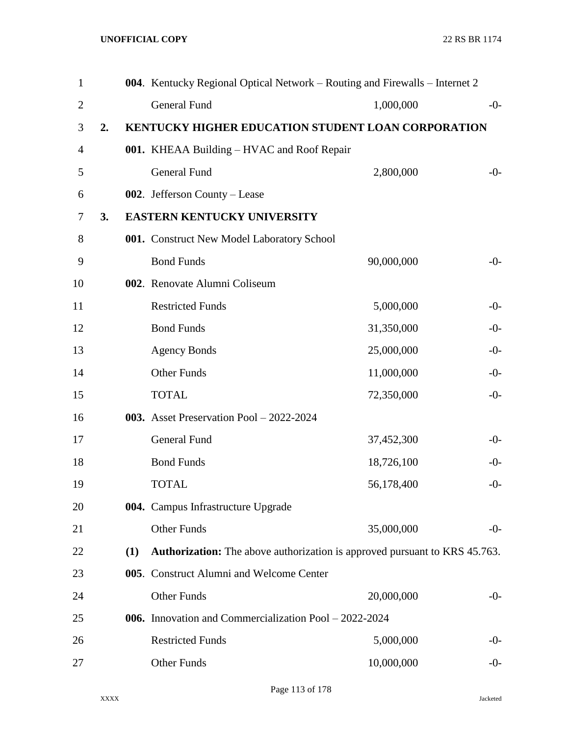| $\mathbf{1}$   |    |     | 004. Kentucky Regional Optical Network – Routing and Firewalls – Internet 2       |            |       |
|----------------|----|-----|-----------------------------------------------------------------------------------|------------|-------|
| $\overline{2}$ |    |     | <b>General Fund</b>                                                               | 1,000,000  | $-0-$ |
| 3              | 2. |     | KENTUCKY HIGHER EDUCATION STUDENT LOAN CORPORATION                                |            |       |
| 4              |    |     | 001. KHEAA Building – HVAC and Roof Repair                                        |            |       |
| 5              |    |     | <b>General Fund</b>                                                               | 2,800,000  | $-0-$ |
| 6              |    |     | 002. Jefferson County – Lease                                                     |            |       |
| 7              | 3. |     | <b>EASTERN KENTUCKY UNIVERSITY</b>                                                |            |       |
| 8              |    |     | 001. Construct New Model Laboratory School                                        |            |       |
| 9              |    |     | <b>Bond Funds</b>                                                                 | 90,000,000 | $-0-$ |
| 10             |    |     | 002. Renovate Alumni Coliseum                                                     |            |       |
| 11             |    |     | <b>Restricted Funds</b>                                                           | 5,000,000  | $-0-$ |
| 12             |    |     | <b>Bond Funds</b>                                                                 | 31,350,000 | $-0-$ |
| 13             |    |     | <b>Agency Bonds</b>                                                               | 25,000,000 | $-0-$ |
| 14             |    |     | <b>Other Funds</b>                                                                | 11,000,000 | $-0-$ |
| 15             |    |     | <b>TOTAL</b>                                                                      | 72,350,000 | $-0-$ |
| 16             |    |     | 003. Asset Preservation Pool $-2022-2024$                                         |            |       |
| 17             |    |     | <b>General Fund</b>                                                               | 37,452,300 | $-0-$ |
| 18             |    |     | <b>Bond Funds</b>                                                                 | 18,726,100 | $-0-$ |
| 19             |    |     | <b>TOTAL</b>                                                                      | 56,178,400 | $-0-$ |
| 20             |    |     | 004. Campus Infrastructure Upgrade                                                |            |       |
| 21             |    |     | Other Funds                                                                       | 35,000,000 | $-0-$ |
| 22             |    | (1) | <b>Authorization:</b> The above authorization is approved pursuant to KRS 45.763. |            |       |
| 23             |    |     | 005. Construct Alumni and Welcome Center                                          |            |       |
| 24             |    |     | Other Funds                                                                       | 20,000,000 | -0-   |
| 25             |    |     | 006. Innovation and Commercialization Pool – 2022-2024                            |            |       |
| 26             |    |     | <b>Restricted Funds</b>                                                           | 5,000,000  | -0-   |
| 27             |    |     | Other Funds                                                                       | 10,000,000 | $-0-$ |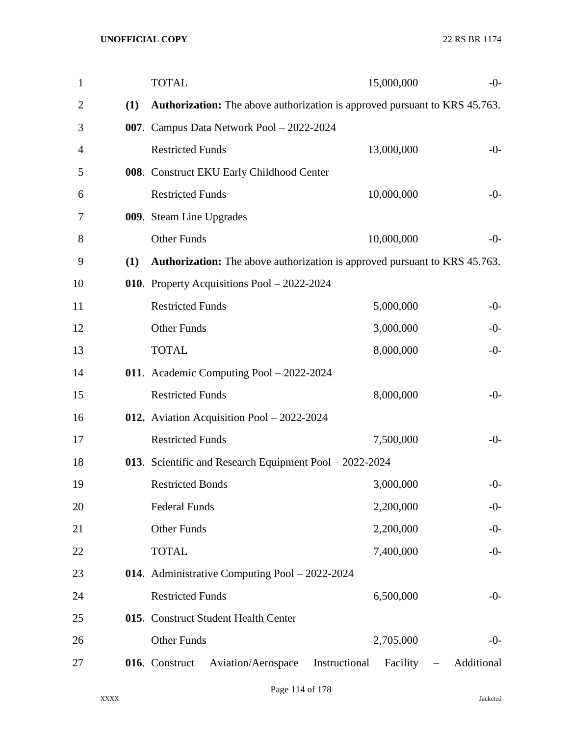| $\mathbf{1}$   |     | <b>TOTAL</b>                                                                      |               | 15,000,000 | $-0-$      |
|----------------|-----|-----------------------------------------------------------------------------------|---------------|------------|------------|
| $\overline{2}$ | (1) | <b>Authorization:</b> The above authorization is approved pursuant to KRS 45.763. |               |            |            |
| 3              |     | 007. Campus Data Network Pool - 2022-2024                                         |               |            |            |
| 4              |     | <b>Restricted Funds</b>                                                           |               | 13,000,000 | $-0-$      |
| 5              |     | 008. Construct EKU Early Childhood Center                                         |               |            |            |
| 6              |     | <b>Restricted Funds</b>                                                           |               | 10,000,000 | $-0-$      |
| 7              |     | 009. Steam Line Upgrades                                                          |               |            |            |
| 8              |     | <b>Other Funds</b>                                                                |               | 10,000,000 | $-0-$      |
| 9              | (1) | <b>Authorization:</b> The above authorization is approved pursuant to KRS 45.763. |               |            |            |
| 10             |     | 010. Property Acquisitions Pool - 2022-2024                                       |               |            |            |
| 11             |     | <b>Restricted Funds</b>                                                           |               | 5,000,000  | $-0-$      |
| 12             |     | <b>Other Funds</b>                                                                |               | 3,000,000  | $-0-$      |
| 13             |     | <b>TOTAL</b>                                                                      |               | 8,000,000  | $-0-$      |
| 14             |     | 011. Academic Computing Pool - 2022-2024                                          |               |            |            |
| 15             |     | <b>Restricted Funds</b>                                                           |               | 8,000,000  | $-0-$      |
| 16             |     | 012. Aviation Acquisition Pool $-2022-2024$                                       |               |            |            |
| 17             |     | <b>Restricted Funds</b>                                                           |               | 7,500,000  | $-0-$      |
| 18             |     | 013. Scientific and Research Equipment Pool - 2022-2024                           |               |            |            |
| 19             |     | <b>Restricted Bonds</b>                                                           |               | 3,000,000  | $-0-$      |
| 20             |     | <b>Federal Funds</b>                                                              |               | 2,200,000  | $-0-$      |
| 21             |     | <b>Other Funds</b>                                                                |               | 2,200,000  | $-0-$      |
| 22             |     | <b>TOTAL</b>                                                                      |               | 7,400,000  | $-0-$      |
| 23             |     | 014. Administrative Computing Pool - 2022-2024                                    |               |            |            |
| 24             |     | <b>Restricted Funds</b>                                                           |               | 6,500,000  | $-0-$      |
| 25             |     | 015. Construct Student Health Center                                              |               |            |            |
| 26             |     | <b>Other Funds</b>                                                                |               | 2,705,000  | $-0-$      |
| 27             |     | Aviation/Aerospace<br>016. Construct                                              | Instructional | Facility   | Additional |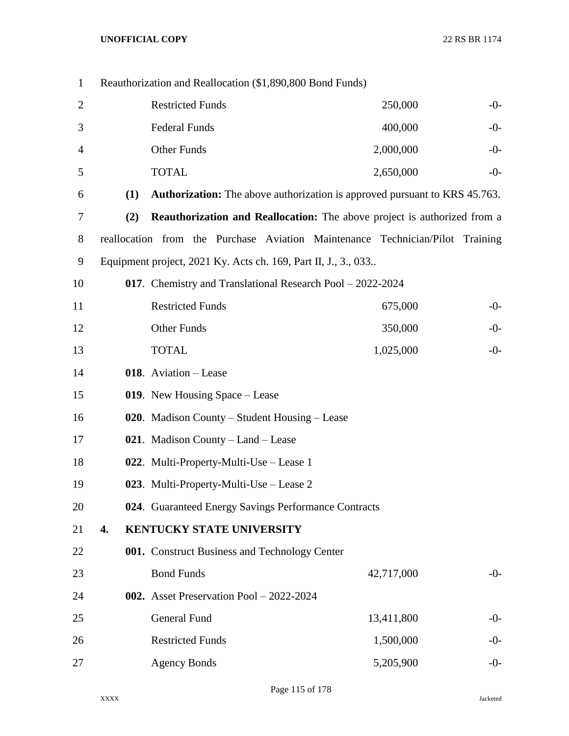| $\mathbf{1}$   |     | Reauthorization and Reallocation (\$1,890,800 Bond Funds)      |  |                                                                                   |       |
|----------------|-----|----------------------------------------------------------------|--|-----------------------------------------------------------------------------------|-------|
| $\overline{c}$ |     | <b>Restricted Funds</b>                                        |  | 250,000                                                                           | $-0-$ |
| 3              |     | <b>Federal Funds</b>                                           |  | 400,000                                                                           | $-0-$ |
| 4              |     | <b>Other Funds</b>                                             |  | 2,000,000                                                                         | $-0-$ |
| 5              |     | <b>TOTAL</b>                                                   |  | 2,650,000                                                                         | $-0-$ |
| 6              | (1) |                                                                |  | <b>Authorization:</b> The above authorization is approved pursuant to KRS 45.763. |       |
| 7              | (2) |                                                                |  | <b>Reauthorization and Reallocation:</b> The above project is authorized from a   |       |
| 8              |     |                                                                |  | reallocation from the Purchase Aviation Maintenance Technician/Pilot Training     |       |
| 9              |     | Equipment project, 2021 Ky. Acts ch. 169, Part II, J., 3., 033 |  |                                                                                   |       |
| 10             |     | 017. Chemistry and Translational Research Pool - 2022-2024     |  |                                                                                   |       |
| 11             |     | <b>Restricted Funds</b>                                        |  | 675,000                                                                           | $-0-$ |
| 12             |     | <b>Other Funds</b>                                             |  | 350,000                                                                           | $-0-$ |
| 13             |     | <b>TOTAL</b>                                                   |  | 1,025,000                                                                         | $-0-$ |
| 14             |     | 018. Aviation - Lease                                          |  |                                                                                   |       |
| 15             |     | 019. New Housing Space – Lease                                 |  |                                                                                   |       |
| 16             |     | 020. Madison County – Student Housing – Lease                  |  |                                                                                   |       |
| 17             |     | 021. Madison County - Land - Lease                             |  |                                                                                   |       |
| 18             |     | 022. Multi-Property-Multi-Use – Lease 1                        |  |                                                                                   |       |
| 19             |     | 023. Multi-Property-Multi-Use – Lease 2                        |  |                                                                                   |       |
| 20             |     | 024. Guaranteed Energy Savings Performance Contracts           |  |                                                                                   |       |
| 21             | 4.  | KENTUCKY STATE UNIVERSITY                                      |  |                                                                                   |       |
| 22             |     | 001. Construct Business and Technology Center                  |  |                                                                                   |       |
| 23             |     | <b>Bond Funds</b>                                              |  | 42,717,000                                                                        | $-0-$ |
| 24             |     | 002. Asset Preservation Pool $-2022-2024$                      |  |                                                                                   |       |
| 25             |     | General Fund                                                   |  | 13,411,800                                                                        | $-0-$ |
| 26             |     | <b>Restricted Funds</b>                                        |  | 1,500,000                                                                         | $-0-$ |
| 27             |     | <b>Agency Bonds</b>                                            |  | 5,205,900                                                                         | $-0-$ |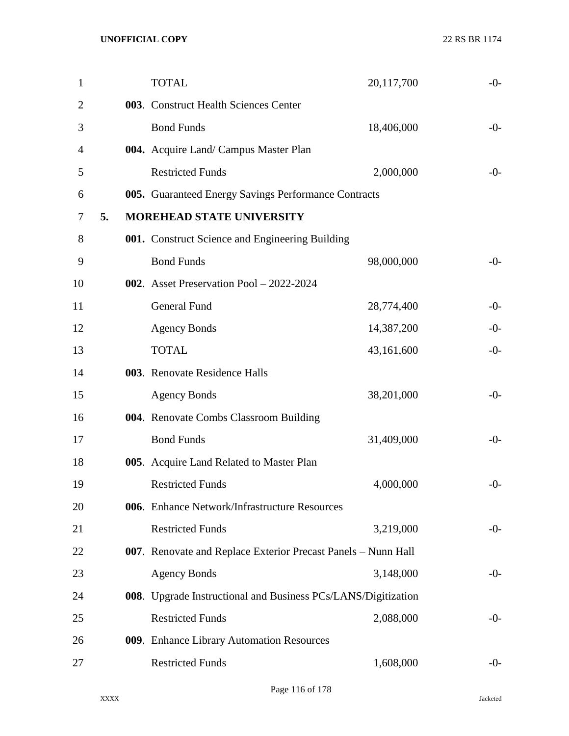|    | <b>TOTAL</b>            | 20,117,700                                                                                                                                                                                                                                                                            | $-0-$                                                                                                                                                                                                                                                                                                                                   |
|----|-------------------------|---------------------------------------------------------------------------------------------------------------------------------------------------------------------------------------------------------------------------------------------------------------------------------------|-----------------------------------------------------------------------------------------------------------------------------------------------------------------------------------------------------------------------------------------------------------------------------------------------------------------------------------------|
|    |                         |                                                                                                                                                                                                                                                                                       |                                                                                                                                                                                                                                                                                                                                         |
|    | <b>Bond Funds</b>       | 18,406,000                                                                                                                                                                                                                                                                            | $-0-$                                                                                                                                                                                                                                                                                                                                   |
|    |                         |                                                                                                                                                                                                                                                                                       |                                                                                                                                                                                                                                                                                                                                         |
|    | <b>Restricted Funds</b> | 2,000,000                                                                                                                                                                                                                                                                             | $-0-$                                                                                                                                                                                                                                                                                                                                   |
|    |                         |                                                                                                                                                                                                                                                                                       |                                                                                                                                                                                                                                                                                                                                         |
| 5. |                         |                                                                                                                                                                                                                                                                                       |                                                                                                                                                                                                                                                                                                                                         |
|    |                         |                                                                                                                                                                                                                                                                                       |                                                                                                                                                                                                                                                                                                                                         |
|    | <b>Bond Funds</b>       | 98,000,000                                                                                                                                                                                                                                                                            | $-0-$                                                                                                                                                                                                                                                                                                                                   |
|    |                         |                                                                                                                                                                                                                                                                                       |                                                                                                                                                                                                                                                                                                                                         |
|    | General Fund            | 28,774,400                                                                                                                                                                                                                                                                            | $-0-$                                                                                                                                                                                                                                                                                                                                   |
|    | <b>Agency Bonds</b>     | 14,387,200                                                                                                                                                                                                                                                                            | $-0-$                                                                                                                                                                                                                                                                                                                                   |
|    | <b>TOTAL</b>            | 43,161,600                                                                                                                                                                                                                                                                            | $-0-$                                                                                                                                                                                                                                                                                                                                   |
|    |                         |                                                                                                                                                                                                                                                                                       |                                                                                                                                                                                                                                                                                                                                         |
|    | <b>Agency Bonds</b>     | 38,201,000                                                                                                                                                                                                                                                                            | $-0-$                                                                                                                                                                                                                                                                                                                                   |
|    |                         |                                                                                                                                                                                                                                                                                       |                                                                                                                                                                                                                                                                                                                                         |
|    | <b>Bond Funds</b>       | 31,409,000                                                                                                                                                                                                                                                                            | $-0-$                                                                                                                                                                                                                                                                                                                                   |
|    |                         |                                                                                                                                                                                                                                                                                       |                                                                                                                                                                                                                                                                                                                                         |
|    | <b>Restricted Funds</b> | 4,000,000                                                                                                                                                                                                                                                                             | $-0-$                                                                                                                                                                                                                                                                                                                                   |
|    |                         |                                                                                                                                                                                                                                                                                       |                                                                                                                                                                                                                                                                                                                                         |
|    | <b>Restricted Funds</b> | 3,219,000                                                                                                                                                                                                                                                                             | $-0-$                                                                                                                                                                                                                                                                                                                                   |
|    |                         |                                                                                                                                                                                                                                                                                       |                                                                                                                                                                                                                                                                                                                                         |
|    | <b>Agency Bonds</b>     | 3,148,000                                                                                                                                                                                                                                                                             | $-0-$                                                                                                                                                                                                                                                                                                                                   |
|    |                         |                                                                                                                                                                                                                                                                                       |                                                                                                                                                                                                                                                                                                                                         |
|    | <b>Restricted Funds</b> | 2,088,000                                                                                                                                                                                                                                                                             | $-0-$                                                                                                                                                                                                                                                                                                                                   |
|    |                         |                                                                                                                                                                                                                                                                                       |                                                                                                                                                                                                                                                                                                                                         |
|    | <b>Restricted Funds</b> | 1,608,000                                                                                                                                                                                                                                                                             | $-0-$                                                                                                                                                                                                                                                                                                                                   |
|    |                         | 003. Construct Health Sciences Center<br>004. Acquire Land/ Campus Master Plan<br><b>MOREHEAD STATE UNIVERSITY</b><br>002. Asset Preservation Pool - 2022-2024<br>003. Renovate Residence Halls<br>004. Renovate Combs Classroom Building<br>005. Acquire Land Related to Master Plan | 005. Guaranteed Energy Savings Performance Contracts<br>001. Construct Science and Engineering Building<br>006. Enhance Network/Infrastructure Resources<br>007. Renovate and Replace Exterior Precast Panels - Nunn Hall<br>008. Upgrade Instructional and Business PCs/LANS/Digitization<br>009. Enhance Library Automation Resources |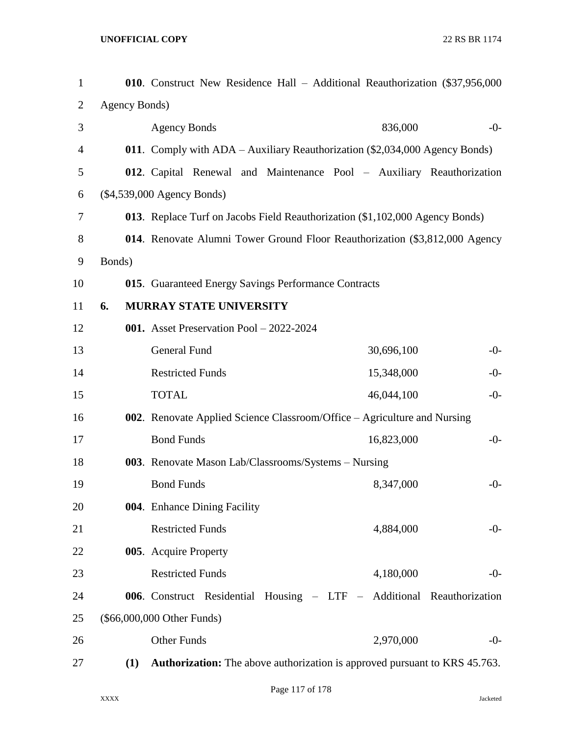| $\mathbf{1}$   |        |               | 010. Construct New Residence Hall - Additional Reauthorization (\$37,956,000      |            |       |
|----------------|--------|---------------|-----------------------------------------------------------------------------------|------------|-------|
| $\overline{2}$ |        | Agency Bonds) |                                                                                   |            |       |
| 3              |        |               | <b>Agency Bonds</b>                                                               | 836,000    | $-0-$ |
| 4              |        |               | 011. Comply with ADA – Auxiliary Reauthorization (\$2,034,000 Agency Bonds)       |            |       |
| 5              |        |               | 012. Capital Renewal and Maintenance Pool - Auxiliary Reauthorization             |            |       |
| 6              |        |               | $(\$4,539,000$ Agency Bonds)                                                      |            |       |
| 7              |        |               | 013. Replace Turf on Jacobs Field Reauthorization (\$1,102,000 Agency Bonds)      |            |       |
| 8              |        |               | 014. Renovate Alumni Tower Ground Floor Reauthorization (\$3,812,000 Agency       |            |       |
| 9              | Bonds) |               |                                                                                   |            |       |
| 10             |        |               | 015. Guaranteed Energy Savings Performance Contracts                              |            |       |
| 11             | 6.     |               | MURRAY STATE UNIVERSITY                                                           |            |       |
| 12             |        |               | 001. Asset Preservation Pool - 2022-2024                                          |            |       |
| 13             |        |               | General Fund                                                                      | 30,696,100 | $-0-$ |
| 14             |        |               | <b>Restricted Funds</b>                                                           | 15,348,000 | $-0-$ |
| 15             |        |               | <b>TOTAL</b>                                                                      | 46,044,100 | $-0-$ |
| 16             |        |               | 002. Renovate Applied Science Classroom/Office - Agriculture and Nursing          |            |       |
| 17             |        |               | <b>Bond Funds</b>                                                                 | 16,823,000 | $-0-$ |
| 18             |        |               | 003. Renovate Mason Lab/Classrooms/Systems - Nursing                              |            |       |
| 19             |        |               | <b>Bond Funds</b>                                                                 | 8,347,000  | $-0-$ |
| 20             |        |               | 004. Enhance Dining Facility                                                      |            |       |
| 21             |        |               | <b>Restricted Funds</b>                                                           | 4,884,000  | $-0-$ |
| 22             |        |               | 005. Acquire Property                                                             |            |       |
| 23             |        |               | <b>Restricted Funds</b>                                                           | 4,180,000  | $-0-$ |
| 24             |        |               | 006. Construct Residential Housing - LTF - Additional Reauthorization             |            |       |
| 25             |        |               | (\$66,000,000 Other Funds)                                                        |            |       |
| 26             |        |               | Other Funds                                                                       | 2,970,000  | $-0-$ |
| 27             |        | (1)           | <b>Authorization:</b> The above authorization is approved pursuant to KRS 45.763. |            |       |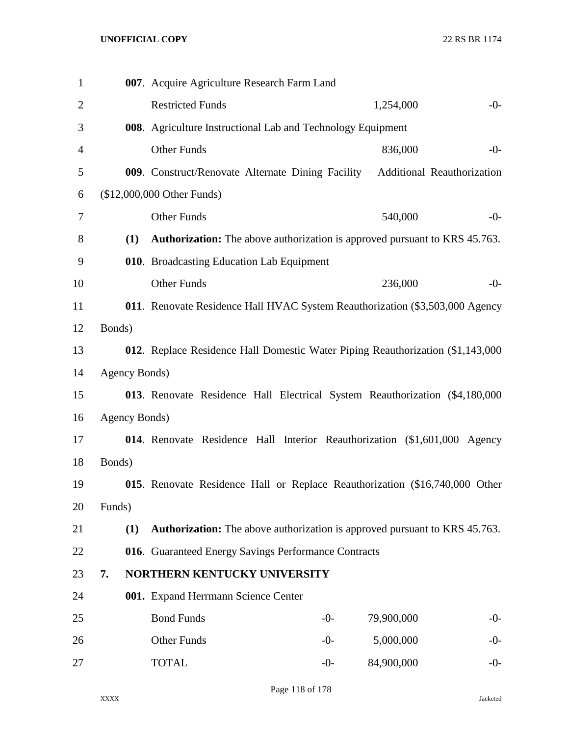| $\mathbf{1}$   |               | 007. Acquire Agriculture Research Farm Land                                       |       |            |       |
|----------------|---------------|-----------------------------------------------------------------------------------|-------|------------|-------|
| $\overline{2}$ |               | <b>Restricted Funds</b>                                                           |       | 1,254,000  | $-0-$ |
| 3              |               | 008. Agriculture Instructional Lab and Technology Equipment                       |       |            |       |
| $\overline{4}$ |               | <b>Other Funds</b>                                                                |       | 836,000    | $-0-$ |
| 5              |               | 009. Construct/Renovate Alternate Dining Facility - Additional Reauthorization    |       |            |       |
| 6              |               | (\$12,000,000 Other Funds)                                                        |       |            |       |
| 7              |               | Other Funds                                                                       |       | 540,000    | $-0-$ |
| 8              | (1)           | <b>Authorization:</b> The above authorization is approved pursuant to KRS 45.763. |       |            |       |
| 9              |               | 010. Broadcasting Education Lab Equipment                                         |       |            |       |
| 10             |               | <b>Other Funds</b>                                                                |       | 236,000    | $-0-$ |
| 11             |               | 011. Renovate Residence Hall HVAC System Reauthorization (\$3,503,000 Agency      |       |            |       |
| 12             | Bonds)        |                                                                                   |       |            |       |
| 13             |               | 012. Replace Residence Hall Domestic Water Piping Reauthorization (\$1,143,000)   |       |            |       |
| 14             | Agency Bonds) |                                                                                   |       |            |       |
| 15             |               | 013. Renovate Residence Hall Electrical System Reauthorization (\$4,180,000)      |       |            |       |
| 16             | Agency Bonds) |                                                                                   |       |            |       |
| 17             |               | 014. Renovate Residence Hall Interior Reauthorization (\$1,601,000 Agency         |       |            |       |
| 18             | Bonds)        |                                                                                   |       |            |       |
| 19             |               | 015. Renovate Residence Hall or Replace Reauthorization (\$16,740,000 Other       |       |            |       |
| 20             | Funds)        |                                                                                   |       |            |       |
| 21             | (1)           | <b>Authorization:</b> The above authorization is approved pursuant to KRS 45.763. |       |            |       |
| 22             |               | 016. Guaranteed Energy Savings Performance Contracts                              |       |            |       |
| 23             | 7.            | NORTHERN KENTUCKY UNIVERSITY                                                      |       |            |       |
| 24             |               | 001. Expand Herrmann Science Center                                               |       |            |       |
| 25             |               | <b>Bond Funds</b>                                                                 | $-0-$ | 79,900,000 | $-0-$ |
| 26             |               | Other Funds                                                                       | $-0-$ | 5,000,000  | $-0-$ |
| 27             |               | <b>TOTAL</b>                                                                      | $-0-$ | 84,900,000 | $-0-$ |

Page 118 of 178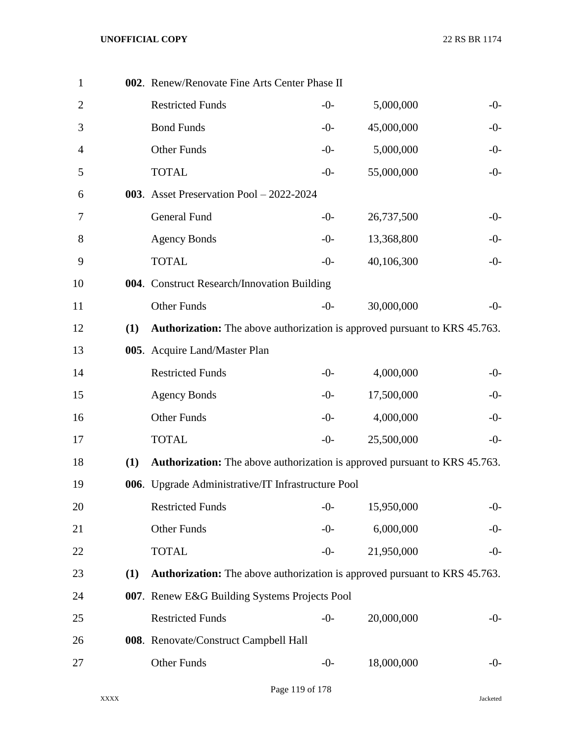| $\mathbf{1}$   |     | 002. Renew/Renovate Fine Arts Center Phase II                                     |       |            |       |
|----------------|-----|-----------------------------------------------------------------------------------|-------|------------|-------|
| $\overline{2}$ |     | <b>Restricted Funds</b>                                                           | $-0-$ | 5,000,000  | $-0-$ |
| 3              |     | <b>Bond Funds</b>                                                                 | $-0-$ | 45,000,000 | $-0-$ |
| 4              |     | Other Funds                                                                       | $-0-$ | 5,000,000  | $-0-$ |
| 5              |     | <b>TOTAL</b>                                                                      | $-0-$ | 55,000,000 | $-0-$ |
| 6              |     | 003. Asset Preservation Pool - 2022-2024                                          |       |            |       |
| 7              |     | General Fund                                                                      | $-0-$ | 26,737,500 | $-0-$ |
| 8              |     | <b>Agency Bonds</b>                                                               | $-0-$ | 13,368,800 | $-0-$ |
| 9              |     | <b>TOTAL</b>                                                                      | $-0-$ | 40,106,300 | $-0-$ |
| 10             |     | 004. Construct Research/Innovation Building                                       |       |            |       |
| 11             |     | <b>Other Funds</b>                                                                | $-0-$ | 30,000,000 | $-0-$ |
| 12             | (1) | Authorization: The above authorization is approved pursuant to KRS 45.763.        |       |            |       |
| 13             |     | 005. Acquire Land/Master Plan                                                     |       |            |       |
| 14             |     | <b>Restricted Funds</b>                                                           | $-0-$ | 4,000,000  | $-0-$ |
| 15             |     | <b>Agency Bonds</b>                                                               | $-0-$ | 17,500,000 | $-0-$ |
| 16             |     | Other Funds                                                                       | $-0-$ | 4,000,000  | $-0-$ |
| 17             |     | <b>TOTAL</b>                                                                      | $-0-$ | 25,500,000 | $-0-$ |
| 18             | (1) | <b>Authorization:</b> The above authorization is approved pursuant to KRS 45.763. |       |            |       |
| 19             |     | 006. Upgrade Administrative/IT Infrastructure Pool                                |       |            |       |
| 20             |     | <b>Restricted Funds</b>                                                           | $-0-$ | 15,950,000 | $-0-$ |
| 21             |     | Other Funds                                                                       | $-0-$ | 6,000,000  | $-0-$ |
| 22             |     | <b>TOTAL</b>                                                                      | $-0-$ | 21,950,000 | $-0-$ |
| 23             | (1) | <b>Authorization:</b> The above authorization is approved pursuant to KRS 45.763. |       |            |       |
| 24             |     | 007. Renew E&G Building Systems Projects Pool                                     |       |            |       |
| 25             |     | <b>Restricted Funds</b>                                                           | $-0-$ | 20,000,000 | $-0-$ |
| 26             |     | 008. Renovate/Construct Campbell Hall                                             |       |            |       |
| 27             |     | Other Funds                                                                       | $-0-$ | 18,000,000 | $-0-$ |
|                |     |                                                                                   |       |            |       |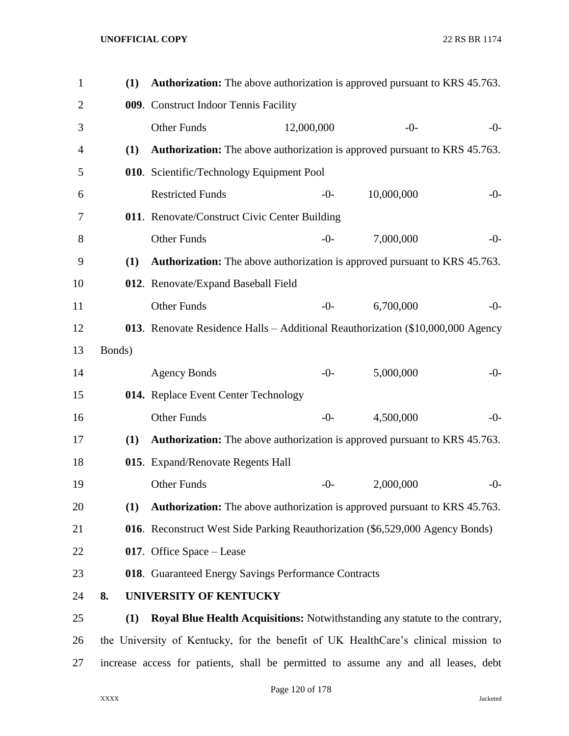| 1              | (1)    | <b>Authorization:</b> The above authorization is approved pursuant to KRS 45.763.   |            |            |       |
|----------------|--------|-------------------------------------------------------------------------------------|------------|------------|-------|
| $\overline{2}$ |        | 009. Construct Indoor Tennis Facility                                               |            |            |       |
| 3              |        | <b>Other Funds</b>                                                                  | 12,000,000 | $-0-$      | $-0-$ |
| 4              | (1)    | Authorization: The above authorization is approved pursuant to KRS 45.763.          |            |            |       |
| 5              |        | 010. Scientific/Technology Equipment Pool                                           |            |            |       |
| 6              |        | <b>Restricted Funds</b>                                                             | $-0-$      | 10,000,000 | $-0-$ |
| 7              |        | 011. Renovate/Construct Civic Center Building                                       |            |            |       |
| 8              |        | <b>Other Funds</b>                                                                  | $-0-$      | 7,000,000  | $-0-$ |
| 9              | (1)    | <b>Authorization:</b> The above authorization is approved pursuant to KRS 45.763.   |            |            |       |
| 10             |        | 012. Renovate/Expand Baseball Field                                                 |            |            |       |
| 11             |        | <b>Other Funds</b>                                                                  | $-0-$      | 6,700,000  | $-0-$ |
| 12             |        | 013. Renovate Residence Halls - Additional Reauthorization (\$10,000,000 Agency     |            |            |       |
| 13             | Bonds) |                                                                                     |            |            |       |
| 14             |        | <b>Agency Bonds</b>                                                                 | $-0-$      | 5,000,000  | $-0-$ |
| 15             |        | 014. Replace Event Center Technology                                                |            |            |       |
| 16             |        | <b>Other Funds</b>                                                                  | $-0-$      | 4,500,000  | $-0-$ |
| 17             | (1)    | <b>Authorization:</b> The above authorization is approved pursuant to KRS 45.763.   |            |            |       |
| 18             |        | 015. Expand/Renovate Regents Hall                                                   |            |            |       |
| 19             |        | <b>Other Funds</b>                                                                  | $-0-$      | 2,000,000  | $-0-$ |
| 20             | (1)    | <b>Authorization:</b> The above authorization is approved pursuant to KRS 45.763.   |            |            |       |
| 21             |        | 016. Reconstruct West Side Parking Reauthorization (\$6,529,000 Agency Bonds)       |            |            |       |
| 22             |        | 017. Office Space – Lease                                                           |            |            |       |
| 23             |        | 018. Guaranteed Energy Savings Performance Contracts                                |            |            |       |
| 24             | 8.     | UNIVERSITY OF KENTUCKY                                                              |            |            |       |
| 25             | (1)    | <b>Royal Blue Health Acquisitions:</b> Notwithstanding any statute to the contrary, |            |            |       |
| 26             |        | the University of Kentucky, for the benefit of UK HealthCare's clinical mission to  |            |            |       |
| 27             |        | increase access for patients, shall be permitted to assume any and all leases, debt |            |            |       |

Page 120 of 178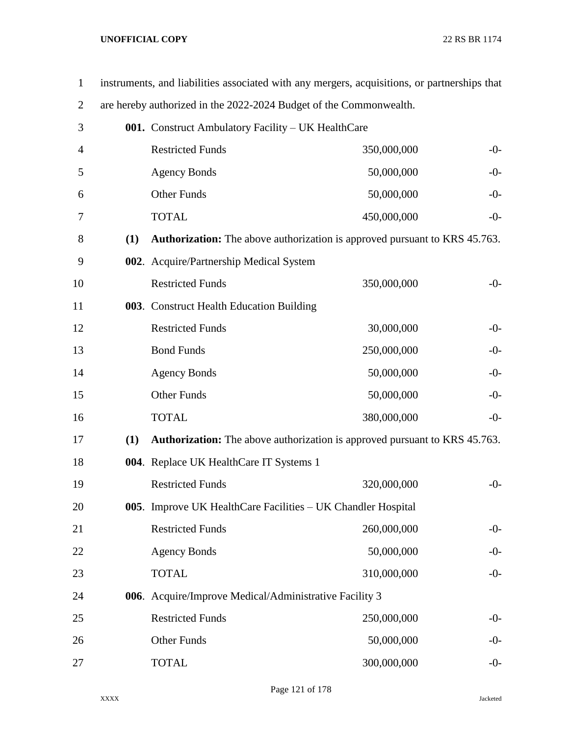| $\mathbf{1}$   | instruments, and liabilities associated with any mergers, acquisitions, or partnerships that |                                                                    |                                                                                   |       |  |  |
|----------------|----------------------------------------------------------------------------------------------|--------------------------------------------------------------------|-----------------------------------------------------------------------------------|-------|--|--|
| $\overline{2}$ |                                                                                              | are hereby authorized in the 2022-2024 Budget of the Commonwealth. |                                                                                   |       |  |  |
| 3              |                                                                                              | 001. Construct Ambulatory Facility – UK HealthCare                 |                                                                                   |       |  |  |
| $\overline{4}$ |                                                                                              | <b>Restricted Funds</b>                                            | 350,000,000                                                                       | $-0-$ |  |  |
| 5              |                                                                                              | <b>Agency Bonds</b>                                                | 50,000,000                                                                        | $-0-$ |  |  |
| 6              |                                                                                              | Other Funds                                                        | 50,000,000                                                                        | $-0-$ |  |  |
| 7              |                                                                                              | <b>TOTAL</b>                                                       | 450,000,000                                                                       | $-0-$ |  |  |
| 8              | (1)                                                                                          |                                                                    | Authorization: The above authorization is approved pursuant to KRS 45.763.        |       |  |  |
| 9              |                                                                                              | 002. Acquire/Partnership Medical System                            |                                                                                   |       |  |  |
| 10             |                                                                                              | <b>Restricted Funds</b>                                            | 350,000,000                                                                       | $-0-$ |  |  |
| 11             |                                                                                              | 003. Construct Health Education Building                           |                                                                                   |       |  |  |
| 12             |                                                                                              | <b>Restricted Funds</b>                                            | 30,000,000                                                                        | $-0-$ |  |  |
| 13             |                                                                                              | <b>Bond Funds</b>                                                  | 250,000,000                                                                       | $-0-$ |  |  |
| 14             |                                                                                              | <b>Agency Bonds</b>                                                | 50,000,000                                                                        | $-0-$ |  |  |
| 15             |                                                                                              | Other Funds                                                        | 50,000,000                                                                        | $-0-$ |  |  |
| 16             |                                                                                              | <b>TOTAL</b>                                                       | 380,000,000                                                                       | $-0-$ |  |  |
| 17             | (1)                                                                                          |                                                                    | <b>Authorization:</b> The above authorization is approved pursuant to KRS 45.763. |       |  |  |
| 18             |                                                                                              | 004. Replace UK HealthCare IT Systems 1                            |                                                                                   |       |  |  |
| 19             |                                                                                              | <b>Restricted Funds</b>                                            | 320,000,000                                                                       | $-0-$ |  |  |
| 20             |                                                                                              |                                                                    | 005. Improve UK HealthCare Facilities – UK Chandler Hospital                      |       |  |  |
| 21             |                                                                                              | <b>Restricted Funds</b>                                            | 260,000,000                                                                       | $-0-$ |  |  |
| 22             |                                                                                              | <b>Agency Bonds</b>                                                | 50,000,000                                                                        | $-0-$ |  |  |
| 23             |                                                                                              | <b>TOTAL</b>                                                       | 310,000,000                                                                       | $-0-$ |  |  |
| 24             |                                                                                              | 006. Acquire/Improve Medical/Administrative Facility 3             |                                                                                   |       |  |  |
| 25             |                                                                                              | <b>Restricted Funds</b>                                            | 250,000,000                                                                       | $-0-$ |  |  |
| 26             |                                                                                              | Other Funds                                                        | 50,000,000                                                                        | $-0-$ |  |  |
| 27             |                                                                                              | <b>TOTAL</b>                                                       | 300,000,000                                                                       | $-0-$ |  |  |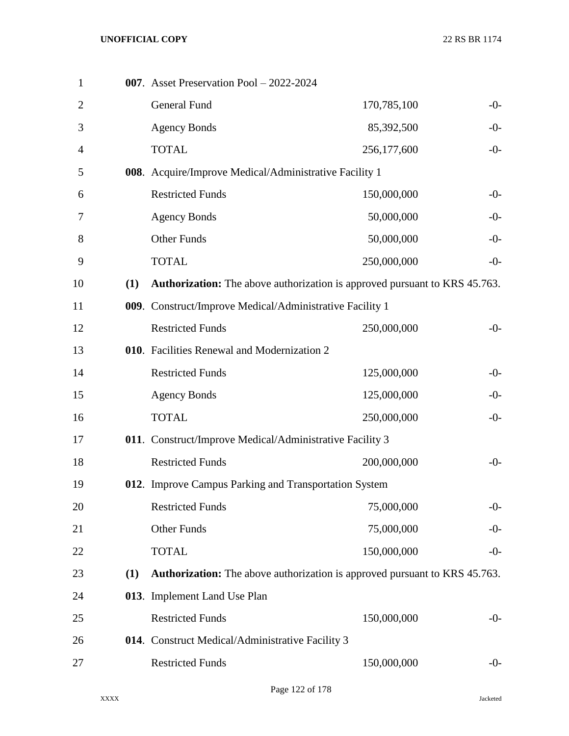|     | General Fund            | 170,785,100                                                              | $-0-$                                                                                                                                                                                                                                                                                                                                                                                                                                                                                                                |
|-----|-------------------------|--------------------------------------------------------------------------|----------------------------------------------------------------------------------------------------------------------------------------------------------------------------------------------------------------------------------------------------------------------------------------------------------------------------------------------------------------------------------------------------------------------------------------------------------------------------------------------------------------------|
|     | <b>Agency Bonds</b>     | 85,392,500                                                               | $-0-$                                                                                                                                                                                                                                                                                                                                                                                                                                                                                                                |
|     | <b>TOTAL</b>            | 256,177,600                                                              | $-0-$                                                                                                                                                                                                                                                                                                                                                                                                                                                                                                                |
|     |                         |                                                                          |                                                                                                                                                                                                                                                                                                                                                                                                                                                                                                                      |
|     | <b>Restricted Funds</b> | 150,000,000                                                              | $-0-$                                                                                                                                                                                                                                                                                                                                                                                                                                                                                                                |
|     | <b>Agency Bonds</b>     | 50,000,000                                                               | $-0-$                                                                                                                                                                                                                                                                                                                                                                                                                                                                                                                |
|     | Other Funds             | 50,000,000                                                               | $-0-$                                                                                                                                                                                                                                                                                                                                                                                                                                                                                                                |
|     | <b>TOTAL</b>            | 250,000,000                                                              | $-0-$                                                                                                                                                                                                                                                                                                                                                                                                                                                                                                                |
| (1) |                         |                                                                          |                                                                                                                                                                                                                                                                                                                                                                                                                                                                                                                      |
|     |                         |                                                                          |                                                                                                                                                                                                                                                                                                                                                                                                                                                                                                                      |
|     | <b>Restricted Funds</b> | 250,000,000                                                              | $-0-$                                                                                                                                                                                                                                                                                                                                                                                                                                                                                                                |
|     |                         |                                                                          |                                                                                                                                                                                                                                                                                                                                                                                                                                                                                                                      |
|     | <b>Restricted Funds</b> | 125,000,000                                                              | $-0-$                                                                                                                                                                                                                                                                                                                                                                                                                                                                                                                |
|     | <b>Agency Bonds</b>     | 125,000,000                                                              | $-0-$                                                                                                                                                                                                                                                                                                                                                                                                                                                                                                                |
|     | <b>TOTAL</b>            | 250,000,000                                                              | $-0-$                                                                                                                                                                                                                                                                                                                                                                                                                                                                                                                |
|     |                         |                                                                          |                                                                                                                                                                                                                                                                                                                                                                                                                                                                                                                      |
|     | <b>Restricted Funds</b> | 200,000,000                                                              | $-0-$                                                                                                                                                                                                                                                                                                                                                                                                                                                                                                                |
|     |                         |                                                                          |                                                                                                                                                                                                                                                                                                                                                                                                                                                                                                                      |
|     | <b>Restricted Funds</b> | 75,000,000                                                               | $-0-$                                                                                                                                                                                                                                                                                                                                                                                                                                                                                                                |
|     | Other Funds             | 75,000,000                                                               | $-0-$                                                                                                                                                                                                                                                                                                                                                                                                                                                                                                                |
|     | <b>TOTAL</b>            | 150,000,000                                                              | $-0-$                                                                                                                                                                                                                                                                                                                                                                                                                                                                                                                |
| (1) |                         |                                                                          |                                                                                                                                                                                                                                                                                                                                                                                                                                                                                                                      |
|     |                         |                                                                          |                                                                                                                                                                                                                                                                                                                                                                                                                                                                                                                      |
|     | <b>Restricted Funds</b> | 150,000,000                                                              | $-0-$                                                                                                                                                                                                                                                                                                                                                                                                                                                                                                                |
|     |                         |                                                                          |                                                                                                                                                                                                                                                                                                                                                                                                                                                                                                                      |
|     | <b>Restricted Funds</b> | 150,000,000                                                              | $-0-$                                                                                                                                                                                                                                                                                                                                                                                                                                                                                                                |
|     |                         | 007. Asset Preservation Pool - 2022-2024<br>013. Implement Land Use Plan | 008. Acquire/Improve Medical/Administrative Facility 1<br><b>Authorization:</b> The above authorization is approved pursuant to KRS 45.763.<br>009. Construct/Improve Medical/Administrative Facility 1<br>010. Facilities Renewal and Modernization 2<br>011. Construct/Improve Medical/Administrative Facility 3<br>012. Improve Campus Parking and Transportation System<br><b>Authorization:</b> The above authorization is approved pursuant to KRS 45.763.<br>014. Construct Medical/Administrative Facility 3 |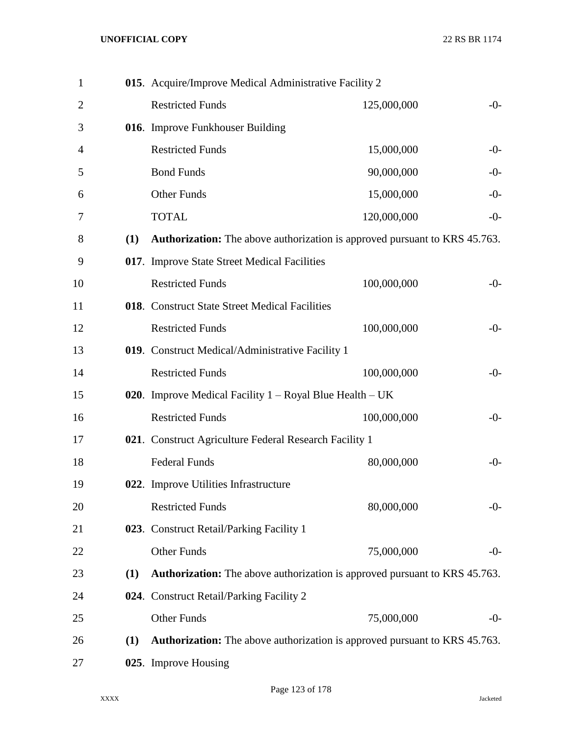| $\mathbf{1}$   |     | 015. Acquire/Improve Medical Administrative Facility 2                            |             |       |
|----------------|-----|-----------------------------------------------------------------------------------|-------------|-------|
| $\overline{2}$ |     | <b>Restricted Funds</b>                                                           | 125,000,000 | $-0-$ |
| 3              |     | 016. Improve Funkhouser Building                                                  |             |       |
| 4              |     | <b>Restricted Funds</b>                                                           | 15,000,000  | $-0-$ |
| 5              |     | <b>Bond Funds</b>                                                                 | 90,000,000  | $-0-$ |
| 6              |     | <b>Other Funds</b>                                                                | 15,000,000  | $-0-$ |
| 7              |     | <b>TOTAL</b>                                                                      | 120,000,000 | $-0-$ |
| 8              | (1) | <b>Authorization:</b> The above authorization is approved pursuant to KRS 45.763. |             |       |
| 9              |     | 017. Improve State Street Medical Facilities                                      |             |       |
| 10             |     | <b>Restricted Funds</b>                                                           | 100,000,000 | $-0-$ |
| 11             |     | 018. Construct State Street Medical Facilities                                    |             |       |
| 12             |     | <b>Restricted Funds</b>                                                           | 100,000,000 | $-0-$ |
| 13             |     | 019. Construct Medical/Administrative Facility 1                                  |             |       |
| 14             |     | <b>Restricted Funds</b>                                                           | 100,000,000 | $-0-$ |
| 15             |     | 020. Improve Medical Facility $1 - Royal Blue Health – UK$                        |             |       |
| 16             |     | <b>Restricted Funds</b>                                                           | 100,000,000 | $-0-$ |
| 17             |     | 021. Construct Agriculture Federal Research Facility 1                            |             |       |
| 18             |     | <b>Federal Funds</b>                                                              | 80,000,000  | $-0-$ |
| 19             |     | 022. Improve Utilities Infrastructure                                             |             |       |
| 20             |     | <b>Restricted Funds</b>                                                           | 80,000,000  | $-0-$ |
| 21             |     | 023. Construct Retail/Parking Facility 1                                          |             |       |
| 22             |     | <b>Other Funds</b>                                                                | 75,000,000  | $-0-$ |
| 23             | (1) | <b>Authorization:</b> The above authorization is approved pursuant to KRS 45.763. |             |       |
| 24             |     | 024. Construct Retail/Parking Facility 2                                          |             |       |
| 25             |     | <b>Other Funds</b>                                                                | 75,000,000  | $-0-$ |
| 26             | (1) | <b>Authorization:</b> The above authorization is approved pursuant to KRS 45.763. |             |       |
| 27             |     | 025. Improve Housing                                                              |             |       |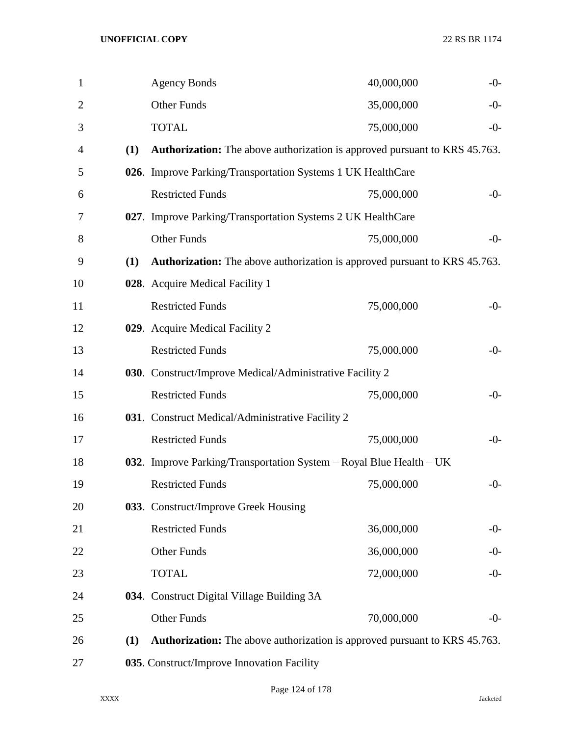| $\mathbf{1}$   |     | <b>Agency Bonds</b>                                                               | 40,000,000 | $-0-$ |
|----------------|-----|-----------------------------------------------------------------------------------|------------|-------|
| $\overline{2}$ |     | <b>Other Funds</b>                                                                | 35,000,000 | $-0-$ |
| 3              |     | <b>TOTAL</b>                                                                      | 75,000,000 | $-0-$ |
| $\overline{4}$ | (1) | <b>Authorization:</b> The above authorization is approved pursuant to KRS 45.763. |            |       |
| 5              |     | 026. Improve Parking/Transportation Systems 1 UK HealthCare                       |            |       |
| 6              |     | <b>Restricted Funds</b>                                                           | 75,000,000 | $-0-$ |
| 7              |     | 027. Improve Parking/Transportation Systems 2 UK HealthCare                       |            |       |
| 8              |     | <b>Other Funds</b>                                                                | 75,000,000 | $-0-$ |
| 9              | (1) | <b>Authorization:</b> The above authorization is approved pursuant to KRS 45.763. |            |       |
| 10             |     | 028. Acquire Medical Facility 1                                                   |            |       |
| 11             |     | <b>Restricted Funds</b>                                                           | 75,000,000 | $-0-$ |
| 12             |     | 029. Acquire Medical Facility 2                                                   |            |       |
| 13             |     | <b>Restricted Funds</b>                                                           | 75,000,000 | $-0-$ |
| 14             |     | 030. Construct/Improve Medical/Administrative Facility 2                          |            |       |
| 15             |     | <b>Restricted Funds</b>                                                           | 75,000,000 | $-0-$ |
| 16             |     | 031. Construct Medical/Administrative Facility 2                                  |            |       |
| 17             |     | <b>Restricted Funds</b>                                                           | 75,000,000 | $-0-$ |
| 18             |     | 032. Improve Parking/Transportation System – Royal Blue Health – UK               |            |       |
| 19             |     | <b>Restricted Funds</b>                                                           | 75,000,000 | $-0-$ |
| 20             |     | 033. Construct/Improve Greek Housing                                              |            |       |
| 21             |     | <b>Restricted Funds</b>                                                           | 36,000,000 | $-0-$ |
| 22             |     | Other Funds                                                                       | 36,000,000 | $-0-$ |
| 23             |     | <b>TOTAL</b>                                                                      | 72,000,000 | $-0-$ |
| 24             |     | 034. Construct Digital Village Building 3A                                        |            |       |
| 25             |     | <b>Other Funds</b>                                                                | 70,000,000 | $-0-$ |
| 26             | (1) | <b>Authorization:</b> The above authorization is approved pursuant to KRS 45.763. |            |       |
| 27             |     | 035. Construct/Improve Innovation Facility                                        |            |       |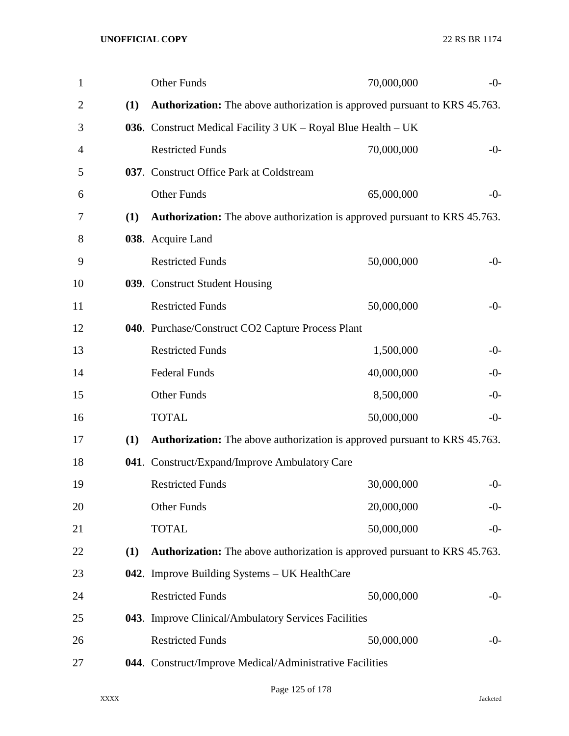| $\mathbf{1}$   |     | Other Funds                                                                       | 70,000,000 | $-0-$ |
|----------------|-----|-----------------------------------------------------------------------------------|------------|-------|
| $\overline{2}$ | (1) | <b>Authorization:</b> The above authorization is approved pursuant to KRS 45.763. |            |       |
| 3              |     | 036. Construct Medical Facility 3 UK – Royal Blue Health – UK                     |            |       |
| 4              |     | <b>Restricted Funds</b>                                                           | 70,000,000 | $-0-$ |
| 5              |     | 037. Construct Office Park at Coldstream                                          |            |       |
| 6              |     | <b>Other Funds</b>                                                                | 65,000,000 | $-0-$ |
| 7              | (1) | <b>Authorization:</b> The above authorization is approved pursuant to KRS 45.763. |            |       |
| 8              |     | 038. Acquire Land                                                                 |            |       |
| 9              |     | <b>Restricted Funds</b>                                                           | 50,000,000 | $-0-$ |
| 10             |     | 039. Construct Student Housing                                                    |            |       |
| 11             |     | <b>Restricted Funds</b>                                                           | 50,000,000 | $-0-$ |
| 12             |     | 040. Purchase/Construct CO2 Capture Process Plant                                 |            |       |
| 13             |     | <b>Restricted Funds</b>                                                           | 1,500,000  | $-0-$ |
| 14             |     | <b>Federal Funds</b>                                                              | 40,000,000 | $-0-$ |
| 15             |     | Other Funds                                                                       | 8,500,000  | $-0-$ |
| 16             |     | <b>TOTAL</b>                                                                      | 50,000,000 | $-0-$ |
| 17             | (1) | <b>Authorization:</b> The above authorization is approved pursuant to KRS 45.763. |            |       |
| 18             |     | 041. Construct/Expand/Improve Ambulatory Care                                     |            |       |
| 19             |     | <b>Restricted Funds</b>                                                           | 30,000,000 | $-0-$ |
| 20             |     | <b>Other Funds</b>                                                                | 20,000,000 | $-0-$ |
| 21             |     | <b>TOTAL</b>                                                                      | 50,000,000 | $-0-$ |
| 22             | (1) | <b>Authorization:</b> The above authorization is approved pursuant to KRS 45.763. |            |       |
| 23             |     | 042. Improve Building Systems - UK HealthCare                                     |            |       |
| 24             |     | <b>Restricted Funds</b>                                                           | 50,000,000 | $-0-$ |
| 25             |     | 043. Improve Clinical/Ambulatory Services Facilities                              |            |       |
| 26             |     | <b>Restricted Funds</b>                                                           | 50,000,000 | $-0-$ |
| 27             |     | 044. Construct/Improve Medical/Administrative Facilities                          |            |       |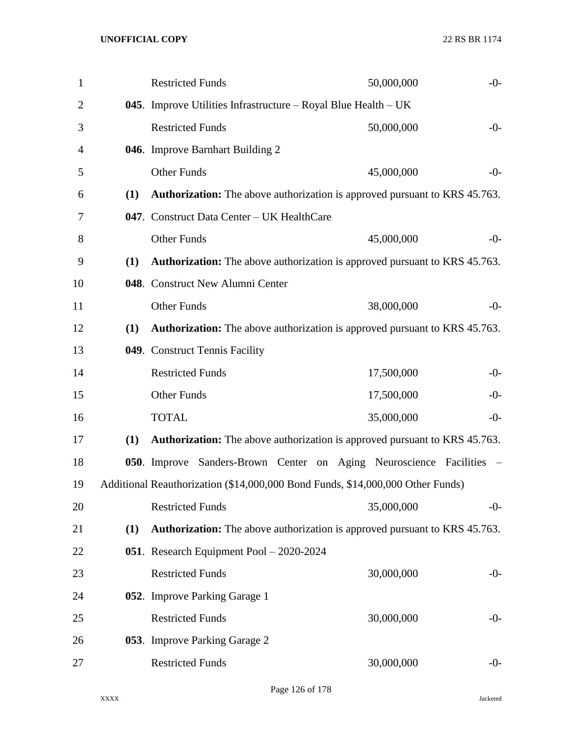| $\mathbf{1}$   |     | <b>Restricted Funds</b>                                                           | 50,000,000 | $-0-$ |
|----------------|-----|-----------------------------------------------------------------------------------|------------|-------|
| $\overline{2}$ |     | 045. Improve Utilities Infrastructure – Royal Blue Health – UK                    |            |       |
| 3              |     | <b>Restricted Funds</b>                                                           | 50,000,000 | $-0-$ |
| 4              |     | 046. Improve Barnhart Building 2                                                  |            |       |
| 5              |     | Other Funds                                                                       | 45,000,000 | $-0-$ |
| 6              | (1) | <b>Authorization:</b> The above authorization is approved pursuant to KRS 45.763. |            |       |
| 7              |     | 047. Construct Data Center - UK HealthCare                                        |            |       |
| 8              |     | <b>Other Funds</b>                                                                | 45,000,000 | $-0-$ |
| 9              | (1) | <b>Authorization:</b> The above authorization is approved pursuant to KRS 45.763. |            |       |
| 10             |     | 048. Construct New Alumni Center                                                  |            |       |
| 11             |     | Other Funds                                                                       | 38,000,000 | $-0-$ |
| 12             | (1) | <b>Authorization:</b> The above authorization is approved pursuant to KRS 45.763. |            |       |
| 13             |     | 049. Construct Tennis Facility                                                    |            |       |
| 14             |     | <b>Restricted Funds</b>                                                           | 17,500,000 | $-0-$ |
| 15             |     | Other Funds                                                                       | 17,500,000 | $-0-$ |
| 16             |     | <b>TOTAL</b>                                                                      | 35,000,000 | $-0-$ |
| 17             | (1) | <b>Authorization:</b> The above authorization is approved pursuant to KRS 45.763. |            |       |
| 18             |     | 050. Improve Sanders-Brown Center on Aging Neuroscience Facilities                |            |       |
| 19             |     | Additional Reauthorization (\$14,000,000 Bond Funds, \$14,000,000 Other Funds)    |            |       |
| 20             |     | <b>Restricted Funds</b>                                                           | 35,000,000 | -0-   |
| 21             | (1) | <b>Authorization:</b> The above authorization is approved pursuant to KRS 45.763. |            |       |
| 22             |     | 051. Research Equipment Pool - 2020-2024                                          |            |       |
| 23             |     | <b>Restricted Funds</b>                                                           | 30,000,000 | $-0-$ |
| 24             |     | 052. Improve Parking Garage 1                                                     |            |       |
| 25             |     | <b>Restricted Funds</b>                                                           | 30,000,000 | $-0-$ |
| 26             |     | 053. Improve Parking Garage 2                                                     |            |       |
| 27             |     | <b>Restricted Funds</b>                                                           | 30,000,000 | $-0-$ |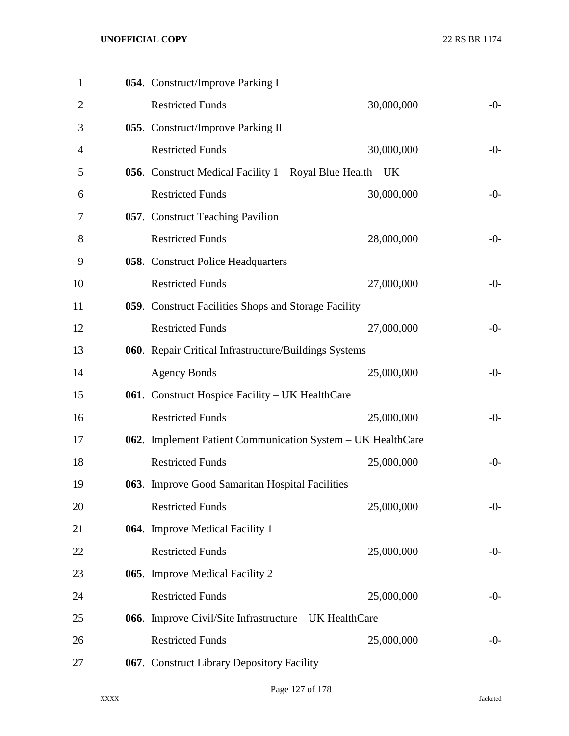| $\mathbf{1}$   | 054. Construct/Improve Parking I                            |            |       |
|----------------|-------------------------------------------------------------|------------|-------|
| $\overline{2}$ | <b>Restricted Funds</b>                                     | 30,000,000 | $-0-$ |
| 3              | 055. Construct/Improve Parking II                           |            |       |
| 4              | <b>Restricted Funds</b>                                     | 30,000,000 | $-0-$ |
| 5              | 056. Construct Medical Facility 1 - Royal Blue Health - UK  |            |       |
| 6              | <b>Restricted Funds</b>                                     | 30,000,000 | $-0-$ |
| 7              | 057. Construct Teaching Pavilion                            |            |       |
| 8              | <b>Restricted Funds</b>                                     | 28,000,000 | $-0-$ |
| 9              | <b>058.</b> Construct Police Headquarters                   |            |       |
| 10             | <b>Restricted Funds</b>                                     | 27,000,000 | $-0-$ |
| 11             | 059. Construct Facilities Shops and Storage Facility        |            |       |
| 12             | <b>Restricted Funds</b>                                     | 27,000,000 | $-0-$ |
| 13             | 060. Repair Critical Infrastructure/Buildings Systems       |            |       |
| 14             | <b>Agency Bonds</b>                                         | 25,000,000 | $-0-$ |
| 15             | 061. Construct Hospice Facility - UK HealthCare             |            |       |
| 16             | <b>Restricted Funds</b>                                     | 25,000,000 | $-0-$ |
| 17             | 062. Implement Patient Communication System - UK HealthCare |            |       |
| 18             | <b>Restricted Funds</b>                                     | 25,000,000 | $-0-$ |
| 19             | 063. Improve Good Samaritan Hospital Facilities             |            |       |
| 20             | <b>Restricted Funds</b>                                     | 25,000,000 | $-0-$ |
| 21             | 064. Improve Medical Facility 1                             |            |       |
| 22             | <b>Restricted Funds</b>                                     | 25,000,000 | $-0-$ |
| 23             | 065. Improve Medical Facility 2                             |            |       |
| 24             | <b>Restricted Funds</b>                                     | 25,000,000 | $-0-$ |
| 25             | 066. Improve Civil/Site Infrastructure - UK HealthCare      |            |       |
| 26             | <b>Restricted Funds</b>                                     | 25,000,000 | $-0-$ |
| 27             | 067. Construct Library Depository Facility                  |            |       |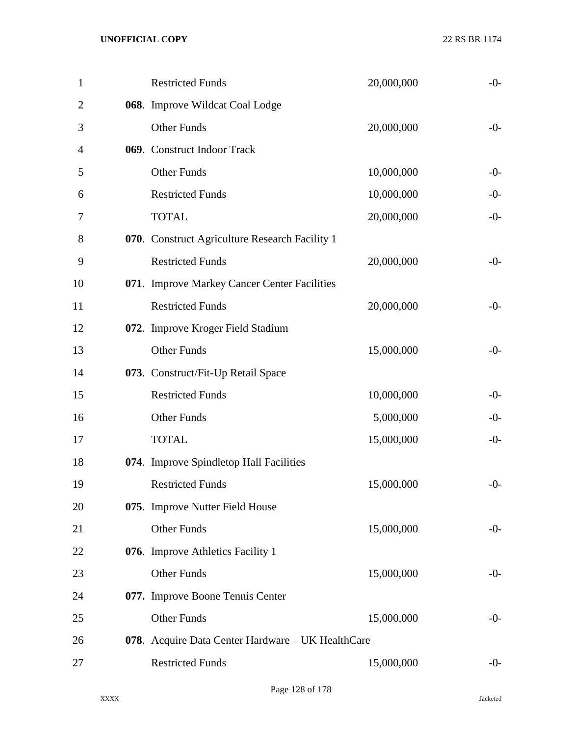| $\mathbf{1}$   | <b>Restricted Funds</b>                           | 20,000,000 | $-0-$ |
|----------------|---------------------------------------------------|------------|-------|
| $\overline{2}$ | 068. Improve Wildcat Coal Lodge                   |            |       |
| 3              | <b>Other Funds</b>                                | 20,000,000 | $-0-$ |
| 4              | 069. Construct Indoor Track                       |            |       |
| 5              | Other Funds                                       | 10,000,000 | $-0-$ |
| 6              | <b>Restricted Funds</b>                           | 10,000,000 | $-0-$ |
| 7              | <b>TOTAL</b>                                      | 20,000,000 | $-0-$ |
| 8              | 070. Construct Agriculture Research Facility 1    |            |       |
| 9              | <b>Restricted Funds</b>                           | 20,000,000 | $-0-$ |
| 10             | 071. Improve Markey Cancer Center Facilities      |            |       |
| 11             | <b>Restricted Funds</b>                           | 20,000,000 | $-0-$ |
| 12             | 072. Improve Kroger Field Stadium                 |            |       |
| 13             | <b>Other Funds</b>                                | 15,000,000 | $-0-$ |
| 14             | 073. Construct/Fit-Up Retail Space                |            |       |
| 15             | <b>Restricted Funds</b>                           | 10,000,000 | $-0-$ |
| 16             | Other Funds                                       | 5,000,000  | $-0-$ |
| 17             | <b>TOTAL</b>                                      | 15,000,000 | $-0-$ |
| 18             | 074. Improve Spindletop Hall Facilities           |            |       |
| 19             | <b>Restricted Funds</b>                           | 15,000,000 | $-0-$ |
| 20             | 075. Improve Nutter Field House                   |            |       |
| 21             | Other Funds                                       | 15,000,000 | $-0-$ |
| 22             | 076. Improve Athletics Facility 1                 |            |       |
| 23             | Other Funds                                       | 15,000,000 | $-0-$ |
| 24             | 077. Improve Boone Tennis Center                  |            |       |
| 25             | <b>Other Funds</b>                                | 15,000,000 | $-0-$ |
| 26             | 078. Acquire Data Center Hardware – UK HealthCare |            |       |
| 27             | <b>Restricted Funds</b>                           | 15,000,000 | $-0-$ |
|                |                                                   |            |       |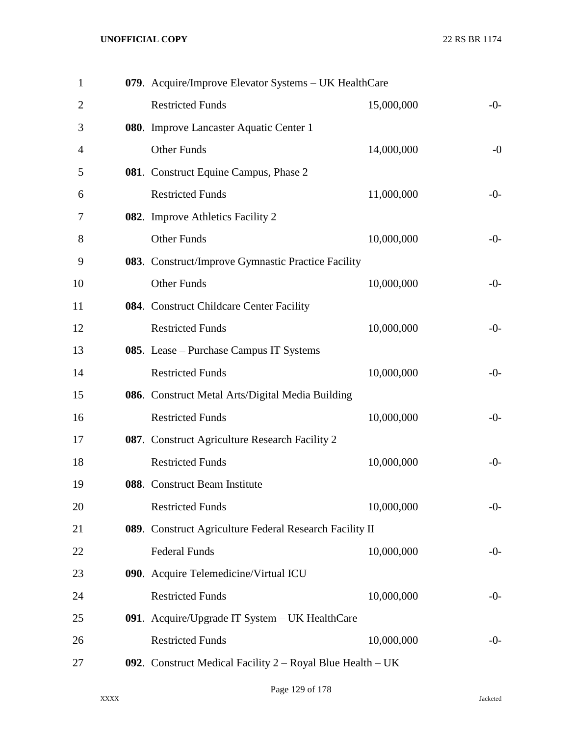| $\mathbf{1}$   | 079. Acquire/Improve Elevator Systems - UK HealthCare        |            |       |
|----------------|--------------------------------------------------------------|------------|-------|
| $\overline{2}$ | <b>Restricted Funds</b>                                      | 15,000,000 | $-0-$ |
| 3              | 080. Improve Lancaster Aquatic Center 1                      |            |       |
| 4              | <b>Other Funds</b>                                           | 14,000,000 | $-0$  |
| 5              | 081. Construct Equine Campus, Phase 2                        |            |       |
| 6              | <b>Restricted Funds</b>                                      | 11,000,000 | $-0-$ |
| 7              | 082. Improve Athletics Facility 2                            |            |       |
| 8              | <b>Other Funds</b>                                           | 10,000,000 | $-0-$ |
| 9              | 083. Construct/Improve Gymnastic Practice Facility           |            |       |
| 10             | <b>Other Funds</b>                                           | 10,000,000 | $-0-$ |
| 11             | 084. Construct Childcare Center Facility                     |            |       |
| 12             | <b>Restricted Funds</b>                                      | 10,000,000 | $-0-$ |
| 13             | 085. Lease – Purchase Campus IT Systems                      |            |       |
| 14             | <b>Restricted Funds</b>                                      | 10,000,000 | $-0-$ |
| 15             | 086. Construct Metal Arts/Digital Media Building             |            |       |
| 16             | <b>Restricted Funds</b>                                      | 10,000,000 | $-0-$ |
| 17             | 087. Construct Agriculture Research Facility 2               |            |       |
| 18             | <b>Restricted Funds</b>                                      | 10,000,000 | $-0-$ |
| 19             | 088. Construct Beam Institute                                |            |       |
| 20             | <b>Restricted Funds</b>                                      | 10,000,000 | $-0-$ |
| 21             | 089. Construct Agriculture Federal Research Facility II      |            |       |
| 22             | <b>Federal Funds</b>                                         | 10,000,000 | $-0-$ |
| 23             | 090. Acquire Telemedicine/Virtual ICU                        |            |       |
| 24             | <b>Restricted Funds</b>                                      | 10,000,000 | $-0-$ |
| 25             | 091. Acquire/Upgrade IT System – UK HealthCare               |            |       |
| 26             | <b>Restricted Funds</b>                                      | 10,000,000 | $-0-$ |
| 27             | 092. Construct Medical Facility $2 - Royal Blue Health – UK$ |            |       |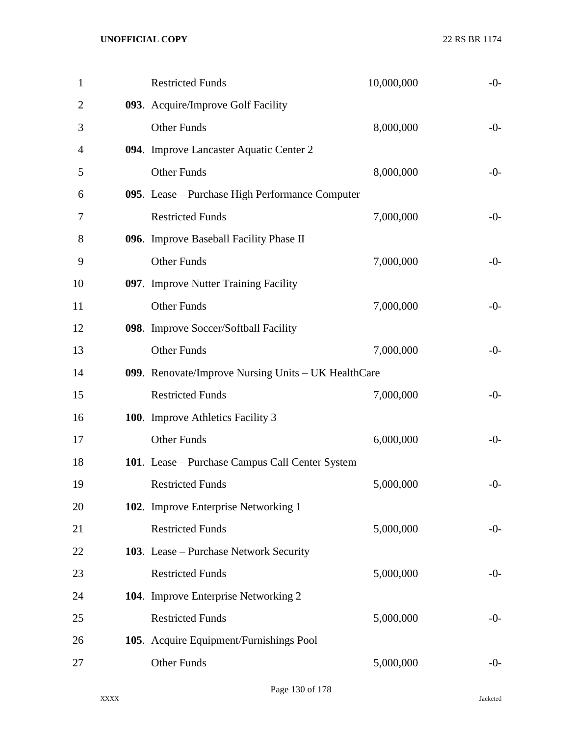| $\mathbf{1}$ | <b>Restricted Funds</b>                             | 10,000,000 | $-0-$ |
|--------------|-----------------------------------------------------|------------|-------|
| 2            | 093. Acquire/Improve Golf Facility                  |            |       |
| 3            | Other Funds                                         | 8,000,000  | $-0-$ |
| 4            | 094. Improve Lancaster Aquatic Center 2             |            |       |
| 5            | <b>Other Funds</b>                                  | 8,000,000  | $-0-$ |
| 6            | 095. Lease - Purchase High Performance Computer     |            |       |
| 7            | <b>Restricted Funds</b>                             | 7,000,000  | $-0-$ |
| 8            | 096. Improve Baseball Facility Phase II             |            |       |
| 9            | <b>Other Funds</b>                                  | 7,000,000  | $-0-$ |
| 10           | 097. Improve Nutter Training Facility               |            |       |
| 11           | <b>Other Funds</b>                                  | 7,000,000  | $-0-$ |
| 12           | 098. Improve Soccer/Softball Facility               |            |       |
| 13           | <b>Other Funds</b>                                  | 7,000,000  | $-0-$ |
| 14           | 099. Renovate/Improve Nursing Units - UK HealthCare |            |       |
| 15           | <b>Restricted Funds</b>                             | 7,000,000  | $-0-$ |
| 16           | 100. Improve Athletics Facility 3                   |            |       |
| 17           | Other Funds                                         | 6,000,000  | $-0-$ |
| 18           | 101. Lease – Purchase Campus Call Center System     |            |       |
| 19           | <b>Restricted Funds</b>                             | 5,000,000  | $-0-$ |
| 20           | 102. Improve Enterprise Networking 1                |            |       |
| 21           | <b>Restricted Funds</b>                             | 5,000,000  | $-0-$ |
| 22           | 103. Lease – Purchase Network Security              |            |       |
| 23           | <b>Restricted Funds</b>                             | 5,000,000  | $-0-$ |
| 24           | 104. Improve Enterprise Networking 2                |            |       |
| 25           | <b>Restricted Funds</b>                             | 5,000,000  | $-0-$ |
| 26           | 105. Acquire Equipment/Furnishings Pool             |            |       |
| 27           | Other Funds                                         | 5,000,000  | $-0-$ |
|              |                                                     |            |       |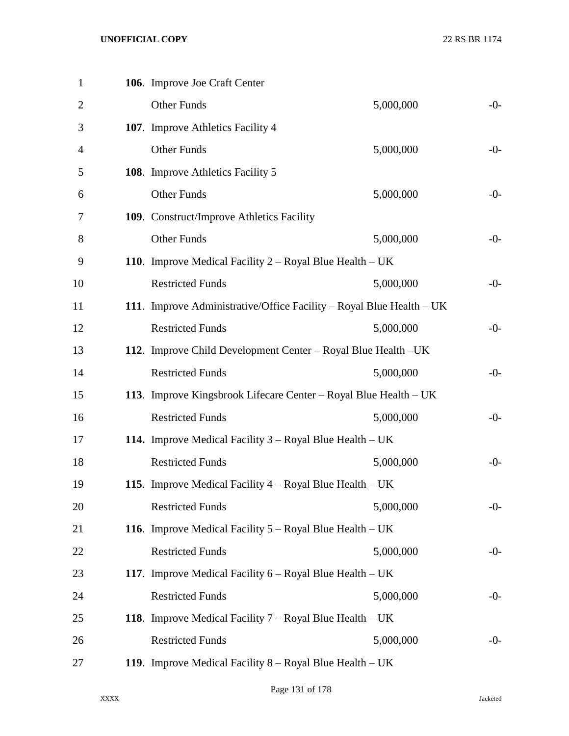| $\mathbf{1}$   | 106. Improve Joe Craft Center                                        |           |       |
|----------------|----------------------------------------------------------------------|-----------|-------|
| $\overline{2}$ | <b>Other Funds</b>                                                   | 5,000,000 | $-0-$ |
| 3              | 107. Improve Athletics Facility 4                                    |           |       |
| 4              | <b>Other Funds</b>                                                   | 5,000,000 | $-0-$ |
| 5              | 108. Improve Athletics Facility 5                                    |           |       |
| 6              | <b>Other Funds</b>                                                   | 5,000,000 | $-0-$ |
| 7              | 109. Construct/Improve Athletics Facility                            |           |       |
| 8              | <b>Other Funds</b>                                                   | 5,000,000 | $-0-$ |
| 9              | 110. Improve Medical Facility $2 - Royal Blue Health – UK$           |           |       |
| 10             | <b>Restricted Funds</b>                                              | 5,000,000 | $-0-$ |
| 11             | 111. Improve Administrative/Office Facility – Royal Blue Health – UK |           |       |
| 12             | <b>Restricted Funds</b>                                              | 5,000,000 | $-0-$ |
| 13             | 112. Improve Child Development Center - Royal Blue Health - UK       |           |       |
| 14             | <b>Restricted Funds</b>                                              | 5,000,000 | $-0-$ |
| 15             | 113. Improve Kingsbrook Lifecare Center – Royal Blue Health – UK     |           |       |
| 16             | <b>Restricted Funds</b>                                              | 5,000,000 | $-0-$ |
| 17             | <b>114.</b> Improve Medical Facility $3 - Royal Blue Health – UK$    |           |       |
| 18             | <b>Restricted Funds</b>                                              | 5,000,000 | $-0-$ |
| 19             | <b>115.</b> Improve Medical Facility $4 - Royal Blue Health – UK$    |           |       |
| 20             | <b>Restricted Funds</b>                                              | 5,000,000 | $-0-$ |
| 21             | <b>116.</b> Improve Medical Facility $5 - Royal Blue Health – UK$    |           |       |
| 22             | <b>Restricted Funds</b>                                              | 5,000,000 | $-0-$ |
| 23             | <b>117.</b> Improve Medical Facility $6 - Royal Blue Health – UK$    |           |       |
| 24             | <b>Restricted Funds</b>                                              | 5,000,000 | $-0-$ |
| 25             | <b>118.</b> Improve Medical Facility $7 - Royal Blue Health – UK$    |           |       |
| 26             | <b>Restricted Funds</b>                                              | 5,000,000 | $-0-$ |
| 27             | 119. Improve Medical Facility $8 - Royal Blue Health – UK$           |           |       |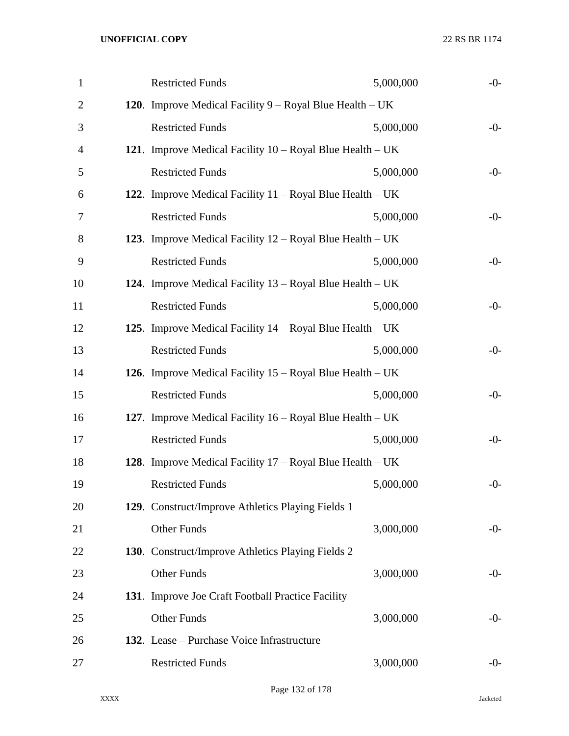| <b>Restricted Funds</b> | 5,000,000                                  | $-0-$                                                                                                                                                                                                                                                                                                                                                                                                                                                                                                                                                                                                                                                                                                                                                           |
|-------------------------|--------------------------------------------|-----------------------------------------------------------------------------------------------------------------------------------------------------------------------------------------------------------------------------------------------------------------------------------------------------------------------------------------------------------------------------------------------------------------------------------------------------------------------------------------------------------------------------------------------------------------------------------------------------------------------------------------------------------------------------------------------------------------------------------------------------------------|
|                         |                                            |                                                                                                                                                                                                                                                                                                                                                                                                                                                                                                                                                                                                                                                                                                                                                                 |
| <b>Restricted Funds</b> | 5,000,000                                  | $-0-$                                                                                                                                                                                                                                                                                                                                                                                                                                                                                                                                                                                                                                                                                                                                                           |
|                         |                                            |                                                                                                                                                                                                                                                                                                                                                                                                                                                                                                                                                                                                                                                                                                                                                                 |
| <b>Restricted Funds</b> | 5,000,000                                  | $-0-$                                                                                                                                                                                                                                                                                                                                                                                                                                                                                                                                                                                                                                                                                                                                                           |
|                         |                                            |                                                                                                                                                                                                                                                                                                                                                                                                                                                                                                                                                                                                                                                                                                                                                                 |
| <b>Restricted Funds</b> | 5,000,000                                  | $-0-$                                                                                                                                                                                                                                                                                                                                                                                                                                                                                                                                                                                                                                                                                                                                                           |
|                         |                                            |                                                                                                                                                                                                                                                                                                                                                                                                                                                                                                                                                                                                                                                                                                                                                                 |
| <b>Restricted Funds</b> | 5,000,000                                  | $-0-$                                                                                                                                                                                                                                                                                                                                                                                                                                                                                                                                                                                                                                                                                                                                                           |
|                         |                                            |                                                                                                                                                                                                                                                                                                                                                                                                                                                                                                                                                                                                                                                                                                                                                                 |
| <b>Restricted Funds</b> | 5,000,000                                  | $-0-$                                                                                                                                                                                                                                                                                                                                                                                                                                                                                                                                                                                                                                                                                                                                                           |
|                         |                                            |                                                                                                                                                                                                                                                                                                                                                                                                                                                                                                                                                                                                                                                                                                                                                                 |
| <b>Restricted Funds</b> | 5,000,000                                  | $-0-$                                                                                                                                                                                                                                                                                                                                                                                                                                                                                                                                                                                                                                                                                                                                                           |
|                         |                                            |                                                                                                                                                                                                                                                                                                                                                                                                                                                                                                                                                                                                                                                                                                                                                                 |
| <b>Restricted Funds</b> | 5,000,000                                  | $-0-$                                                                                                                                                                                                                                                                                                                                                                                                                                                                                                                                                                                                                                                                                                                                                           |
|                         |                                            |                                                                                                                                                                                                                                                                                                                                                                                                                                                                                                                                                                                                                                                                                                                                                                 |
| <b>Restricted Funds</b> | 5,000,000                                  | $-0-$                                                                                                                                                                                                                                                                                                                                                                                                                                                                                                                                                                                                                                                                                                                                                           |
|                         |                                            |                                                                                                                                                                                                                                                                                                                                                                                                                                                                                                                                                                                                                                                                                                                                                                 |
| <b>Restricted Funds</b> | 5,000,000                                  | $-0-$                                                                                                                                                                                                                                                                                                                                                                                                                                                                                                                                                                                                                                                                                                                                                           |
|                         |                                            |                                                                                                                                                                                                                                                                                                                                                                                                                                                                                                                                                                                                                                                                                                                                                                 |
| <b>Other Funds</b>      | 3,000,000                                  | $-0-$                                                                                                                                                                                                                                                                                                                                                                                                                                                                                                                                                                                                                                                                                                                                                           |
|                         |                                            |                                                                                                                                                                                                                                                                                                                                                                                                                                                                                                                                                                                                                                                                                                                                                                 |
| <b>Other Funds</b>      | 3,000,000                                  | $-0-$                                                                                                                                                                                                                                                                                                                                                                                                                                                                                                                                                                                                                                                                                                                                                           |
|                         |                                            |                                                                                                                                                                                                                                                                                                                                                                                                                                                                                                                                                                                                                                                                                                                                                                 |
| <b>Other Funds</b>      | 3,000,000                                  | $-0-$                                                                                                                                                                                                                                                                                                                                                                                                                                                                                                                                                                                                                                                                                                                                                           |
|                         |                                            |                                                                                                                                                                                                                                                                                                                                                                                                                                                                                                                                                                                                                                                                                                                                                                 |
| <b>Restricted Funds</b> | 3,000,000                                  | $-0-$                                                                                                                                                                                                                                                                                                                                                                                                                                                                                                                                                                                                                                                                                                                                                           |
|                         | 132. Lease – Purchase Voice Infrastructure | 120. Improve Medical Facility $9 - Royal Blue Health – UK$<br>121. Improve Medical Facility $10 - Royal Blue Health - UK$<br>122. Improve Medical Facility $11 - Royal Blue Health - UK$<br>123. Improve Medical Facility $12 - Royal Blue Health – UK$<br><b>124.</b> Improve Medical Facility $13 - Royal Blue Health – UK$<br>125. Improve Medical Facility $14 - Royal Blue Health – UK$<br><b>126.</b> Improve Medical Facility $15 - Royal Blue Health - UK$<br>127. Improve Medical Facility $16 - Royal Blue Health - UK$<br>128. Improve Medical Facility $17 - Royal Blue Health - UK$<br>129. Construct/Improve Athletics Playing Fields 1<br>130. Construct/Improve Athletics Playing Fields 2<br>131. Improve Joe Craft Football Practice Facility |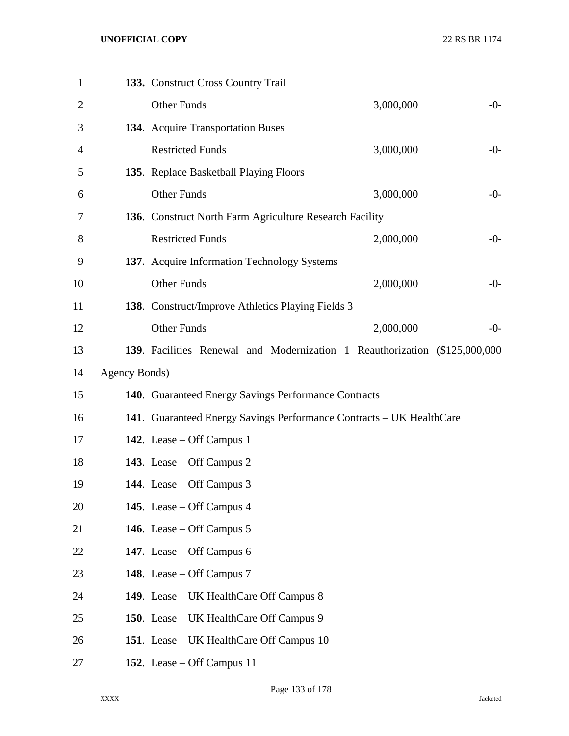| $\mathbf{1}$   |               | 133. Construct Cross Country Trail                                         |           |       |
|----------------|---------------|----------------------------------------------------------------------------|-----------|-------|
| $\overline{2}$ |               | <b>Other Funds</b>                                                         | 3,000,000 | $-0-$ |
| 3              |               | 134. Acquire Transportation Buses                                          |           |       |
| 4              |               | <b>Restricted Funds</b>                                                    | 3,000,000 | $-0-$ |
| 5              |               | 135. Replace Basketball Playing Floors                                     |           |       |
| 6              |               | <b>Other Funds</b>                                                         | 3,000,000 | $-0-$ |
| 7              |               | 136. Construct North Farm Agriculture Research Facility                    |           |       |
| 8              |               | <b>Restricted Funds</b>                                                    | 2,000,000 | $-0-$ |
| 9              |               | 137. Acquire Information Technology Systems                                |           |       |
| 10             |               | <b>Other Funds</b>                                                         | 2,000,000 | $-0-$ |
| 11             |               | 138. Construct/Improve Athletics Playing Fields 3                          |           |       |
| 12             |               | <b>Other Funds</b>                                                         | 2,000,000 | $-0-$ |
| 13             |               | 139. Facilities Renewal and Modernization 1 Reauthorization (\$125,000,000 |           |       |
| 14             | Agency Bonds) |                                                                            |           |       |
| 15             |               | 140. Guaranteed Energy Savings Performance Contracts                       |           |       |
| 16             |               | 141. Guaranteed Energy Savings Performance Contracts - UK HealthCare       |           |       |
| 17             |               | 142. Lease – Off Campus 1                                                  |           |       |
| 18             |               | 143. Lease – Off Campus 2                                                  |           |       |
| 19             |               | 144. Lease – Off Campus $3$                                                |           |       |
| 20             |               | 145. Lease – Off Campus 4                                                  |           |       |
| 21             |               | 146. Lease – Off Campus $5$                                                |           |       |
| 22             |               | 147. Lease – Off Campus $6$                                                |           |       |
| 23             |               | 148. Lease – Off Campus 7                                                  |           |       |
| 24             |               | 149. Lease – UK HealthCare Off Campus 8                                    |           |       |
| 25             |               | 150. Lease – UK HealthCare Off Campus 9                                    |           |       |
| 26             |               | 151. Lease – UK HealthCare Off Campus 10                                   |           |       |
| 27             |               | 152. Lease – Off Campus 11                                                 |           |       |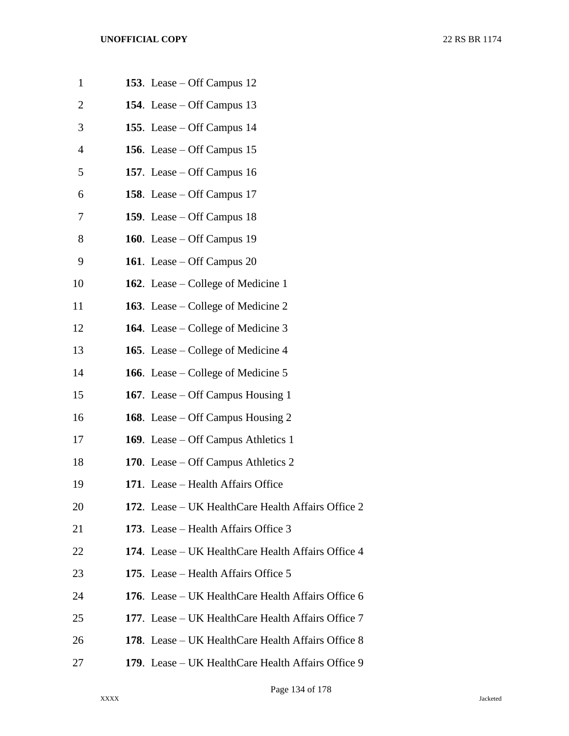| $\mathbf{1}$   | 153. Lease – Off Campus $12$                       |
|----------------|----------------------------------------------------|
| $\overline{2}$ | 154. Lease – Off Campus 13                         |
| 3              | 155. Lease – Off Campus 14                         |
| 4              | 156. Lease – Off Campus 15                         |
| 5              | 157. Lease $-$ Off Campus 16                       |
| 6              | 158. Lease – Off Campus 17                         |
| 7              | 159. Lease – Off Campus $18$                       |
| 8              | 160. Lease $-$ Off Campus 19                       |
| 9              | 161. Lease – Off Campus 20                         |
| 10             | <b>162.</b> Lease – College of Medicine 1          |
| 11             | <b>163.</b> Lease – College of Medicine 2          |
| 12             | <b>164.</b> Lease – College of Medicine $3$        |
| 13             | <b>165.</b> Lease – College of Medicine 4          |
| 14             | 166. Lease – College of Medicine 5                 |
| 15             | <b>167.</b> Lease – Off Campus Housing 1           |
| 16             | <b>168.</b> Lease – Off Campus Housing 2           |
| 17             | 169. Lease – Off Campus Athletics 1                |
| 18             | 170. Lease – Off Campus Athletics 2                |
| 19             | 171. Lease - Health Affairs Office                 |
| 20             | 172. Lease – UK HealthCare Health Affairs Office 2 |
| 21             | 173. Lease – Health Affairs Office 3               |
| 22             | 174. Lease – UK HealthCare Health Affairs Office 4 |
| 23             | 175. Lease – Health Affairs Office 5               |
| 24             | 176. Lease – UK HealthCare Health Affairs Office 6 |
| 25             | 177. Lease – UK HealthCare Health Affairs Office 7 |
| 26             | 178. Lease – UK HealthCare Health Affairs Office 8 |
| 27             | 179. Lease – UK HealthCare Health Affairs Office 9 |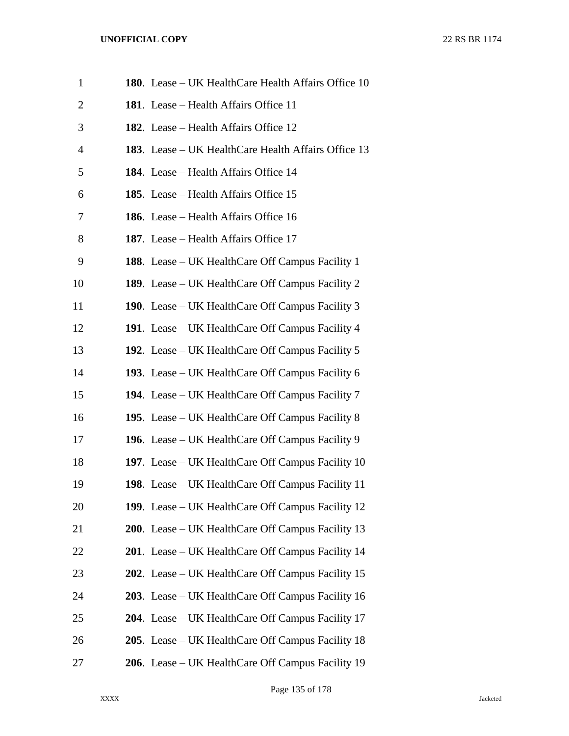| $\mathbf{1}$   | 180. Lease - UK HealthCare Health Affairs Office 10     |
|----------------|---------------------------------------------------------|
| $\overline{2}$ | <b>181.</b> Lease – Health Affairs Office 11            |
| 3              | <b>182.</b> Lease – Health Affairs Office 12            |
| 4              | 183. Lease – UK HealthCare Health Affairs Office 13     |
| 5              | <b>184.</b> Lease – Health Affairs Office 14            |
| 6              | <b>185.</b> Lease – Health Affairs Office 15            |
| 7              | 186. Lease – Health Affairs Office 16                   |
| 8              | 187. Lease – Health Affairs Office 17                   |
| 9              | <b>188.</b> Lease – UK HealthCare Off Campus Facility 1 |
| 10             | <b>189.</b> Lease – UK HealthCare Off Campus Facility 2 |
| 11             | 190. Lease – UK HealthCare Off Campus Facility 3        |
| 12             | 191. Lease – UK HealthCare Off Campus Facility 4        |
| 13             | 192. Lease – UK HealthCare Off Campus Facility 5        |
| 14             | 193. Lease – UK HealthCare Off Campus Facility 6        |
| 15             | <b>194.</b> Lease – UK HealthCare Off Campus Facility 7 |
| 16             | 195. Lease – UK HealthCare Off Campus Facility 8        |
| 17             | 196. Lease – UK HealthCare Off Campus Facility 9        |
| 18             | 197. Lease – UK HealthCare Off Campus Facility 10       |
| 19             | 198. Lease – UK HealthCare Off Campus Facility 11       |
| 20             | 199. Lease – UK HealthCare Off Campus Facility 12       |
| 21             | 200. Lease – UK HealthCare Off Campus Facility 13       |
| 22             | 201. Lease – UK HealthCare Off Campus Facility 14       |
| 23             | 202. Lease – UK HealthCare Off Campus Facility 15       |
| 24             | 203. Lease – UK HealthCare Off Campus Facility 16       |
| 25             | 204. Lease – UK HealthCare Off Campus Facility 17       |
| 26             | 205. Lease – UK HealthCare Off Campus Facility 18       |
| 27             | 206. Lease – UK HealthCare Off Campus Facility 19       |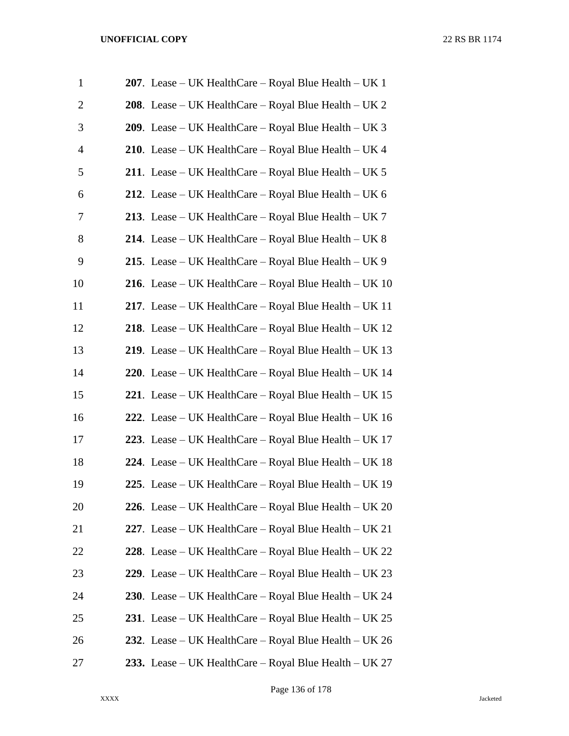| $\mathbf{1}$   | 207. Lease – UK HealthCare – Royal Blue Health – UK 1        |
|----------------|--------------------------------------------------------------|
| $\overline{2}$ | 208. Lease – UK HealthCare – Royal Blue Health – UK 2        |
| 3              | <b>209.</b> Lease – UK HealthCare – Royal Blue Health – UK 3 |
| 4              | <b>210.</b> Lease – UK HealthCare – Royal Blue Health – UK 4 |
| 5              | 211. Lease – UK HealthCare – Royal Blue Health – UK 5        |
| 6              | 212. Lease – UK HealthCare – Royal Blue Health – UK $6$      |
| 7              | 213. Lease – UK HealthCare – Royal Blue Health – UK 7        |
| 8              | 214. Lease – UK HealthCare – Royal Blue Health – UK $8$      |
| 9              | 215. Lease – UK HealthCare – Royal Blue Health – UK 9        |
| 10             | 216. Lease – UK HealthCare – Royal Blue Health – UK $10$     |
| 11             | 217. Lease – UK HealthCare – Royal Blue Health – UK 11       |
| 12             | 218. Lease – UK HealthCare – Royal Blue Health – UK 12       |
| 13             | 219. Lease – UK HealthCare – Royal Blue Health – UK 13       |
| 14             | 220. Lease – UK HealthCare – Royal Blue Health – UK 14       |
| 15             | 221. Lease – UK HealthCare – Royal Blue Health – UK 15       |
| 16             | 222. Lease - UK HealthCare - Royal Blue Health - UK 16       |
| 17             | 223. Lease - UK HealthCare - Royal Blue Health - UK 17       |
| 18             | 224. Lease – UK HealthCare – Royal Blue Health – UK $18$     |
| 19             | 225. Lease – UK HealthCare – Royal Blue Health – UK 19       |
| 20             | 226. Lease - UK HealthCare - Royal Blue Health - UK 20       |
| 21             | 227. Lease - UK HealthCare - Royal Blue Health - UK 21       |
| 22             | 228. Lease - UK HealthCare - Royal Blue Health - UK 22       |
| 23             | 229. Lease - UK HealthCare - Royal Blue Health - UK 23       |
| 24             | 230. Lease - UK HealthCare - Royal Blue Health - UK 24       |
| 25             | 231. Lease – UK HealthCare – Royal Blue Health – UK 25       |
| 26             | 232. Lease – UK HealthCare – Royal Blue Health – UK 26       |
| 27             | 233. Lease – UK HealthCare – Royal Blue Health – UK 27       |

Page 136 of 178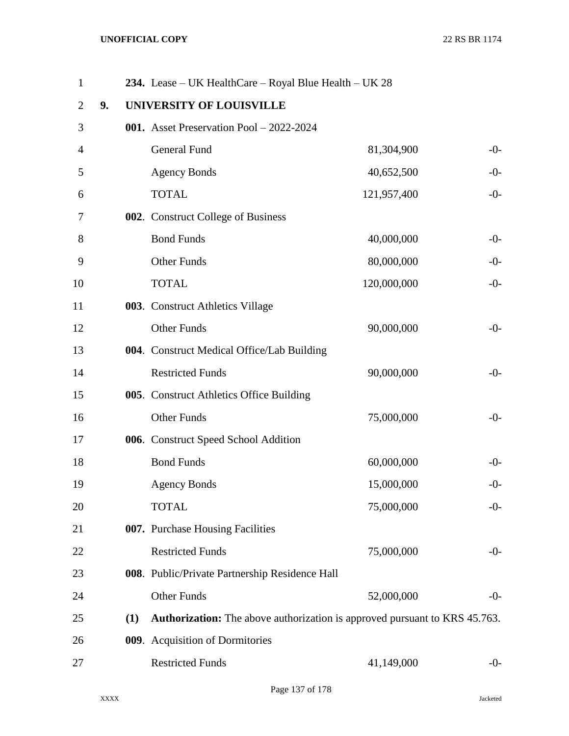| $\mathbf{1}$   |    |     | 234. Lease – UK HealthCare – Royal Blue Health – UK 28                            |             |       |
|----------------|----|-----|-----------------------------------------------------------------------------------|-------------|-------|
| $\overline{2}$ | 9. |     | <b>UNIVERSITY OF LOUISVILLE</b>                                                   |             |       |
| 3              |    |     | 001. Asset Preservation Pool - 2022-2024                                          |             |       |
| 4              |    |     | General Fund                                                                      | 81,304,900  | $-0-$ |
| 5              |    |     | <b>Agency Bonds</b>                                                               | 40,652,500  | $-0-$ |
| 6              |    |     | <b>TOTAL</b>                                                                      | 121,957,400 | $-0-$ |
| 7              |    |     | 002. Construct College of Business                                                |             |       |
| 8              |    |     | <b>Bond Funds</b>                                                                 | 40,000,000  | $-0-$ |
| 9              |    |     | <b>Other Funds</b>                                                                | 80,000,000  | $-0-$ |
| 10             |    |     | <b>TOTAL</b>                                                                      | 120,000,000 | $-0-$ |
| 11             |    |     | 003. Construct Athletics Village                                                  |             |       |
| 12             |    |     | <b>Other Funds</b>                                                                | 90,000,000  | $-0-$ |
| 13             |    |     | 004. Construct Medical Office/Lab Building                                        |             |       |
| 14             |    |     | <b>Restricted Funds</b>                                                           | 90,000,000  | $-0-$ |
| 15             |    |     | 005. Construct Athletics Office Building                                          |             |       |
| 16             |    |     | <b>Other Funds</b>                                                                | 75,000,000  | $-0-$ |
| 17             |    |     | 006. Construct Speed School Addition                                              |             |       |
| 18             |    |     | <b>Bond Funds</b>                                                                 | 60,000,000  | $-0-$ |
| 19             |    |     | <b>Agency Bonds</b>                                                               | 15,000,000  | $-0-$ |
| 20             |    |     | <b>TOTAL</b>                                                                      | 75,000,000  | $-0-$ |
| 21             |    |     | 007. Purchase Housing Facilities                                                  |             |       |
| 22             |    |     | <b>Restricted Funds</b>                                                           | 75,000,000  | $-0-$ |
| 23             |    |     | 008. Public/Private Partnership Residence Hall                                    |             |       |
| 24             |    |     | Other Funds                                                                       | 52,000,000  | $-0-$ |
| 25             |    | (1) | <b>Authorization:</b> The above authorization is approved pursuant to KRS 45.763. |             |       |
| 26             |    |     | 009. Acquisition of Dormitories                                                   |             |       |
| 27             |    |     | <b>Restricted Funds</b>                                                           | 41,149,000  | $-0-$ |
|                |    |     |                                                                                   |             |       |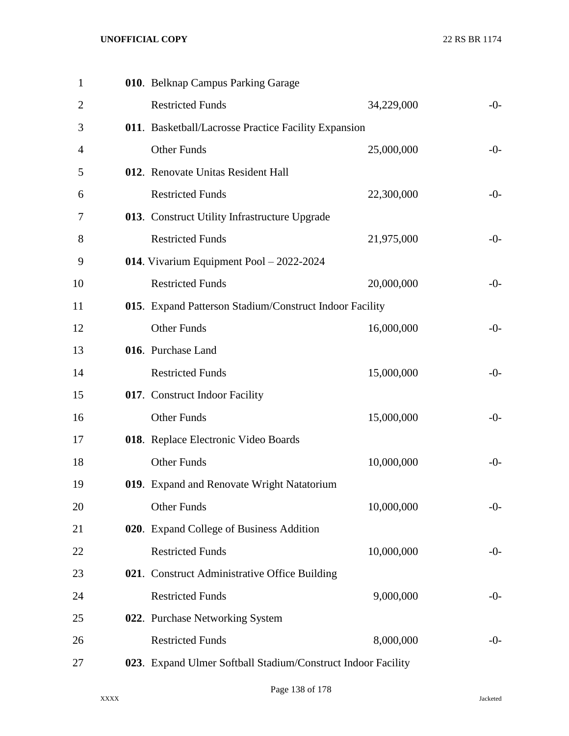| $\mathbf{1}$   | 010. Belknap Campus Parking Garage                           |            |       |
|----------------|--------------------------------------------------------------|------------|-------|
| $\overline{2}$ | <b>Restricted Funds</b>                                      | 34,229,000 | $-0-$ |
| 3              | 011. Basketball/Lacrosse Practice Facility Expansion         |            |       |
| 4              | <b>Other Funds</b>                                           | 25,000,000 | $-0-$ |
| 5              | 012. Renovate Unitas Resident Hall                           |            |       |
| 6              | <b>Restricted Funds</b>                                      | 22,300,000 | $-0-$ |
| 7              | 013. Construct Utility Infrastructure Upgrade                |            |       |
| 8              | <b>Restricted Funds</b>                                      | 21,975,000 | $-0-$ |
| 9              | 014. Vivarium Equipment Pool - 2022-2024                     |            |       |
| 10             | <b>Restricted Funds</b>                                      | 20,000,000 | $-0-$ |
| 11             | 015. Expand Patterson Stadium/Construct Indoor Facility      |            |       |
| 12             | <b>Other Funds</b>                                           | 16,000,000 | $-0-$ |
| 13             | 016. Purchase Land                                           |            |       |
| 14             | <b>Restricted Funds</b>                                      | 15,000,000 | $-0-$ |
| 15             | 017. Construct Indoor Facility                               |            |       |
| 16             | <b>Other Funds</b>                                           | 15,000,000 | $-0-$ |
| 17             | 018. Replace Electronic Video Boards                         |            |       |
| 18             | <b>Other Funds</b>                                           | 10,000,000 | $-0-$ |
| 19             | 019. Expand and Renovate Wright Natatorium                   |            |       |
| 20             | Other Funds                                                  | 10,000,000 | $-0-$ |
| 21             | 020. Expand College of Business Addition                     |            |       |
| 22             | <b>Restricted Funds</b>                                      | 10,000,000 | $-0-$ |
| 23             | 021. Construct Administrative Office Building                |            |       |
| 24             | <b>Restricted Funds</b>                                      | 9,000,000  | $-0-$ |
| 25             | 022. Purchase Networking System                              |            |       |
| 26             | <b>Restricted Funds</b>                                      | 8,000,000  | $-0-$ |
| 27             | 023. Expand Ulmer Softball Stadium/Construct Indoor Facility |            |       |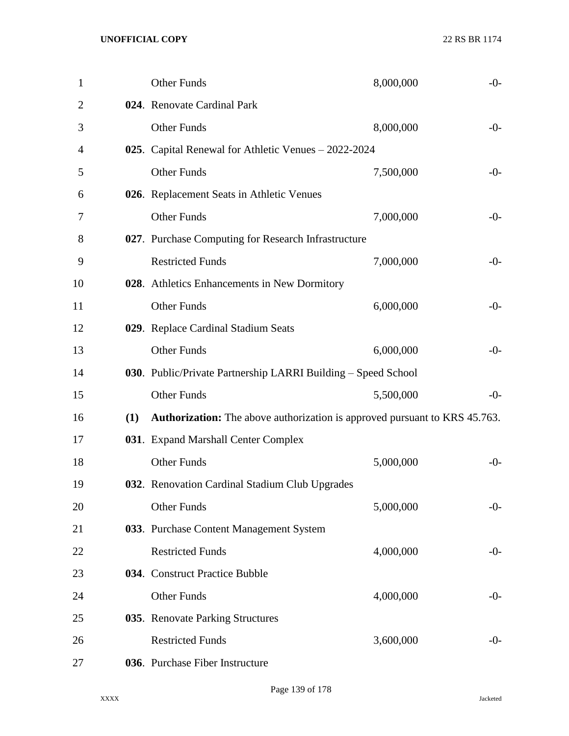| 1              |     | Other Funds                                                                       | 8,000,000 | $-0-$ |
|----------------|-----|-----------------------------------------------------------------------------------|-----------|-------|
| $\overline{2}$ |     | 024. Renovate Cardinal Park                                                       |           |       |
| 3              |     | Other Funds                                                                       | 8,000,000 | $-0-$ |
| 4              |     | 025. Capital Renewal for Athletic Venues – 2022-2024                              |           |       |
| 5              |     | <b>Other Funds</b>                                                                | 7,500,000 | $-0-$ |
| 6              |     | 026. Replacement Seats in Athletic Venues                                         |           |       |
| 7              |     | <b>Other Funds</b>                                                                | 7,000,000 | $-0-$ |
| 8              |     | 027. Purchase Computing for Research Infrastructure                               |           |       |
| 9              |     | <b>Restricted Funds</b>                                                           | 7,000,000 | $-0-$ |
| 10             |     | 028. Athletics Enhancements in New Dormitory                                      |           |       |
| 11             |     | Other Funds                                                                       | 6,000,000 | $-0-$ |
| 12             |     | 029. Replace Cardinal Stadium Seats                                               |           |       |
| 13             |     | <b>Other Funds</b>                                                                | 6,000,000 | $-0-$ |
| 14             |     | 030. Public/Private Partnership LARRI Building - Speed School                     |           |       |
| 15             |     | <b>Other Funds</b>                                                                | 5,500,000 | $-0-$ |
| 16             | (1) | <b>Authorization:</b> The above authorization is approved pursuant to KRS 45.763. |           |       |
| 17             |     | 031. Expand Marshall Center Complex                                               |           |       |
| 18             |     | Other Funds                                                                       | 5,000,000 | $-0-$ |
| 19             |     | 032. Renovation Cardinal Stadium Club Upgrades                                    |           |       |
| 20             |     | <b>Other Funds</b>                                                                | 5,000,000 | $-0-$ |
| 21             |     | 033. Purchase Content Management System                                           |           |       |
| 22             |     | <b>Restricted Funds</b>                                                           | 4,000,000 | $-0-$ |
| 23             |     | 034. Construct Practice Bubble                                                    |           |       |
| 24             |     | <b>Other Funds</b>                                                                | 4,000,000 | $-0-$ |
| 25             |     | 035. Renovate Parking Structures                                                  |           |       |
| 26             |     | <b>Restricted Funds</b>                                                           | 3,600,000 | $-0-$ |
| 27             |     | 036. Purchase Fiber Instructure                                                   |           |       |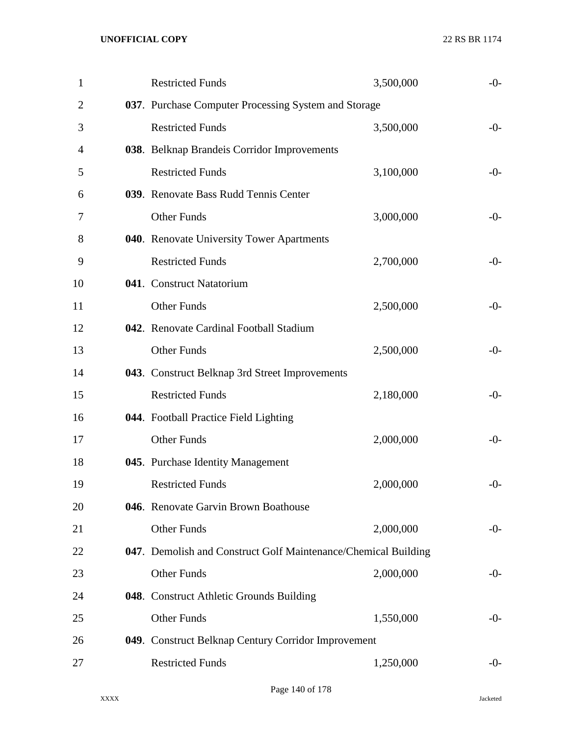| $\mathbf{1}$   | <b>Restricted Funds</b>                                        | 3,500,000 | $-0-$ |
|----------------|----------------------------------------------------------------|-----------|-------|
| $\overline{2}$ | 037. Purchase Computer Processing System and Storage           |           |       |
| 3              | <b>Restricted Funds</b>                                        | 3,500,000 | $-0-$ |
| 4              | 038. Belknap Brandeis Corridor Improvements                    |           |       |
| 5              | <b>Restricted Funds</b>                                        | 3,100,000 | $-0-$ |
| 6              | 039. Renovate Bass Rudd Tennis Center                          |           |       |
| 7              | <b>Other Funds</b>                                             | 3,000,000 | $-0-$ |
| 8              | 040. Renovate University Tower Apartments                      |           |       |
| 9              | <b>Restricted Funds</b>                                        | 2,700,000 | $-0-$ |
| 10             | 041. Construct Natatorium                                      |           |       |
| 11             | <b>Other Funds</b>                                             | 2,500,000 | $-0-$ |
| 12             | 042. Renovate Cardinal Football Stadium                        |           |       |
| 13             | <b>Other Funds</b>                                             | 2,500,000 | $-0-$ |
| 14             | 043. Construct Belknap 3rd Street Improvements                 |           |       |
| 15             | <b>Restricted Funds</b>                                        | 2,180,000 | $-0-$ |
| 16             | 044. Football Practice Field Lighting                          |           |       |
| 17             | <b>Other Funds</b>                                             | 2,000,000 | $-0-$ |
| 18             | 045. Purchase Identity Management                              |           |       |
| 19             | <b>Restricted Funds</b>                                        | 2,000,000 | $-0-$ |
| 20             | 046. Renovate Garvin Brown Boathouse                           |           |       |
| 21             | Other Funds                                                    | 2,000,000 | $-0-$ |
| 22             | 047. Demolish and Construct Golf Maintenance/Chemical Building |           |       |
| 23             | Other Funds                                                    | 2,000,000 | $-0-$ |
| 24             | 048. Construct Athletic Grounds Building                       |           |       |
| 25             | Other Funds                                                    | 1,550,000 | $-0-$ |
| 26             | 049. Construct Belknap Century Corridor Improvement            |           |       |
| 27             | <b>Restricted Funds</b>                                        | 1,250,000 | $-0-$ |
|                |                                                                |           |       |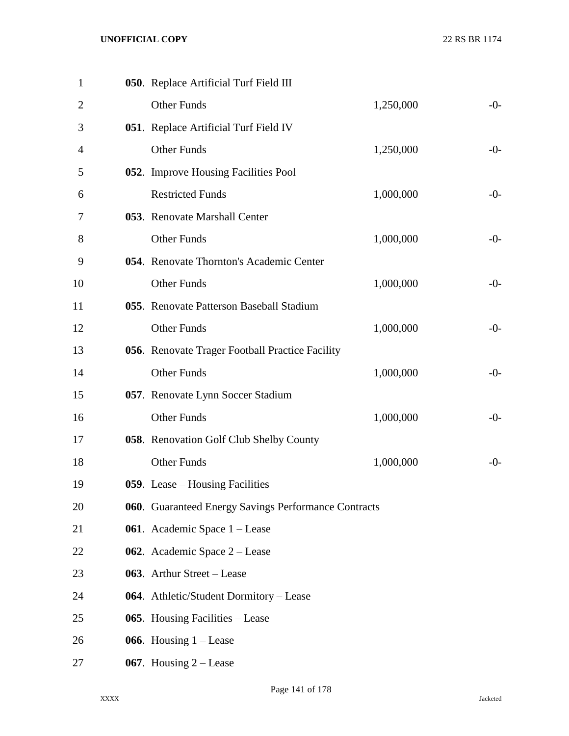| $\mathbf{1}$   | 050. Replace Artificial Turf Field III               |           |       |
|----------------|------------------------------------------------------|-----------|-------|
| $\overline{2}$ | <b>Other Funds</b>                                   | 1,250,000 | $-0-$ |
| 3              | 051. Replace Artificial Turf Field IV                |           |       |
| 4              | <b>Other Funds</b>                                   | 1,250,000 | $-0-$ |
| 5              | 052. Improve Housing Facilities Pool                 |           |       |
| 6              | <b>Restricted Funds</b>                              | 1,000,000 | $-0-$ |
| 7              | 053. Renovate Marshall Center                        |           |       |
| 8              | <b>Other Funds</b>                                   | 1,000,000 | $-0-$ |
| 9              | 054. Renovate Thornton's Academic Center             |           |       |
| 10             | <b>Other Funds</b>                                   | 1,000,000 | $-0-$ |
| 11             | 055. Renovate Patterson Baseball Stadium             |           |       |
| 12             | <b>Other Funds</b>                                   | 1,000,000 | $-0-$ |
| 13             | 056. Renovate Trager Football Practice Facility      |           |       |
| 14             | <b>Other Funds</b>                                   | 1,000,000 | $-0-$ |
| 15             | 057. Renovate Lynn Soccer Stadium                    |           |       |
| 16             | <b>Other Funds</b>                                   | 1,000,000 | $-0-$ |
| 17             | 058. Renovation Golf Club Shelby County              |           |       |
| 18             | <b>Other Funds</b>                                   | 1,000,000 | $-0-$ |
| 19             | 059. Lease – Housing Facilities                      |           |       |
| 20             | 060. Guaranteed Energy Savings Performance Contracts |           |       |
| 21             | <b>061.</b> Academic Space 1 – Lease                 |           |       |
| 22             | 062. Academic Space $2 -$ Lease                      |           |       |
| 23             | 063. Arthur Street – Lease                           |           |       |
| 24             | 064. Athletic/Student Dormitory – Lease              |           |       |
| 25             | 065. Housing Facilities – Lease                      |           |       |
| 26             | 066. Housing $1 -$ Lease                             |           |       |
| 27             | 067. Housing $2 -$ Lease                             |           |       |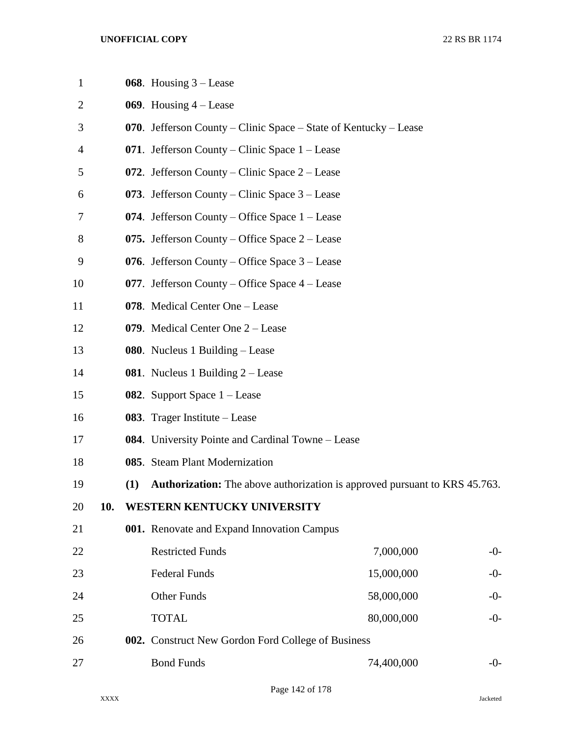| $\mathbf{1}$   |     |     | 068. Housing $3$ – Lease                                                          |            |       |
|----------------|-----|-----|-----------------------------------------------------------------------------------|------------|-------|
| $\overline{2}$ |     |     | 069. Housing $4 -$ Lease                                                          |            |       |
| 3              |     |     | 070. Jefferson County – Clinic Space – State of Kentucky – Lease                  |            |       |
| 4              |     |     | 071. Jefferson County – Clinic Space $1$ – Lease                                  |            |       |
| 5              |     |     | 072. Jefferson County – Clinic Space $2$ – Lease                                  |            |       |
| 6              |     |     | 073. Jefferson County – Clinic Space $3$ – Lease                                  |            |       |
| 7              |     |     | 074. Jefferson County – Office Space $1$ – Lease                                  |            |       |
| 8              |     |     | 075. Jefferson County – Office Space $2$ – Lease                                  |            |       |
| 9              |     |     | 076. Jefferson County – Office Space $3$ – Lease                                  |            |       |
| 10             |     |     | 077. Jefferson County – Office Space $4$ – Lease                                  |            |       |
| 11             |     |     | 078. Medical Center One - Lease                                                   |            |       |
| 12             |     |     | 079. Medical Center One 2 – Lease                                                 |            |       |
| 13             |     |     | <b>080.</b> Nucleus 1 Building – Lease                                            |            |       |
| 14             |     |     | <b>081.</b> Nucleus 1 Building $2 -$ Lease                                        |            |       |
| 15             |     |     | 082. Support Space $1 -$ Lease                                                    |            |       |
| 16             |     |     | 083. Trager Institute – Lease                                                     |            |       |
| 17             |     |     | 084. University Pointe and Cardinal Towne – Lease                                 |            |       |
| 18             |     |     | 085. Steam Plant Modernization                                                    |            |       |
| 19             |     | (1) | <b>Authorization:</b> The above authorization is approved pursuant to KRS 45.763. |            |       |
| 20             | 10. |     | WESTERN KENTUCKY UNIVERSITY                                                       |            |       |
| 21             |     |     | 001. Renovate and Expand Innovation Campus                                        |            |       |
| 22             |     |     | <b>Restricted Funds</b>                                                           | 7,000,000  | $-0-$ |
| 23             |     |     | <b>Federal Funds</b>                                                              | 15,000,000 | $-0-$ |
| 24             |     |     | <b>Other Funds</b>                                                                | 58,000,000 | $-0-$ |
| 25             |     |     | <b>TOTAL</b>                                                                      | 80,000,000 | $-0-$ |
| 26             |     |     | 002. Construct New Gordon Ford College of Business                                |            |       |
| 27             |     |     | <b>Bond Funds</b>                                                                 | 74,400,000 | $-0-$ |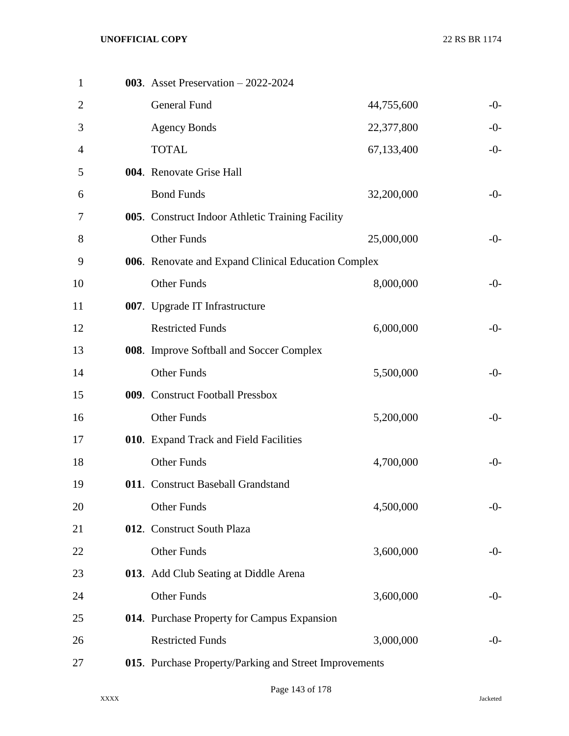| $\mathbf{1}$   | 003. Asset Preservation $-2022-2024$                   |            |       |
|----------------|--------------------------------------------------------|------------|-------|
| $\overline{2}$ | General Fund                                           | 44,755,600 | $-0-$ |
| 3              | <b>Agency Bonds</b>                                    | 22,377,800 | $-0-$ |
| 4              | <b>TOTAL</b>                                           | 67,133,400 | $-0-$ |
| 5              | 004. Renovate Grise Hall                               |            |       |
| 6              | <b>Bond Funds</b>                                      | 32,200,000 | $-0-$ |
| 7              | 005. Construct Indoor Athletic Training Facility       |            |       |
| 8              | <b>Other Funds</b>                                     | 25,000,000 | $-0-$ |
| 9              | 006. Renovate and Expand Clinical Education Complex    |            |       |
| 10             | <b>Other Funds</b>                                     | 8,000,000  | $-0-$ |
| 11             | 007. Upgrade IT Infrastructure                         |            |       |
| 12             | <b>Restricted Funds</b>                                | 6,000,000  | $-0-$ |
| 13             | 008. Improve Softball and Soccer Complex               |            |       |
| 14             | <b>Other Funds</b>                                     | 5,500,000  | $-0-$ |
| 15             | 009. Construct Football Pressbox                       |            |       |
| 16             | <b>Other Funds</b>                                     | 5,200,000  | $-0-$ |
| 17             | 010. Expand Track and Field Facilities                 |            |       |
| 18             | <b>Other Funds</b>                                     | 4,700,000  | $-0-$ |
| 19             | 011. Construct Baseball Grandstand                     |            |       |
| 20             | Other Funds                                            | 4,500,000  | $-0-$ |
| 21             | 012. Construct South Plaza                             |            |       |
| 22             | Other Funds                                            | 3,600,000  | $-0-$ |
| 23             | 013. Add Club Seating at Diddle Arena                  |            |       |
| 24             | Other Funds                                            | 3,600,000  | $-0-$ |
| 25             | 014. Purchase Property for Campus Expansion            |            |       |
| 26             | <b>Restricted Funds</b>                                | 3,000,000  | $-0-$ |
| 27             | 015. Purchase Property/Parking and Street Improvements |            |       |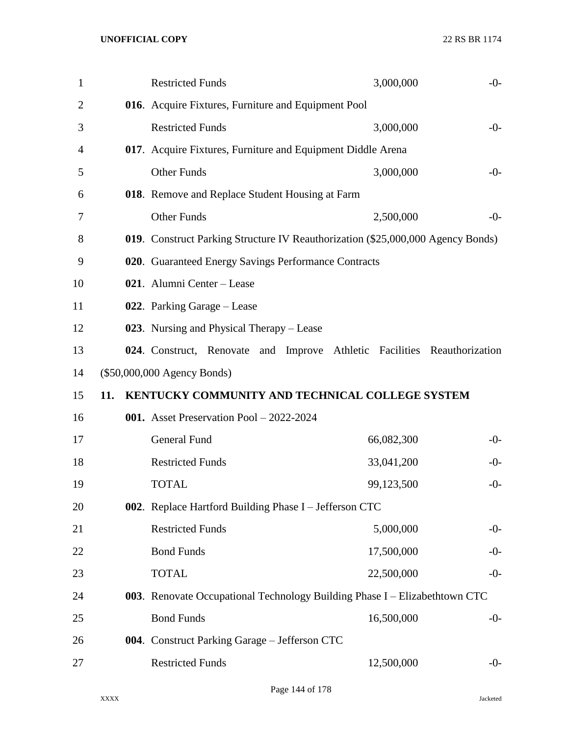| $\mathbf{1}$ |     | <b>Restricted Funds</b>                                                         | 3,000,000  | $-0-$ |
|--------------|-----|---------------------------------------------------------------------------------|------------|-------|
| 2            |     | 016. Acquire Fixtures, Furniture and Equipment Pool                             |            |       |
| 3            |     | <b>Restricted Funds</b>                                                         | 3,000,000  | $-0-$ |
| 4            |     | 017. Acquire Fixtures, Furniture and Equipment Diddle Arena                     |            |       |
| 5            |     | <b>Other Funds</b>                                                              | 3,000,000  | $-0-$ |
| 6            |     | 018. Remove and Replace Student Housing at Farm                                 |            |       |
| 7            |     | <b>Other Funds</b>                                                              | 2,500,000  | $-0-$ |
| 8            |     | 019. Construct Parking Structure IV Reauthorization (\$25,000,000 Agency Bonds) |            |       |
| 9            |     | 020. Guaranteed Energy Savings Performance Contracts                            |            |       |
| 10           |     | 021. Alumni Center - Lease                                                      |            |       |
| 11           |     | 022. Parking Garage – Lease                                                     |            |       |
| 12           |     | 023. Nursing and Physical Therapy - Lease                                       |            |       |
| 13           |     | 024. Construct, Renovate and Improve Athletic Facilities Reauthorization        |            |       |
| 14           |     | $(\$50,000,000$ Agency Bonds)                                                   |            |       |
|              |     |                                                                                 |            |       |
| 15           | 11. | KENTUCKY COMMUNITY AND TECHNICAL COLLEGE SYSTEM                                 |            |       |
| 16           |     | 001. Asset Preservation Pool - 2022-2024                                        |            |       |
| 17           |     | General Fund                                                                    | 66,082,300 | $-0-$ |
| 18           |     | <b>Restricted Funds</b>                                                         | 33,041,200 | $-0-$ |
| 19           |     | <b>TOTAL</b>                                                                    | 99,123,500 | $-0-$ |
| 20           |     | 002. Replace Hartford Building Phase I - Jefferson CTC                          |            |       |
| 21           |     | <b>Restricted Funds</b>                                                         | 5,000,000  | $-0-$ |
| 22           |     | <b>Bond Funds</b>                                                               | 17,500,000 | $-0-$ |
| 23           |     | <b>TOTAL</b>                                                                    | 22,500,000 | -0-   |
| 24           |     | 003. Renovate Occupational Technology Building Phase I - Elizabethtown CTC      |            |       |
| 25           |     | <b>Bond Funds</b>                                                               | 16,500,000 | $-0-$ |
| 26           |     | 004. Construct Parking Garage - Jefferson CTC                                   |            |       |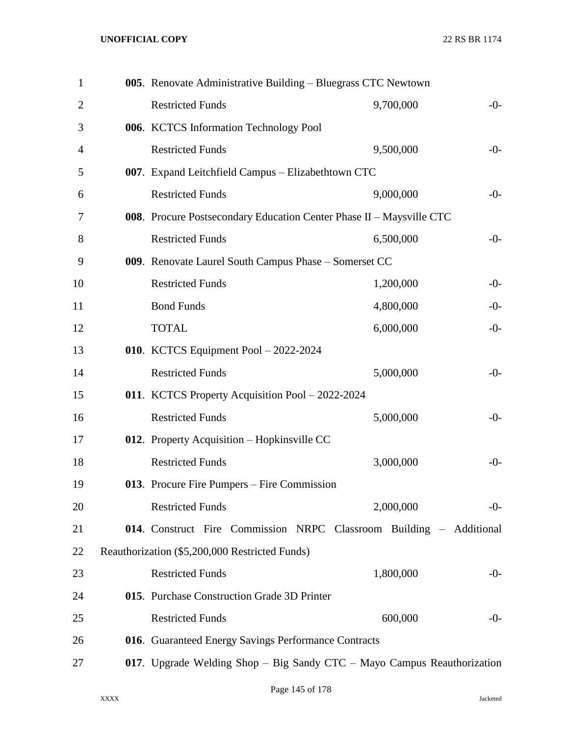| $\mathbf{1}$   | 005. Renovate Administrative Building - Bluegrass CTC Newtown           |           |       |
|----------------|-------------------------------------------------------------------------|-----------|-------|
| $\overline{2}$ | <b>Restricted Funds</b>                                                 | 9,700,000 | $-0-$ |
| 3              | 006. KCTCS Information Technology Pool                                  |           |       |
| 4              | <b>Restricted Funds</b>                                                 | 9,500,000 | $-0-$ |
| 5              | 007. Expand Leitchfield Campus - Elizabethtown CTC                      |           |       |
| 6              | <b>Restricted Funds</b>                                                 | 9,000,000 | $-0-$ |
| 7              | 008. Procure Postsecondary Education Center Phase II - Maysville CTC    |           |       |
| 8              | <b>Restricted Funds</b>                                                 | 6,500,000 | $-0-$ |
| 9              | 009. Renovate Laurel South Campus Phase - Somerset CC                   |           |       |
| 10             | <b>Restricted Funds</b>                                                 | 1,200,000 | $-0-$ |
| 11             | <b>Bond Funds</b>                                                       | 4,800,000 | $-0-$ |
| 12             | <b>TOTAL</b>                                                            | 6,000,000 | $-0-$ |
| 13             | 010. KCTCS Equipment Pool $-2022-2024$                                  |           |       |
| 14             | <b>Restricted Funds</b>                                                 | 5,000,000 | $-0-$ |
| 15             | 011. KCTCS Property Acquisition Pool - 2022-2024                        |           |       |
| 16             | <b>Restricted Funds</b>                                                 | 5,000,000 | $-0-$ |
| 17             | 012. Property Acquisition - Hopkinsville CC                             |           |       |
| 18             | <b>Restricted Funds</b>                                                 | 3,000,000 | $-0-$ |
| 19             | 013. Procure Fire Pumpers - Fire Commission                             |           |       |
| 20             | <b>Restricted Funds</b>                                                 | 2,000,000 | $-0-$ |
| 21             | 014. Construct Fire Commission NRPC Classroom Building - Additional     |           |       |
| 22             | Reauthorization (\$5,200,000 Restricted Funds)                          |           |       |
| 23             | <b>Restricted Funds</b>                                                 | 1,800,000 | $-0-$ |
| 24             | 015. Purchase Construction Grade 3D Printer                             |           |       |
| 25             | <b>Restricted Funds</b>                                                 | 600,000   | $-0-$ |
| 26             | 016. Guaranteed Energy Savings Performance Contracts                    |           |       |
| 27             | 017. Upgrade Welding Shop - Big Sandy CTC - Mayo Campus Reauthorization |           |       |
|                |                                                                         |           |       |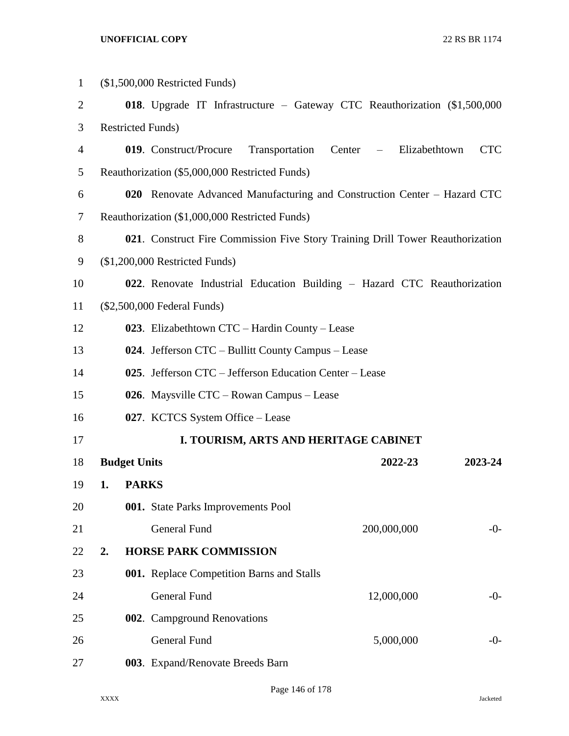| $\mathbf{1}$ | $($1,500,000$ Restricted Funds)                         |                     |                                                                                |            |  |  |
|--------------|---------------------------------------------------------|---------------------|--------------------------------------------------------------------------------|------------|--|--|
| 2            |                                                         |                     | 018. Upgrade IT Infrastructure – Gateway CTC Reauthorization (\$1,500,000      |            |  |  |
| 3            |                                                         |                     | <b>Restricted Funds)</b>                                                       |            |  |  |
| 4            |                                                         |                     | 019. Construct/Procure<br>Transportation<br>Center – Elizabethtown             | <b>CTC</b> |  |  |
| 5            |                                                         |                     | Reauthorization (\$5,000,000 Restricted Funds)                                 |            |  |  |
| 6            |                                                         |                     | 020 Renovate Advanced Manufacturing and Construction Center – Hazard CTC       |            |  |  |
| 7            |                                                         |                     | Reauthorization (\$1,000,000 Restricted Funds)                                 |            |  |  |
| 8            |                                                         |                     | 021. Construct Fire Commission Five Story Training Drill Tower Reauthorization |            |  |  |
| 9            |                                                         |                     | $($1,200,000$ Restricted Funds)                                                |            |  |  |
| 10           |                                                         |                     | 022. Renovate Industrial Education Building - Hazard CTC Reauthorization       |            |  |  |
| 11           |                                                         |                     | (\$2,500,000 Federal Funds)                                                    |            |  |  |
| 12           | 023. Elizabethtown $CTC - Hardin County - Lease$        |                     |                                                                                |            |  |  |
| 13           |                                                         |                     | 024. Jefferson CTC – Bullitt County Campus – Lease                             |            |  |  |
| 14           | 025. Jefferson CTC – Jefferson Education Center – Lease |                     |                                                                                |            |  |  |
| 15           | 026. Maysville CTC – Rowan Campus – Lease               |                     |                                                                                |            |  |  |
| 16           |                                                         |                     | 027. KCTCS System Office – Lease                                               |            |  |  |
| 17           |                                                         |                     | I. TOURISM, ARTS AND HERITAGE CABINET                                          |            |  |  |
| 18           |                                                         | <b>Budget Units</b> | 2022-23                                                                        | 2023-24    |  |  |
| 19           | 1.                                                      | <b>PARKS</b>        |                                                                                |            |  |  |
| 20           |                                                         |                     | 001. State Parks Improvements Pool                                             |            |  |  |
| 21           |                                                         |                     | <b>General Fund</b><br>200,000,000                                             | -0-        |  |  |
| 22           | 2.                                                      |                     | <b>HORSE PARK COMMISSION</b>                                                   |            |  |  |
| 23           |                                                         |                     | 001. Replace Competition Barns and Stalls                                      |            |  |  |
| 24           |                                                         |                     | General Fund<br>12,000,000                                                     | $-0-$      |  |  |
| 25           |                                                         |                     | 002. Campground Renovations                                                    |            |  |  |
| 26           |                                                         |                     | <b>General Fund</b><br>5,000,000                                               | $-0-$      |  |  |
| 27           |                                                         |                     | 003. Expand/Renovate Breeds Barn                                               |            |  |  |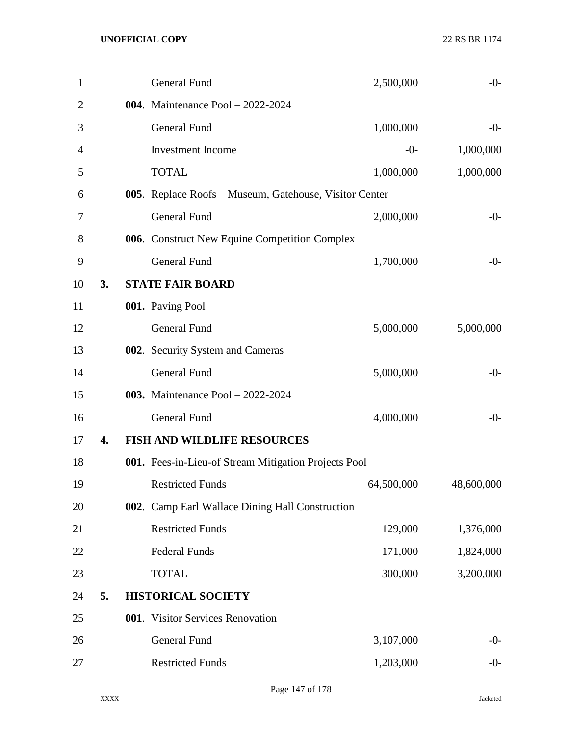| $\mathbf{1}$ |    | General Fund                                           | 2,500,000  | $-0-$      |
|--------------|----|--------------------------------------------------------|------------|------------|
| 2            |    | 004. Maintenance Pool - 2022-2024                      |            |            |
| 3            |    | General Fund                                           | 1,000,000  | $-0-$      |
| 4            |    | <b>Investment Income</b>                               | $-0-$      | 1,000,000  |
| 5            |    | <b>TOTAL</b>                                           | 1,000,000  | 1,000,000  |
| 6            |    | 005. Replace Roofs - Museum, Gatehouse, Visitor Center |            |            |
| 7            |    | <b>General Fund</b>                                    | 2,000,000  | $-0-$      |
| 8            |    | 006. Construct New Equine Competition Complex          |            |            |
| 9            |    | <b>General Fund</b>                                    | 1,700,000  | $-0-$      |
| 10           | 3. | <b>STATE FAIR BOARD</b>                                |            |            |
| 11           |    | 001. Paving Pool                                       |            |            |
| 12           |    | <b>General Fund</b>                                    | 5,000,000  | 5,000,000  |
| 13           |    | 002. Security System and Cameras                       |            |            |
| 14           |    | <b>General Fund</b>                                    | 5,000,000  | $-0-$      |
| 15           |    | 003. Maintenance Pool - 2022-2024                      |            |            |
| 16           |    | <b>General Fund</b>                                    | 4,000,000  | $-0-$      |
| 17           | 4. | <b>FISH AND WILDLIFE RESOURCES</b>                     |            |            |
| 18           |    | 001. Fees-in-Lieu-of Stream Mitigation Projects Pool   |            |            |
| 19           |    | <b>Restricted Funds</b>                                | 64,500,000 | 48,600,000 |
| 20           |    | 002. Camp Earl Wallace Dining Hall Construction        |            |            |
| 21           |    | <b>Restricted Funds</b>                                | 129,000    | 1,376,000  |
| 22           |    | <b>Federal Funds</b>                                   | 171,000    | 1,824,000  |
| 23           |    | <b>TOTAL</b>                                           | 300,000    | 3,200,000  |
| 24           | 5. | <b>HISTORICAL SOCIETY</b>                              |            |            |
| 25           |    | 001. Visitor Services Renovation                       |            |            |
| 26           |    | General Fund                                           | 3,107,000  | $-0-$      |
| 27           |    | <b>Restricted Funds</b>                                | 1,203,000  | $-0-$      |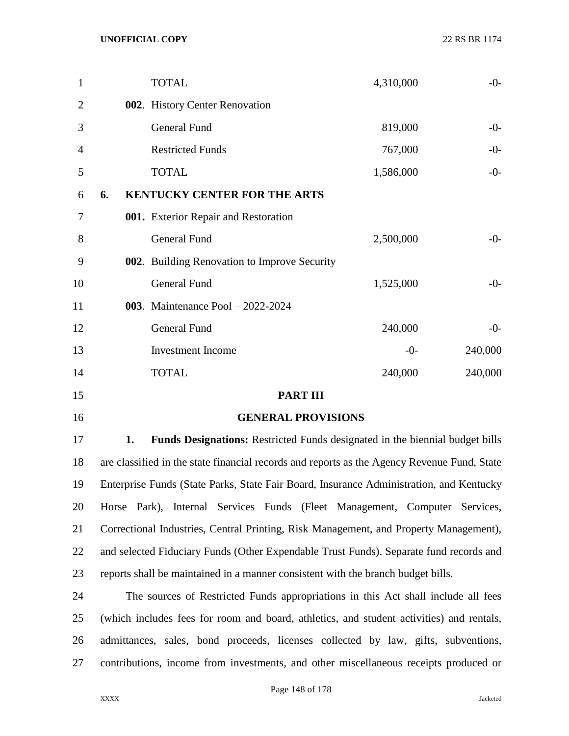| 1              |    | <b>TOTAL</b>                                                                                |                           |                 | 4,310,000 |       | $-0-$     |
|----------------|----|---------------------------------------------------------------------------------------------|---------------------------|-----------------|-----------|-------|-----------|
| $\overline{2}$ |    | 002. History Center Renovation                                                              |                           |                 |           |       |           |
| 3              |    | <b>General Fund</b>                                                                         |                           |                 | 819,000   |       | $-0-$     |
| $\overline{4}$ |    | <b>Restricted Funds</b>                                                                     |                           |                 | 767,000   |       | $-0-$     |
| 5              |    | <b>TOTAL</b>                                                                                |                           |                 | 1,586,000 |       | $-0-$     |
| 6              | 6. | <b>KENTUCKY CENTER FOR THE ARTS</b>                                                         |                           |                 |           |       |           |
| 7              |    | 001. Exterior Repair and Restoration                                                        |                           |                 |           |       |           |
| 8              |    | <b>General Fund</b>                                                                         |                           |                 | 2,500,000 |       | $-0-$     |
| 9              |    | 002. Building Renovation to Improve Security                                                |                           |                 |           |       |           |
| 10             |    | <b>General Fund</b>                                                                         |                           |                 | 1,525,000 |       | $-0-$     |
| 11             |    | 003. Maintenance Pool - 2022-2024                                                           |                           |                 |           |       |           |
| 12             |    | General Fund                                                                                |                           |                 | 240,000   |       | $-0-$     |
| 13             |    | <b>Investment Income</b>                                                                    |                           |                 |           | $-0-$ | 240,000   |
| 14             |    | <b>TOTAL</b>                                                                                |                           |                 | 240,000   |       | 240,000   |
| 15             |    |                                                                                             |                           | <b>PART III</b> |           |       |           |
| 16             |    |                                                                                             | <b>GENERAL PROVISIONS</b> |                 |           |       |           |
| 17             | 1. | Funds Designations: Restricted Funds designated in the biennial budget bills                |                           |                 |           |       |           |
| 18             |    | are classified in the state financial records and reports as the Agency Revenue Fund, State |                           |                 |           |       |           |
| 19             |    | Enterprise Funds (State Parks, State Fair Board, Insurance Administration, and Kentucky     |                           |                 |           |       |           |
| 20             |    | Horse Park), Internal Services Funds (Fleet Management, Computer                            |                           |                 |           |       | Services, |

Correctional Industries, Central Printing, Risk Management, and Property Management),

and selected Fiduciary Funds (Other Expendable Trust Funds). Separate fund records and

reports shall be maintained in a manner consistent with the branch budget bills.

 The sources of Restricted Funds appropriations in this Act shall include all fees (which includes fees for room and board, athletics, and student activities) and rentals, admittances, sales, bond proceeds, licenses collected by law, gifts, subventions, contributions, income from investments, and other miscellaneous receipts produced or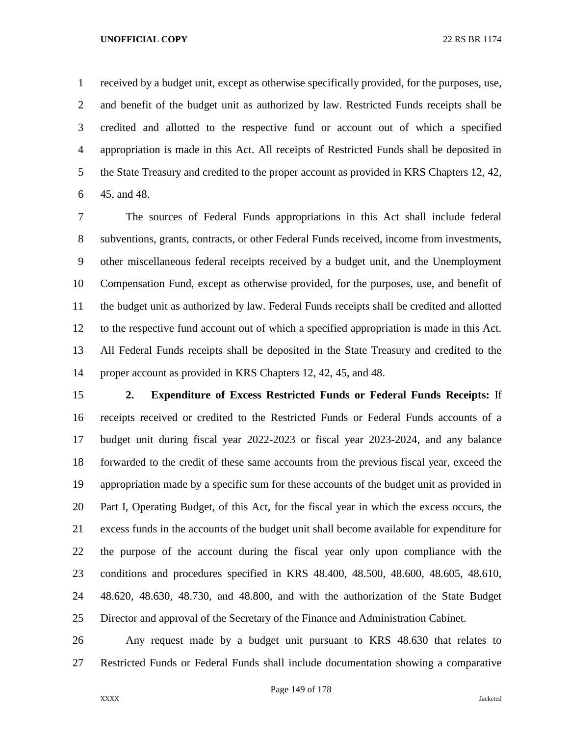received by a budget unit, except as otherwise specifically provided, for the purposes, use, and benefit of the budget unit as authorized by law. Restricted Funds receipts shall be credited and allotted to the respective fund or account out of which a specified appropriation is made in this Act. All receipts of Restricted Funds shall be deposited in the State Treasury and credited to the proper account as provided in KRS Chapters 12, 42, 45, and 48.

 The sources of Federal Funds appropriations in this Act shall include federal subventions, grants, contracts, or other Federal Funds received, income from investments, other miscellaneous federal receipts received by a budget unit, and the Unemployment Compensation Fund, except as otherwise provided, for the purposes, use, and benefit of the budget unit as authorized by law. Federal Funds receipts shall be credited and allotted to the respective fund account out of which a specified appropriation is made in this Act. All Federal Funds receipts shall be deposited in the State Treasury and credited to the proper account as provided in KRS Chapters 12, 42, 45, and 48.

 **2. Expenditure of Excess Restricted Funds or Federal Funds Receipts:** If receipts received or credited to the Restricted Funds or Federal Funds accounts of a budget unit during fiscal year 2022-2023 or fiscal year 2023-2024, and any balance forwarded to the credit of these same accounts from the previous fiscal year, exceed the appropriation made by a specific sum for these accounts of the budget unit as provided in Part I, Operating Budget, of this Act, for the fiscal year in which the excess occurs, the excess funds in the accounts of the budget unit shall become available for expenditure for the purpose of the account during the fiscal year only upon compliance with the conditions and procedures specified in KRS 48.400, 48.500, 48.600, 48.605, 48.610, 48.620, 48.630, 48.730, and 48.800, and with the authorization of the State Budget Director and approval of the Secretary of the Finance and Administration Cabinet.

 Any request made by a budget unit pursuant to KRS 48.630 that relates to Restricted Funds or Federal Funds shall include documentation showing a comparative

Page 149 of 178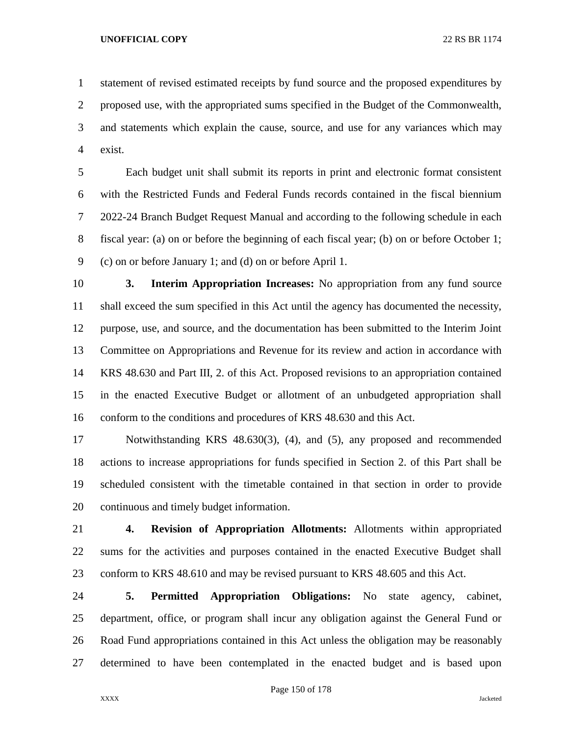statement of revised estimated receipts by fund source and the proposed expenditures by proposed use, with the appropriated sums specified in the Budget of the Commonwealth, and statements which explain the cause, source, and use for any variances which may exist.

 Each budget unit shall submit its reports in print and electronic format consistent with the Restricted Funds and Federal Funds records contained in the fiscal biennium 2022-24 Branch Budget Request Manual and according to the following schedule in each fiscal year: (a) on or before the beginning of each fiscal year; (b) on or before October 1; (c) on or before January 1; and (d) on or before April 1.

 **3. Interim Appropriation Increases:** No appropriation from any fund source shall exceed the sum specified in this Act until the agency has documented the necessity, purpose, use, and source, and the documentation has been submitted to the Interim Joint Committee on Appropriations and Revenue for its review and action in accordance with KRS 48.630 and Part III, 2. of this Act. Proposed revisions to an appropriation contained in the enacted Executive Budget or allotment of an unbudgeted appropriation shall conform to the conditions and procedures of KRS 48.630 and this Act.

 Notwithstanding KRS 48.630(3), (4), and (5), any proposed and recommended actions to increase appropriations for funds specified in Section 2. of this Part shall be scheduled consistent with the timetable contained in that section in order to provide continuous and timely budget information.

 **4. Revision of Appropriation Allotments:** Allotments within appropriated sums for the activities and purposes contained in the enacted Executive Budget shall conform to KRS 48.610 and may be revised pursuant to KRS 48.605 and this Act.

 **5. Permitted Appropriation Obligations:** No state agency, cabinet, department, office, or program shall incur any obligation against the General Fund or Road Fund appropriations contained in this Act unless the obligation may be reasonably determined to have been contemplated in the enacted budget and is based upon

Page 150 of 178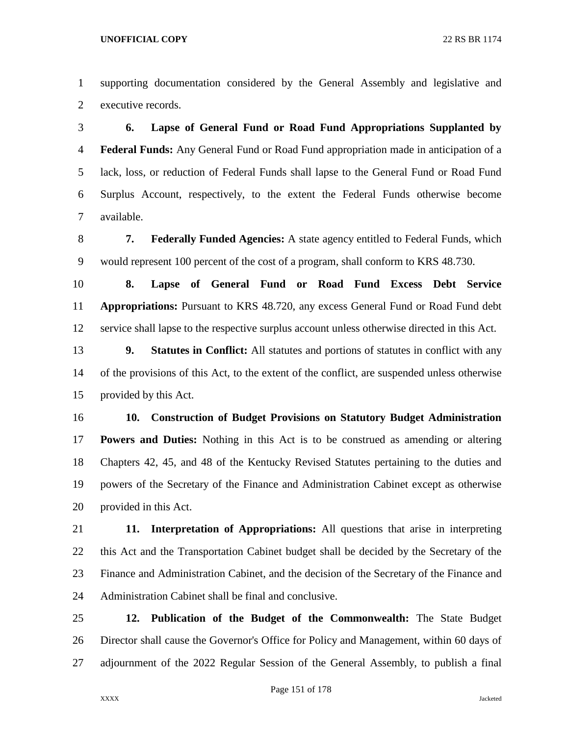supporting documentation considered by the General Assembly and legislative and executive records.

 **6. Lapse of General Fund or Road Fund Appropriations Supplanted by Federal Funds:** Any General Fund or Road Fund appropriation made in anticipation of a lack, loss, or reduction of Federal Funds shall lapse to the General Fund or Road Fund Surplus Account, respectively, to the extent the Federal Funds otherwise become available.

 **7. Federally Funded Agencies:** A state agency entitled to Federal Funds, which would represent 100 percent of the cost of a program, shall conform to KRS 48.730.

 **8. Lapse of General Fund or Road Fund Excess Debt Service Appropriations:** Pursuant to KRS 48.720, any excess General Fund or Road Fund debt service shall lapse to the respective surplus account unless otherwise directed in this Act.

 **9. Statutes in Conflict:** All statutes and portions of statutes in conflict with any of the provisions of this Act, to the extent of the conflict, are suspended unless otherwise provided by this Act.

 **10. Construction of Budget Provisions on Statutory Budget Administration Powers and Duties:** Nothing in this Act is to be construed as amending or altering Chapters 42, 45, and 48 of the Kentucky Revised Statutes pertaining to the duties and powers of the Secretary of the Finance and Administration Cabinet except as otherwise provided in this Act.

 **11. Interpretation of Appropriations:** All questions that arise in interpreting this Act and the Transportation Cabinet budget shall be decided by the Secretary of the Finance and Administration Cabinet, and the decision of the Secretary of the Finance and Administration Cabinet shall be final and conclusive.

 **12. Publication of the Budget of the Commonwealth:** The State Budget Director shall cause the Governor's Office for Policy and Management, within 60 days of adjournment of the 2022 Regular Session of the General Assembly, to publish a final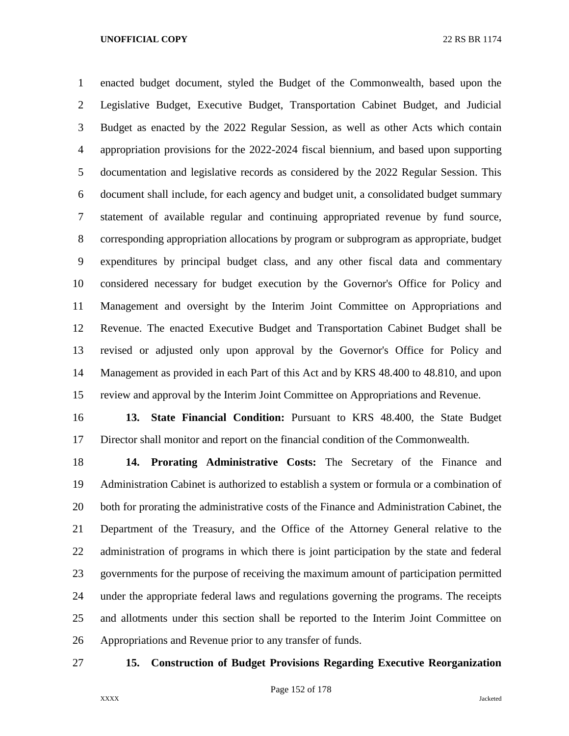enacted budget document, styled the Budget of the Commonwealth, based upon the Legislative Budget, Executive Budget, Transportation Cabinet Budget, and Judicial Budget as enacted by the 2022 Regular Session, as well as other Acts which contain appropriation provisions for the 2022-2024 fiscal biennium, and based upon supporting documentation and legislative records as considered by the 2022 Regular Session. This document shall include, for each agency and budget unit, a consolidated budget summary statement of available regular and continuing appropriated revenue by fund source, corresponding appropriation allocations by program or subprogram as appropriate, budget expenditures by principal budget class, and any other fiscal data and commentary considered necessary for budget execution by the Governor's Office for Policy and Management and oversight by the Interim Joint Committee on Appropriations and Revenue. The enacted Executive Budget and Transportation Cabinet Budget shall be revised or adjusted only upon approval by the Governor's Office for Policy and Management as provided in each Part of this Act and by KRS 48.400 to 48.810, and upon review and approval by the Interim Joint Committee on Appropriations and Revenue.

 **13. State Financial Condition:** Pursuant to KRS 48.400, the State Budget Director shall monitor and report on the financial condition of the Commonwealth.

 **14. Prorating Administrative Costs:** The Secretary of the Finance and Administration Cabinet is authorized to establish a system or formula or a combination of 20 both for prorating the administrative costs of the Finance and Administration Cabinet, the Department of the Treasury, and the Office of the Attorney General relative to the administration of programs in which there is joint participation by the state and federal governments for the purpose of receiving the maximum amount of participation permitted under the appropriate federal laws and regulations governing the programs. The receipts and allotments under this section shall be reported to the Interim Joint Committee on Appropriations and Revenue prior to any transfer of funds.

# **15. Construction of Budget Provisions Regarding Executive Reorganization**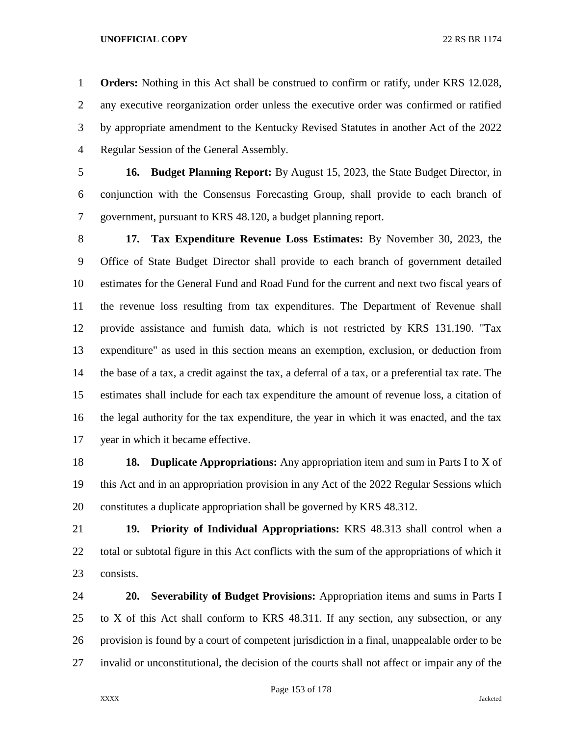**Orders:** Nothing in this Act shall be construed to confirm or ratify, under KRS 12.028, any executive reorganization order unless the executive order was confirmed or ratified by appropriate amendment to the Kentucky Revised Statutes in another Act of the 2022 Regular Session of the General Assembly.

 **16. Budget Planning Report:** By August 15, 2023, the State Budget Director, in conjunction with the Consensus Forecasting Group, shall provide to each branch of government, pursuant to KRS 48.120, a budget planning report.

 **17. Tax Expenditure Revenue Loss Estimates:** By November 30, 2023, the Office of State Budget Director shall provide to each branch of government detailed estimates for the General Fund and Road Fund for the current and next two fiscal years of the revenue loss resulting from tax expenditures. The Department of Revenue shall provide assistance and furnish data, which is not restricted by KRS 131.190. "Tax expenditure" as used in this section means an exemption, exclusion, or deduction from the base of a tax, a credit against the tax, a deferral of a tax, or a preferential tax rate. The estimates shall include for each tax expenditure the amount of revenue loss, a citation of the legal authority for the tax expenditure, the year in which it was enacted, and the tax year in which it became effective.

 **18. Duplicate Appropriations:** Any appropriation item and sum in Parts I to X of this Act and in an appropriation provision in any Act of the 2022 Regular Sessions which constitutes a duplicate appropriation shall be governed by KRS 48.312.

 **19. Priority of Individual Appropriations:** KRS 48.313 shall control when a total or subtotal figure in this Act conflicts with the sum of the appropriations of which it consists.

 **20. Severability of Budget Provisions:** Appropriation items and sums in Parts I to X of this Act shall conform to KRS 48.311. If any section, any subsection, or any provision is found by a court of competent jurisdiction in a final, unappealable order to be invalid or unconstitutional, the decision of the courts shall not affect or impair any of the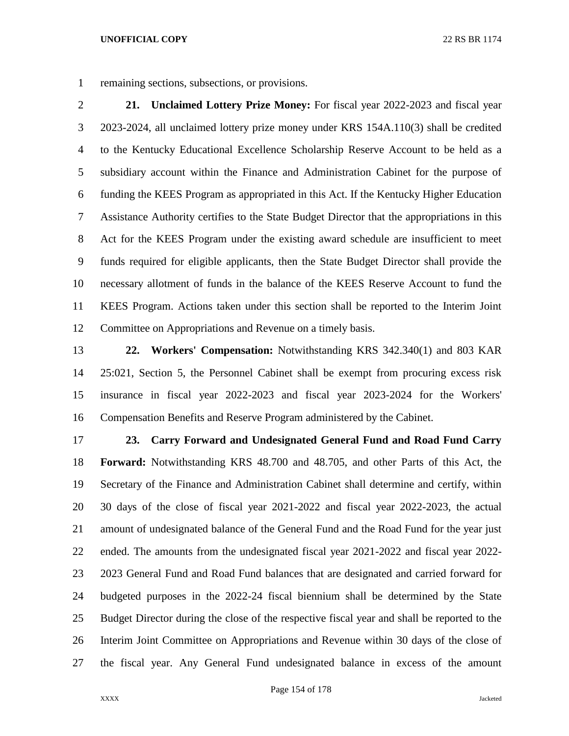remaining sections, subsections, or provisions.

 **21. Unclaimed Lottery Prize Money:** For fiscal year 2022-2023 and fiscal year 2023-2024, all unclaimed lottery prize money under KRS 154A.110(3) shall be credited to the Kentucky Educational Excellence Scholarship Reserve Account to be held as a subsidiary account within the Finance and Administration Cabinet for the purpose of funding the KEES Program as appropriated in this Act. If the Kentucky Higher Education Assistance Authority certifies to the State Budget Director that the appropriations in this Act for the KEES Program under the existing award schedule are insufficient to meet funds required for eligible applicants, then the State Budget Director shall provide the necessary allotment of funds in the balance of the KEES Reserve Account to fund the KEES Program. Actions taken under this section shall be reported to the Interim Joint Committee on Appropriations and Revenue on a timely basis.

 **22. Workers' Compensation:** Notwithstanding KRS 342.340(1) and 803 KAR 25:021, Section 5, the Personnel Cabinet shall be exempt from procuring excess risk insurance in fiscal year 2022-2023 and fiscal year 2023-2024 for the Workers' Compensation Benefits and Reserve Program administered by the Cabinet.

 **23. Carry Forward and Undesignated General Fund and Road Fund Carry Forward:** Notwithstanding KRS 48.700 and 48.705, and other Parts of this Act, the Secretary of the Finance and Administration Cabinet shall determine and certify, within 30 days of the close of fiscal year 2021-2022 and fiscal year 2022-2023, the actual amount of undesignated balance of the General Fund and the Road Fund for the year just ended. The amounts from the undesignated fiscal year 2021-2022 and fiscal year 2022- 2023 General Fund and Road Fund balances that are designated and carried forward for budgeted purposes in the 2022-24 fiscal biennium shall be determined by the State Budget Director during the close of the respective fiscal year and shall be reported to the Interim Joint Committee on Appropriations and Revenue within 30 days of the close of the fiscal year. Any General Fund undesignated balance in excess of the amount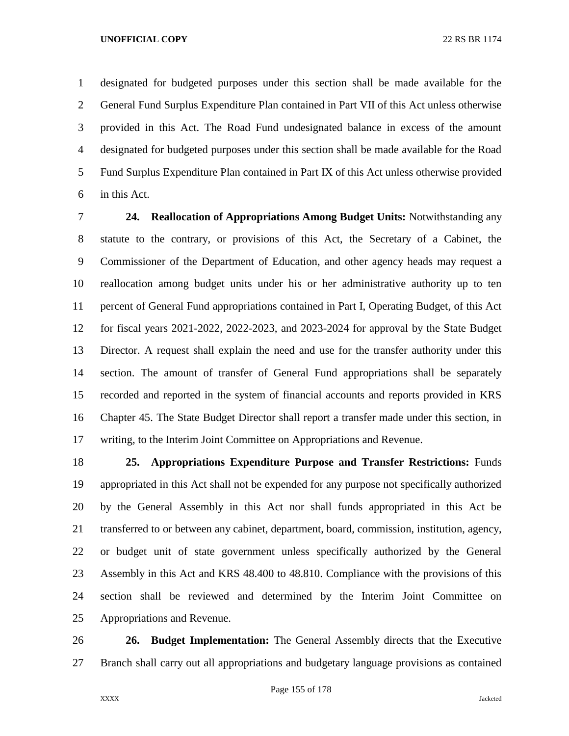designated for budgeted purposes under this section shall be made available for the General Fund Surplus Expenditure Plan contained in Part VII of this Act unless otherwise provided in this Act. The Road Fund undesignated balance in excess of the amount designated for budgeted purposes under this section shall be made available for the Road Fund Surplus Expenditure Plan contained in Part IX of this Act unless otherwise provided in this Act.

 **24. Reallocation of Appropriations Among Budget Units:** Notwithstanding any statute to the contrary, or provisions of this Act, the Secretary of a Cabinet, the Commissioner of the Department of Education, and other agency heads may request a reallocation among budget units under his or her administrative authority up to ten percent of General Fund appropriations contained in Part I, Operating Budget, of this Act for fiscal years 2021-2022, 2022-2023, and 2023-2024 for approval by the State Budget Director. A request shall explain the need and use for the transfer authority under this section. The amount of transfer of General Fund appropriations shall be separately recorded and reported in the system of financial accounts and reports provided in KRS Chapter 45. The State Budget Director shall report a transfer made under this section, in writing, to the Interim Joint Committee on Appropriations and Revenue.

 **25. Appropriations Expenditure Purpose and Transfer Restrictions:** Funds appropriated in this Act shall not be expended for any purpose not specifically authorized by the General Assembly in this Act nor shall funds appropriated in this Act be transferred to or between any cabinet, department, board, commission, institution, agency, or budget unit of state government unless specifically authorized by the General Assembly in this Act and KRS 48.400 to 48.810. Compliance with the provisions of this section shall be reviewed and determined by the Interim Joint Committee on Appropriations and Revenue.

 **26. Budget Implementation:** The General Assembly directs that the Executive Branch shall carry out all appropriations and budgetary language provisions as contained

Page 155 of 178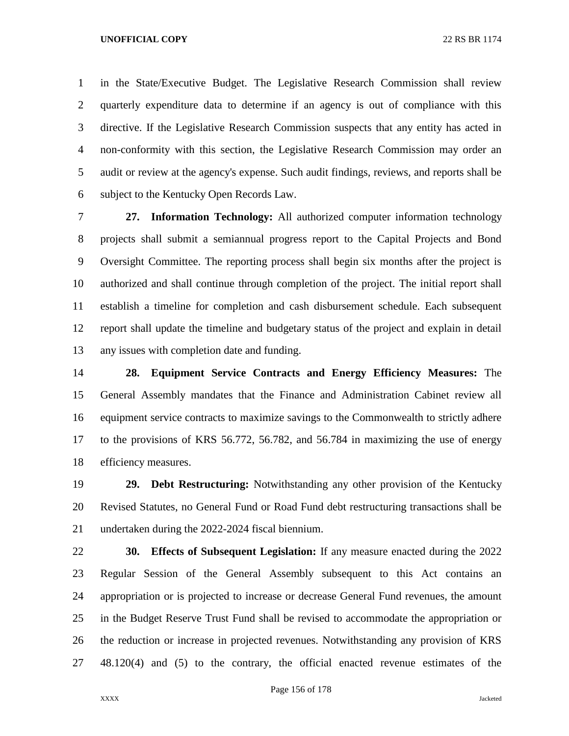in the State/Executive Budget. The Legislative Research Commission shall review quarterly expenditure data to determine if an agency is out of compliance with this directive. If the Legislative Research Commission suspects that any entity has acted in non-conformity with this section, the Legislative Research Commission may order an audit or review at the agency's expense. Such audit findings, reviews, and reports shall be subject to the Kentucky Open Records Law.

 **27. Information Technology:** All authorized computer information technology projects shall submit a semiannual progress report to the Capital Projects and Bond Oversight Committee. The reporting process shall begin six months after the project is authorized and shall continue through completion of the project. The initial report shall establish a timeline for completion and cash disbursement schedule. Each subsequent report shall update the timeline and budgetary status of the project and explain in detail any issues with completion date and funding.

 **28. Equipment Service Contracts and Energy Efficiency Measures:** The General Assembly mandates that the Finance and Administration Cabinet review all equipment service contracts to maximize savings to the Commonwealth to strictly adhere to the provisions of KRS 56.772, 56.782, and 56.784 in maximizing the use of energy efficiency measures.

 **29. Debt Restructuring:** Notwithstanding any other provision of the Kentucky Revised Statutes, no General Fund or Road Fund debt restructuring transactions shall be undertaken during the 2022-2024 fiscal biennium.

 **30. Effects of Subsequent Legislation:** If any measure enacted during the 2022 Regular Session of the General Assembly subsequent to this Act contains an appropriation or is projected to increase or decrease General Fund revenues, the amount in the Budget Reserve Trust Fund shall be revised to accommodate the appropriation or the reduction or increase in projected revenues. Notwithstanding any provision of KRS 48.120(4) and (5) to the contrary, the official enacted revenue estimates of the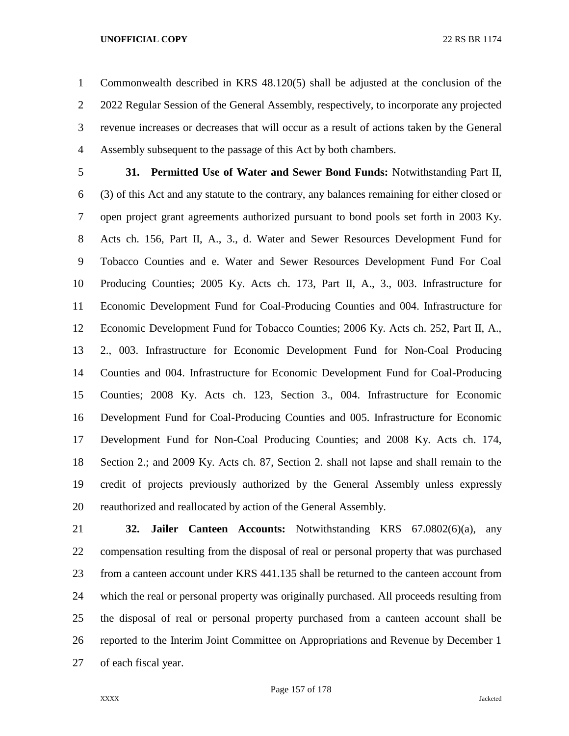Commonwealth described in KRS 48.120(5) shall be adjusted at the conclusion of the 2022 Regular Session of the General Assembly, respectively, to incorporate any projected revenue increases or decreases that will occur as a result of actions taken by the General Assembly subsequent to the passage of this Act by both chambers.

 **31. Permitted Use of Water and Sewer Bond Funds:** Notwithstanding Part II, (3) of this Act and any statute to the contrary, any balances remaining for either closed or open project grant agreements authorized pursuant to bond pools set forth in 2003 Ky. Acts ch. 156, Part II, A., 3., d. Water and Sewer Resources Development Fund for Tobacco Counties and e. Water and Sewer Resources Development Fund For Coal Producing Counties; 2005 Ky. Acts ch. 173, Part II, A., 3., 003. Infrastructure for Economic Development Fund for Coal-Producing Counties and 004. Infrastructure for Economic Development Fund for Tobacco Counties; 2006 Ky. Acts ch. 252, Part II, A., 2., 003. Infrastructure for Economic Development Fund for Non-Coal Producing Counties and 004. Infrastructure for Economic Development Fund for Coal-Producing Counties; 2008 Ky. Acts ch. 123, Section 3., 004. Infrastructure for Economic Development Fund for Coal-Producing Counties and 005. Infrastructure for Economic Development Fund for Non-Coal Producing Counties; and 2008 Ky. Acts ch. 174, Section 2.; and 2009 Ky. Acts ch. 87, Section 2. shall not lapse and shall remain to the credit of projects previously authorized by the General Assembly unless expressly reauthorized and reallocated by action of the General Assembly.

 **32. Jailer Canteen Accounts:** Notwithstanding KRS 67.0802(6)(a), any compensation resulting from the disposal of real or personal property that was purchased from a canteen account under KRS 441.135 shall be returned to the canteen account from which the real or personal property was originally purchased. All proceeds resulting from the disposal of real or personal property purchased from a canteen account shall be reported to the Interim Joint Committee on Appropriations and Revenue by December 1 of each fiscal year.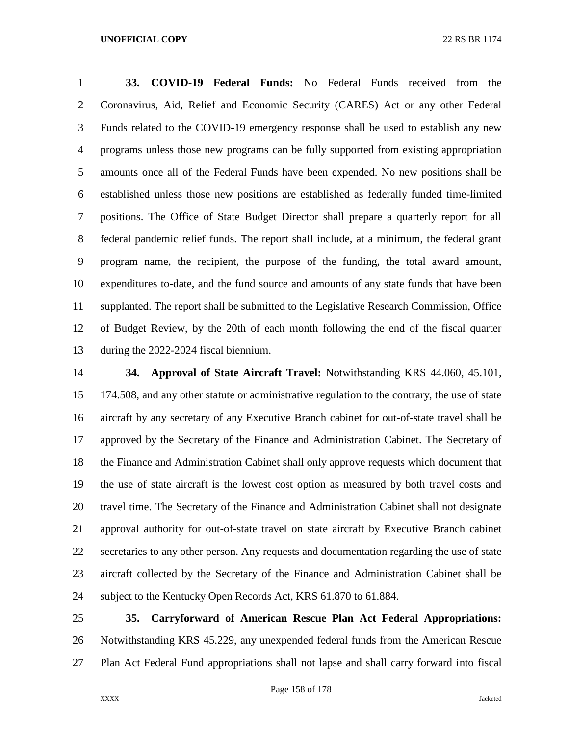**33. COVID-19 Federal Funds:** No Federal Funds received from the Coronavirus, Aid, Relief and Economic Security (CARES) Act or any other Federal Funds related to the COVID-19 emergency response shall be used to establish any new programs unless those new programs can be fully supported from existing appropriation amounts once all of the Federal Funds have been expended. No new positions shall be established unless those new positions are established as federally funded time-limited positions. The Office of State Budget Director shall prepare a quarterly report for all federal pandemic relief funds. The report shall include, at a minimum, the federal grant program name, the recipient, the purpose of the funding, the total award amount, expenditures to-date, and the fund source and amounts of any state funds that have been supplanted. The report shall be submitted to the Legislative Research Commission, Office of Budget Review, by the 20th of each month following the end of the fiscal quarter during the 2022-2024 fiscal biennium.

 **34. Approval of State Aircraft Travel:** Notwithstanding KRS 44.060, 45.101, 174.508, and any other statute or administrative regulation to the contrary, the use of state aircraft by any secretary of any Executive Branch cabinet for out-of-state travel shall be approved by the Secretary of the Finance and Administration Cabinet. The Secretary of the Finance and Administration Cabinet shall only approve requests which document that the use of state aircraft is the lowest cost option as measured by both travel costs and travel time. The Secretary of the Finance and Administration Cabinet shall not designate approval authority for out-of-state travel on state aircraft by Executive Branch cabinet secretaries to any other person. Any requests and documentation regarding the use of state aircraft collected by the Secretary of the Finance and Administration Cabinet shall be subject to the Kentucky Open Records Act, KRS 61.870 to 61.884.

 **35. Carryforward of American Rescue Plan Act Federal Appropriations:**  Notwithstanding KRS 45.229, any unexpended federal funds from the American Rescue Plan Act Federal Fund appropriations shall not lapse and shall carry forward into fiscal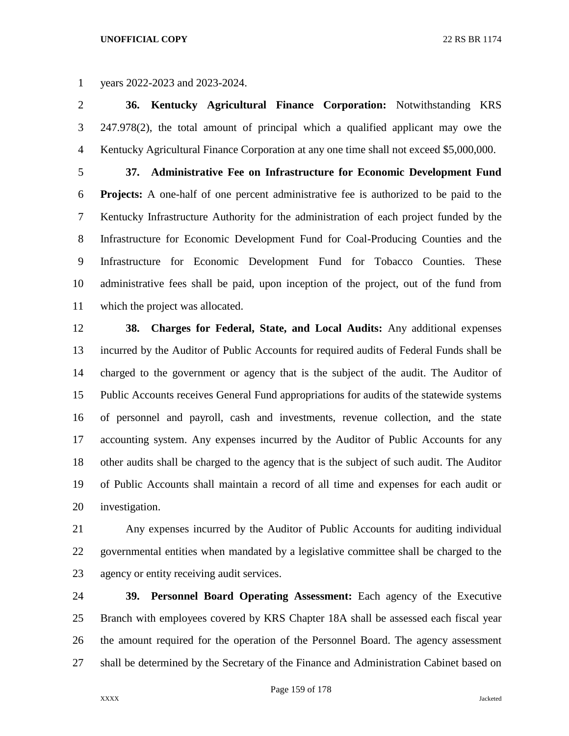years 2022-2023 and 2023-2024.

 **36. Kentucky Agricultural Finance Corporation:** Notwithstanding KRS 247.978(2), the total amount of principal which a qualified applicant may owe the Kentucky Agricultural Finance Corporation at any one time shall not exceed \$5,000,000.

 **37. Administrative Fee on Infrastructure for Economic Development Fund Projects:** A one-half of one percent administrative fee is authorized to be paid to the Kentucky Infrastructure Authority for the administration of each project funded by the Infrastructure for Economic Development Fund for Coal-Producing Counties and the Infrastructure for Economic Development Fund for Tobacco Counties. These administrative fees shall be paid, upon inception of the project, out of the fund from which the project was allocated.

 **38. Charges for Federal, State, and Local Audits:** Any additional expenses incurred by the Auditor of Public Accounts for required audits of Federal Funds shall be charged to the government or agency that is the subject of the audit. The Auditor of Public Accounts receives General Fund appropriations for audits of the statewide systems of personnel and payroll, cash and investments, revenue collection, and the state accounting system. Any expenses incurred by the Auditor of Public Accounts for any other audits shall be charged to the agency that is the subject of such audit. The Auditor of Public Accounts shall maintain a record of all time and expenses for each audit or investigation.

 Any expenses incurred by the Auditor of Public Accounts for auditing individual governmental entities when mandated by a legislative committee shall be charged to the agency or entity receiving audit services.

 **39. Personnel Board Operating Assessment:** Each agency of the Executive Branch with employees covered by KRS Chapter 18A shall be assessed each fiscal year the amount required for the operation of the Personnel Board. The agency assessment shall be determined by the Secretary of the Finance and Administration Cabinet based on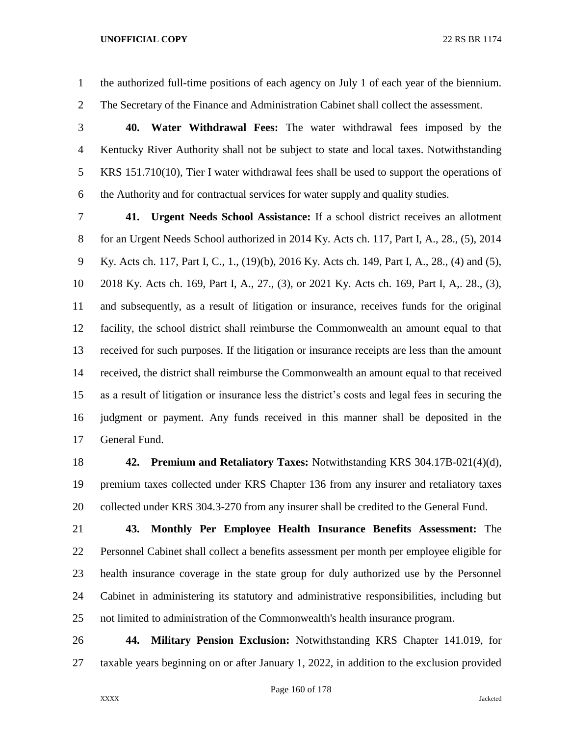the authorized full-time positions of each agency on July 1 of each year of the biennium.

The Secretary of the Finance and Administration Cabinet shall collect the assessment.

 **40. Water Withdrawal Fees:** The water withdrawal fees imposed by the Kentucky River Authority shall not be subject to state and local taxes. Notwithstanding KRS 151.710(10), Tier I water withdrawal fees shall be used to support the operations of the Authority and for contractual services for water supply and quality studies.

 **41. Urgent Needs School Assistance:** If a school district receives an allotment for an Urgent Needs School authorized in 2014 Ky. Acts ch. 117, Part I, A., 28., (5), 2014 Ky. Acts ch. 117, Part I, C., 1., (19)(b), 2016 Ky. Acts ch. 149, Part I, A., 28., (4) and (5), 2018 Ky. Acts ch. 169, Part I, A., 27., (3), or 2021 Ky. Acts ch. 169, Part I, A,. 28., (3), and subsequently, as a result of litigation or insurance, receives funds for the original facility, the school district shall reimburse the Commonwealth an amount equal to that received for such purposes. If the litigation or insurance receipts are less than the amount received, the district shall reimburse the Commonwealth an amount equal to that received as a result of litigation or insurance less the district's costs and legal fees in securing the judgment or payment. Any funds received in this manner shall be deposited in the General Fund.

 **42. Premium and Retaliatory Taxes:** Notwithstanding KRS 304.17B-021(4)(d), premium taxes collected under KRS Chapter 136 from any insurer and retaliatory taxes collected under KRS 304.3-270 from any insurer shall be credited to the General Fund.

 **43. Monthly Per Employee Health Insurance Benefits Assessment:** The Personnel Cabinet shall collect a benefits assessment per month per employee eligible for health insurance coverage in the state group for duly authorized use by the Personnel Cabinet in administering its statutory and administrative responsibilities, including but not limited to administration of the Commonwealth's health insurance program.

 **44. Military Pension Exclusion:** Notwithstanding KRS Chapter 141.019, for taxable years beginning on or after January 1, 2022, in addition to the exclusion provided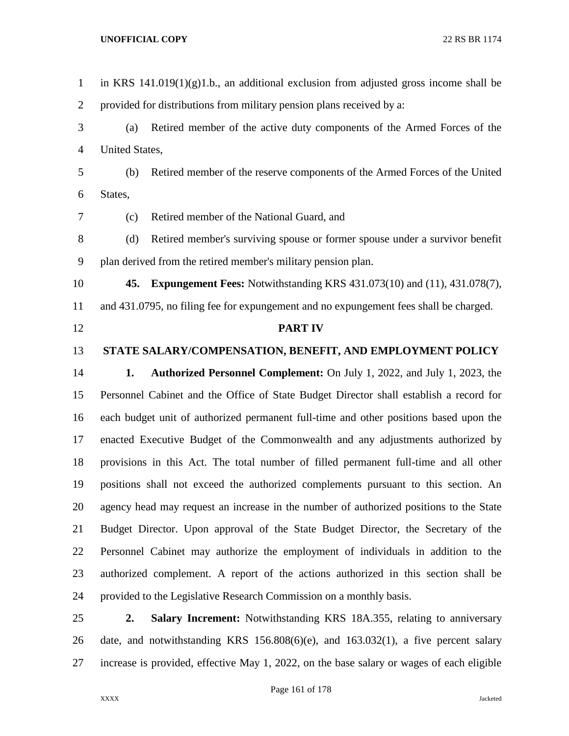| $\mathbf{1}$   |                | in KRS $141.019(1)(g)1.b$ , an additional exclusion from adjusted gross income shall be  |
|----------------|----------------|------------------------------------------------------------------------------------------|
| $\overline{2}$ |                | provided for distributions from military pension plans received by a:                    |
| 3              | (a)            | Retired member of the active duty components of the Armed Forces of the                  |
| $\overline{4}$ | United States, |                                                                                          |
| 5              | (b)            | Retired member of the reserve components of the Armed Forces of the United               |
| 6              | States,        |                                                                                          |
| 7              | (c)            | Retired member of the National Guard, and                                                |
| $8\,$          | (d)            | Retired member's surviving spouse or former spouse under a survivor benefit              |
| 9              |                | plan derived from the retired member's military pension plan.                            |
| 10             |                | <b>45. Expungement Fees:</b> Notwithstanding KRS 431.073(10) and (11), 431.078(7),       |
| 11             |                | and 431.0795, no filing fee for expungement and no expungement fees shall be charged.    |
| 12             |                | <b>PART IV</b>                                                                           |
| 13             |                | STATE SALARY/COMPENSATION, BENEFIT, AND EMPLOYMENT POLICY                                |
| 14             | 1.             | Authorized Personnel Complement: On July 1, 2022, and July 1, 2023, the                  |
| 15             |                | Personnel Cabinet and the Office of State Budget Director shall establish a record for   |
| 16             |                | each budget unit of authorized permanent full-time and other positions based upon the    |
| 17             |                | enacted Executive Budget of the Commonwealth and any adjustments authorized by           |
| 18             |                | provisions in this Act. The total number of filled permanent full-time and all other     |
| 19             |                | positions shall not exceed the authorized complements pursuant to this section. An       |
| 20             |                | agency head may request an increase in the number of authorized positions to the State   |
| 21             |                | Budget Director. Upon approval of the State Budget Director, the Secretary of the        |
| 22             |                | Personnel Cabinet may authorize the employment of individuals in addition to the         |
| 23             |                | authorized complement. A report of the actions authorized in this section shall be       |
| 24             |                | provided to the Legislative Research Commission on a monthly basis.                      |
| 25             | 2.             | Salary Increment: Notwithstanding KRS 18A.355, relating to anniversary                   |
| 26             |                | date, and notwithstanding KRS $156.808(6)(e)$ , and $163.032(1)$ , a five percent salary |

increase is provided, effective May 1, 2022, on the base salary or wages of each eligible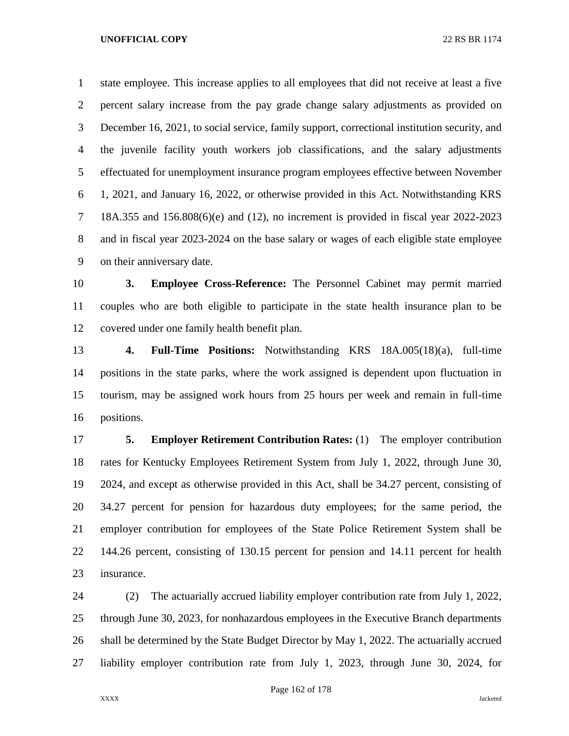state employee. This increase applies to all employees that did not receive at least a five percent salary increase from the pay grade change salary adjustments as provided on December 16, 2021, to social service, family support, correctional institution security, and the juvenile facility youth workers job classifications, and the salary adjustments effectuated for unemployment insurance program employees effective between November 1, 2021, and January 16, 2022, or otherwise provided in this Act. Notwithstanding KRS 18A.355 and 156.808(6)(e) and (12), no increment is provided in fiscal year 2022-2023 and in fiscal year 2023-2024 on the base salary or wages of each eligible state employee on their anniversary date.

 **3. Employee Cross-Reference:** The Personnel Cabinet may permit married couples who are both eligible to participate in the state health insurance plan to be covered under one family health benefit plan.

 **4. Full-Time Positions:** Notwithstanding KRS 18A.005(18)(a), full-time positions in the state parks, where the work assigned is dependent upon fluctuation in tourism, may be assigned work hours from 25 hours per week and remain in full-time positions.

 **5. Employer Retirement Contribution Rates:** (1) The employer contribution rates for Kentucky Employees Retirement System from July 1, 2022, through June 30, 2024, and except as otherwise provided in this Act, shall be 34.27 percent, consisting of 34.27 percent for pension for hazardous duty employees; for the same period, the employer contribution for employees of the State Police Retirement System shall be 144.26 percent, consisting of 130.15 percent for pension and 14.11 percent for health insurance.

 (2) The actuarially accrued liability employer contribution rate from July 1, 2022, through June 30, 2023, for nonhazardous employees in the Executive Branch departments shall be determined by the State Budget Director by May 1, 2022. The actuarially accrued liability employer contribution rate from July 1, 2023, through June 30, 2024, for

Page 162 of 178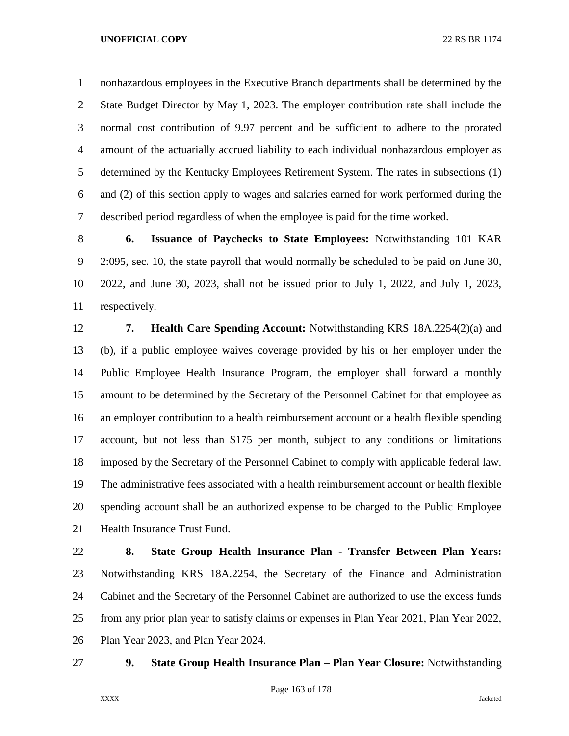nonhazardous employees in the Executive Branch departments shall be determined by the State Budget Director by May 1, 2023. The employer contribution rate shall include the normal cost contribution of 9.97 percent and be sufficient to adhere to the prorated amount of the actuarially accrued liability to each individual nonhazardous employer as determined by the Kentucky Employees Retirement System. The rates in subsections (1) and (2) of this section apply to wages and salaries earned for work performed during the described period regardless of when the employee is paid for the time worked.

 **6. Issuance of Paychecks to State Employees:** Notwithstanding 101 KAR 2:095, sec. 10, the state payroll that would normally be scheduled to be paid on June 30, 2022, and June 30, 2023, shall not be issued prior to July 1, 2022, and July 1, 2023, respectively.

 **7. Health Care Spending Account:** Notwithstanding KRS 18A.2254(2)(a) and (b), if a public employee waives coverage provided by his or her employer under the Public Employee Health Insurance Program, the employer shall forward a monthly amount to be determined by the Secretary of the Personnel Cabinet for that employee as an employer contribution to a health reimbursement account or a health flexible spending account, but not less than \$175 per month, subject to any conditions or limitations imposed by the Secretary of the Personnel Cabinet to comply with applicable federal law. The administrative fees associated with a health reimbursement account or health flexible spending account shall be an authorized expense to be charged to the Public Employee Health Insurance Trust Fund.

 **8. State Group Health Insurance Plan - Transfer Between Plan Years:**  Notwithstanding KRS 18A.2254, the Secretary of the Finance and Administration Cabinet and the Secretary of the Personnel Cabinet are authorized to use the excess funds from any prior plan year to satisfy claims or expenses in Plan Year 2021, Plan Year 2022, Plan Year 2023, and Plan Year 2024.

## **9. State Group Health Insurance Plan – Plan Year Closure:** Notwithstanding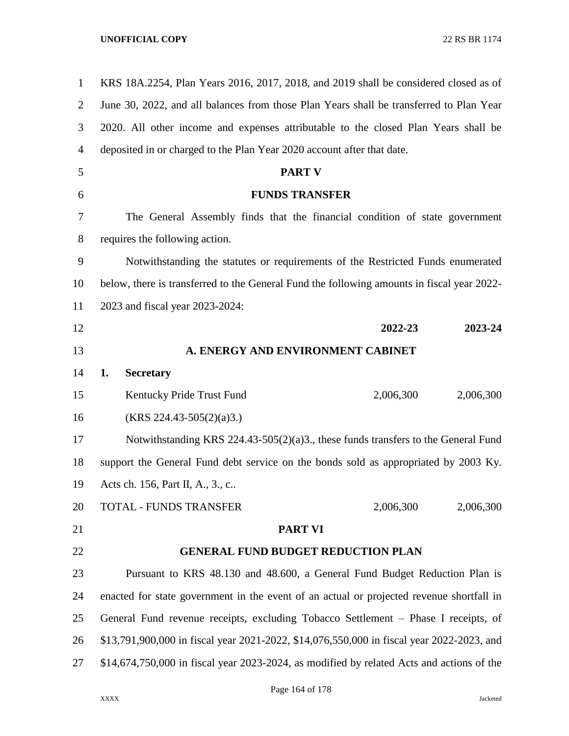| $\mathbf{1}$   | KRS 18A.2254, Plan Years 2016, 2017, 2018, and 2019 shall be considered closed as of       |  |  |  |  |
|----------------|--------------------------------------------------------------------------------------------|--|--|--|--|
| $\overline{2}$ | June 30, 2022, and all balances from those Plan Years shall be transferred to Plan Year    |  |  |  |  |
| 3              | 2020. All other income and expenses attributable to the closed Plan Years shall be         |  |  |  |  |
| 4              | deposited in or charged to the Plan Year 2020 account after that date.                     |  |  |  |  |
| 5              | <b>PART V</b>                                                                              |  |  |  |  |
| 6              | <b>FUNDS TRANSFER</b>                                                                      |  |  |  |  |
| 7              | The General Assembly finds that the financial condition of state government                |  |  |  |  |
| 8              | requires the following action.                                                             |  |  |  |  |
| 9              | Notwithstanding the statutes or requirements of the Restricted Funds enumerated            |  |  |  |  |
| 10             | below, there is transferred to the General Fund the following amounts in fiscal year 2022- |  |  |  |  |
| 11             | 2023 and fiscal year 2023-2024:                                                            |  |  |  |  |
| 12             | 2022-23<br>2023-24                                                                         |  |  |  |  |
| 13             | A. ENERGY AND ENVIRONMENT CABINET                                                          |  |  |  |  |
| 14             | 1.<br><b>Secretary</b>                                                                     |  |  |  |  |
| 15             | 2,006,300<br>2,006,300<br>Kentucky Pride Trust Fund                                        |  |  |  |  |
| 16             | $(KRS 224.43-505(2)(a)3.)$                                                                 |  |  |  |  |
| 17             | Notwithstanding KRS $224.43-505(2)(a)3$ ., these funds transfers to the General Fund       |  |  |  |  |
| 18             | support the General Fund debt service on the bonds sold as appropriated by 2003 Ky.        |  |  |  |  |
| 19             | Acts ch. 156, Part II, A., 3., c                                                           |  |  |  |  |
| 20             | 2,006,300<br>2,006,300<br>TOTAL - FUNDS TRANSFER                                           |  |  |  |  |
| 21             | <b>PART VI</b>                                                                             |  |  |  |  |
| 22             | <b>GENERAL FUND BUDGET REDUCTION PLAN</b>                                                  |  |  |  |  |
| 23             | Pursuant to KRS 48.130 and 48.600, a General Fund Budget Reduction Plan is                 |  |  |  |  |
| 24             | enacted for state government in the event of an actual or projected revenue shortfall in   |  |  |  |  |
| 25             | General Fund revenue receipts, excluding Tobacco Settlement – Phase I receipts, of         |  |  |  |  |
| 26             | \$13,791,900,000 in fiscal year 2021-2022, \$14,076,550,000 in fiscal year 2022-2023, and  |  |  |  |  |
| 27             | $$14,674,750,000$ in fiscal year 2023-2024, as modified by related Acts and actions of the |  |  |  |  |
|                |                                                                                            |  |  |  |  |

Page 164 of 178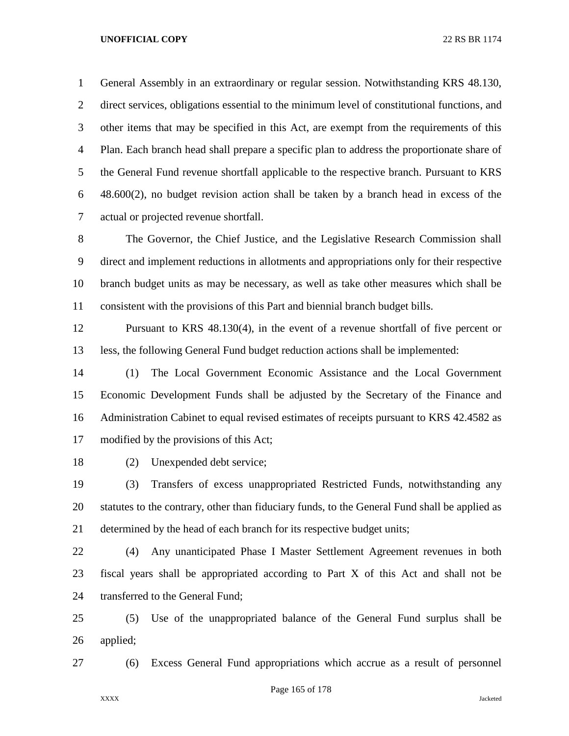General Assembly in an extraordinary or regular session. Notwithstanding KRS 48.130, direct services, obligations essential to the minimum level of constitutional functions, and other items that may be specified in this Act, are exempt from the requirements of this Plan. Each branch head shall prepare a specific plan to address the proportionate share of the General Fund revenue shortfall applicable to the respective branch. Pursuant to KRS 48.600(2), no budget revision action shall be taken by a branch head in excess of the actual or projected revenue shortfall.

 The Governor, the Chief Justice, and the Legislative Research Commission shall direct and implement reductions in allotments and appropriations only for their respective branch budget units as may be necessary, as well as take other measures which shall be consistent with the provisions of this Part and biennial branch budget bills.

 Pursuant to KRS 48.130(4), in the event of a revenue shortfall of five percent or less, the following General Fund budget reduction actions shall be implemented:

 (1) The Local Government Economic Assistance and the Local Government Economic Development Funds shall be adjusted by the Secretary of the Finance and Administration Cabinet to equal revised estimates of receipts pursuant to KRS 42.4582 as modified by the provisions of this Act;

(2) Unexpended debt service;

 (3) Transfers of excess unappropriated Restricted Funds, notwithstanding any statutes to the contrary, other than fiduciary funds, to the General Fund shall be applied as determined by the head of each branch for its respective budget units;

 (4) Any unanticipated Phase I Master Settlement Agreement revenues in both fiscal years shall be appropriated according to Part X of this Act and shall not be transferred to the General Fund;

 (5) Use of the unappropriated balance of the General Fund surplus shall be applied;

(6) Excess General Fund appropriations which accrue as a result of personnel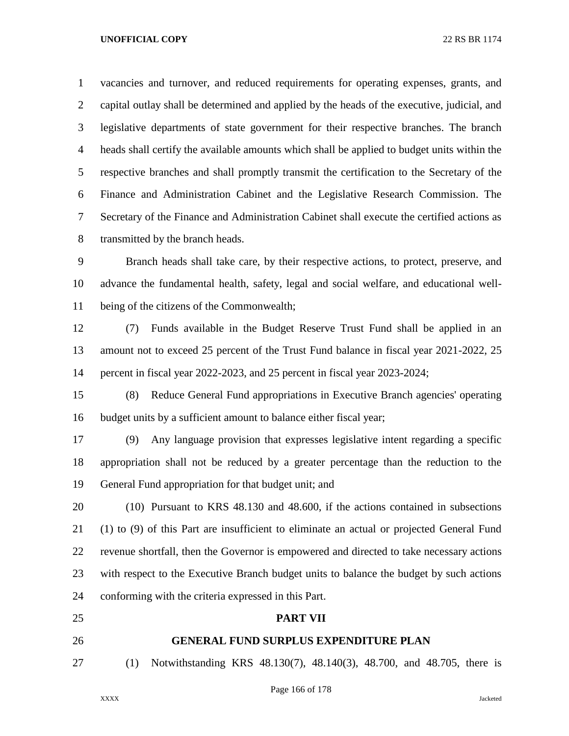vacancies and turnover, and reduced requirements for operating expenses, grants, and capital outlay shall be determined and applied by the heads of the executive, judicial, and legislative departments of state government for their respective branches. The branch heads shall certify the available amounts which shall be applied to budget units within the respective branches and shall promptly transmit the certification to the Secretary of the Finance and Administration Cabinet and the Legislative Research Commission. The Secretary of the Finance and Administration Cabinet shall execute the certified actions as transmitted by the branch heads.

 Branch heads shall take care, by their respective actions, to protect, preserve, and advance the fundamental health, safety, legal and social welfare, and educational well-being of the citizens of the Commonwealth;

 (7) Funds available in the Budget Reserve Trust Fund shall be applied in an amount not to exceed 25 percent of the Trust Fund balance in fiscal year 2021-2022, 25 percent in fiscal year 2022-2023, and 25 percent in fiscal year 2023-2024;

 (8) Reduce General Fund appropriations in Executive Branch agencies' operating budget units by a sufficient amount to balance either fiscal year;

 (9) Any language provision that expresses legislative intent regarding a specific appropriation shall not be reduced by a greater percentage than the reduction to the General Fund appropriation for that budget unit; and

 (10) Pursuant to KRS 48.130 and 48.600, if the actions contained in subsections (1) to (9) of this Part are insufficient to eliminate an actual or projected General Fund revenue shortfall, then the Governor is empowered and directed to take necessary actions with respect to the Executive Branch budget units to balance the budget by such actions conforming with the criteria expressed in this Part.

# **PART VII**

# **GENERAL FUND SURPLUS EXPENDITURE PLAN**

(1) Notwithstanding KRS 48.130(7), 48.140(3), 48.700, and 48.705, there is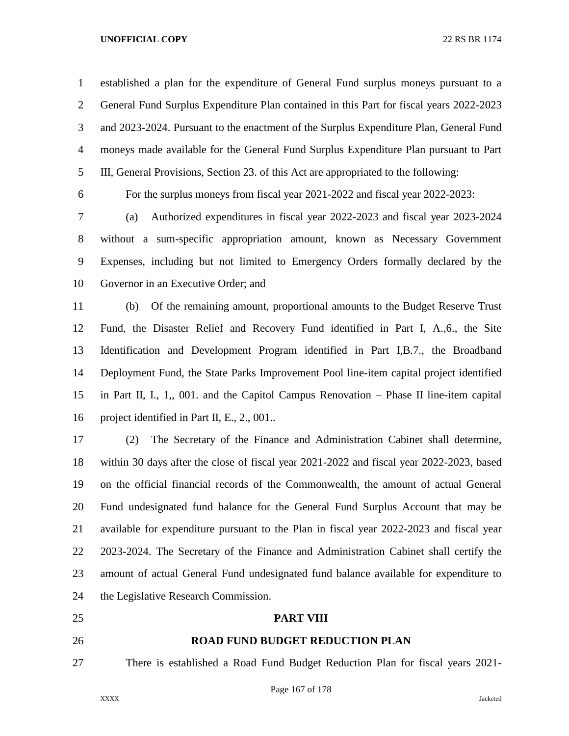established a plan for the expenditure of General Fund surplus moneys pursuant to a General Fund Surplus Expenditure Plan contained in this Part for fiscal years 2022-2023 and 2023-2024. Pursuant to the enactment of the Surplus Expenditure Plan, General Fund moneys made available for the General Fund Surplus Expenditure Plan pursuant to Part III, General Provisions, Section 23. of this Act are appropriated to the following:

For the surplus moneys from fiscal year 2021-2022 and fiscal year 2022-2023:

 (a) Authorized expenditures in fiscal year 2022-2023 and fiscal year 2023-2024 without a sum-specific appropriation amount, known as Necessary Government Expenses, including but not limited to Emergency Orders formally declared by the Governor in an Executive Order; and

 (b) Of the remaining amount, proportional amounts to the Budget Reserve Trust Fund, the Disaster Relief and Recovery Fund identified in Part I, A.,6., the Site Identification and Development Program identified in Part I,B.7., the Broadband Deployment Fund, the State Parks Improvement Pool line-item capital project identified in Part II, I., 1,, 001. and the Capitol Campus Renovation – Phase II line-item capital project identified in Part II, E., 2., 001..

 (2) The Secretary of the Finance and Administration Cabinet shall determine, within 30 days after the close of fiscal year 2021-2022 and fiscal year 2022-2023, based on the official financial records of the Commonwealth, the amount of actual General Fund undesignated fund balance for the General Fund Surplus Account that may be available for expenditure pursuant to the Plan in fiscal year 2022-2023 and fiscal year 2023-2024. The Secretary of the Finance and Administration Cabinet shall certify the amount of actual General Fund undesignated fund balance available for expenditure to the Legislative Research Commission.

## **PART VIII**

# **ROAD FUND BUDGET REDUCTION PLAN**

There is established a Road Fund Budget Reduction Plan for fiscal years 2021-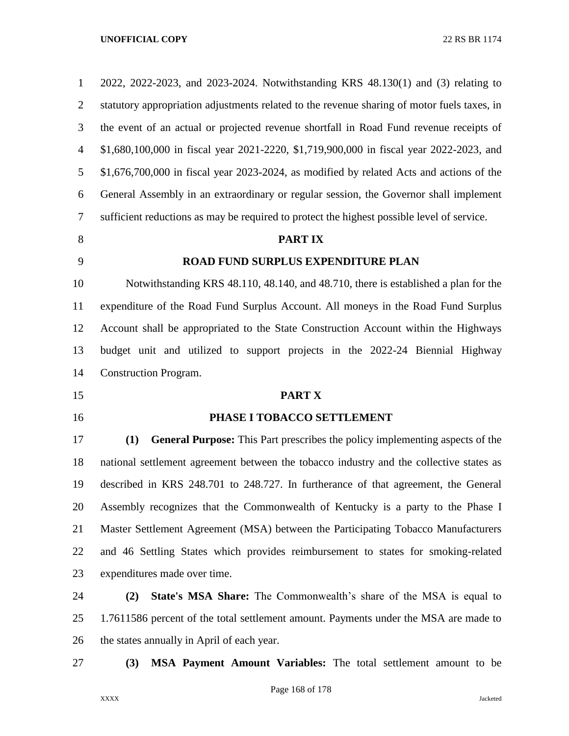| $\mathbf{1}$   | 2022, 2022-2023, and 2023-2024. Notwithstanding KRS 48.130(1) and (3) relating to           |
|----------------|---------------------------------------------------------------------------------------------|
| $\overline{2}$ | statutory appropriation adjustments related to the revenue sharing of motor fuels taxes, in |
| 3              | the event of an actual or projected revenue shortfall in Road Fund revenue receipts of      |
| $\overline{4}$ | \$1,680,100,000 in fiscal year 2021-2220, \$1,719,900,000 in fiscal year 2022-2023, and     |
| 5              | $$1,676,700,000$ in fiscal year 2023-2024, as modified by related Acts and actions of the   |
| 6              | General Assembly in an extraordinary or regular session, the Governor shall implement       |
| 7              | sufficient reductions as may be required to protect the highest possible level of service.  |
| 8              | <b>PARTIX</b>                                                                               |
| 9              | ROAD FUND SURPLUS EXPENDITURE PLAN                                                          |
| 10             | Notwithstanding KRS 48.110, 48.140, and 48.710, there is established a plan for the         |
| 11             | expenditure of the Road Fund Surplus Account. All moneys in the Road Fund Surplus           |
| 12             | Account shall be appropriated to the State Construction Account within the Highways         |
| 13             | budget unit and utilized to support projects in the 2022-24 Biennial Highway                |
| 14             | <b>Construction Program.</b>                                                                |
| 15             | PART X                                                                                      |
| 16             | PHASE I TOBACCO SETTLEMENT                                                                  |
| 17             | <b>General Purpose:</b> This Part prescribes the policy implementing aspects of the<br>(1)  |
| 18             | national settlement agreement between the tobacco industry and the collective states as     |
| 19             | described in KRS 248.701 to 248.727. In furtherance of that agreement, the General          |
| 20             | Assembly recognizes that the Commonwealth of Kentucky is a party to the Phase I             |
| 21             | Master Settlement Agreement (MSA) between the Participating Tobacco Manufacturers           |
| 22             | and 46 Settling States which provides reimbursement to states for smoking-related           |
| 23             | expenditures made over time.                                                                |
| 24             | <b>State's MSA Share:</b> The Commonwealth's share of the MSA is equal to<br>(2)            |
| 25             | 1.7611586 percent of the total settlement amount. Payments under the MSA are made to        |
| 26             | the states annually in April of each year.                                                  |
| 27             | MSA Payment Amount Variables: The total settlement amount to be<br>(3)                      |

Page 168 of 178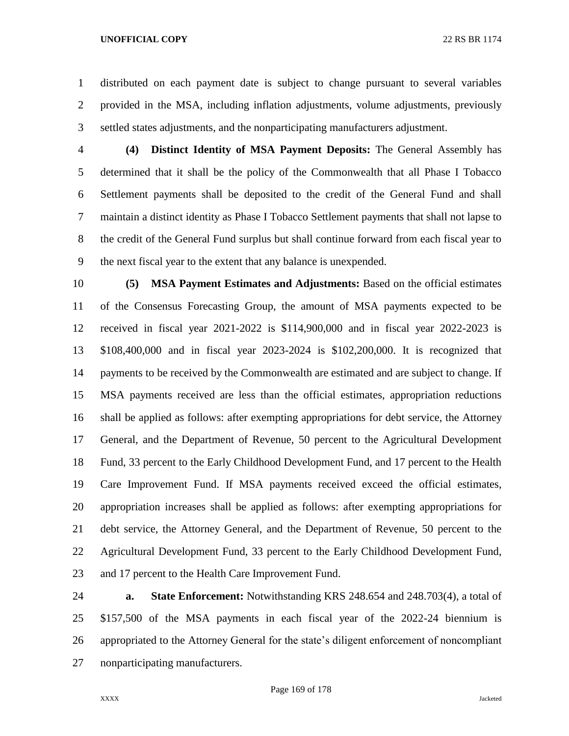distributed on each payment date is subject to change pursuant to several variables provided in the MSA, including inflation adjustments, volume adjustments, previously settled states adjustments, and the nonparticipating manufacturers adjustment.

 **(4) Distinct Identity of MSA Payment Deposits:** The General Assembly has determined that it shall be the policy of the Commonwealth that all Phase I Tobacco Settlement payments shall be deposited to the credit of the General Fund and shall maintain a distinct identity as Phase I Tobacco Settlement payments that shall not lapse to the credit of the General Fund surplus but shall continue forward from each fiscal year to the next fiscal year to the extent that any balance is unexpended.

 **(5) MSA Payment Estimates and Adjustments:** Based on the official estimates of the Consensus Forecasting Group, the amount of MSA payments expected to be received in fiscal year 2021-2022 is \$114,900,000 and in fiscal year 2022-2023 is \$108,400,000 and in fiscal year 2023-2024 is \$102,200,000. It is recognized that payments to be received by the Commonwealth are estimated and are subject to change. If MSA payments received are less than the official estimates, appropriation reductions shall be applied as follows: after exempting appropriations for debt service, the Attorney General, and the Department of Revenue, 50 percent to the Agricultural Development Fund, 33 percent to the Early Childhood Development Fund, and 17 percent to the Health Care Improvement Fund. If MSA payments received exceed the official estimates, appropriation increases shall be applied as follows: after exempting appropriations for debt service, the Attorney General, and the Department of Revenue, 50 percent to the Agricultural Development Fund, 33 percent to the Early Childhood Development Fund, and 17 percent to the Health Care Improvement Fund.

 **a. State Enforcement:** Notwithstanding KRS 248.654 and 248.703(4), a total of \$157,500 of the MSA payments in each fiscal year of the 2022-24 biennium is appropriated to the Attorney General for the state's diligent enforcement of noncompliant nonparticipating manufacturers.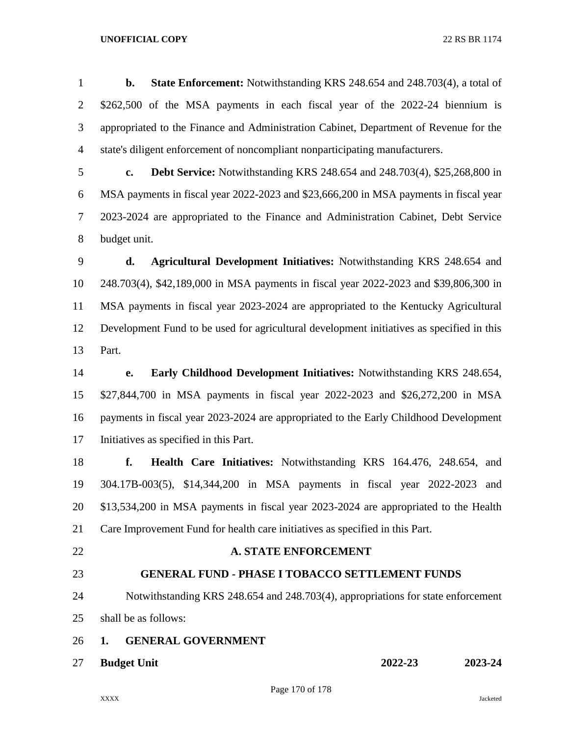**b. State Enforcement:** Notwithstanding KRS 248.654 and 248.703(4), a total of \$262,500 of the MSA payments in each fiscal year of the 2022-24 biennium is appropriated to the Finance and Administration Cabinet, Department of Revenue for the state's diligent enforcement of noncompliant nonparticipating manufacturers.

 **c. Debt Service:** Notwithstanding KRS 248.654 and 248.703(4), \$25,268,800 in MSA payments in fiscal year 2022-2023 and \$23,666,200 in MSA payments in fiscal year 2023-2024 are appropriated to the Finance and Administration Cabinet, Debt Service budget unit.

 **d. Agricultural Development Initiatives:** Notwithstanding KRS 248.654 and 248.703(4), \$42,189,000 in MSA payments in fiscal year 2022-2023 and \$39,806,300 in MSA payments in fiscal year 2023-2024 are appropriated to the Kentucky Agricultural Development Fund to be used for agricultural development initiatives as specified in this Part.

 **e. Early Childhood Development Initiatives:** Notwithstanding KRS 248.654, \$27,844,700 in MSA payments in fiscal year 2022-2023 and \$26,272,200 in MSA payments in fiscal year 2023-2024 are appropriated to the Early Childhood Development Initiatives as specified in this Part.

 **f. Health Care Initiatives:** Notwithstanding KRS 164.476, 248.654, and 304.17B-003(5), \$14,344,200 in MSA payments in fiscal year 2022-2023 and \$13,534,200 in MSA payments in fiscal year 2023-2024 are appropriated to the Health Care Improvement Fund for health care initiatives as specified in this Part.

## **A. STATE ENFORCEMENT**

# **GENERAL FUND - PHASE I TOBACCO SETTLEMENT FUNDS**

 Notwithstanding KRS 248.654 and 248.703(4), appropriations for state enforcement shall be as follows:

- **1. GENERAL GOVERNMENT**
- 

**Budget Unit 2022-23 2023-24**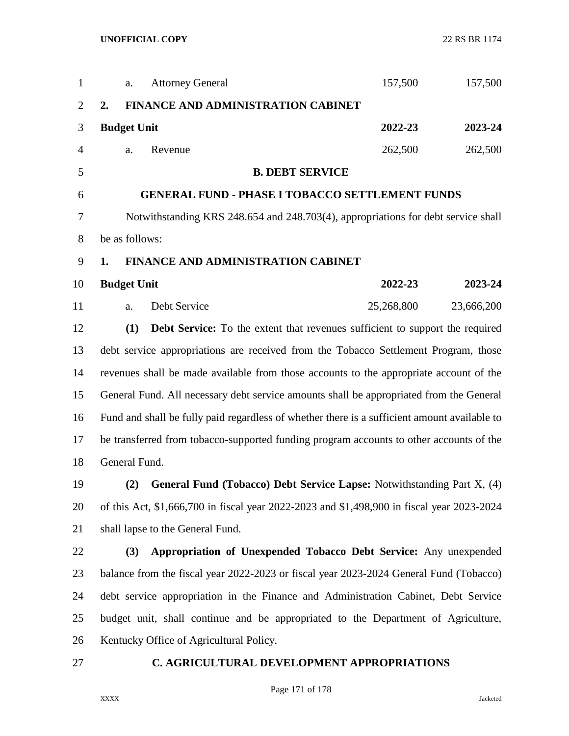| $\mathbf{1}$   |                                                                                    | a.                 | <b>Attorney General</b>                                                                      | 157,500    | 157,500    |  |
|----------------|------------------------------------------------------------------------------------|--------------------|----------------------------------------------------------------------------------------------|------------|------------|--|
| $\overline{2}$ | 2.                                                                                 |                    | <b>FINANCE AND ADMINISTRATION CABINET</b>                                                    |            |            |  |
| 3              |                                                                                    | <b>Budget Unit</b> |                                                                                              | 2022-23    | 2023-24    |  |
| $\overline{4}$ |                                                                                    | a.                 | Revenue                                                                                      | 262,500    | 262,500    |  |
| 5              |                                                                                    |                    | <b>B. DEBT SERVICE</b>                                                                       |            |            |  |
| 6              |                                                                                    |                    | <b>GENERAL FUND - PHASE I TOBACCO SETTLEMENT FUNDS</b>                                       |            |            |  |
| 7              |                                                                                    |                    | Notwithstanding KRS 248.654 and 248.703(4), appropriations for debt service shall            |            |            |  |
| 8              |                                                                                    | be as follows:     |                                                                                              |            |            |  |
| 9              | 1.                                                                                 |                    | <b>FINANCE AND ADMINISTRATION CABINET</b>                                                    |            |            |  |
| 10             |                                                                                    | <b>Budget Unit</b> |                                                                                              | 2022-23    | 2023-24    |  |
| 11             |                                                                                    | a.                 | Debt Service                                                                                 | 25,268,800 | 23,666,200 |  |
| 12             |                                                                                    | (1)                | <b>Debt Service:</b> To the extent that revenues sufficient to support the required          |            |            |  |
| 13             |                                                                                    |                    | debt service appropriations are received from the Tobacco Settlement Program, those          |            |            |  |
| 14             |                                                                                    |                    | revenues shall be made available from those accounts to the appropriate account of the       |            |            |  |
| 15             |                                                                                    |                    | General Fund. All necessary debt service amounts shall be appropriated from the General      |            |            |  |
| 16             |                                                                                    |                    | Fund and shall be fully paid regardless of whether there is a sufficient amount available to |            |            |  |
| 17             |                                                                                    |                    | be transferred from tobacco-supported funding program accounts to other accounts of the      |            |            |  |
| 18             |                                                                                    | General Fund.      |                                                                                              |            |            |  |
| 19             |                                                                                    | (2)                | <b>General Fund (Tobacco) Debt Service Lapse: Notwithstanding Part X, (4)</b>                |            |            |  |
| 20             |                                                                                    |                    | of this Act, \$1,666,700 in fiscal year 2022-2023 and \$1,498,900 in fiscal year 2023-2024   |            |            |  |
| 21             | shall lapse to the General Fund.                                                   |                    |                                                                                              |            |            |  |
| 22             |                                                                                    | (3)                | Appropriation of Unexpended Tobacco Debt Service: Any unexpended                             |            |            |  |
| 23             |                                                                                    |                    | balance from the fiscal year 2022-2023 or fiscal year 2023-2024 General Fund (Tobacco)       |            |            |  |
| 24             | debt service appropriation in the Finance and Administration Cabinet, Debt Service |                    |                                                                                              |            |            |  |
| 25             | budget unit, shall continue and be appropriated to the Department of Agriculture,  |                    |                                                                                              |            |            |  |
| 26             |                                                                                    |                    | Kentucky Office of Agricultural Policy.                                                      |            |            |  |
| 27             | C. AGRICULTURAL DEVELOPMENT APPROPRIATIONS                                         |                    |                                                                                              |            |            |  |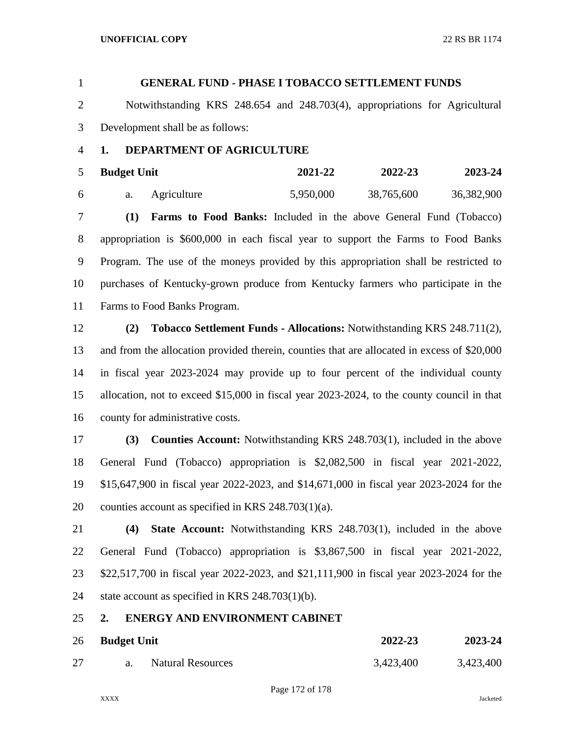# **GENERAL FUND - PHASE I TOBACCO SETTLEMENT FUNDS** Notwithstanding KRS 248.654 and 248.703(4), appropriations for Agricultural Development shall be as follows: **1. DEPARTMENT OF AGRICULTURE Budget Unit 2021-22 2022-23 2023-24** a. Agriculture 5,950,000 38,765,600 36,382,900 **(1) Farms to Food Banks:** Included in the above General Fund (Tobacco) appropriation is \$600,000 in each fiscal year to support the Farms to Food Banks Program. The use of the moneys provided by this appropriation shall be restricted to purchases of Kentucky-grown produce from Kentucky farmers who participate in the Farms to Food Banks Program. **(2) Tobacco Settlement Funds - Allocations:** Notwithstanding KRS 248.711(2), and from the allocation provided therein, counties that are allocated in excess of \$20,000 in fiscal year 2023-2024 may provide up to four percent of the individual county

 allocation, not to exceed \$15,000 in fiscal year 2023-2024, to the county council in that county for administrative costs.

 **(3) Counties Account:** Notwithstanding KRS 248.703(1), included in the above General Fund (Tobacco) appropriation is \$2,082,500 in fiscal year 2021-2022, \$15,647,900 in fiscal year 2022-2023, and \$14,671,000 in fiscal year 2023-2024 for the counties account as specified in KRS 248.703(1)(a).

 **(4) State Account:** Notwithstanding KRS 248.703(1), included in the above General Fund (Tobacco) appropriation is \$3,867,500 in fiscal year 2021-2022, \$22,517,700 in fiscal year 2022-2023, and \$21,111,900 in fiscal year 2023-2024 for the state account as specified in KRS 248.703(1)(b).

# **2. ENERGY AND ENVIRONMENT CABINET**

| 26 | <b>Budget Unit</b> |                          | 2022-23   | 2023-24   |  |
|----|--------------------|--------------------------|-----------|-----------|--|
|    |                    | <b>Natural Resources</b> | 3,423,400 | 3,423,400 |  |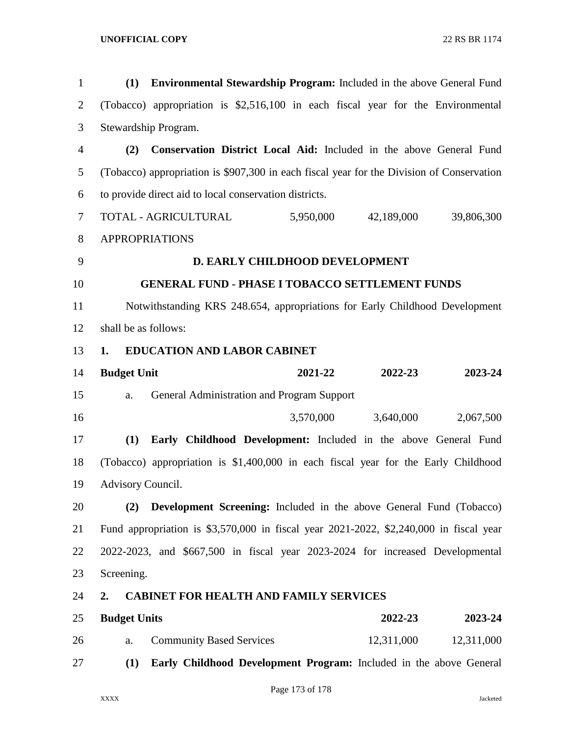| $\mathbf{1}$   | (1)                  | <b>Environmental Stewardship Program:</b> Included in the above General Fund              |                                |            |            |            |
|----------------|----------------------|-------------------------------------------------------------------------------------------|--------------------------------|------------|------------|------------|
| $\overline{2}$ |                      | (Tobacco) appropriation is \$2,516,100 in each fiscal year for the Environmental          |                                |            |            |            |
| 3              |                      | Stewardship Program.                                                                      |                                |            |            |            |
| $\overline{4}$ | (2)                  | Conservation District Local Aid: Included in the above General Fund                       |                                |            |            |            |
| 5              |                      | (Tobacco) appropriation is \$907,300 in each fiscal year for the Division of Conservation |                                |            |            |            |
| 6              |                      | to provide direct aid to local conservation districts.                                    |                                |            |            |            |
| $\overline{7}$ |                      | TOTAL - AGRICULTURAL                                                                      | 5,950,000                      | 42,189,000 |            | 39,806,300 |
| 8              |                      | <b>APPROPRIATIONS</b>                                                                     |                                |            |            |            |
| 9              |                      |                                                                                           | D. EARLY CHILDHOOD DEVELOPMENT |            |            |            |
| 10             |                      | <b>GENERAL FUND - PHASE I TOBACCO SETTLEMENT FUNDS</b>                                    |                                |            |            |            |
| 11             |                      | Notwithstanding KRS 248.654, appropriations for Early Childhood Development               |                                |            |            |            |
| 12             | shall be as follows: |                                                                                           |                                |            |            |            |
| 13             | 1.                   | <b>EDUCATION AND LABOR CABINET</b>                                                        |                                |            |            |            |
| 14             | <b>Budget Unit</b>   |                                                                                           | 2021-22                        |            | 2022-23    | 2023-24    |
| 15             | a.                   | General Administration and Program Support                                                |                                |            |            |            |
| 16             |                      |                                                                                           | 3,570,000                      | 3,640,000  |            | 2,067,500  |
| 17             | (1)                  | Early Childhood Development: Included in the above General Fund                           |                                |            |            |            |
| 18             |                      | (Tobacco) appropriation is \$1,400,000 in each fiscal year for the Early Childhood        |                                |            |            |            |
| 19             | Advisory Council.    |                                                                                           |                                |            |            |            |
| 20             | (2)                  | <b>Development Screening:</b> Included in the above General Fund (Tobacco)                |                                |            |            |            |
| 21             |                      | Fund appropriation is \$3,570,000 in fiscal year 2021-2022, \$2,240,000 in fiscal year    |                                |            |            |            |
| 22             |                      | 2022-2023, and \$667,500 in fiscal year 2023-2024 for increased Developmental             |                                |            |            |            |
| 23             | Screening.           |                                                                                           |                                |            |            |            |
| 24             | 2.                   | <b>CABINET FOR HEALTH AND FAMILY SERVICES</b>                                             |                                |            |            |            |
| 25             | <b>Budget Units</b>  |                                                                                           |                                |            | 2022-23    | 2023-24    |
| 26             | a.                   | <b>Community Based Services</b>                                                           |                                |            | 12,311,000 | 12,311,000 |
| 27             | (1)                  | Early Childhood Development Program: Included in the above General                        |                                |            |            |            |
|                |                      |                                                                                           |                                |            |            |            |

Page 173 of 178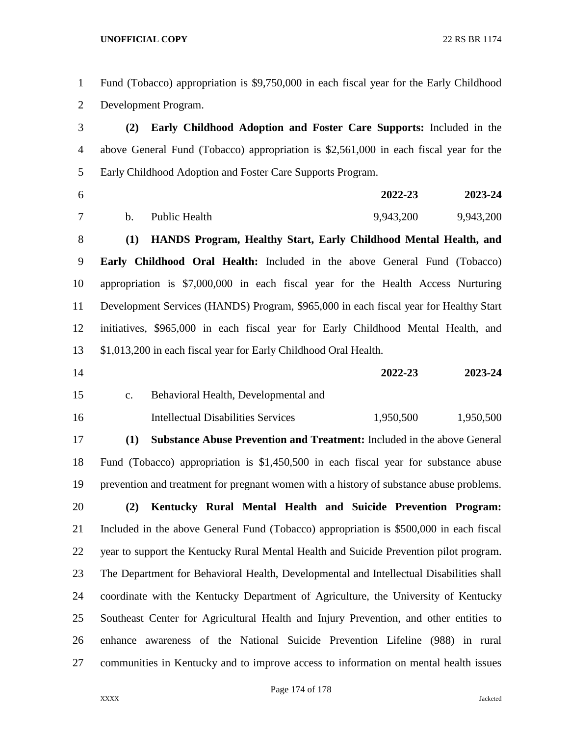| 2              | Development Program. |                                                                  |  |  |  |           |                                                                                         |
|----------------|----------------------|------------------------------------------------------------------|--|--|--|-----------|-----------------------------------------------------------------------------------------|
| 3              | (2)                  |                                                                  |  |  |  |           | Early Childhood Adoption and Foster Care Supports: Included in the                      |
| $\overline{4}$ |                      |                                                                  |  |  |  |           | above General Fund (Tobacco) appropriation is \$2,561,000 in each fiscal year for the   |
| 5              |                      | Early Childhood Adoption and Foster Care Supports Program.       |  |  |  |           |                                                                                         |
| 6              |                      |                                                                  |  |  |  | 2022-23   | 2023-24                                                                                 |
| 7              | $\mathbf b$ .        | Public Health                                                    |  |  |  | 9,943,200 | 9,943,200                                                                               |
| $8\,$          | (1)                  |                                                                  |  |  |  |           | HANDS Program, Healthy Start, Early Childhood Mental Health, and                        |
| 9              |                      |                                                                  |  |  |  |           | Early Childhood Oral Health: Included in the above General Fund (Tobacco)               |
| 10             |                      |                                                                  |  |  |  |           | appropriation is \$7,000,000 in each fiscal year for the Health Access Nurturing        |
| 11             |                      |                                                                  |  |  |  |           | Development Services (HANDS) Program, \$965,000 in each fiscal year for Healthy Start   |
| 12             |                      |                                                                  |  |  |  |           | initiatives, \$965,000 in each fiscal year for Early Childhood Mental Health, and       |
| 13             |                      | \$1,013,200 in each fiscal year for Early Childhood Oral Health. |  |  |  |           |                                                                                         |
| 14             |                      |                                                                  |  |  |  | 2022-23   | 2023-24                                                                                 |
| 15             | c.                   | Behavioral Health, Developmental and                             |  |  |  |           |                                                                                         |
| 16             |                      | <b>Intellectual Disabilities Services</b>                        |  |  |  | 1,950,500 | 1,950,500                                                                               |
| 17             | (1)                  |                                                                  |  |  |  |           | <b>Substance Abuse Prevention and Treatment:</b> Included in the above General          |
| 18             |                      |                                                                  |  |  |  |           | Fund (Tobacco) appropriation is \$1,450,500 in each fiscal year for substance abuse     |
| 19             |                      |                                                                  |  |  |  |           | prevention and treatment for pregnant women with a history of substance abuse problems. |
| 20             | (2)                  |                                                                  |  |  |  |           | Kentucky Rural Mental Health and Suicide Prevention Program:                            |
| 21             |                      |                                                                  |  |  |  |           | Included in the above General Fund (Tobacco) appropriation is \$500,000 in each fiscal  |
| 22             |                      |                                                                  |  |  |  |           | year to support the Kentucky Rural Mental Health and Suicide Prevention pilot program.  |
| 23             |                      |                                                                  |  |  |  |           | The Department for Behavioral Health, Developmental and Intellectual Disabilities shall |
| 24             |                      |                                                                  |  |  |  |           | coordinate with the Kentucky Department of Agriculture, the University of Kentucky      |
| 25             |                      |                                                                  |  |  |  |           | Southeast Center for Agricultural Health and Injury Prevention, and other entities to   |
| 26             |                      |                                                                  |  |  |  |           | enhance awareness of the National Suicide Prevention Lifeline (988) in rural            |
| 27             |                      |                                                                  |  |  |  |           | communities in Kentucky and to improve access to information on mental health issues    |

Fund (Tobacco) appropriation is \$9,750,000 in each fiscal year for the Early Childhood

Page 174 of 178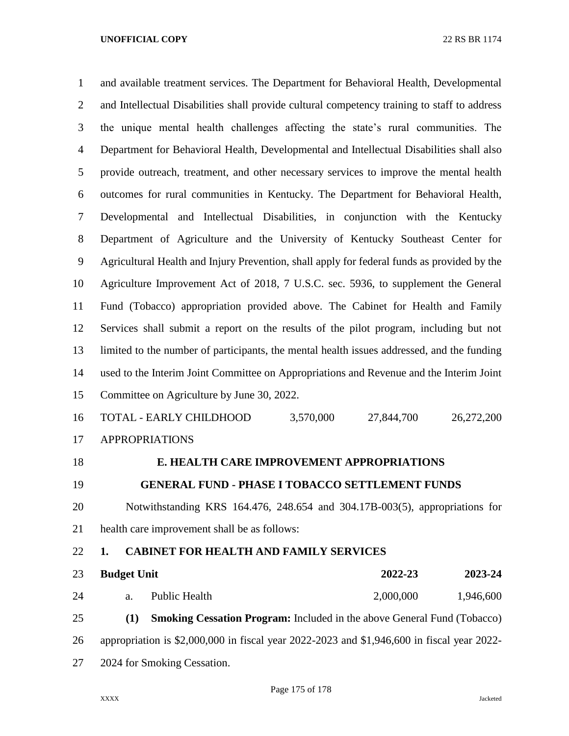and available treatment services. The Department for Behavioral Health, Developmental and Intellectual Disabilities shall provide cultural competency training to staff to address the unique mental health challenges affecting the state's rural communities. The Department for Behavioral Health, Developmental and Intellectual Disabilities shall also provide outreach, treatment, and other necessary services to improve the mental health outcomes for rural communities in Kentucky. The Department for Behavioral Health, Developmental and Intellectual Disabilities, in conjunction with the Kentucky Department of Agriculture and the University of Kentucky Southeast Center for Agricultural Health and Injury Prevention, shall apply for federal funds as provided by the Agriculture Improvement Act of 2018, 7 U.S.C. sec. 5936, to supplement the General Fund (Tobacco) appropriation provided above. The Cabinet for Health and Family Services shall submit a report on the results of the pilot program, including but not limited to the number of participants, the mental health issues addressed, and the funding used to the Interim Joint Committee on Appropriations and Revenue and the Interim Joint Committee on Agriculture by June 30, 2022. TOTAL - EARLY CHILDHOOD 3,570,000 27,844,700 26,272,200 APPROPRIATIONS **E. HEALTH CARE IMPROVEMENT APPROPRIATIONS GENERAL FUND - PHASE I TOBACCO SETTLEMENT FUNDS** Notwithstanding KRS 164.476, 248.654 and 304.17B-003(5), appropriations for health care improvement shall be as follows: **1. CABINET FOR HEALTH AND FAMILY SERVICES Budget Unit 2022-23 2023-24** a. Public Health 2,000,000 1,946,600

 **(1) Smoking Cessation Program:** Included in the above General Fund (Tobacco) appropriation is \$2,000,000 in fiscal year 2022-2023 and \$1,946,600 in fiscal year 2022- 2024 for Smoking Cessation.

Page 175 of 178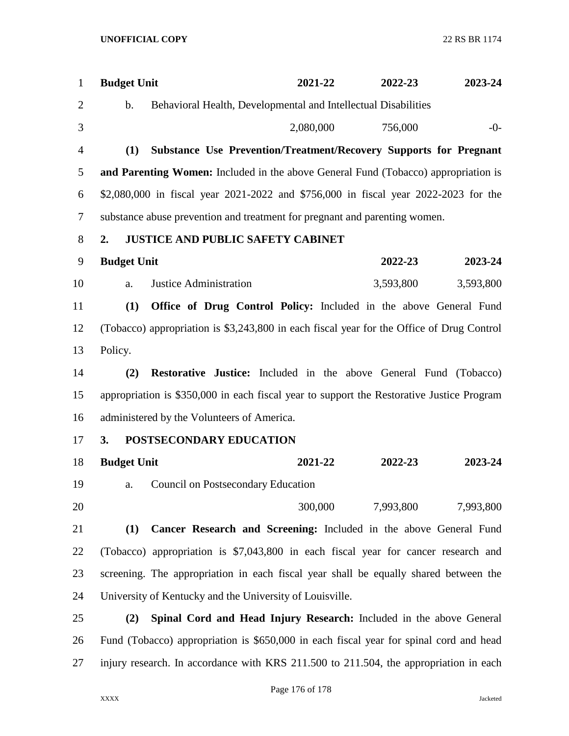| $\mathbf{1}$   | <b>Budget Unit</b> |                                                                                           | 2021-22   | 2022-23   | 2023-24   |
|----------------|--------------------|-------------------------------------------------------------------------------------------|-----------|-----------|-----------|
| $\overline{2}$ | b.                 | Behavioral Health, Developmental and Intellectual Disabilities                            |           |           |           |
| 3              |                    |                                                                                           | 2,080,000 | 756,000   | $-0-$     |
| $\overline{4}$ | (1)                | Substance Use Prevention/Treatment/Recovery Supports for Pregnant                         |           |           |           |
| 5              |                    | <b>and Parenting Women:</b> Included in the above General Fund (Tobacco) appropriation is |           |           |           |
| 6              |                    | \$2,080,000 in fiscal year 2021-2022 and \$756,000 in fiscal year 2022-2023 for the       |           |           |           |
| $\tau$         |                    | substance abuse prevention and treatment for pregnant and parenting women.                |           |           |           |
| 8              | 2.                 | <b>JUSTICE AND PUBLIC SAFETY CABINET</b>                                                  |           |           |           |
| 9              | <b>Budget Unit</b> |                                                                                           |           | 2022-23   | 2023-24   |
| 10             | a.                 | <b>Justice Administration</b>                                                             |           | 3,593,800 | 3,593,800 |
| 11             | (1)                | Office of Drug Control Policy: Included in the above General Fund                         |           |           |           |
| 12             |                    | (Tobacco) appropriation is \$3,243,800 in each fiscal year for the Office of Drug Control |           |           |           |
| 13             | Policy.            |                                                                                           |           |           |           |
| 14             | (2)                | Restorative Justice: Included in the above General Fund (Tobacco)                         |           |           |           |
| 15             |                    | appropriation is \$350,000 in each fiscal year to support the Restorative Justice Program |           |           |           |
| 16             |                    | administered by the Volunteers of America.                                                |           |           |           |
| 17             | 3.                 | POSTSECONDARY EDUCATION                                                                   |           |           |           |
| 18             | <b>Budget Unit</b> |                                                                                           | 2021-22   | 2022-23   | 2023-24   |
| 19             | a.                 | <b>Council on Postsecondary Education</b>                                                 |           |           |           |
| 20             |                    |                                                                                           | 300,000   | 7,993,800 | 7,993,800 |
| 21             | (1)                | Cancer Research and Screening: Included in the above General Fund                         |           |           |           |
| 22             |                    | (Tobacco) appropriation is \$7,043,800 in each fiscal year for cancer research and        |           |           |           |
| 23             |                    | screening. The appropriation in each fiscal year shall be equally shared between the      |           |           |           |
| 24             |                    | University of Kentucky and the University of Louisville.                                  |           |           |           |
| 25             | (2)                | Spinal Cord and Head Injury Research: Included in the above General                       |           |           |           |
| 26             |                    | Fund (Tobacco) appropriation is \$650,000 in each fiscal year for spinal cord and head    |           |           |           |
| 27             |                    | injury research. In accordance with KRS 211.500 to 211.504, the appropriation in each     |           |           |           |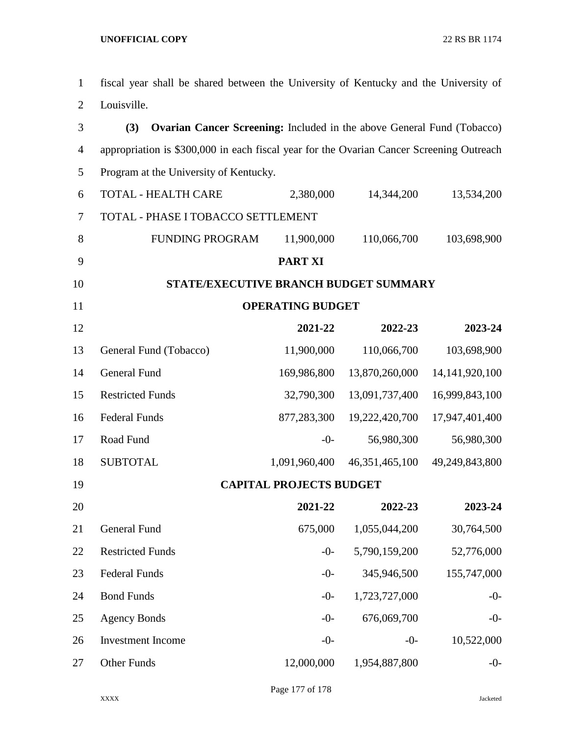fiscal year shall be shared between the University of Kentucky and the University of Louisville. **(3) Ovarian Cancer Screening:** Included in the above General Fund (Tobacco) appropriation is \$300,000 in each fiscal year for the Ovarian Cancer Screening Outreach Program at the University of Kentucky. TOTAL - HEALTH CARE 2,380,000 14,344,200 13,534,200 TOTAL - PHASE I TOBACCO SETTLEMENT 8 FUNDING PROGRAM 11,900,000 110,066,700 103,698,900 **PART XI STATE/EXECUTIVE BRANCH BUDGET SUMMARY OPERATING BUDGET 2021-22 2022-23 2023-24** General Fund (Tobacco) 11,900,000 110,066,700 103,698,900 General Fund 169,986,800 13,870,260,000 14,141,920,100 Restricted Funds 32,790,300 13,091,737,400 16,999,843,100

| 19 Resulted Pullus |         | <u>52,170,500 15,071,151,700 10,777,045,100</u> |            |
|--------------------|---------|-------------------------------------------------|------------|
| 16 Federal Funds   |         | 877,283,300 19,222,420,700 17,947,401,400       |            |
| 17 Road Fund       | $-()$ - | 56,980,300                                      | 56,980,300 |
| 18 SUBTOTAL        |         | 1,091,960,400 46,351,465,100 49,249,843,800     |            |

**CAPITAL PROJECTS BUDGET**

| 20 |                          | 2021-22    | 2022-23       | 2023-24     |
|----|--------------------------|------------|---------------|-------------|
| 21 | <b>General Fund</b>      | 675,000    | 1,055,044,200 | 30,764,500  |
| 22 | <b>Restricted Funds</b>  | $-0-$      | 5,790,159,200 | 52,776,000  |
| 23 | <b>Federal Funds</b>     | $-0-$      | 345,946,500   | 155,747,000 |
| 24 | <b>Bond Funds</b>        | $-0-$      | 1,723,727,000 | $-0-$       |
| 25 | <b>Agency Bonds</b>      | $-0-$      | 676,069,700   | $-0-$       |
| 26 | <b>Investment Income</b> | $-0-$      | $-0-$         | 10,522,000  |
| 27 | <b>Other Funds</b>       | 12,000,000 | 1,954,887,800 | $-()$       |